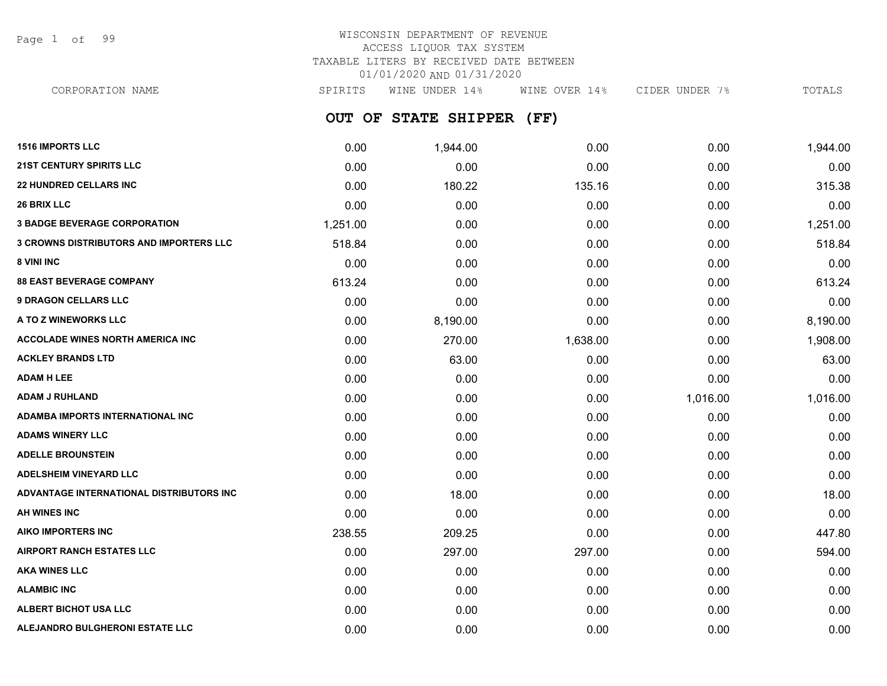Page 1 of 99

| CORPORATION NAME | <b>SPTRTTS</b> |                 | WINE UNDER 14% |      | WINE OVER 14% | CIDER UNDER 7 |  | TOTALS |
|------------------|----------------|-----------------|----------------|------|---------------|---------------|--|--------|
|                  | <b>OUT</b>     | <b>OF STATE</b> | <b>SHIPPER</b> | 'FF) |               |               |  |        |

| <b>1516 IMPORTS LLC</b>                  | 0.00     | 1,944.00 | 0.00     | 0.00     | 1,944.00 |
|------------------------------------------|----------|----------|----------|----------|----------|
| <b>21ST CENTURY SPIRITS LLC</b>          | 0.00     | 0.00     | 0.00     | 0.00     | 0.00     |
| <b>22 HUNDRED CELLARS INC</b>            | 0.00     | 180.22   | 135.16   | 0.00     | 315.38   |
| <b>26 BRIX LLC</b>                       | 0.00     | 0.00     | 0.00     | 0.00     | 0.00     |
| <b>3 BADGE BEVERAGE CORPORATION</b>      | 1,251.00 | 0.00     | 0.00     | 0.00     | 1,251.00 |
| 3 CROWNS DISTRIBUTORS AND IMPORTERS LLC  | 518.84   | 0.00     | 0.00     | 0.00     | 518.84   |
| <b>8 VINI INC</b>                        | 0.00     | 0.00     | 0.00     | 0.00     | 0.00     |
| <b>88 EAST BEVERAGE COMPANY</b>          | 613.24   | 0.00     | 0.00     | 0.00     | 613.24   |
| <b>9 DRAGON CELLARS LLC</b>              | 0.00     | 0.00     | 0.00     | 0.00     | 0.00     |
| <b>A TO Z WINEWORKS LLC</b>              | 0.00     | 8,190.00 | 0.00     | 0.00     | 8,190.00 |
| <b>ACCOLADE WINES NORTH AMERICA INC</b>  | 0.00     | 270.00   | 1,638.00 | 0.00     | 1,908.00 |
| ACKLEY BRANDS LTD                        | 0.00     | 63.00    | 0.00     | 0.00     | 63.00    |
| <b>ADAM H LEE</b>                        | 0.00     | 0.00     | 0.00     | 0.00     | 0.00     |
| ADAM J RUHLAND                           | 0.00     | 0.00     | 0.00     | 1,016.00 | 1,016.00 |
| ADAMBA IMPORTS INTERNATIONAL INC         | 0.00     | 0.00     | 0.00     | 0.00     | 0.00     |
| <b>ADAMS WINERY LLC</b>                  | 0.00     | 0.00     | 0.00     | 0.00     | 0.00     |
| <b>ADELLE BROUNSTEIN</b>                 | 0.00     | 0.00     | 0.00     | 0.00     | 0.00     |
| <b>ADELSHEIM VINEYARD LLC</b>            | 0.00     | 0.00     | 0.00     | 0.00     | 0.00     |
| ADVANTAGE INTERNATIONAL DISTRIBUTORS INC | 0.00     | 18.00    | 0.00     | 0.00     | 18.00    |
| <b>AH WINES INC</b>                      | 0.00     | 0.00     | 0.00     | 0.00     | 0.00     |
| AIKO IMPORTERS INC                       | 238.55   | 209.25   | 0.00     | 0.00     | 447.80   |
| <b>AIRPORT RANCH ESTATES LLC</b>         | 0.00     | 297.00   | 297.00   | 0.00     | 594.00   |
| AKA WINES LLC                            | 0.00     | 0.00     | 0.00     | 0.00     | 0.00     |
| <b>ALAMBIC INC</b>                       | 0.00     | 0.00     | 0.00     | 0.00     | 0.00     |
| ALBERT BICHOT USA LLC                    | 0.00     | 0.00     | 0.00     | 0.00     | 0.00     |
| <b>ALEJANDRO BULGHERONI ESTATE LLC</b>   | 0.00     | 0.00     | 0.00     | 0.00     | 0.00     |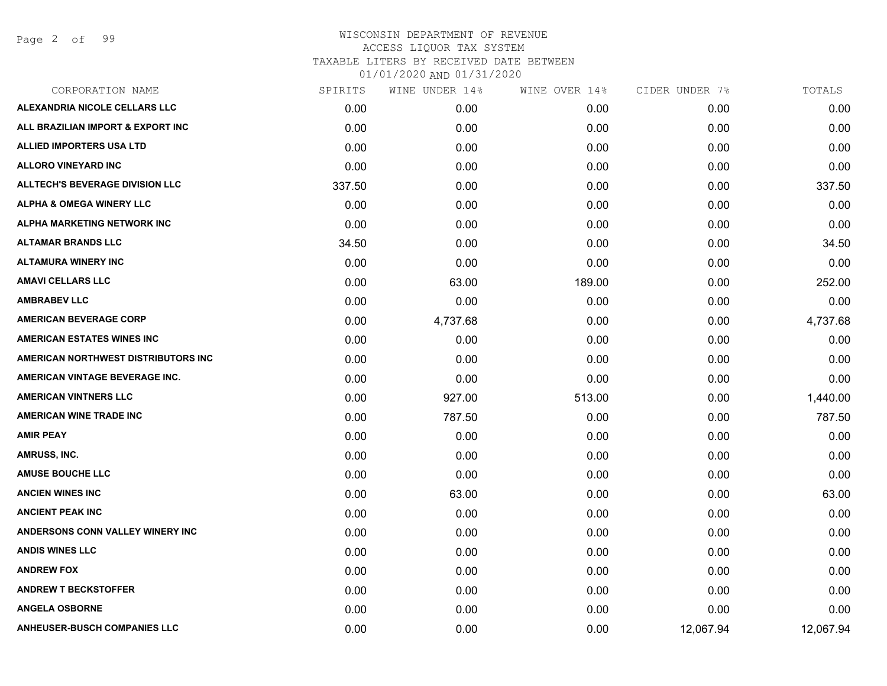| CORPORATION NAME                       | SPIRITS | WINE UNDER 14% | WINE OVER 14% | CIDER UNDER 7% | TOTALS    |
|----------------------------------------|---------|----------------|---------------|----------------|-----------|
| ALEXANDRIA NICOLE CELLARS LLC          | 0.00    | 0.00           | 0.00          | 0.00           | 0.00      |
| ALL BRAZILIAN IMPORT & EXPORT INC      | 0.00    | 0.00           | 0.00          | 0.00           | 0.00      |
| ALLIED IMPORTERS USA LTD               | 0.00    | 0.00           | 0.00          | 0.00           | 0.00      |
| <b>ALLORO VINEYARD INC</b>             | 0.00    | 0.00           | 0.00          | 0.00           | 0.00      |
| <b>ALLTECH'S BEVERAGE DIVISION LLC</b> | 337.50  | 0.00           | 0.00          | 0.00           | 337.50    |
| <b>ALPHA &amp; OMEGA WINERY LLC</b>    | 0.00    | 0.00           | 0.00          | 0.00           | 0.00      |
| ALPHA MARKETING NETWORK INC            | 0.00    | 0.00           | 0.00          | 0.00           | 0.00      |
| <b>ALTAMAR BRANDS LLC</b>              | 34.50   | 0.00           | 0.00          | 0.00           | 34.50     |
| <b>ALTAMURA WINERY INC</b>             | 0.00    | 0.00           | 0.00          | 0.00           | 0.00      |
| <b>AMAVI CELLARS LLC</b>               | 0.00    | 63.00          | 189.00        | 0.00           | 252.00    |
| <b>AMBRABEV LLC</b>                    | 0.00    | 0.00           | 0.00          | 0.00           | 0.00      |
| <b>AMERICAN BEVERAGE CORP</b>          | 0.00    | 4,737.68       | 0.00          | 0.00           | 4,737.68  |
| <b>AMERICAN ESTATES WINES INC</b>      | 0.00    | 0.00           | 0.00          | 0.00           | 0.00      |
| AMERICAN NORTHWEST DISTRIBUTORS INC    | 0.00    | 0.00           | 0.00          | 0.00           | 0.00      |
| AMERICAN VINTAGE BEVERAGE INC.         | 0.00    | 0.00           | 0.00          | 0.00           | 0.00      |
| <b>AMERICAN VINTNERS LLC</b>           | 0.00    | 927.00         | 513.00        | 0.00           | 1,440.00  |
| <b>AMERICAN WINE TRADE INC</b>         | 0.00    | 787.50         | 0.00          | 0.00           | 787.50    |
| <b>AMIR PEAY</b>                       | 0.00    | 0.00           | 0.00          | 0.00           | 0.00      |
| <b>AMRUSS, INC.</b>                    | 0.00    | 0.00           | 0.00          | 0.00           | 0.00      |
| <b>AMUSE BOUCHE LLC</b>                | 0.00    | 0.00           | 0.00          | 0.00           | 0.00      |
| <b>ANCIEN WINES INC</b>                | 0.00    | 63.00          | 0.00          | 0.00           | 63.00     |
| <b>ANCIENT PEAK INC</b>                | 0.00    | 0.00           | 0.00          | 0.00           | 0.00      |
| ANDERSONS CONN VALLEY WINERY INC       | 0.00    | 0.00           | 0.00          | 0.00           | 0.00      |
| <b>ANDIS WINES LLC</b>                 | 0.00    | 0.00           | 0.00          | 0.00           | 0.00      |
| <b>ANDREW FOX</b>                      | 0.00    | 0.00           | 0.00          | 0.00           | 0.00      |
| <b>ANDREW T BECKSTOFFER</b>            | 0.00    | 0.00           | 0.00          | 0.00           | 0.00      |
| <b>ANGELA OSBORNE</b>                  | 0.00    | 0.00           | 0.00          | 0.00           | 0.00      |
| <b>ANHEUSER-BUSCH COMPANIES LLC</b>    | 0.00    | 0.00           | 0.00          | 12,067.94      | 12,067.94 |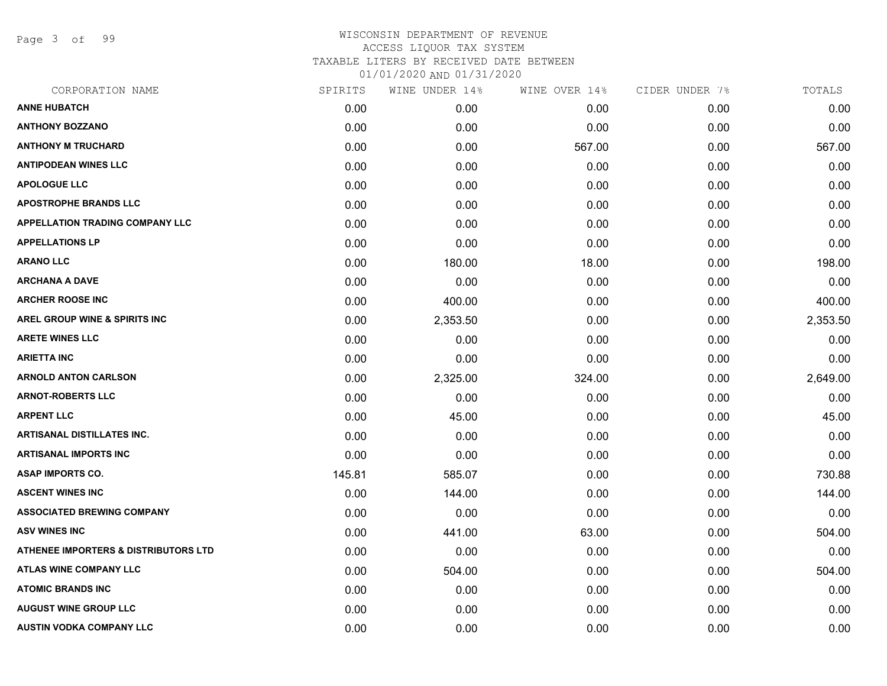Page 3 of 99

| CORPORATION NAME                                | SPIRITS | WINE UNDER 14% | WINE OVER 14% | CIDER UNDER 7% | TOTALS   |
|-------------------------------------------------|---------|----------------|---------------|----------------|----------|
| <b>ANNE HUBATCH</b>                             | 0.00    | 0.00           | 0.00          | 0.00           | 0.00     |
| <b>ANTHONY BOZZANO</b>                          | 0.00    | 0.00           | 0.00          | 0.00           | 0.00     |
| <b>ANTHONY M TRUCHARD</b>                       | 0.00    | 0.00           | 567.00        | 0.00           | 567.00   |
| <b>ANTIPODEAN WINES LLC</b>                     | 0.00    | 0.00           | 0.00          | 0.00           | 0.00     |
| <b>APOLOGUE LLC</b>                             | 0.00    | 0.00           | 0.00          | 0.00           | 0.00     |
| <b>APOSTROPHE BRANDS LLC</b>                    | 0.00    | 0.00           | 0.00          | 0.00           | 0.00     |
| <b>APPELLATION TRADING COMPANY LLC</b>          | 0.00    | 0.00           | 0.00          | 0.00           | 0.00     |
| <b>APPELLATIONS LP</b>                          | 0.00    | 0.00           | 0.00          | 0.00           | 0.00     |
| <b>ARANO LLC</b>                                | 0.00    | 180.00         | 18.00         | 0.00           | 198.00   |
| <b>ARCHANA A DAVE</b>                           | 0.00    | 0.00           | 0.00          | 0.00           | 0.00     |
| <b>ARCHER ROOSE INC</b>                         | 0.00    | 400.00         | 0.00          | 0.00           | 400.00   |
| <b>AREL GROUP WINE &amp; SPIRITS INC</b>        | 0.00    | 2,353.50       | 0.00          | 0.00           | 2,353.50 |
| <b>ARETE WINES LLC</b>                          | 0.00    | 0.00           | 0.00          | 0.00           | 0.00     |
| <b>ARIETTA INC</b>                              | 0.00    | 0.00           | 0.00          | 0.00           | 0.00     |
| <b>ARNOLD ANTON CARLSON</b>                     | 0.00    | 2,325.00       | 324.00        | 0.00           | 2,649.00 |
| <b>ARNOT-ROBERTS LLC</b>                        | 0.00    | 0.00           | 0.00          | 0.00           | 0.00     |
| <b>ARPENT LLC</b>                               | 0.00    | 45.00          | 0.00          | 0.00           | 45.00    |
| <b>ARTISANAL DISTILLATES INC.</b>               | 0.00    | 0.00           | 0.00          | 0.00           | 0.00     |
| <b>ARTISANAL IMPORTS INC</b>                    | 0.00    | 0.00           | 0.00          | 0.00           | 0.00     |
| <b>ASAP IMPORTS CO.</b>                         | 145.81  | 585.07         | 0.00          | 0.00           | 730.88   |
| <b>ASCENT WINES INC</b>                         | 0.00    | 144.00         | 0.00          | 0.00           | 144.00   |
| <b>ASSOCIATED BREWING COMPANY</b>               | 0.00    | 0.00           | 0.00          | 0.00           | 0.00     |
| <b>ASV WINES INC</b>                            | 0.00    | 441.00         | 63.00         | 0.00           | 504.00   |
| <b>ATHENEE IMPORTERS &amp; DISTRIBUTORS LTD</b> | 0.00    | 0.00           | 0.00          | 0.00           | 0.00     |
| <b>ATLAS WINE COMPANY LLC</b>                   | 0.00    | 504.00         | 0.00          | 0.00           | 504.00   |
| <b>ATOMIC BRANDS INC</b>                        | 0.00    | 0.00           | 0.00          | 0.00           | 0.00     |
| <b>AUGUST WINE GROUP LLC</b>                    | 0.00    | 0.00           | 0.00          | 0.00           | 0.00     |
| <b>AUSTIN VODKA COMPANY LLC</b>                 | 0.00    | 0.00           | 0.00          | 0.00           | 0.00     |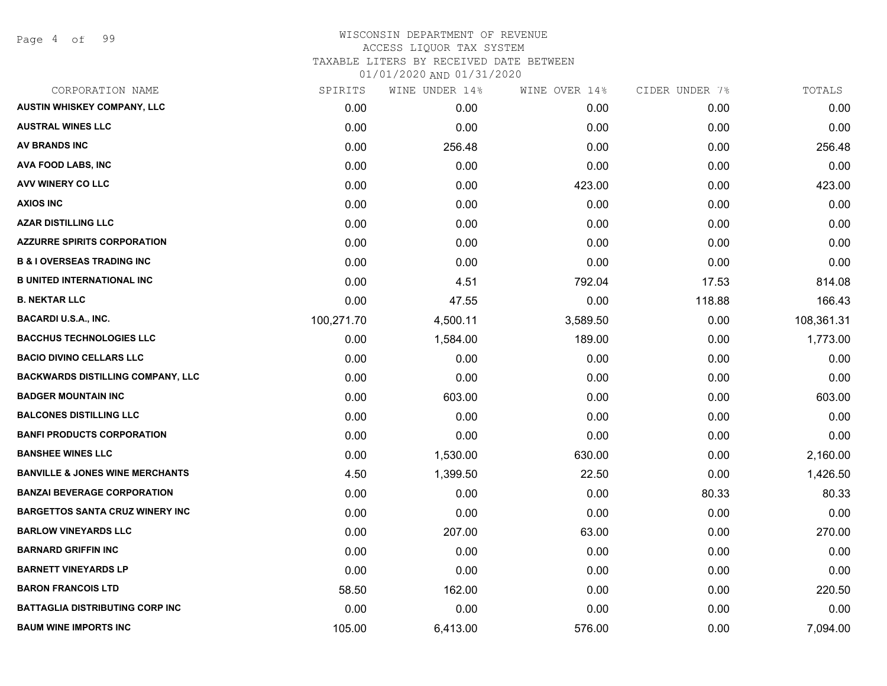### WISCONSIN DEPARTMENT OF REVENUE ACCESS LIQUOR TAX SYSTEM TAXABLE LITERS BY RECEIVED DATE BETWEEN

| CORPORATION NAME                           | SPIRITS    | WINE UNDER 14% | WINE OVER 14% | CIDER UNDER 7% | TOTALS     |
|--------------------------------------------|------------|----------------|---------------|----------------|------------|
| <b>AUSTIN WHISKEY COMPANY, LLC</b>         | 0.00       | 0.00           | 0.00          | 0.00           | 0.00       |
| <b>AUSTRAL WINES LLC</b>                   | 0.00       | 0.00           | 0.00          | 0.00           | 0.00       |
| <b>AV BRANDS INC</b>                       | 0.00       | 256.48         | 0.00          | 0.00           | 256.48     |
| AVA FOOD LABS, INC                         | 0.00       | 0.00           | 0.00          | 0.00           | 0.00       |
| <b>AVV WINERY CO LLC</b>                   | 0.00       | 0.00           | 423.00        | 0.00           | 423.00     |
| <b>AXIOS INC</b>                           | 0.00       | 0.00           | 0.00          | 0.00           | 0.00       |
| <b>AZAR DISTILLING LLC</b>                 | 0.00       | 0.00           | 0.00          | 0.00           | 0.00       |
| <b>AZZURRE SPIRITS CORPORATION</b>         | 0.00       | 0.00           | 0.00          | 0.00           | 0.00       |
| <b>B &amp; I OVERSEAS TRADING INC</b>      | 0.00       | 0.00           | 0.00          | 0.00           | 0.00       |
| <b>B UNITED INTERNATIONAL INC</b>          | 0.00       | 4.51           | 792.04        | 17.53          | 814.08     |
| <b>B. NEKTAR LLC</b>                       | 0.00       | 47.55          | 0.00          | 118.88         | 166.43     |
| <b>BACARDI U.S.A., INC.</b>                | 100,271.70 | 4,500.11       | 3,589.50      | 0.00           | 108,361.31 |
| <b>BACCHUS TECHNOLOGIES LLC</b>            | 0.00       | 1,584.00       | 189.00        | 0.00           | 1,773.00   |
| <b>BACIO DIVINO CELLARS LLC</b>            | 0.00       | 0.00           | 0.00          | 0.00           | 0.00       |
| <b>BACKWARDS DISTILLING COMPANY, LLC</b>   | 0.00       | 0.00           | 0.00          | 0.00           | 0.00       |
| <b>BADGER MOUNTAIN INC</b>                 | 0.00       | 603.00         | 0.00          | 0.00           | 603.00     |
| <b>BALCONES DISTILLING LLC</b>             | 0.00       | 0.00           | 0.00          | 0.00           | 0.00       |
| <b>BANFI PRODUCTS CORPORATION</b>          | 0.00       | 0.00           | 0.00          | 0.00           | 0.00       |
| <b>BANSHEE WINES LLC</b>                   | 0.00       | 1,530.00       | 630.00        | 0.00           | 2,160.00   |
| <b>BANVILLE &amp; JONES WINE MERCHANTS</b> | 4.50       | 1,399.50       | 22.50         | 0.00           | 1,426.50   |
| <b>BANZAI BEVERAGE CORPORATION</b>         | 0.00       | 0.00           | 0.00          | 80.33          | 80.33      |
| <b>BARGETTOS SANTA CRUZ WINERY INC</b>     | 0.00       | 0.00           | 0.00          | 0.00           | 0.00       |
| <b>BARLOW VINEYARDS LLC</b>                | 0.00       | 207.00         | 63.00         | 0.00           | 270.00     |
| <b>BARNARD GRIFFIN INC</b>                 | 0.00       | 0.00           | 0.00          | 0.00           | 0.00       |
| <b>BARNETT VINEYARDS LP</b>                | 0.00       | 0.00           | 0.00          | 0.00           | 0.00       |
| <b>BARON FRANCOIS LTD</b>                  | 58.50      | 162.00         | 0.00          | 0.00           | 220.50     |
| <b>BATTAGLIA DISTRIBUTING CORP INC</b>     | 0.00       | 0.00           | 0.00          | 0.00           | 0.00       |
| <b>BAUM WINE IMPORTS INC</b>               | 105.00     | 6,413.00       | 576.00        | 0.00           | 7,094.00   |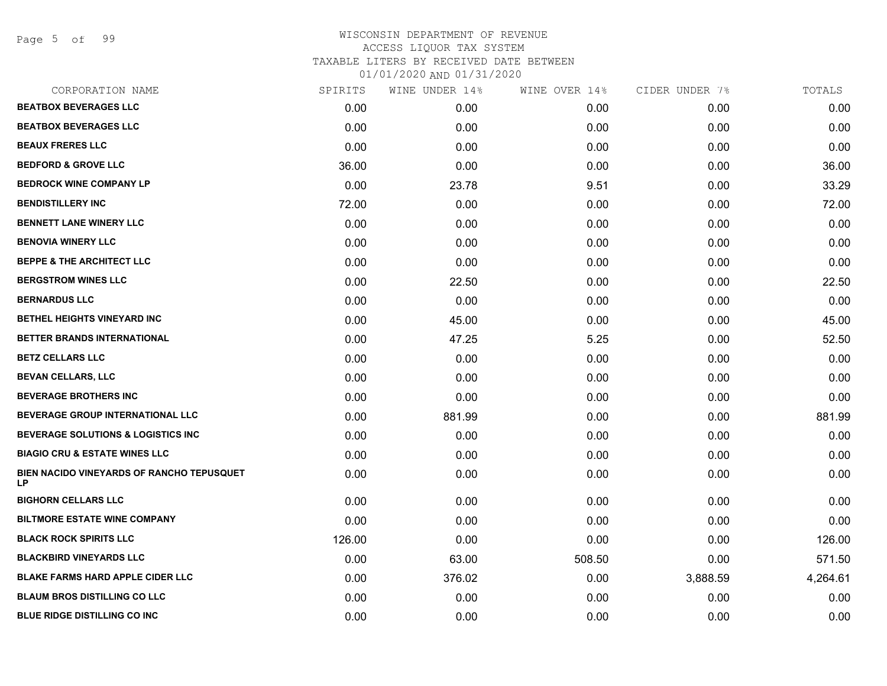Page 5 of 99

| CORPORATION NAME                                | SPIRITS | WINE UNDER 14% | WINE OVER 14% | CIDER UNDER 7% | TOTALS   |
|-------------------------------------------------|---------|----------------|---------------|----------------|----------|
| <b>BEATBOX BEVERAGES LLC</b>                    | 0.00    | 0.00           | 0.00          | 0.00           | 0.00     |
| <b>BEATBOX BEVERAGES LLC</b>                    | 0.00    | 0.00           | 0.00          | 0.00           | 0.00     |
| <b>BEAUX FRERES LLC</b>                         | 0.00    | 0.00           | 0.00          | 0.00           | 0.00     |
| <b>BEDFORD &amp; GROVE LLC</b>                  | 36.00   | 0.00           | 0.00          | 0.00           | 36.00    |
| <b>BEDROCK WINE COMPANY LP</b>                  | 0.00    | 23.78          | 9.51          | 0.00           | 33.29    |
| <b>BENDISTILLERY INC</b>                        | 72.00   | 0.00           | 0.00          | 0.00           | 72.00    |
| <b>BENNETT LANE WINERY LLC</b>                  | 0.00    | 0.00           | 0.00          | 0.00           | 0.00     |
| <b>BENOVIA WINERY LLC</b>                       | 0.00    | 0.00           | 0.00          | 0.00           | 0.00     |
| <b>BEPPE &amp; THE ARCHITECT LLC</b>            | 0.00    | 0.00           | 0.00          | 0.00           | 0.00     |
| <b>BERGSTROM WINES LLC</b>                      | 0.00    | 22.50          | 0.00          | 0.00           | 22.50    |
| <b>BERNARDUS LLC</b>                            | 0.00    | 0.00           | 0.00          | 0.00           | 0.00     |
| BETHEL HEIGHTS VINEYARD INC                     | 0.00    | 45.00          | 0.00          | 0.00           | 45.00    |
| BETTER BRANDS INTERNATIONAL                     | 0.00    | 47.25          | 5.25          | 0.00           | 52.50    |
| <b>BETZ CELLARS LLC</b>                         | 0.00    | 0.00           | 0.00          | 0.00           | 0.00     |
| <b>BEVAN CELLARS, LLC</b>                       | 0.00    | 0.00           | 0.00          | 0.00           | 0.00     |
| <b>BEVERAGE BROTHERS INC</b>                    | 0.00    | 0.00           | 0.00          | 0.00           | 0.00     |
| <b>BEVERAGE GROUP INTERNATIONAL LLC</b>         | 0.00    | 881.99         | 0.00          | 0.00           | 881.99   |
| <b>BEVERAGE SOLUTIONS &amp; LOGISTICS INC</b>   | 0.00    | 0.00           | 0.00          | 0.00           | 0.00     |
| <b>BIAGIO CRU &amp; ESTATE WINES LLC</b>        | 0.00    | 0.00           | 0.00          | 0.00           | 0.00     |
| BIEN NACIDO VINEYARDS OF RANCHO TEPUSQUET<br>LP | 0.00    | 0.00           | 0.00          | 0.00           | 0.00     |
| <b>BIGHORN CELLARS LLC</b>                      | 0.00    | 0.00           | 0.00          | 0.00           | 0.00     |
| <b>BILTMORE ESTATE WINE COMPANY</b>             | 0.00    | 0.00           | 0.00          | 0.00           | 0.00     |
| <b>BLACK ROCK SPIRITS LLC</b>                   | 126.00  | 0.00           | 0.00          | 0.00           | 126.00   |
| <b>BLACKBIRD VINEYARDS LLC</b>                  | 0.00    | 63.00          | 508.50        | 0.00           | 571.50   |
| <b>BLAKE FARMS HARD APPLE CIDER LLC</b>         | 0.00    | 376.02         | 0.00          | 3,888.59       | 4,264.61 |
| <b>BLAUM BROS DISTILLING CO LLC</b>             | 0.00    | 0.00           | 0.00          | 0.00           | 0.00     |
| <b>BLUE RIDGE DISTILLING CO INC</b>             | 0.00    | 0.00           | 0.00          | 0.00           | 0.00     |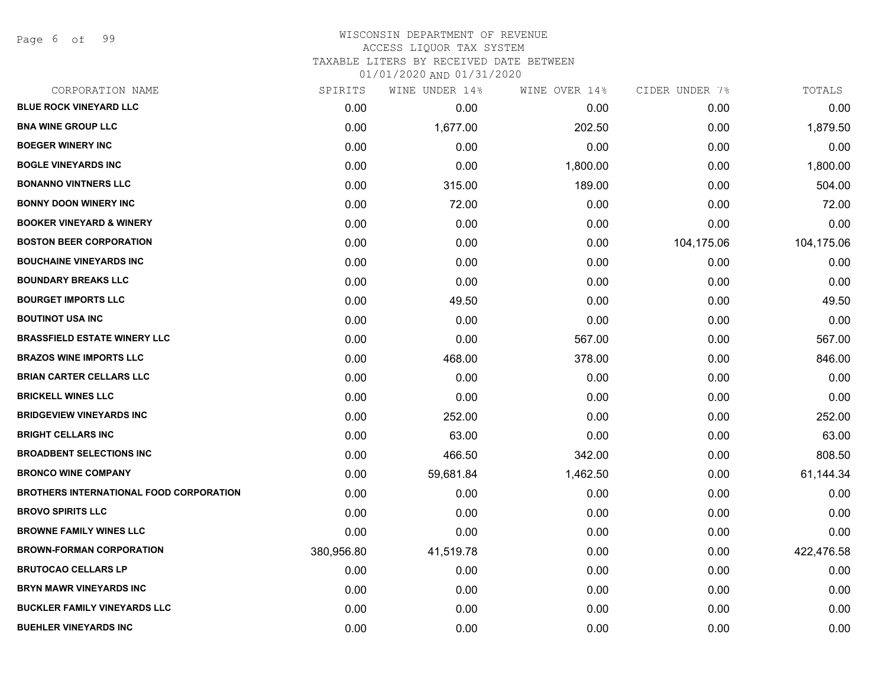Page 6 of 99

| CORPORATION NAME                               | SPIRITS    | WINE UNDER 14% | WINE OVER 14% | CIDER UNDER 7% | TOTALS     |
|------------------------------------------------|------------|----------------|---------------|----------------|------------|
| <b>BLUE ROCK VINEYARD LLC</b>                  | 0.00       | 0.00           | 0.00          | 0.00           | 0.00       |
| <b>BNA WINE GROUP LLC</b>                      | 0.00       | 1,677.00       | 202.50        | 0.00           | 1,879.50   |
| <b>BOEGER WINERY INC</b>                       | 0.00       | 0.00           | 0.00          | 0.00           | 0.00       |
| <b>BOGLE VINEYARDS INC</b>                     | 0.00       | 0.00           | 1,800.00      | 0.00           | 1,800.00   |
| <b>BONANNO VINTNERS LLC</b>                    | 0.00       | 315.00         | 189.00        | 0.00           | 504.00     |
| <b>BONNY DOON WINERY INC</b>                   | 0.00       | 72.00          | 0.00          | 0.00           | 72.00      |
| <b>BOOKER VINEYARD &amp; WINERY</b>            | 0.00       | 0.00           | 0.00          | 0.00           | 0.00       |
| <b>BOSTON BEER CORPORATION</b>                 | 0.00       | 0.00           | 0.00          | 104,175.06     | 104,175.06 |
| <b>BOUCHAINE VINEYARDS INC</b>                 | 0.00       | 0.00           | 0.00          | 0.00           | 0.00       |
| <b>BOUNDARY BREAKS LLC</b>                     | 0.00       | 0.00           | 0.00          | 0.00           | 0.00       |
| <b>BOURGET IMPORTS LLC</b>                     | 0.00       | 49.50          | 0.00          | 0.00           | 49.50      |
| <b>BOUTINOT USA INC</b>                        | 0.00       | 0.00           | 0.00          | 0.00           | 0.00       |
| <b>BRASSFIELD ESTATE WINERY LLC</b>            | 0.00       | 0.00           | 567.00        | 0.00           | 567.00     |
| <b>BRAZOS WINE IMPORTS LLC</b>                 | 0.00       | 468.00         | 378.00        | 0.00           | 846.00     |
| <b>BRIAN CARTER CELLARS LLC</b>                | 0.00       | 0.00           | 0.00          | 0.00           | 0.00       |
| <b>BRICKELL WINES LLC</b>                      | 0.00       | 0.00           | 0.00          | 0.00           | 0.00       |
| <b>BRIDGEVIEW VINEYARDS INC</b>                | 0.00       | 252.00         | 0.00          | 0.00           | 252.00     |
| <b>BRIGHT CELLARS INC</b>                      | 0.00       | 63.00          | 0.00          | 0.00           | 63.00      |
| <b>BROADBENT SELECTIONS INC</b>                | 0.00       | 466.50         | 342.00        | 0.00           | 808.50     |
| <b>BRONCO WINE COMPANY</b>                     | 0.00       | 59,681.84      | 1,462.50      | 0.00           | 61,144.34  |
| <b>BROTHERS INTERNATIONAL FOOD CORPORATION</b> | 0.00       | 0.00           | 0.00          | 0.00           | 0.00       |
| <b>BROVO SPIRITS LLC</b>                       | 0.00       | 0.00           | 0.00          | 0.00           | 0.00       |
| <b>BROWNE FAMILY WINES LLC</b>                 | 0.00       | 0.00           | 0.00          | 0.00           | 0.00       |
| <b>BROWN-FORMAN CORPORATION</b>                | 380,956.80 | 41,519.78      | 0.00          | 0.00           | 422,476.58 |
| <b>BRUTOCAO CELLARS LP</b>                     | 0.00       | 0.00           | 0.00          | 0.00           | 0.00       |
| <b>BRYN MAWR VINEYARDS INC</b>                 | 0.00       | 0.00           | 0.00          | 0.00           | 0.00       |
| <b>BUCKLER FAMILY VINEYARDS LLC</b>            | 0.00       | 0.00           | 0.00          | 0.00           | 0.00       |
| <b>BUEHLER VINEYARDS INC</b>                   | 0.00       | 0.00           | 0.00          | 0.00           | 0.00       |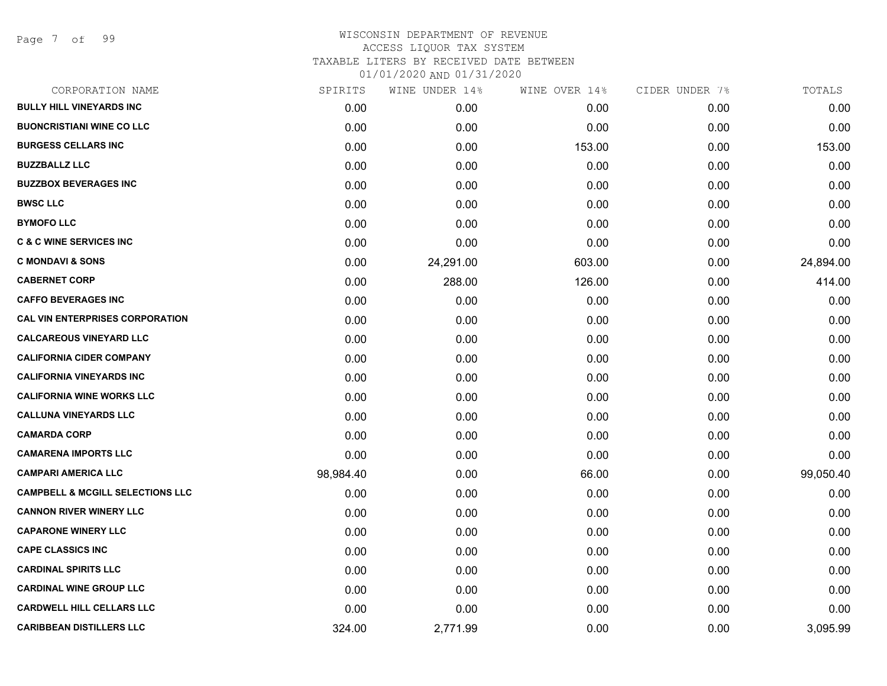Page 7 of 99

| CORPORATION NAME                            | SPIRITS   | WINE UNDER 14% | WINE OVER 14% | CIDER UNDER 7% | TOTALS    |
|---------------------------------------------|-----------|----------------|---------------|----------------|-----------|
| <b>BULLY HILL VINEYARDS INC</b>             | 0.00      | 0.00           | 0.00          | 0.00           | 0.00      |
| <b>BUONCRISTIANI WINE CO LLC</b>            | 0.00      | 0.00           | 0.00          | 0.00           | 0.00      |
| <b>BURGESS CELLARS INC</b>                  | 0.00      | 0.00           | 153.00        | 0.00           | 153.00    |
| <b>BUZZBALLZ LLC</b>                        | 0.00      | 0.00           | 0.00          | 0.00           | 0.00      |
| <b>BUZZBOX BEVERAGES INC</b>                | 0.00      | 0.00           | 0.00          | 0.00           | 0.00      |
| <b>BWSC LLC</b>                             | 0.00      | 0.00           | 0.00          | 0.00           | 0.00      |
| <b>BYMOFO LLC</b>                           | 0.00      | 0.00           | 0.00          | 0.00           | 0.00      |
| <b>C &amp; C WINE SERVICES INC</b>          | 0.00      | 0.00           | 0.00          | 0.00           | 0.00      |
| <b>C MONDAVI &amp; SONS</b>                 | 0.00      | 24,291.00      | 603.00        | 0.00           | 24,894.00 |
| <b>CABERNET CORP</b>                        | 0.00      | 288.00         | 126.00        | 0.00           | 414.00    |
| <b>CAFFO BEVERAGES INC</b>                  | 0.00      | 0.00           | 0.00          | 0.00           | 0.00      |
| <b>CAL VIN ENTERPRISES CORPORATION</b>      | 0.00      | 0.00           | 0.00          | 0.00           | 0.00      |
| <b>CALCAREOUS VINEYARD LLC</b>              | 0.00      | 0.00           | 0.00          | 0.00           | 0.00      |
| <b>CALIFORNIA CIDER COMPANY</b>             | 0.00      | 0.00           | 0.00          | 0.00           | 0.00      |
| <b>CALIFORNIA VINEYARDS INC</b>             | 0.00      | 0.00           | 0.00          | 0.00           | 0.00      |
| <b>CALIFORNIA WINE WORKS LLC</b>            | 0.00      | 0.00           | 0.00          | 0.00           | 0.00      |
| <b>CALLUNA VINEYARDS LLC</b>                | 0.00      | 0.00           | 0.00          | 0.00           | 0.00      |
| <b>CAMARDA CORP</b>                         | 0.00      | 0.00           | 0.00          | 0.00           | 0.00      |
| <b>CAMARENA IMPORTS LLC</b>                 | 0.00      | 0.00           | 0.00          | 0.00           | 0.00      |
| <b>CAMPARI AMERICA LLC</b>                  | 98,984.40 | 0.00           | 66.00         | 0.00           | 99,050.40 |
| <b>CAMPBELL &amp; MCGILL SELECTIONS LLC</b> | 0.00      | 0.00           | 0.00          | 0.00           | 0.00      |
| <b>CANNON RIVER WINERY LLC</b>              | 0.00      | 0.00           | 0.00          | 0.00           | 0.00      |
| <b>CAPARONE WINERY LLC</b>                  | 0.00      | 0.00           | 0.00          | 0.00           | 0.00      |
| <b>CAPE CLASSICS INC</b>                    | 0.00      | 0.00           | 0.00          | 0.00           | 0.00      |
| <b>CARDINAL SPIRITS LLC</b>                 | 0.00      | 0.00           | 0.00          | 0.00           | 0.00      |
| <b>CARDINAL WINE GROUP LLC</b>              | 0.00      | 0.00           | 0.00          | 0.00           | 0.00      |
| <b>CARDWELL HILL CELLARS LLC</b>            | 0.00      | 0.00           | 0.00          | 0.00           | 0.00      |
| <b>CARIBBEAN DISTILLERS LLC</b>             | 324.00    | 2,771.99       | 0.00          | 0.00           | 3,095.99  |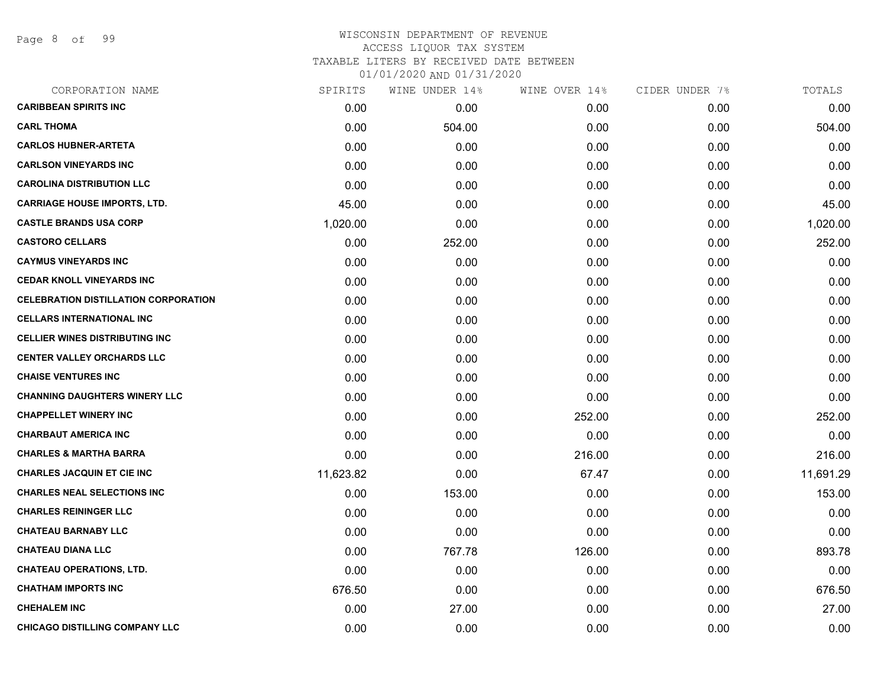Page 8 of 99

| CORPORATION NAME                            | SPIRITS   | WINE UNDER 14% | WINE OVER 14% | CIDER UNDER 7% | TOTALS    |
|---------------------------------------------|-----------|----------------|---------------|----------------|-----------|
| <b>CARIBBEAN SPIRITS INC</b>                | 0.00      | 0.00           | 0.00          | 0.00           | 0.00      |
| <b>CARL THOMA</b>                           | 0.00      | 504.00         | 0.00          | 0.00           | 504.00    |
| <b>CARLOS HUBNER-ARTETA</b>                 | 0.00      | 0.00           | 0.00          | 0.00           | 0.00      |
| <b>CARLSON VINEYARDS INC</b>                | 0.00      | 0.00           | 0.00          | 0.00           | 0.00      |
| <b>CAROLINA DISTRIBUTION LLC</b>            | 0.00      | 0.00           | 0.00          | 0.00           | 0.00      |
| <b>CARRIAGE HOUSE IMPORTS, LTD.</b>         | 45.00     | 0.00           | 0.00          | 0.00           | 45.00     |
| <b>CASTLE BRANDS USA CORP</b>               | 1,020.00  | 0.00           | 0.00          | 0.00           | 1,020.00  |
| <b>CASTORO CELLARS</b>                      | 0.00      | 252.00         | 0.00          | 0.00           | 252.00    |
| <b>CAYMUS VINEYARDS INC</b>                 | 0.00      | 0.00           | 0.00          | 0.00           | 0.00      |
| <b>CEDAR KNOLL VINEYARDS INC</b>            | 0.00      | 0.00           | 0.00          | 0.00           | 0.00      |
| <b>CELEBRATION DISTILLATION CORPORATION</b> | 0.00      | 0.00           | 0.00          | 0.00           | 0.00      |
| <b>CELLARS INTERNATIONAL INC</b>            | 0.00      | 0.00           | 0.00          | 0.00           | 0.00      |
| <b>CELLIER WINES DISTRIBUTING INC</b>       | 0.00      | 0.00           | 0.00          | 0.00           | 0.00      |
| <b>CENTER VALLEY ORCHARDS LLC</b>           | 0.00      | 0.00           | 0.00          | 0.00           | 0.00      |
| <b>CHAISE VENTURES INC</b>                  | 0.00      | 0.00           | 0.00          | 0.00           | 0.00      |
| <b>CHANNING DAUGHTERS WINERY LLC</b>        | 0.00      | 0.00           | 0.00          | 0.00           | 0.00      |
| <b>CHAPPELLET WINERY INC</b>                | 0.00      | 0.00           | 252.00        | 0.00           | 252.00    |
| <b>CHARBAUT AMERICA INC</b>                 | 0.00      | 0.00           | 0.00          | 0.00           | 0.00      |
| <b>CHARLES &amp; MARTHA BARRA</b>           | 0.00      | 0.00           | 216.00        | 0.00           | 216.00    |
| <b>CHARLES JACQUIN ET CIE INC</b>           | 11,623.82 | 0.00           | 67.47         | 0.00           | 11,691.29 |
| <b>CHARLES NEAL SELECTIONS INC</b>          | 0.00      | 153.00         | 0.00          | 0.00           | 153.00    |
| <b>CHARLES REININGER LLC</b>                | 0.00      | 0.00           | 0.00          | 0.00           | 0.00      |
| <b>CHATEAU BARNABY LLC</b>                  | 0.00      | 0.00           | 0.00          | 0.00           | 0.00      |
| <b>CHATEAU DIANA LLC</b>                    | 0.00      | 767.78         | 126.00        | 0.00           | 893.78    |
| <b>CHATEAU OPERATIONS, LTD.</b>             | 0.00      | 0.00           | 0.00          | 0.00           | 0.00      |
| <b>CHATHAM IMPORTS INC</b>                  | 676.50    | 0.00           | 0.00          | 0.00           | 676.50    |
| <b>CHEHALEM INC</b>                         | 0.00      | 27.00          | 0.00          | 0.00           | 27.00     |
| <b>CHICAGO DISTILLING COMPANY LLC</b>       | 0.00      | 0.00           | 0.00          | 0.00           | 0.00      |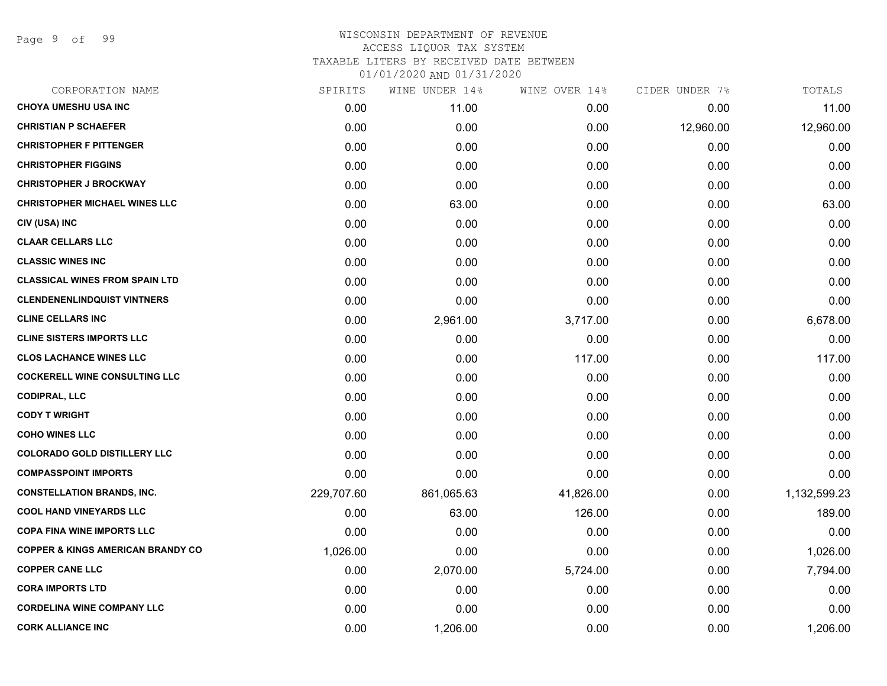Page 9 of 99

| CORPORATION NAME                             | SPIRITS    | WINE UNDER 14% | WINE OVER 14% | CIDER UNDER 7% | TOTALS       |
|----------------------------------------------|------------|----------------|---------------|----------------|--------------|
| <b>CHOYA UMESHU USA INC</b>                  | 0.00       | 11.00          | 0.00          | 0.00           | 11.00        |
| <b>CHRISTIAN P SCHAEFER</b>                  | 0.00       | 0.00           | 0.00          | 12,960.00      | 12,960.00    |
| <b>CHRISTOPHER F PITTENGER</b>               | 0.00       | 0.00           | 0.00          | 0.00           | 0.00         |
| <b>CHRISTOPHER FIGGINS</b>                   | 0.00       | 0.00           | 0.00          | 0.00           | 0.00         |
| <b>CHRISTOPHER J BROCKWAY</b>                | 0.00       | 0.00           | 0.00          | 0.00           | 0.00         |
| <b>CHRISTOPHER MICHAEL WINES LLC</b>         | 0.00       | 63.00          | 0.00          | 0.00           | 63.00        |
| CIV (USA) INC                                | 0.00       | 0.00           | 0.00          | 0.00           | 0.00         |
| <b>CLAAR CELLARS LLC</b>                     | 0.00       | 0.00           | 0.00          | 0.00           | 0.00         |
| <b>CLASSIC WINES INC</b>                     | 0.00       | 0.00           | 0.00          | 0.00           | 0.00         |
| <b>CLASSICAL WINES FROM SPAIN LTD</b>        | 0.00       | 0.00           | 0.00          | 0.00           | 0.00         |
| <b>CLENDENENLINDQUIST VINTNERS</b>           | 0.00       | 0.00           | 0.00          | 0.00           | 0.00         |
| <b>CLINE CELLARS INC</b>                     | 0.00       | 2,961.00       | 3,717.00      | 0.00           | 6,678.00     |
| <b>CLINE SISTERS IMPORTS LLC</b>             | 0.00       | 0.00           | 0.00          | 0.00           | 0.00         |
| <b>CLOS LACHANCE WINES LLC</b>               | 0.00       | 0.00           | 117.00        | 0.00           | 117.00       |
| <b>COCKERELL WINE CONSULTING LLC</b>         | 0.00       | 0.00           | 0.00          | 0.00           | 0.00         |
| <b>CODIPRAL, LLC</b>                         | 0.00       | 0.00           | 0.00          | 0.00           | 0.00         |
| <b>CODY T WRIGHT</b>                         | 0.00       | 0.00           | 0.00          | 0.00           | 0.00         |
| <b>COHO WINES LLC</b>                        | 0.00       | 0.00           | 0.00          | 0.00           | 0.00         |
| <b>COLORADO GOLD DISTILLERY LLC</b>          | 0.00       | 0.00           | 0.00          | 0.00           | 0.00         |
| <b>COMPASSPOINT IMPORTS</b>                  | 0.00       | 0.00           | 0.00          | 0.00           | 0.00         |
| <b>CONSTELLATION BRANDS, INC.</b>            | 229,707.60 | 861,065.63     | 41,826.00     | 0.00           | 1,132,599.23 |
| <b>COOL HAND VINEYARDS LLC</b>               | 0.00       | 63.00          | 126.00        | 0.00           | 189.00       |
| <b>COPA FINA WINE IMPORTS LLC</b>            | 0.00       | 0.00           | 0.00          | 0.00           | 0.00         |
| <b>COPPER &amp; KINGS AMERICAN BRANDY CO</b> | 1,026.00   | 0.00           | 0.00          | 0.00           | 1,026.00     |
| <b>COPPER CANE LLC</b>                       | 0.00       | 2,070.00       | 5,724.00      | 0.00           | 7,794.00     |
| <b>CORA IMPORTS LTD</b>                      | 0.00       | 0.00           | 0.00          | 0.00           | 0.00         |
| <b>CORDELINA WINE COMPANY LLC</b>            | 0.00       | 0.00           | 0.00          | 0.00           | 0.00         |
| <b>CORK ALLIANCE INC</b>                     | 0.00       | 1,206.00       | 0.00          | 0.00           | 1,206.00     |
|                                              |            |                |               |                |              |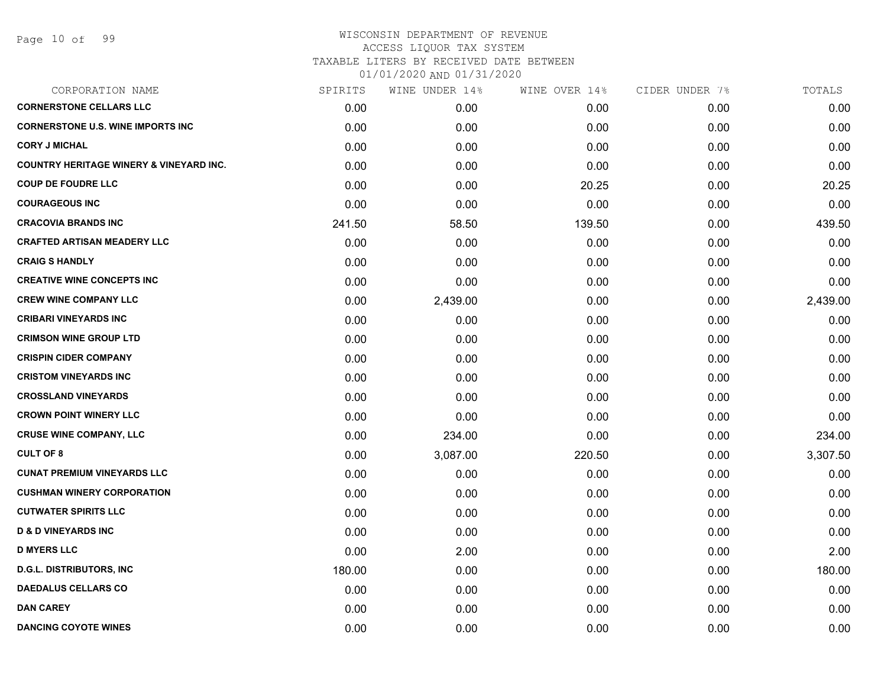| CORPORATION NAME                                   | SPIRITS | WINE UNDER 14% | WINE OVER 14% | CIDER UNDER 7% | TOTALS   |
|----------------------------------------------------|---------|----------------|---------------|----------------|----------|
| <b>CORNERSTONE CELLARS LLC</b>                     | 0.00    | 0.00           | 0.00          | 0.00           | 0.00     |
| <b>CORNERSTONE U.S. WINE IMPORTS INC</b>           | 0.00    | 0.00           | 0.00          | 0.00           | 0.00     |
| <b>CORY J MICHAL</b>                               | 0.00    | 0.00           | 0.00          | 0.00           | 0.00     |
| <b>COUNTRY HERITAGE WINERY &amp; VINEYARD INC.</b> | 0.00    | 0.00           | 0.00          | 0.00           | 0.00     |
| <b>COUP DE FOUDRE LLC</b>                          | 0.00    | 0.00           | 20.25         | 0.00           | 20.25    |
| <b>COURAGEOUS INC</b>                              | 0.00    | 0.00           | 0.00          | 0.00           | 0.00     |
| <b>CRACOVIA BRANDS INC</b>                         | 241.50  | 58.50          | 139.50        | 0.00           | 439.50   |
| <b>CRAFTED ARTISAN MEADERY LLC</b>                 | 0.00    | 0.00           | 0.00          | 0.00           | 0.00     |
| <b>CRAIG S HANDLY</b>                              | 0.00    | 0.00           | 0.00          | 0.00           | 0.00     |
| <b>CREATIVE WINE CONCEPTS INC</b>                  | 0.00    | 0.00           | 0.00          | 0.00           | 0.00     |
| <b>CREW WINE COMPANY LLC</b>                       | 0.00    | 2,439.00       | 0.00          | 0.00           | 2,439.00 |
| <b>CRIBARI VINEYARDS INC</b>                       | 0.00    | 0.00           | 0.00          | 0.00           | 0.00     |
| <b>CRIMSON WINE GROUP LTD</b>                      | 0.00    | 0.00           | 0.00          | 0.00           | 0.00     |
| <b>CRISPIN CIDER COMPANY</b>                       | 0.00    | 0.00           | 0.00          | 0.00           | 0.00     |
| <b>CRISTOM VINEYARDS INC</b>                       | 0.00    | 0.00           | 0.00          | 0.00           | 0.00     |
| <b>CROSSLAND VINEYARDS</b>                         | 0.00    | 0.00           | 0.00          | 0.00           | 0.00     |
| <b>CROWN POINT WINERY LLC</b>                      | 0.00    | 0.00           | 0.00          | 0.00           | 0.00     |
| <b>CRUSE WINE COMPANY, LLC</b>                     | 0.00    | 234.00         | 0.00          | 0.00           | 234.00   |
| <b>CULT OF 8</b>                                   | 0.00    | 3,087.00       | 220.50        | 0.00           | 3,307.50 |
| <b>CUNAT PREMIUM VINEYARDS LLC</b>                 | 0.00    | 0.00           | 0.00          | 0.00           | 0.00     |
| <b>CUSHMAN WINERY CORPORATION</b>                  | 0.00    | 0.00           | 0.00          | 0.00           | 0.00     |
| <b>CUTWATER SPIRITS LLC</b>                        | 0.00    | 0.00           | 0.00          | 0.00           | 0.00     |
| <b>D &amp; D VINEYARDS INC</b>                     | 0.00    | 0.00           | 0.00          | 0.00           | 0.00     |
| <b>D MYERS LLC</b>                                 | 0.00    | 2.00           | 0.00          | 0.00           | 2.00     |
| <b>D.G.L. DISTRIBUTORS, INC</b>                    | 180.00  | 0.00           | 0.00          | 0.00           | 180.00   |
| <b>DAEDALUS CELLARS CO</b>                         | 0.00    | 0.00           | 0.00          | 0.00           | 0.00     |
| <b>DAN CAREY</b>                                   | 0.00    | 0.00           | 0.00          | 0.00           | 0.00     |
| <b>DANCING COYOTE WINES</b>                        | 0.00    | 0.00           | 0.00          | 0.00           | 0.00     |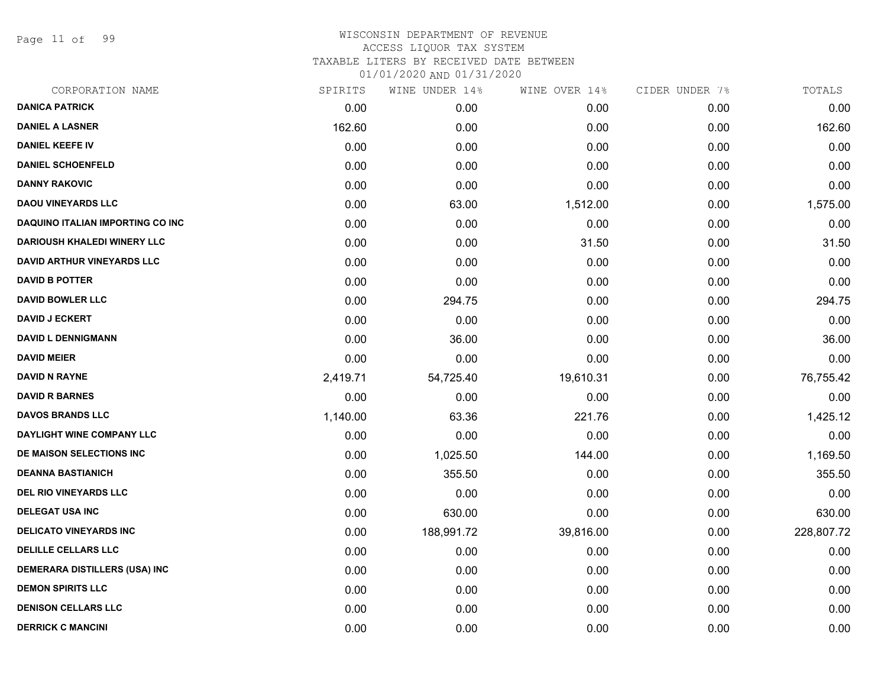Page 11 of 99

| CORPORATION NAME                     | SPIRITS  | WINE UNDER 14% | WINE OVER 14% | CIDER UNDER 7% | TOTALS     |
|--------------------------------------|----------|----------------|---------------|----------------|------------|
| <b>DANICA PATRICK</b>                | 0.00     | 0.00           | 0.00          | 0.00           | 0.00       |
| <b>DANIEL A LASNER</b>               | 162.60   | 0.00           | 0.00          | 0.00           | 162.60     |
| <b>DANIEL KEEFE IV</b>               | 0.00     | 0.00           | 0.00          | 0.00           | 0.00       |
| <b>DANIEL SCHOENFELD</b>             | 0.00     | 0.00           | 0.00          | 0.00           | 0.00       |
| <b>DANNY RAKOVIC</b>                 | 0.00     | 0.00           | 0.00          | 0.00           | 0.00       |
| <b>DAOU VINEYARDS LLC</b>            | 0.00     | 63.00          | 1,512.00      | 0.00           | 1,575.00   |
| DAQUINO ITALIAN IMPORTING CO INC     | 0.00     | 0.00           | 0.00          | 0.00           | 0.00       |
| <b>DARIOUSH KHALEDI WINERY LLC</b>   | 0.00     | 0.00           | 31.50         | 0.00           | 31.50      |
| <b>DAVID ARTHUR VINEYARDS LLC</b>    | 0.00     | 0.00           | 0.00          | 0.00           | 0.00       |
| <b>DAVID B POTTER</b>                | 0.00     | 0.00           | 0.00          | 0.00           | 0.00       |
| <b>DAVID BOWLER LLC</b>              | 0.00     | 294.75         | 0.00          | 0.00           | 294.75     |
| <b>DAVID J ECKERT</b>                | 0.00     | 0.00           | 0.00          | 0.00           | 0.00       |
| <b>DAVID L DENNIGMANN</b>            | 0.00     | 36.00          | 0.00          | 0.00           | 36.00      |
| <b>DAVID MEIER</b>                   | 0.00     | 0.00           | 0.00          | 0.00           | 0.00       |
| <b>DAVID N RAYNE</b>                 | 2,419.71 | 54,725.40      | 19,610.31     | 0.00           | 76,755.42  |
| <b>DAVID R BARNES</b>                | 0.00     | 0.00           | 0.00          | 0.00           | 0.00       |
| <b>DAVOS BRANDS LLC</b>              | 1,140.00 | 63.36          | 221.76        | 0.00           | 1,425.12   |
| DAYLIGHT WINE COMPANY LLC            | 0.00     | 0.00           | 0.00          | 0.00           | 0.00       |
| DE MAISON SELECTIONS INC             | 0.00     | 1,025.50       | 144.00        | 0.00           | 1,169.50   |
| <b>DEANNA BASTIANICH</b>             | 0.00     | 355.50         | 0.00          | 0.00           | 355.50     |
| <b>DEL RIO VINEYARDS LLC</b>         | 0.00     | 0.00           | 0.00          | 0.00           | 0.00       |
| <b>DELEGAT USA INC</b>               | 0.00     | 630.00         | 0.00          | 0.00           | 630.00     |
| <b>DELICATO VINEYARDS INC</b>        | 0.00     | 188,991.72     | 39,816.00     | 0.00           | 228,807.72 |
| <b>DELILLE CELLARS LLC</b>           | 0.00     | 0.00           | 0.00          | 0.00           | 0.00       |
| <b>DEMERARA DISTILLERS (USA) INC</b> | 0.00     | 0.00           | 0.00          | 0.00           | 0.00       |
| <b>DEMON SPIRITS LLC</b>             | 0.00     | 0.00           | 0.00          | 0.00           | 0.00       |
| <b>DENISON CELLARS LLC</b>           | 0.00     | 0.00           | 0.00          | 0.00           | 0.00       |
| <b>DERRICK C MANCINI</b>             | 0.00     | 0.00           | 0.00          | 0.00           | 0.00       |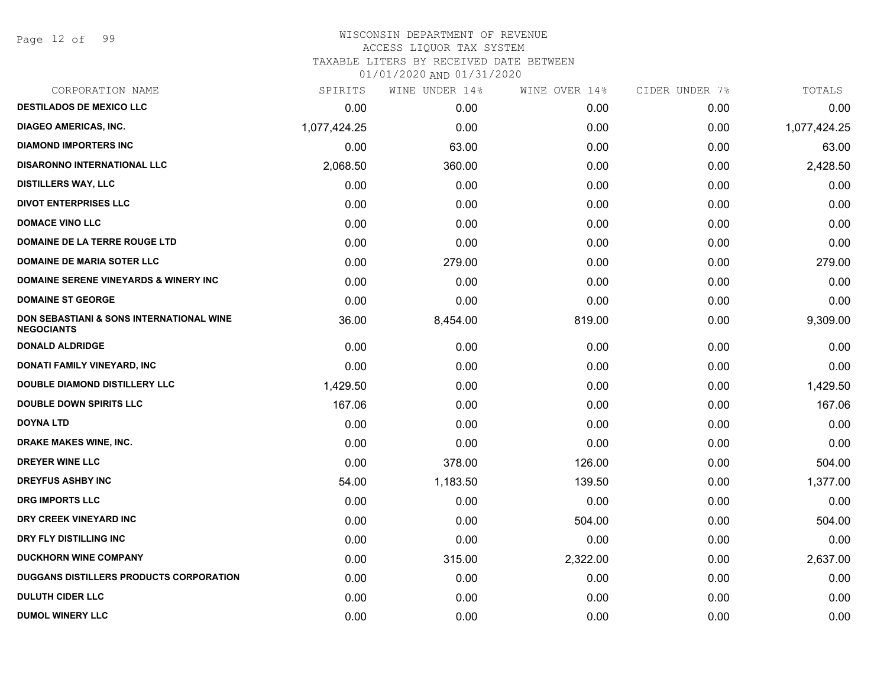Page 12 of 99

#### WISCONSIN DEPARTMENT OF REVENUE ACCESS LIQUOR TAX SYSTEM

TAXABLE LITERS BY RECEIVED DATE BETWEEN

| CORPORATION NAME                                              | SPIRITS      | WINE UNDER 14% | WINE OVER 14% | CIDER UNDER 7% | TOTALS       |
|---------------------------------------------------------------|--------------|----------------|---------------|----------------|--------------|
| <b>DESTILADOS DE MEXICO LLC</b>                               | 0.00         | 0.00           | 0.00          | 0.00           | 0.00         |
| <b>DIAGEO AMERICAS, INC.</b>                                  | 1,077,424.25 | 0.00           | 0.00          | 0.00           | 1,077,424.25 |
| <b>DIAMOND IMPORTERS INC</b>                                  | 0.00         | 63.00          | 0.00          | 0.00           | 63.00        |
| <b>DISARONNO INTERNATIONAL LLC</b>                            | 2,068.50     | 360.00         | 0.00          | 0.00           | 2,428.50     |
| <b>DISTILLERS WAY, LLC</b>                                    | 0.00         | 0.00           | 0.00          | 0.00           | 0.00         |
| <b>DIVOT ENTERPRISES LLC</b>                                  | 0.00         | 0.00           | 0.00          | 0.00           | 0.00         |
| <b>DOMACE VINO LLC</b>                                        | 0.00         | 0.00           | 0.00          | 0.00           | 0.00         |
| DOMAINE DE LA TERRE ROUGE LTD                                 | 0.00         | 0.00           | 0.00          | 0.00           | 0.00         |
| DOMAINE DE MARIA SOTER LLC                                    | 0.00         | 279.00         | 0.00          | 0.00           | 279.00       |
| DOMAINE SERENE VINEYARDS & WINERY INC                         | 0.00         | 0.00           | 0.00          | 0.00           | 0.00         |
| <b>DOMAINE ST GEORGE</b>                                      | 0.00         | 0.00           | 0.00          | 0.00           | 0.00         |
| DON SEBASTIANI & SONS INTERNATIONAL WINE<br><b>NEGOCIANTS</b> | 36.00        | 8,454.00       | 819.00        | 0.00           | 9,309.00     |
| <b>DONALD ALDRIDGE</b>                                        | 0.00         | 0.00           | 0.00          | 0.00           | 0.00         |
| DONATI FAMILY VINEYARD, INC                                   | 0.00         | 0.00           | 0.00          | 0.00           | 0.00         |
| <b>DOUBLE DIAMOND DISTILLERY LLC</b>                          | 1,429.50     | 0.00           | 0.00          | 0.00           | 1,429.50     |
| <b>DOUBLE DOWN SPIRITS LLC</b>                                | 167.06       | 0.00           | 0.00          | 0.00           | 167.06       |
| <b>DOYNA LTD</b>                                              | 0.00         | 0.00           | 0.00          | 0.00           | 0.00         |
| DRAKE MAKES WINE, INC.                                        | 0.00         | 0.00           | 0.00          | 0.00           | 0.00         |
| DREYER WINE LLC                                               | 0.00         | 378.00         | 126.00        | 0.00           | 504.00       |
| <b>DREYFUS ASHBY INC</b>                                      | 54.00        | 1,183.50       | 139.50        | 0.00           | 1,377.00     |
| <b>DRG IMPORTS LLC</b>                                        | 0.00         | 0.00           | 0.00          | 0.00           | 0.00         |
| DRY CREEK VINEYARD INC                                        | 0.00         | 0.00           | 504.00        | 0.00           | 504.00       |
| DRY FLY DISTILLING INC                                        | 0.00         | 0.00           | 0.00          | 0.00           | 0.00         |
| <b>DUCKHORN WINE COMPANY</b>                                  | 0.00         | 315.00         | 2,322.00      | 0.00           | 2,637.00     |
| <b>DUGGANS DISTILLERS PRODUCTS CORPORATION</b>                | 0.00         | 0.00           | 0.00          | 0.00           | 0.00         |
| <b>DULUTH CIDER LLC</b>                                       | 0.00         | 0.00           | 0.00          | 0.00           | 0.00         |
| <b>DUMOL WINERY LLC</b>                                       | 0.00         | 0.00           | 0.00          | 0.00           | 0.00         |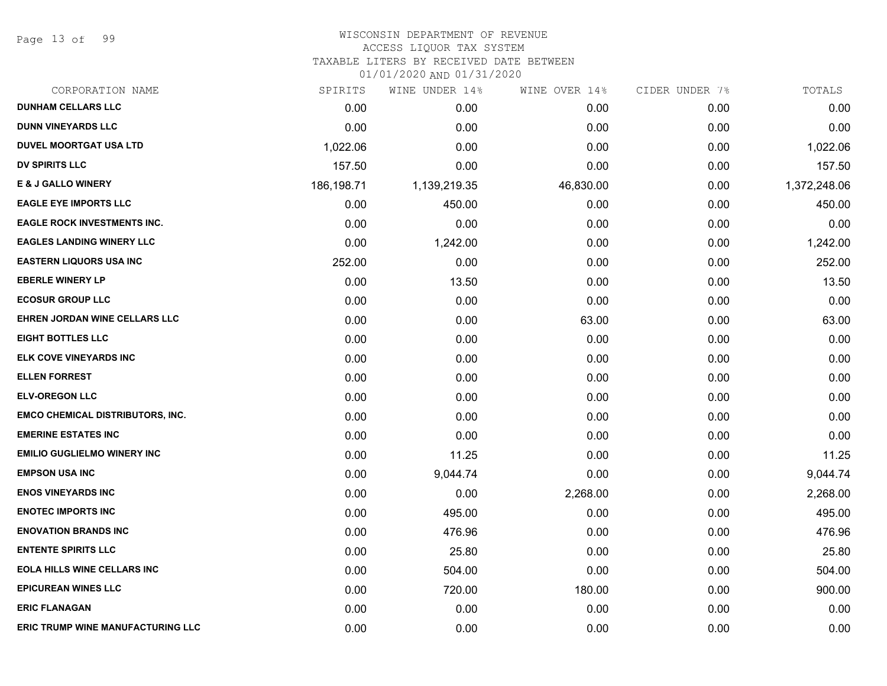Page 13 of 99

### WISCONSIN DEPARTMENT OF REVENUE ACCESS LIQUOR TAX SYSTEM TAXABLE LITERS BY RECEIVED DATE BETWEEN

| CORPORATION NAME                         | SPIRITS    | WINE UNDER 14% | WINE OVER 14% | CIDER UNDER 7% | TOTALS       |
|------------------------------------------|------------|----------------|---------------|----------------|--------------|
| <b>DUNHAM CELLARS LLC</b>                | 0.00       | 0.00           | 0.00          | 0.00           | 0.00         |
| <b>DUNN VINEYARDS LLC</b>                | 0.00       | 0.00           | 0.00          | 0.00           | 0.00         |
| <b>DUVEL MOORTGAT USA LTD</b>            | 1,022.06   | 0.00           | 0.00          | 0.00           | 1,022.06     |
| <b>DV SPIRITS LLC</b>                    | 157.50     | 0.00           | 0.00          | 0.00           | 157.50       |
| <b>E &amp; J GALLO WINERY</b>            | 186,198.71 | 1,139,219.35   | 46,830.00     | 0.00           | 1,372,248.06 |
| <b>EAGLE EYE IMPORTS LLC</b>             | 0.00       | 450.00         | 0.00          | 0.00           | 450.00       |
| <b>EAGLE ROCK INVESTMENTS INC.</b>       | 0.00       | 0.00           | 0.00          | 0.00           | 0.00         |
| <b>EAGLES LANDING WINERY LLC</b>         | 0.00       | 1,242.00       | 0.00          | 0.00           | 1,242.00     |
| <b>EASTERN LIQUORS USA INC</b>           | 252.00     | 0.00           | 0.00          | 0.00           | 252.00       |
| <b>EBERLE WINERY LP</b>                  | 0.00       | 13.50          | 0.00          | 0.00           | 13.50        |
| <b>ECOSUR GROUP LLC</b>                  | 0.00       | 0.00           | 0.00          | 0.00           | 0.00         |
| EHREN JORDAN WINE CELLARS LLC            | 0.00       | 0.00           | 63.00         | 0.00           | 63.00        |
| <b>EIGHT BOTTLES LLC</b>                 | 0.00       | 0.00           | 0.00          | 0.00           | 0.00         |
| ELK COVE VINEYARDS INC                   | 0.00       | 0.00           | 0.00          | 0.00           | 0.00         |
| <b>ELLEN FORREST</b>                     | 0.00       | 0.00           | 0.00          | 0.00           | 0.00         |
| <b>ELV-OREGON LLC</b>                    | 0.00       | 0.00           | 0.00          | 0.00           | 0.00         |
| <b>EMCO CHEMICAL DISTRIBUTORS, INC.</b>  | 0.00       | 0.00           | 0.00          | 0.00           | 0.00         |
| <b>EMERINE ESTATES INC</b>               | 0.00       | 0.00           | 0.00          | 0.00           | 0.00         |
| <b>EMILIO GUGLIELMO WINERY INC</b>       | 0.00       | 11.25          | 0.00          | 0.00           | 11.25        |
| <b>EMPSON USA INC</b>                    | 0.00       | 9,044.74       | 0.00          | 0.00           | 9,044.74     |
| <b>ENOS VINEYARDS INC</b>                | 0.00       | 0.00           | 2,268.00      | 0.00           | 2,268.00     |
| <b>ENOTEC IMPORTS INC</b>                | 0.00       | 495.00         | 0.00          | 0.00           | 495.00       |
| <b>ENOVATION BRANDS INC</b>              | 0.00       | 476.96         | 0.00          | 0.00           | 476.96       |
| <b>ENTENTE SPIRITS LLC</b>               | 0.00       | 25.80          | 0.00          | 0.00           | 25.80        |
| <b>EOLA HILLS WINE CELLARS INC</b>       | 0.00       | 504.00         | 0.00          | 0.00           | 504.00       |
| <b>EPICUREAN WINES LLC</b>               | 0.00       | 720.00         | 180.00        | 0.00           | 900.00       |
| <b>ERIC FLANAGAN</b>                     | 0.00       | 0.00           | 0.00          | 0.00           | 0.00         |
| <b>ERIC TRUMP WINE MANUFACTURING LLC</b> | 0.00       | 0.00           | 0.00          | 0.00           | 0.00         |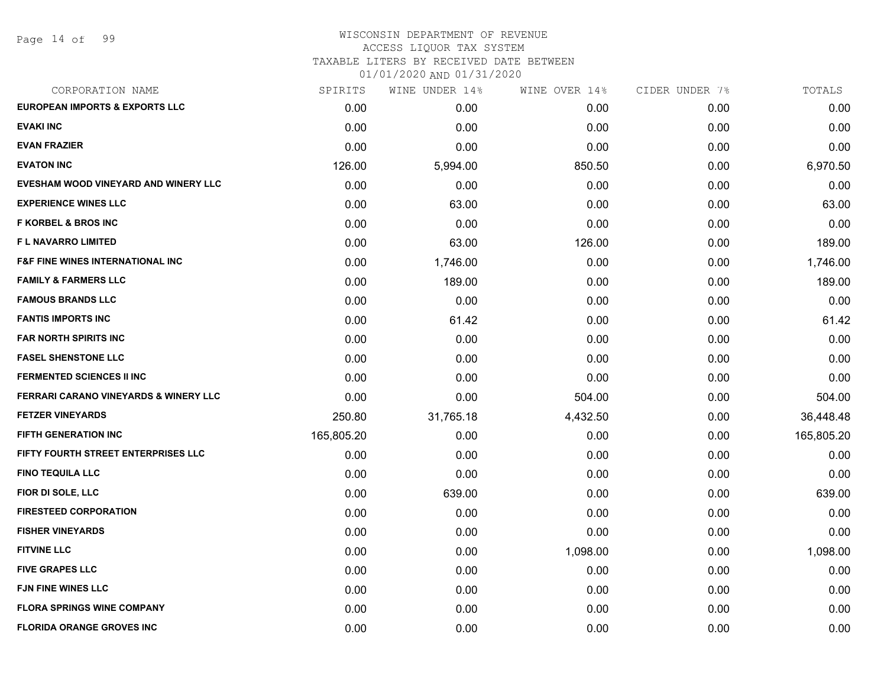Page 14 of 99

#### WISCONSIN DEPARTMENT OF REVENUE ACCESS LIQUOR TAX SYSTEM

TAXABLE LITERS BY RECEIVED DATE BETWEEN

| CORPORATION NAME                                 | SPIRITS    | WINE UNDER 14% | WINE OVER 14% | CIDER UNDER 7% | TOTALS     |
|--------------------------------------------------|------------|----------------|---------------|----------------|------------|
| <b>EUROPEAN IMPORTS &amp; EXPORTS LLC</b>        | 0.00       | 0.00           | 0.00          | 0.00           | 0.00       |
| <b>EVAKI INC</b>                                 | 0.00       | 0.00           | 0.00          | 0.00           | 0.00       |
| <b>EVAN FRAZIER</b>                              | 0.00       | 0.00           | 0.00          | 0.00           | 0.00       |
| <b>EVATON INC</b>                                | 126.00     | 5,994.00       | 850.50        | 0.00           | 6,970.50   |
| EVESHAM WOOD VINEYARD AND WINERY LLC             | 0.00       | 0.00           | 0.00          | 0.00           | 0.00       |
| <b>EXPERIENCE WINES LLC</b>                      | 0.00       | 63.00          | 0.00          | 0.00           | 63.00      |
| <b>F KORBEL &amp; BROS INC</b>                   | 0.00       | 0.00           | 0.00          | 0.00           | 0.00       |
| <b>FL NAVARRO LIMITED</b>                        | 0.00       | 63.00          | 126.00        | 0.00           | 189.00     |
| <b>F&amp;F FINE WINES INTERNATIONAL INC</b>      | 0.00       | 1,746.00       | 0.00          | 0.00           | 1,746.00   |
| <b>FAMILY &amp; FARMERS LLC</b>                  | 0.00       | 189.00         | 0.00          | 0.00           | 189.00     |
| <b>FAMOUS BRANDS LLC</b>                         | 0.00       | 0.00           | 0.00          | 0.00           | 0.00       |
| <b>FANTIS IMPORTS INC</b>                        | 0.00       | 61.42          | 0.00          | 0.00           | 61.42      |
| <b>FAR NORTH SPIRITS INC</b>                     | 0.00       | 0.00           | 0.00          | 0.00           | 0.00       |
| <b>FASEL SHENSTONE LLC</b>                       | 0.00       | 0.00           | 0.00          | 0.00           | 0.00       |
| <b>FERMENTED SCIENCES II INC</b>                 | 0.00       | 0.00           | 0.00          | 0.00           | 0.00       |
| <b>FERRARI CARANO VINEYARDS &amp; WINERY LLC</b> | 0.00       | 0.00           | 504.00        | 0.00           | 504.00     |
| <b>FETZER VINEYARDS</b>                          | 250.80     | 31,765.18      | 4,432.50      | 0.00           | 36,448.48  |
| <b>FIFTH GENERATION INC</b>                      | 165,805.20 | 0.00           | 0.00          | 0.00           | 165,805.20 |
| FIFTY FOURTH STREET ENTERPRISES LLC              | 0.00       | 0.00           | 0.00          | 0.00           | 0.00       |
| <b>FINO TEQUILA LLC</b>                          | 0.00       | 0.00           | 0.00          | 0.00           | 0.00       |
| FIOR DI SOLE, LLC                                | 0.00       | 639.00         | 0.00          | 0.00           | 639.00     |
| <b>FIRESTEED CORPORATION</b>                     | 0.00       | 0.00           | 0.00          | 0.00           | 0.00       |
| <b>FISHER VINEYARDS</b>                          | 0.00       | 0.00           | 0.00          | 0.00           | 0.00       |
| <b>FITVINE LLC</b>                               | 0.00       | 0.00           | 1,098.00      | 0.00           | 1,098.00   |
| <b>FIVE GRAPES LLC</b>                           | 0.00       | 0.00           | 0.00          | 0.00           | 0.00       |
| <b>FJN FINE WINES LLC</b>                        | 0.00       | 0.00           | 0.00          | 0.00           | 0.00       |
| <b>FLORA SPRINGS WINE COMPANY</b>                | 0.00       | 0.00           | 0.00          | 0.00           | 0.00       |
| <b>FLORIDA ORANGE GROVES INC</b>                 | 0.00       | 0.00           | 0.00          | 0.00           | 0.00       |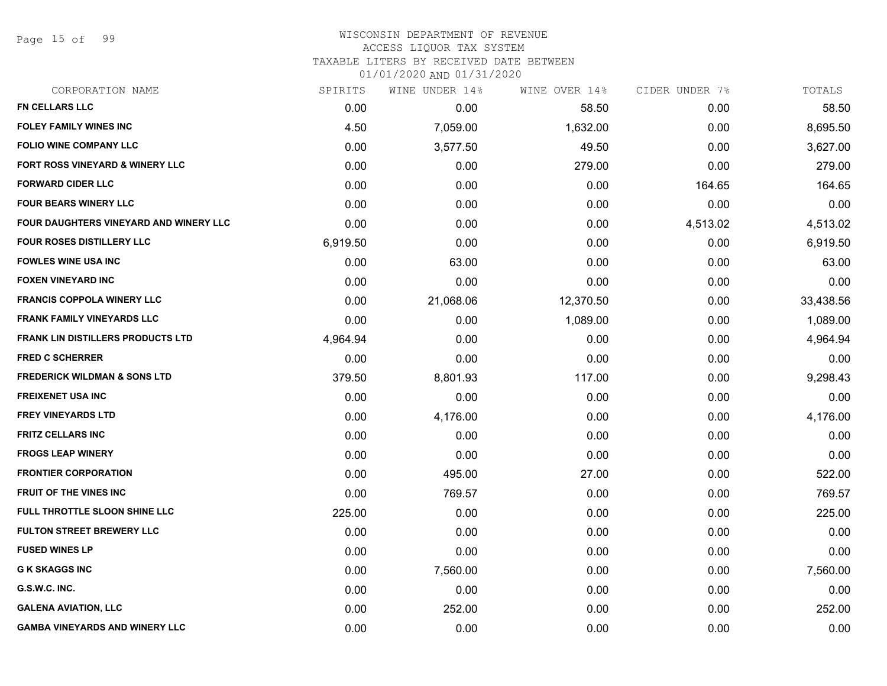Page 15 of 99

#### WISCONSIN DEPARTMENT OF REVENUE ACCESS LIQUOR TAX SYSTEM

TAXABLE LITERS BY RECEIVED DATE BETWEEN

| CORPORATION NAME                              | SPIRITS  | WINE UNDER 14% | WINE OVER 14% | CIDER UNDER 7% | TOTALS    |
|-----------------------------------------------|----------|----------------|---------------|----------------|-----------|
| <b>FN CELLARS LLC</b>                         | 0.00     | 0.00           | 58.50         | 0.00           | 58.50     |
| FOLEY FAMILY WINES INC                        | 4.50     | 7,059.00       | 1,632.00      | 0.00           | 8,695.50  |
| <b>FOLIO WINE COMPANY LLC</b>                 | 0.00     | 3,577.50       | 49.50         | 0.00           | 3,627.00  |
| <b>FORT ROSS VINEYARD &amp; WINERY LLC</b>    | 0.00     | 0.00           | 279.00        | 0.00           | 279.00    |
| <b>FORWARD CIDER LLC</b>                      | 0.00     | 0.00           | 0.00          | 164.65         | 164.65    |
| <b>FOUR BEARS WINERY LLC</b>                  | 0.00     | 0.00           | 0.00          | 0.00           | 0.00      |
| <b>FOUR DAUGHTERS VINEYARD AND WINERY LLC</b> | 0.00     | 0.00           | 0.00          | 4,513.02       | 4,513.02  |
| <b>FOUR ROSES DISTILLERY LLC</b>              | 6,919.50 | 0.00           | 0.00          | 0.00           | 6,919.50  |
| <b>FOWLES WINE USA INC</b>                    | 0.00     | 63.00          | 0.00          | 0.00           | 63.00     |
| <b>FOXEN VINEYARD INC</b>                     | 0.00     | 0.00           | 0.00          | 0.00           | 0.00      |
| <b>FRANCIS COPPOLA WINERY LLC</b>             | 0.00     | 21,068.06      | 12,370.50     | 0.00           | 33,438.56 |
| <b>FRANK FAMILY VINEYARDS LLC</b>             | 0.00     | 0.00           | 1,089.00      | 0.00           | 1,089.00  |
| <b>FRANK LIN DISTILLERS PRODUCTS LTD</b>      | 4,964.94 | 0.00           | 0.00          | 0.00           | 4,964.94  |
| <b>FRED C SCHERRER</b>                        | 0.00     | 0.00           | 0.00          | 0.00           | 0.00      |
| <b>FREDERICK WILDMAN &amp; SONS LTD</b>       | 379.50   | 8,801.93       | 117.00        | 0.00           | 9,298.43  |
| <b>FREIXENET USA INC</b>                      | 0.00     | 0.00           | 0.00          | 0.00           | 0.00      |
| <b>FREY VINEYARDS LTD</b>                     | 0.00     | 4,176.00       | 0.00          | 0.00           | 4,176.00  |
| <b>FRITZ CELLARS INC</b>                      | 0.00     | 0.00           | 0.00          | 0.00           | 0.00      |
| <b>FROGS LEAP WINERY</b>                      | 0.00     | 0.00           | 0.00          | 0.00           | 0.00      |
| <b>FRONTIER CORPORATION</b>                   | 0.00     | 495.00         | 27.00         | 0.00           | 522.00    |
| <b>FRUIT OF THE VINES INC</b>                 | 0.00     | 769.57         | 0.00          | 0.00           | 769.57    |
| FULL THROTTLE SLOON SHINE LLC                 | 225.00   | 0.00           | 0.00          | 0.00           | 225.00    |
| <b>FULTON STREET BREWERY LLC</b>              | 0.00     | 0.00           | 0.00          | 0.00           | 0.00      |
| <b>FUSED WINES LP</b>                         | 0.00     | 0.00           | 0.00          | 0.00           | 0.00      |
| <b>G K SKAGGS INC</b>                         | 0.00     | 7,560.00       | 0.00          | 0.00           | 7,560.00  |
| G.S.W.C. INC.                                 | 0.00     | 0.00           | 0.00          | 0.00           | 0.00      |
| <b>GALENA AVIATION, LLC</b>                   | 0.00     | 252.00         | 0.00          | 0.00           | 252.00    |
| <b>GAMBA VINEYARDS AND WINERY LLC</b>         | 0.00     | 0.00           | 0.00          | 0.00           | 0.00      |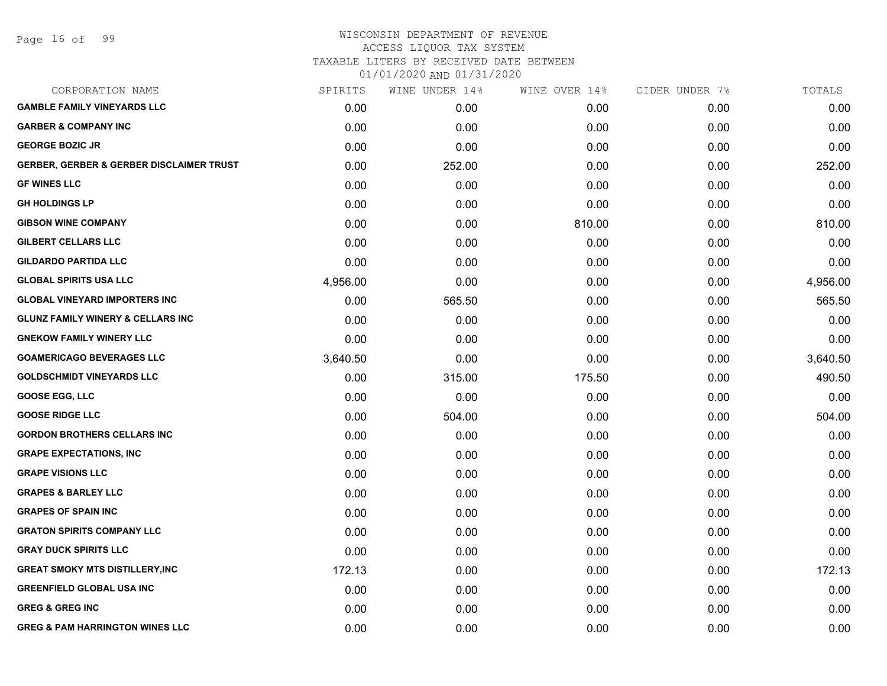### WISCONSIN DEPARTMENT OF REVENUE ACCESS LIQUOR TAX SYSTEM TAXABLE LITERS BY RECEIVED DATE BETWEEN

| CORPORATION NAME                                    | SPIRITS  | WINE UNDER 14% | WINE OVER 14% | CIDER UNDER 7% | TOTALS   |
|-----------------------------------------------------|----------|----------------|---------------|----------------|----------|
| <b>GAMBLE FAMILY VINEYARDS LLC</b>                  | 0.00     | 0.00           | 0.00          | 0.00           | 0.00     |
| <b>GARBER &amp; COMPANY INC</b>                     | 0.00     | 0.00           | 0.00          | 0.00           | 0.00     |
| <b>GEORGE BOZIC JR</b>                              | 0.00     | 0.00           | 0.00          | 0.00           | 0.00     |
| <b>GERBER, GERBER &amp; GERBER DISCLAIMER TRUST</b> | 0.00     | 252.00         | 0.00          | 0.00           | 252.00   |
| <b>GF WINES LLC</b>                                 | 0.00     | 0.00           | 0.00          | 0.00           | 0.00     |
| <b>GH HOLDINGS LP</b>                               | 0.00     | 0.00           | 0.00          | 0.00           | 0.00     |
| <b>GIBSON WINE COMPANY</b>                          | 0.00     | 0.00           | 810.00        | 0.00           | 810.00   |
| <b>GILBERT CELLARS LLC</b>                          | 0.00     | 0.00           | 0.00          | 0.00           | 0.00     |
| <b>GILDARDO PARTIDA LLC</b>                         | 0.00     | 0.00           | 0.00          | 0.00           | 0.00     |
| <b>GLOBAL SPIRITS USA LLC</b>                       | 4,956.00 | 0.00           | 0.00          | 0.00           | 4,956.00 |
| <b>GLOBAL VINEYARD IMPORTERS INC</b>                | 0.00     | 565.50         | 0.00          | 0.00           | 565.50   |
| <b>GLUNZ FAMILY WINERY &amp; CELLARS INC</b>        | 0.00     | 0.00           | 0.00          | 0.00           | 0.00     |
| <b>GNEKOW FAMILY WINERY LLC</b>                     | 0.00     | 0.00           | 0.00          | 0.00           | 0.00     |
| <b>GOAMERICAGO BEVERAGES LLC</b>                    | 3,640.50 | 0.00           | 0.00          | 0.00           | 3,640.50 |
| <b>GOLDSCHMIDT VINEYARDS LLC</b>                    | 0.00     | 315.00         | 175.50        | 0.00           | 490.50   |
| <b>GOOSE EGG, LLC</b>                               | 0.00     | 0.00           | 0.00          | 0.00           | 0.00     |
| <b>GOOSE RIDGE LLC</b>                              | 0.00     | 504.00         | 0.00          | 0.00           | 504.00   |
| <b>GORDON BROTHERS CELLARS INC</b>                  | 0.00     | 0.00           | 0.00          | 0.00           | 0.00     |
| <b>GRAPE EXPECTATIONS, INC</b>                      | 0.00     | 0.00           | 0.00          | 0.00           | 0.00     |
| <b>GRAPE VISIONS LLC</b>                            | 0.00     | 0.00           | 0.00          | 0.00           | 0.00     |
| <b>GRAPES &amp; BARLEY LLC</b>                      | 0.00     | 0.00           | 0.00          | 0.00           | 0.00     |
| <b>GRAPES OF SPAIN INC</b>                          | 0.00     | 0.00           | 0.00          | 0.00           | 0.00     |
| <b>GRATON SPIRITS COMPANY LLC</b>                   | 0.00     | 0.00           | 0.00          | 0.00           | 0.00     |
| <b>GRAY DUCK SPIRITS LLC</b>                        | 0.00     | 0.00           | 0.00          | 0.00           | 0.00     |
| <b>GREAT SMOKY MTS DISTILLERY, INC</b>              | 172.13   | 0.00           | 0.00          | 0.00           | 172.13   |
| <b>GREENFIELD GLOBAL USA INC</b>                    | 0.00     | 0.00           | 0.00          | 0.00           | 0.00     |
| <b>GREG &amp; GREG INC</b>                          | 0.00     | 0.00           | 0.00          | 0.00           | 0.00     |
| <b>GREG &amp; PAM HARRINGTON WINES LLC</b>          | 0.00     | 0.00           | 0.00          | 0.00           | 0.00     |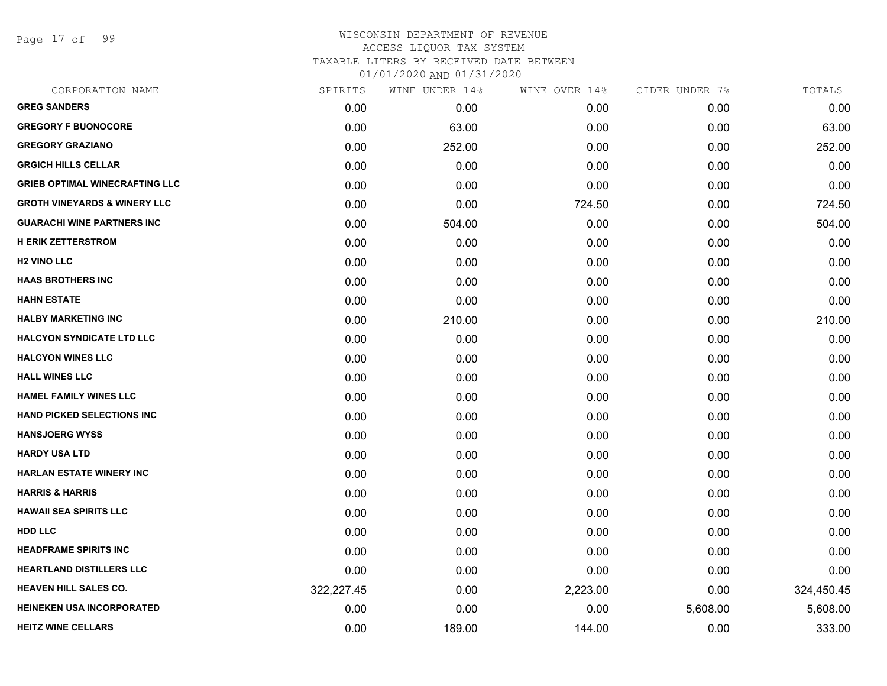Page 17 of 99

| CORPORATION NAME                        | SPIRITS    | WINE UNDER 14% | WINE OVER 14% | CIDER UNDER 7% | TOTALS     |
|-----------------------------------------|------------|----------------|---------------|----------------|------------|
| <b>GREG SANDERS</b>                     | 0.00       | 0.00           | 0.00          | 0.00           | 0.00       |
| <b>GREGORY F BUONOCORE</b>              | 0.00       | 63.00          | 0.00          | 0.00           | 63.00      |
| <b>GREGORY GRAZIANO</b>                 | 0.00       | 252.00         | 0.00          | 0.00           | 252.00     |
| <b>GRGICH HILLS CELLAR</b>              | 0.00       | 0.00           | 0.00          | 0.00           | 0.00       |
| <b>GRIEB OPTIMAL WINECRAFTING LLC</b>   | 0.00       | 0.00           | 0.00          | 0.00           | 0.00       |
| <b>GROTH VINEYARDS &amp; WINERY LLC</b> | 0.00       | 0.00           | 724.50        | 0.00           | 724.50     |
| <b>GUARACHI WINE PARTNERS INC</b>       | 0.00       | 504.00         | 0.00          | 0.00           | 504.00     |
| <b>H ERIK ZETTERSTROM</b>               | 0.00       | 0.00           | 0.00          | 0.00           | 0.00       |
| <b>H2 VINO LLC</b>                      | 0.00       | 0.00           | 0.00          | 0.00           | 0.00       |
| <b>HAAS BROTHERS INC</b>                | 0.00       | 0.00           | 0.00          | 0.00           | 0.00       |
| <b>HAHN ESTATE</b>                      | 0.00       | 0.00           | 0.00          | 0.00           | 0.00       |
| <b>HALBY MARKETING INC</b>              | 0.00       | 210.00         | 0.00          | 0.00           | 210.00     |
| <b>HALCYON SYNDICATE LTD LLC</b>        | 0.00       | 0.00           | 0.00          | 0.00           | 0.00       |
| <b>HALCYON WINES LLC</b>                | 0.00       | 0.00           | 0.00          | 0.00           | 0.00       |
| <b>HALL WINES LLC</b>                   | 0.00       | 0.00           | 0.00          | 0.00           | 0.00       |
| <b>HAMEL FAMILY WINES LLC</b>           | 0.00       | 0.00           | 0.00          | 0.00           | 0.00       |
| <b>HAND PICKED SELECTIONS INC</b>       | 0.00       | 0.00           | 0.00          | 0.00           | 0.00       |
| <b>HANSJOERG WYSS</b>                   | 0.00       | 0.00           | 0.00          | 0.00           | 0.00       |
| <b>HARDY USA LTD</b>                    | 0.00       | 0.00           | 0.00          | 0.00           | 0.00       |
| <b>HARLAN ESTATE WINERY INC</b>         | 0.00       | 0.00           | 0.00          | 0.00           | 0.00       |
| <b>HARRIS &amp; HARRIS</b>              | 0.00       | 0.00           | 0.00          | 0.00           | 0.00       |
| <b>HAWAII SEA SPIRITS LLC</b>           | 0.00       | 0.00           | 0.00          | 0.00           | 0.00       |
| <b>HDD LLC</b>                          | 0.00       | 0.00           | 0.00          | 0.00           | 0.00       |
| <b>HEADFRAME SPIRITS INC</b>            | 0.00       | 0.00           | 0.00          | 0.00           | 0.00       |
| <b>HEARTLAND DISTILLERS LLC</b>         | 0.00       | 0.00           | 0.00          | 0.00           | 0.00       |
| <b>HEAVEN HILL SALES CO.</b>            | 322,227.45 | 0.00           | 2,223.00      | 0.00           | 324,450.45 |
| <b>HEINEKEN USA INCORPORATED</b>        | 0.00       | 0.00           | 0.00          | 5,608.00       | 5,608.00   |
| <b>HEITZ WINE CELLARS</b>               | 0.00       | 189.00         | 144.00        | 0.00           | 333.00     |
|                                         |            |                |               |                |            |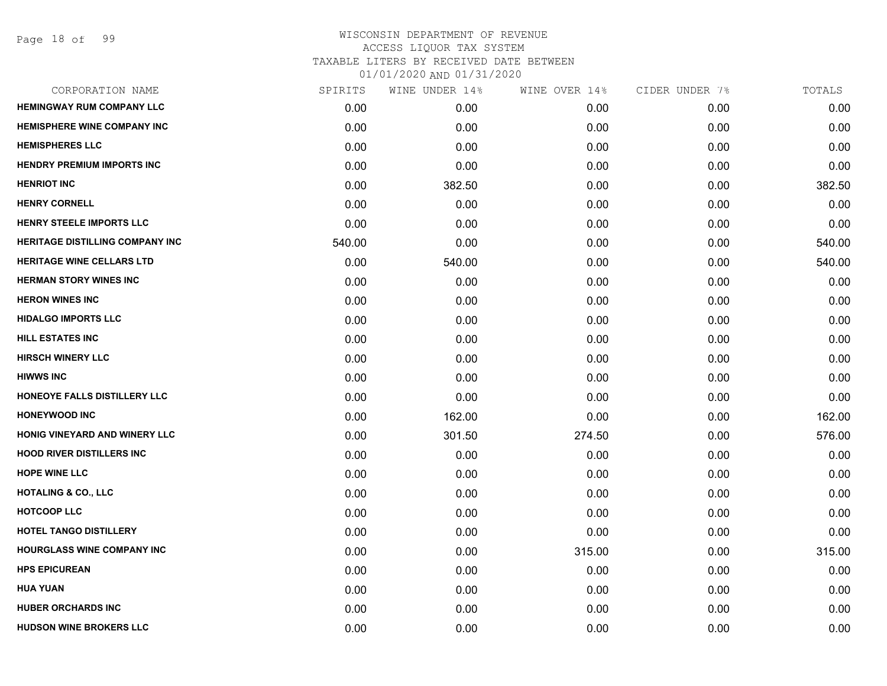## WISCONSIN DEPARTMENT OF REVENUE ACCESS LIQUOR TAX SYSTEM TAXABLE LITERS BY RECEIVED DATE BETWEEN

| CORPORATION NAME                       | SPIRITS | WINE UNDER 14% | WINE OVER 14% | CIDER UNDER 7% | TOTALS |
|----------------------------------------|---------|----------------|---------------|----------------|--------|
| <b>HEMINGWAY RUM COMPANY LLC</b>       | 0.00    | 0.00           | 0.00          | 0.00           | 0.00   |
| <b>HEMISPHERE WINE COMPANY INC</b>     | 0.00    | 0.00           | 0.00          | 0.00           | 0.00   |
| <b>HEMISPHERES LLC</b>                 | 0.00    | 0.00           | 0.00          | 0.00           | 0.00   |
| <b>HENDRY PREMIUM IMPORTS INC</b>      | 0.00    | 0.00           | 0.00          | 0.00           | 0.00   |
| <b>HENRIOT INC</b>                     | 0.00    | 382.50         | 0.00          | 0.00           | 382.50 |
| <b>HENRY CORNELL</b>                   | 0.00    | 0.00           | 0.00          | 0.00           | 0.00   |
| HENRY STEELE IMPORTS LLC               | 0.00    | 0.00           | 0.00          | 0.00           | 0.00   |
| <b>HERITAGE DISTILLING COMPANY INC</b> | 540.00  | 0.00           | 0.00          | 0.00           | 540.00 |
| <b>HERITAGE WINE CELLARS LTD</b>       | 0.00    | 540.00         | 0.00          | 0.00           | 540.00 |
| <b>HERMAN STORY WINES INC</b>          | 0.00    | 0.00           | 0.00          | 0.00           | 0.00   |
| <b>HERON WINES INC</b>                 | 0.00    | 0.00           | 0.00          | 0.00           | 0.00   |
| <b>HIDALGO IMPORTS LLC</b>             | 0.00    | 0.00           | 0.00          | 0.00           | 0.00   |
| <b>HILL ESTATES INC</b>                | 0.00    | 0.00           | 0.00          | 0.00           | 0.00   |
| <b>HIRSCH WINERY LLC</b>               | 0.00    | 0.00           | 0.00          | 0.00           | 0.00   |
| <b>HIWWS INC</b>                       | 0.00    | 0.00           | 0.00          | 0.00           | 0.00   |
| HONEOYE FALLS DISTILLERY LLC           | 0.00    | 0.00           | 0.00          | 0.00           | 0.00   |
| <b>HONEYWOOD INC</b>                   | 0.00    | 162.00         | 0.00          | 0.00           | 162.00 |
| HONIG VINEYARD AND WINERY LLC          | 0.00    | 301.50         | 274.50        | 0.00           | 576.00 |
| <b>HOOD RIVER DISTILLERS INC</b>       | 0.00    | 0.00           | 0.00          | 0.00           | 0.00   |
| <b>HOPE WINE LLC</b>                   | 0.00    | 0.00           | 0.00          | 0.00           | 0.00   |
| <b>HOTALING &amp; CO., LLC</b>         | 0.00    | 0.00           | 0.00          | 0.00           | 0.00   |
| <b>HOTCOOP LLC</b>                     | 0.00    | 0.00           | 0.00          | 0.00           | 0.00   |
| HOTEL TANGO DISTILLERY                 | 0.00    | 0.00           | 0.00          | 0.00           | 0.00   |
| <b>HOURGLASS WINE COMPANY INC</b>      | 0.00    | 0.00           | 315.00        | 0.00           | 315.00 |
| <b>HPS EPICUREAN</b>                   | 0.00    | 0.00           | 0.00          | 0.00           | 0.00   |
| <b>HUA YUAN</b>                        | 0.00    | 0.00           | 0.00          | 0.00           | 0.00   |
| <b>HUBER ORCHARDS INC</b>              | 0.00    | 0.00           | 0.00          | 0.00           | 0.00   |
| <b>HUDSON WINE BROKERS LLC</b>         | 0.00    | 0.00           | 0.00          | 0.00           | 0.00   |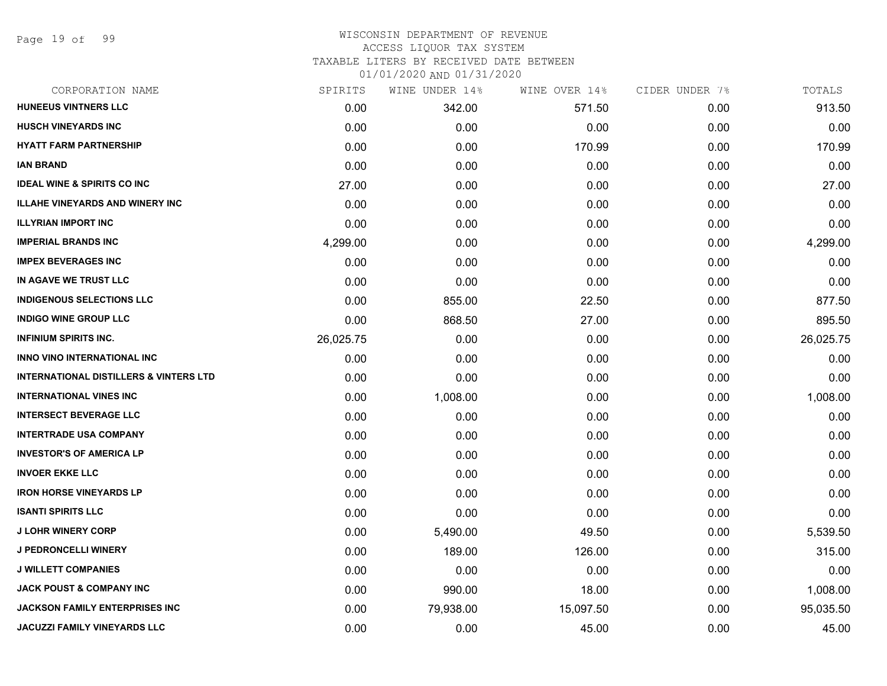Page 19 of 99

### WISCONSIN DEPARTMENT OF REVENUE ACCESS LIQUOR TAX SYSTEM TAXABLE LITERS BY RECEIVED DATE BETWEEN

| CORPORATION NAME                                  | SPIRITS   | WINE UNDER 14% | WINE OVER 14% | CIDER UNDER 7% | TOTALS    |
|---------------------------------------------------|-----------|----------------|---------------|----------------|-----------|
| <b>HUNEEUS VINTNERS LLC</b>                       | 0.00      | 342.00         | 571.50        | 0.00           | 913.50    |
| <b>HUSCH VINEYARDS INC</b>                        | 0.00      | 0.00           | 0.00          | 0.00           | 0.00      |
| <b>HYATT FARM PARTNERSHIP</b>                     | 0.00      | 0.00           | 170.99        | 0.00           | 170.99    |
| <b>IAN BRAND</b>                                  | 0.00      | 0.00           | 0.00          | 0.00           | 0.00      |
| <b>IDEAL WINE &amp; SPIRITS CO INC</b>            | 27.00     | 0.00           | 0.00          | 0.00           | 27.00     |
| <b>ILLAHE VINEYARDS AND WINERY INC</b>            | 0.00      | 0.00           | 0.00          | 0.00           | 0.00      |
| <b>ILLYRIAN IMPORT INC</b>                        | 0.00      | 0.00           | 0.00          | 0.00           | 0.00      |
| <b>IMPERIAL BRANDS INC</b>                        | 4,299.00  | 0.00           | 0.00          | 0.00           | 4,299.00  |
| <b>IMPEX BEVERAGES INC</b>                        | 0.00      | 0.00           | 0.00          | 0.00           | 0.00      |
| IN AGAVE WE TRUST LLC                             | 0.00      | 0.00           | 0.00          | 0.00           | 0.00      |
| <b>INDIGENOUS SELECTIONS LLC</b>                  | 0.00      | 855.00         | 22.50         | 0.00           | 877.50    |
| <b>INDIGO WINE GROUP LLC</b>                      | 0.00      | 868.50         | 27.00         | 0.00           | 895.50    |
| <b>INFINIUM SPIRITS INC.</b>                      | 26,025.75 | 0.00           | 0.00          | 0.00           | 26,025.75 |
| <b>INNO VINO INTERNATIONAL INC</b>                | 0.00      | 0.00           | 0.00          | 0.00           | 0.00      |
| <b>INTERNATIONAL DISTILLERS &amp; VINTERS LTD</b> | 0.00      | 0.00           | 0.00          | 0.00           | 0.00      |
| <b>INTERNATIONAL VINES INC</b>                    | 0.00      | 1,008.00       | 0.00          | 0.00           | 1,008.00  |
| <b>INTERSECT BEVERAGE LLC</b>                     | 0.00      | 0.00           | 0.00          | 0.00           | 0.00      |
| <b>INTERTRADE USA COMPANY</b>                     | 0.00      | 0.00           | 0.00          | 0.00           | 0.00      |
| <b>INVESTOR'S OF AMERICA LP</b>                   | 0.00      | 0.00           | 0.00          | 0.00           | 0.00      |
| <b>INVOER EKKE LLC</b>                            | 0.00      | 0.00           | 0.00          | 0.00           | 0.00      |
| <b>IRON HORSE VINEYARDS LP</b>                    | 0.00      | 0.00           | 0.00          | 0.00           | 0.00      |
| <b>ISANTI SPIRITS LLC</b>                         | 0.00      | 0.00           | 0.00          | 0.00           | 0.00      |
| <b>J LOHR WINERY CORP</b>                         | 0.00      | 5,490.00       | 49.50         | 0.00           | 5,539.50  |
| <b>J PEDRONCELLI WINERY</b>                       | 0.00      | 189.00         | 126.00        | 0.00           | 315.00    |
| <b>J WILLETT COMPANIES</b>                        | 0.00      | 0.00           | 0.00          | 0.00           | 0.00      |
| <b>JACK POUST &amp; COMPANY INC</b>               | 0.00      | 990.00         | 18.00         | 0.00           | 1,008.00  |
| <b>JACKSON FAMILY ENTERPRISES INC</b>             | 0.00      | 79,938.00      | 15,097.50     | 0.00           | 95,035.50 |
| <b>JACUZZI FAMILY VINEYARDS LLC</b>               | 0.00      | 0.00           | 45.00         | 0.00           | 45.00     |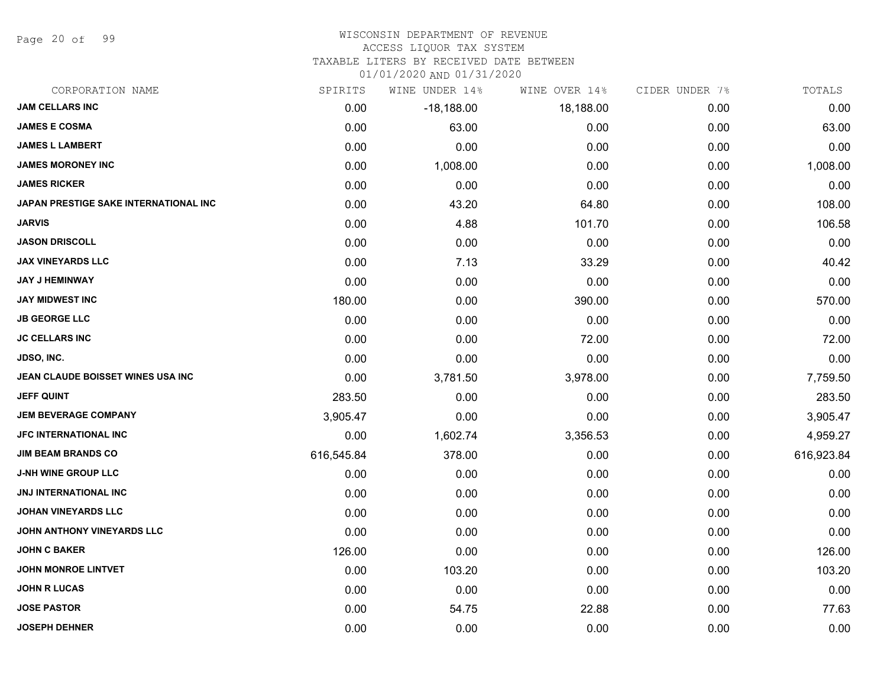Page 20 of 99

#### WISCONSIN DEPARTMENT OF REVENUE

#### ACCESS LIQUOR TAX SYSTEM

TAXABLE LITERS BY RECEIVED DATE BETWEEN

| CORPORATION NAME                      | SPIRITS    | WINE UNDER 14% | WINE OVER 14% | CIDER UNDER 7% | TOTALS     |
|---------------------------------------|------------|----------------|---------------|----------------|------------|
| <b>JAM CELLARS INC</b>                | 0.00       | $-18,188.00$   | 18,188.00     | 0.00           | 0.00       |
| <b>JAMES E COSMA</b>                  | 0.00       | 63.00          | 0.00          | 0.00           | 63.00      |
| <b>JAMES L LAMBERT</b>                | 0.00       | 0.00           | 0.00          | 0.00           | 0.00       |
| <b>JAMES MORONEY INC</b>              | 0.00       | 1,008.00       | 0.00          | 0.00           | 1,008.00   |
| <b>JAMES RICKER</b>                   | 0.00       | 0.00           | 0.00          | 0.00           | 0.00       |
| JAPAN PRESTIGE SAKE INTERNATIONAL INC | 0.00       | 43.20          | 64.80         | 0.00           | 108.00     |
| <b>JARVIS</b>                         | 0.00       | 4.88           | 101.70        | 0.00           | 106.58     |
| <b>JASON DRISCOLL</b>                 | 0.00       | 0.00           | 0.00          | 0.00           | 0.00       |
| <b>JAX VINEYARDS LLC</b>              | 0.00       | 7.13           | 33.29         | 0.00           | 40.42      |
| <b>JAY J HEMINWAY</b>                 | 0.00       | 0.00           | 0.00          | 0.00           | 0.00       |
| <b>JAY MIDWEST INC</b>                | 180.00     | 0.00           | 390.00        | 0.00           | 570.00     |
| <b>JB GEORGE LLC</b>                  | 0.00       | 0.00           | 0.00          | 0.00           | 0.00       |
| <b>JC CELLARS INC</b>                 | 0.00       | 0.00           | 72.00         | 0.00           | 72.00      |
| <b>JDSO, INC.</b>                     | 0.00       | 0.00           | 0.00          | 0.00           | 0.00       |
| JEAN CLAUDE BOISSET WINES USA INC     | 0.00       | 3,781.50       | 3,978.00      | 0.00           | 7,759.50   |
| <b>JEFF QUINT</b>                     | 283.50     | 0.00           | 0.00          | 0.00           | 283.50     |
| <b>JEM BEVERAGE COMPANY</b>           | 3,905.47   | 0.00           | 0.00          | 0.00           | 3,905.47   |
| <b>JFC INTERNATIONAL INC</b>          | 0.00       | 1,602.74       | 3,356.53      | 0.00           | 4,959.27   |
| <b>JIM BEAM BRANDS CO</b>             | 616,545.84 | 378.00         | 0.00          | 0.00           | 616,923.84 |
| <b>J-NH WINE GROUP LLC</b>            | 0.00       | 0.00           | 0.00          | 0.00           | 0.00       |
| JNJ INTERNATIONAL INC                 | 0.00       | 0.00           | 0.00          | 0.00           | 0.00       |
| <b>JOHAN VINEYARDS LLC</b>            | 0.00       | 0.00           | 0.00          | 0.00           | 0.00       |
| JOHN ANTHONY VINEYARDS LLC            | 0.00       | 0.00           | 0.00          | 0.00           | 0.00       |
| <b>JOHN C BAKER</b>                   | 126.00     | 0.00           | 0.00          | 0.00           | 126.00     |
| <b>JOHN MONROE LINTVET</b>            | 0.00       | 103.20         | 0.00          | 0.00           | 103.20     |
| <b>JOHN R LUCAS</b>                   | 0.00       | 0.00           | 0.00          | 0.00           | 0.00       |
| <b>JOSE PASTOR</b>                    | 0.00       | 54.75          | 22.88         | 0.00           | 77.63      |
| <b>JOSEPH DEHNER</b>                  | 0.00       | 0.00           | 0.00          | 0.00           | 0.00       |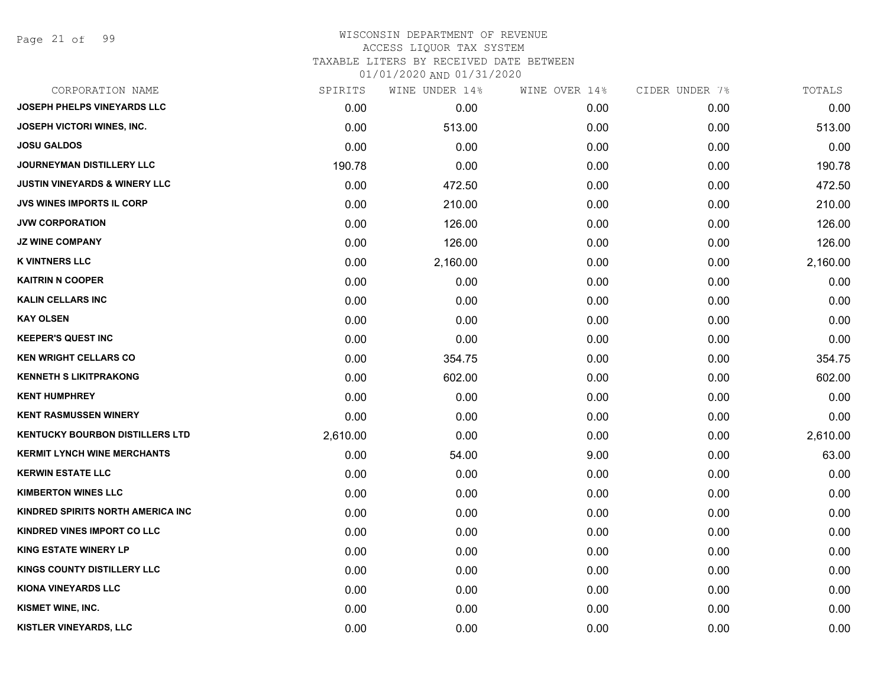Page 21 of 99

## WISCONSIN DEPARTMENT OF REVENUE ACCESS LIQUOR TAX SYSTEM TAXABLE LITERS BY RECEIVED DATE BETWEEN

| CORPORATION NAME                         | SPIRITS  | WINE UNDER 14% | WINE OVER 14% | CIDER UNDER 7% | TOTALS   |
|------------------------------------------|----------|----------------|---------------|----------------|----------|
| JOSEPH PHELPS VINEYARDS LLC              | 0.00     | 0.00           | 0.00          | 0.00           | 0.00     |
| <b>JOSEPH VICTORI WINES, INC.</b>        | 0.00     | 513.00         | 0.00          | 0.00           | 513.00   |
| <b>JOSU GALDOS</b>                       | 0.00     | 0.00           | 0.00          | 0.00           | 0.00     |
| JOURNEYMAN DISTILLERY LLC                | 190.78   | 0.00           | 0.00          | 0.00           | 190.78   |
| <b>JUSTIN VINEYARDS &amp; WINERY LLC</b> | 0.00     | 472.50         | 0.00          | 0.00           | 472.50   |
| JVS WINES IMPORTS IL CORP                | 0.00     | 210.00         | 0.00          | 0.00           | 210.00   |
| <b>JVW CORPORATION</b>                   | 0.00     | 126.00         | 0.00          | 0.00           | 126.00   |
| <b>JZ WINE COMPANY</b>                   | 0.00     | 126.00         | 0.00          | 0.00           | 126.00   |
| <b>K VINTNERS LLC</b>                    | 0.00     | 2,160.00       | 0.00          | 0.00           | 2,160.00 |
| <b>KAITRIN N COOPER</b>                  | 0.00     | 0.00           | 0.00          | 0.00           | 0.00     |
| <b>KALIN CELLARS INC</b>                 | 0.00     | 0.00           | 0.00          | 0.00           | 0.00     |
| <b>KAY OLSEN</b>                         | 0.00     | 0.00           | 0.00          | 0.00           | 0.00     |
| <b>KEEPER'S QUEST INC</b>                | 0.00     | 0.00           | 0.00          | 0.00           | 0.00     |
| <b>KEN WRIGHT CELLARS CO</b>             | 0.00     | 354.75         | 0.00          | 0.00           | 354.75   |
| <b>KENNETH S LIKITPRAKONG</b>            | 0.00     | 602.00         | 0.00          | 0.00           | 602.00   |
| <b>KENT HUMPHREY</b>                     | 0.00     | 0.00           | 0.00          | 0.00           | 0.00     |
| <b>KENT RASMUSSEN WINERY</b>             | 0.00     | 0.00           | 0.00          | 0.00           | 0.00     |
| <b>KENTUCKY BOURBON DISTILLERS LTD</b>   | 2,610.00 | 0.00           | 0.00          | 0.00           | 2,610.00 |
| <b>KERMIT LYNCH WINE MERCHANTS</b>       | 0.00     | 54.00          | 9.00          | 0.00           | 63.00    |
| <b>KERWIN ESTATE LLC</b>                 | 0.00     | 0.00           | 0.00          | 0.00           | 0.00     |
| <b>KIMBERTON WINES LLC</b>               | 0.00     | 0.00           | 0.00          | 0.00           | 0.00     |
| KINDRED SPIRITS NORTH AMERICA INC        | 0.00     | 0.00           | 0.00          | 0.00           | 0.00     |
| KINDRED VINES IMPORT CO LLC              | 0.00     | 0.00           | 0.00          | 0.00           | 0.00     |
| <b>KING ESTATE WINERY LP</b>             | 0.00     | 0.00           | 0.00          | 0.00           | 0.00     |
| KINGS COUNTY DISTILLERY LLC              | 0.00     | 0.00           | 0.00          | 0.00           | 0.00     |
| <b>KIONA VINEYARDS LLC</b>               | 0.00     | 0.00           | 0.00          | 0.00           | 0.00     |
| KISMET WINE, INC.                        | 0.00     | 0.00           | 0.00          | 0.00           | 0.00     |
| KISTLER VINEYARDS, LLC                   | 0.00     | 0.00           | 0.00          | 0.00           | 0.00     |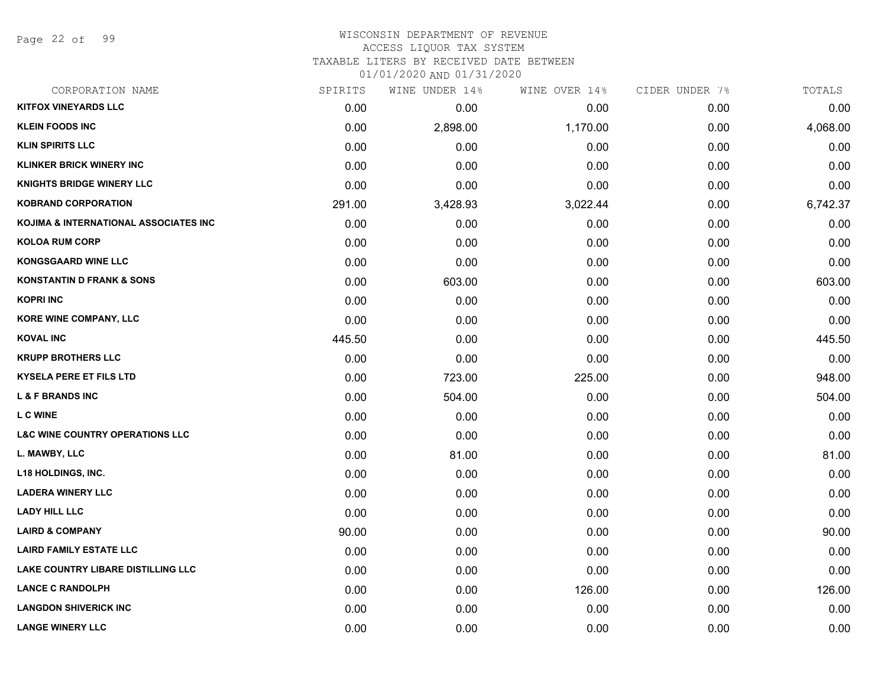Page 22 of 99

#### WISCONSIN DEPARTMENT OF REVENUE ACCESS LIQUOR TAX SYSTEM

TAXABLE LITERS BY RECEIVED DATE BETWEEN

| CORPORATION NAME                           | SPIRITS | WINE UNDER 14% | WINE OVER 14% | CIDER UNDER 7% | TOTALS   |
|--------------------------------------------|---------|----------------|---------------|----------------|----------|
| <b>KITFOX VINEYARDS LLC</b>                | 0.00    | 0.00           | 0.00          | 0.00           | 0.00     |
| <b>KLEIN FOODS INC</b>                     | 0.00    | 2,898.00       | 1,170.00      | 0.00           | 4,068.00 |
| <b>KLIN SPIRITS LLC</b>                    | 0.00    | 0.00           | 0.00          | 0.00           | 0.00     |
| <b>KLINKER BRICK WINERY INC</b>            | 0.00    | 0.00           | 0.00          | 0.00           | 0.00     |
| <b>KNIGHTS BRIDGE WINERY LLC</b>           | 0.00    | 0.00           | 0.00          | 0.00           | 0.00     |
| <b>KOBRAND CORPORATION</b>                 | 291.00  | 3,428.93       | 3,022.44      | 0.00           | 6,742.37 |
| KOJIMA & INTERNATIONAL ASSOCIATES INC      | 0.00    | 0.00           | 0.00          | 0.00           | 0.00     |
| <b>KOLOA RUM CORP</b>                      | 0.00    | 0.00           | 0.00          | 0.00           | 0.00     |
| <b>KONGSGAARD WINE LLC</b>                 | 0.00    | 0.00           | 0.00          | 0.00           | 0.00     |
| <b>KONSTANTIN D FRANK &amp; SONS</b>       | 0.00    | 603.00         | 0.00          | 0.00           | 603.00   |
| <b>KOPRI INC</b>                           | 0.00    | 0.00           | 0.00          | 0.00           | 0.00     |
| <b>KORE WINE COMPANY, LLC</b>              | 0.00    | 0.00           | 0.00          | 0.00           | 0.00     |
| <b>KOVAL INC</b>                           | 445.50  | 0.00           | 0.00          | 0.00           | 445.50   |
| <b>KRUPP BROTHERS LLC</b>                  | 0.00    | 0.00           | 0.00          | 0.00           | 0.00     |
| <b>KYSELA PERE ET FILS LTD</b>             | 0.00    | 723.00         | 225.00        | 0.00           | 948.00   |
| <b>L &amp; F BRANDS INC</b>                | 0.00    | 504.00         | 0.00          | 0.00           | 504.00   |
| <b>LCWINE</b>                              | 0.00    | 0.00           | 0.00          | 0.00           | 0.00     |
| <b>L&amp;C WINE COUNTRY OPERATIONS LLC</b> | 0.00    | 0.00           | 0.00          | 0.00           | 0.00     |
| L. MAWBY, LLC                              | 0.00    | 81.00          | 0.00          | 0.00           | 81.00    |
| <b>L18 HOLDINGS, INC.</b>                  | 0.00    | 0.00           | 0.00          | 0.00           | 0.00     |
| <b>LADERA WINERY LLC</b>                   | 0.00    | 0.00           | 0.00          | 0.00           | 0.00     |
| <b>LADY HILL LLC</b>                       | 0.00    | 0.00           | 0.00          | 0.00           | 0.00     |
| <b>LAIRD &amp; COMPANY</b>                 | 90.00   | 0.00           | 0.00          | 0.00           | 90.00    |
| <b>LAIRD FAMILY ESTATE LLC</b>             | 0.00    | 0.00           | 0.00          | 0.00           | 0.00     |
| LAKE COUNTRY LIBARE DISTILLING LLC         | 0.00    | 0.00           | 0.00          | 0.00           | 0.00     |
| <b>LANCE C RANDOLPH</b>                    | 0.00    | 0.00           | 126.00        | 0.00           | 126.00   |
| <b>LANGDON SHIVERICK INC</b>               | 0.00    | 0.00           | 0.00          | 0.00           | 0.00     |
| <b>LANGE WINERY LLC</b>                    | 0.00    | 0.00           | 0.00          | 0.00           | 0.00     |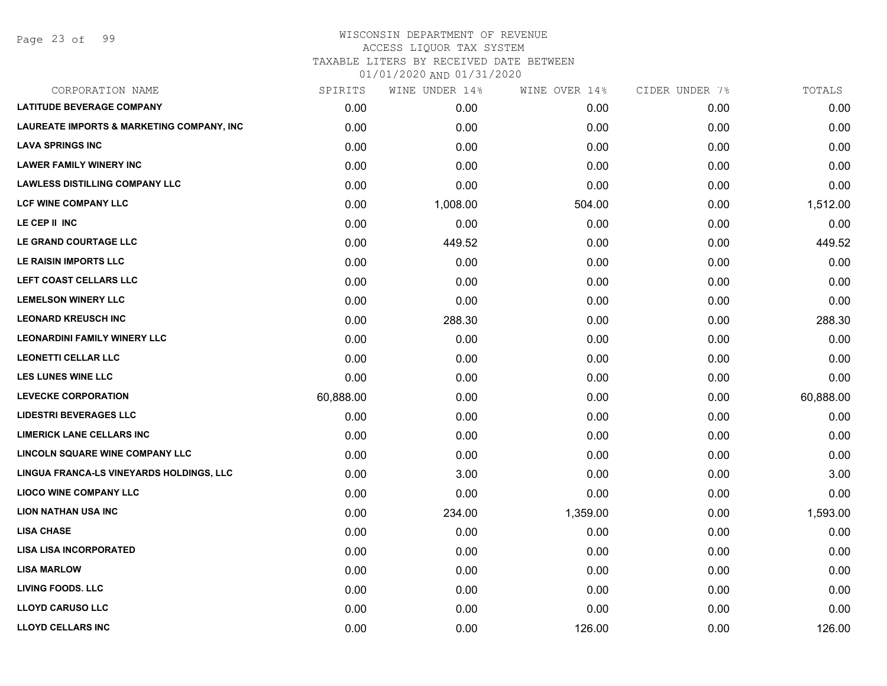### WISCONSIN DEPARTMENT OF REVENUE ACCESS LIQUOR TAX SYSTEM TAXABLE LITERS BY RECEIVED DATE BETWEEN

| CORPORATION NAME                                     | SPIRITS   | WINE UNDER 14% | WINE OVER 14% | CIDER UNDER 7% | TOTALS    |
|------------------------------------------------------|-----------|----------------|---------------|----------------|-----------|
| <b>LATITUDE BEVERAGE COMPANY</b>                     | 0.00      | 0.00           | 0.00          | 0.00           | 0.00      |
| <b>LAUREATE IMPORTS &amp; MARKETING COMPANY, INC</b> | 0.00      | 0.00           | 0.00          | 0.00           | 0.00      |
| <b>LAVA SPRINGS INC</b>                              | 0.00      | 0.00           | 0.00          | 0.00           | 0.00      |
| <b>LAWER FAMILY WINERY INC</b>                       | 0.00      | 0.00           | 0.00          | 0.00           | 0.00      |
| <b>LAWLESS DISTILLING COMPANY LLC</b>                | 0.00      | 0.00           | 0.00          | 0.00           | 0.00      |
| <b>LCF WINE COMPANY LLC</b>                          | 0.00      | 1,008.00       | 504.00        | 0.00           | 1,512.00  |
| LE CEP II INC                                        | 0.00      | 0.00           | 0.00          | 0.00           | 0.00      |
| LE GRAND COURTAGE LLC                                | 0.00      | 449.52         | 0.00          | 0.00           | 449.52    |
| LE RAISIN IMPORTS LLC                                | 0.00      | 0.00           | 0.00          | 0.00           | 0.00      |
| <b>LEFT COAST CELLARS LLC</b>                        | 0.00      | 0.00           | 0.00          | 0.00           | 0.00      |
| <b>LEMELSON WINERY LLC</b>                           | 0.00      | 0.00           | 0.00          | 0.00           | 0.00      |
| <b>LEONARD KREUSCH INC</b>                           | 0.00      | 288.30         | 0.00          | 0.00           | 288.30    |
| <b>LEONARDINI FAMILY WINERY LLC</b>                  | 0.00      | 0.00           | 0.00          | 0.00           | 0.00      |
| <b>LEONETTI CELLAR LLC</b>                           | 0.00      | 0.00           | 0.00          | 0.00           | 0.00      |
| <b>LES LUNES WINE LLC</b>                            | 0.00      | 0.00           | 0.00          | 0.00           | 0.00      |
| <b>LEVECKE CORPORATION</b>                           | 60,888.00 | 0.00           | 0.00          | 0.00           | 60,888.00 |
| <b>LIDESTRI BEVERAGES LLC</b>                        | 0.00      | 0.00           | 0.00          | 0.00           | 0.00      |
| <b>LIMERICK LANE CELLARS INC</b>                     | 0.00      | 0.00           | 0.00          | 0.00           | 0.00      |
| <b>LINCOLN SQUARE WINE COMPANY LLC</b>               | 0.00      | 0.00           | 0.00          | 0.00           | 0.00      |
| LINGUA FRANCA-LS VINEYARDS HOLDINGS, LLC             | 0.00      | 3.00           | 0.00          | 0.00           | 3.00      |
| <b>LIOCO WINE COMPANY LLC</b>                        | 0.00      | 0.00           | 0.00          | 0.00           | 0.00      |
| <b>LION NATHAN USA INC</b>                           | 0.00      | 234.00         | 1,359.00      | 0.00           | 1,593.00  |
| <b>LISA CHASE</b>                                    | 0.00      | 0.00           | 0.00          | 0.00           | 0.00      |
| <b>LISA LISA INCORPORATED</b>                        | 0.00      | 0.00           | 0.00          | 0.00           | 0.00      |
| <b>LISA MARLOW</b>                                   | 0.00      | 0.00           | 0.00          | 0.00           | 0.00      |
| <b>LIVING FOODS. LLC</b>                             | 0.00      | 0.00           | 0.00          | 0.00           | 0.00      |
| <b>LLOYD CARUSO LLC</b>                              | 0.00      | 0.00           | 0.00          | 0.00           | 0.00      |
| <b>LLOYD CELLARS INC</b>                             | 0.00      | 0.00           | 126.00        | 0.00           | 126.00    |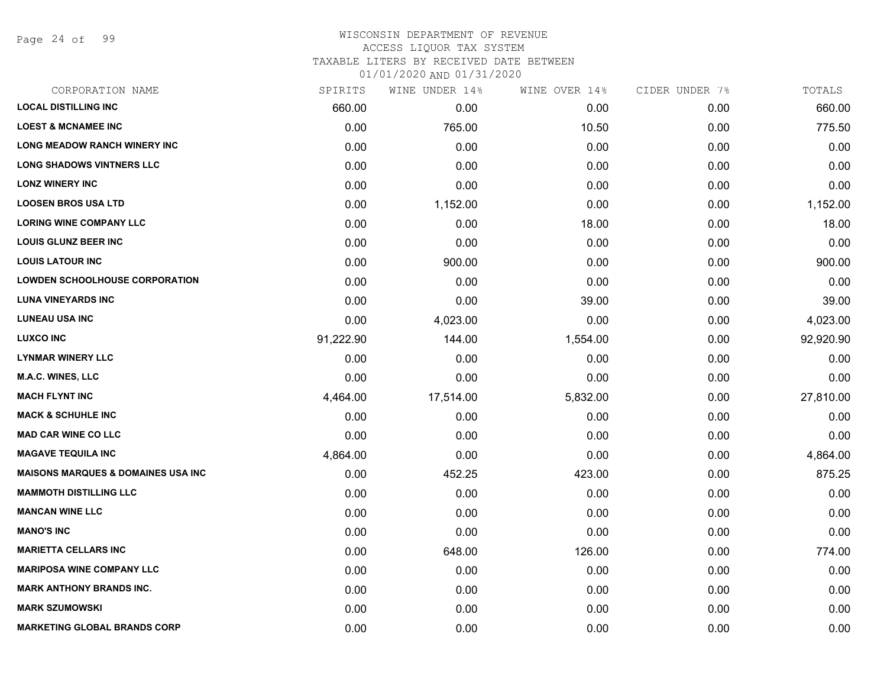Page 24 of 99

## WISCONSIN DEPARTMENT OF REVENUE ACCESS LIQUOR TAX SYSTEM TAXABLE LITERS BY RECEIVED DATE BETWEEN

| CORPORATION NAME                              | SPIRITS   | WINE UNDER 14% | WINE OVER 14% | CIDER UNDER 7% | TOTALS    |
|-----------------------------------------------|-----------|----------------|---------------|----------------|-----------|
| <b>LOCAL DISTILLING INC</b>                   | 660.00    | 0.00           | 0.00          | 0.00           | 660.00    |
| <b>LOEST &amp; MCNAMEE INC</b>                | 0.00      | 765.00         | 10.50         | 0.00           | 775.50    |
| <b>LONG MEADOW RANCH WINERY INC</b>           | 0.00      | 0.00           | 0.00          | 0.00           | 0.00      |
| <b>LONG SHADOWS VINTNERS LLC</b>              | 0.00      | 0.00           | 0.00          | 0.00           | 0.00      |
| <b>LONZ WINERY INC</b>                        | 0.00      | 0.00           | 0.00          | 0.00           | 0.00      |
| <b>LOOSEN BROS USA LTD</b>                    | 0.00      | 1,152.00       | 0.00          | 0.00           | 1,152.00  |
| <b>LORING WINE COMPANY LLC</b>                | 0.00      | 0.00           | 18.00         | 0.00           | 18.00     |
| <b>LOUIS GLUNZ BEER INC</b>                   | 0.00      | 0.00           | 0.00          | 0.00           | 0.00      |
| <b>LOUIS LATOUR INC</b>                       | 0.00      | 900.00         | 0.00          | 0.00           | 900.00    |
| <b>LOWDEN SCHOOLHOUSE CORPORATION</b>         | 0.00      | 0.00           | 0.00          | 0.00           | 0.00      |
| <b>LUNA VINEYARDS INC</b>                     | 0.00      | 0.00           | 39.00         | 0.00           | 39.00     |
| <b>LUNEAU USA INC</b>                         | 0.00      | 4,023.00       | 0.00          | 0.00           | 4,023.00  |
| <b>LUXCO INC</b>                              | 91,222.90 | 144.00         | 1,554.00      | 0.00           | 92,920.90 |
| <b>LYNMAR WINERY LLC</b>                      | 0.00      | 0.00           | 0.00          | 0.00           | 0.00      |
| M.A.C. WINES, LLC                             | 0.00      | 0.00           | 0.00          | 0.00           | 0.00      |
| <b>MACH FLYNT INC</b>                         | 4,464.00  | 17,514.00      | 5,832.00      | 0.00           | 27,810.00 |
| <b>MACK &amp; SCHUHLE INC</b>                 | 0.00      | 0.00           | 0.00          | 0.00           | 0.00      |
| <b>MAD CAR WINE CO LLC</b>                    | 0.00      | 0.00           | 0.00          | 0.00           | 0.00      |
| <b>MAGAVE TEQUILA INC</b>                     | 4,864.00  | 0.00           | 0.00          | 0.00           | 4,864.00  |
| <b>MAISONS MARQUES &amp; DOMAINES USA INC</b> | 0.00      | 452.25         | 423.00        | 0.00           | 875.25    |
| <b>MAMMOTH DISTILLING LLC</b>                 | 0.00      | 0.00           | 0.00          | 0.00           | 0.00      |
| <b>MANCAN WINE LLC</b>                        | 0.00      | 0.00           | 0.00          | 0.00           | 0.00      |
| <b>MANO'S INC</b>                             | 0.00      | 0.00           | 0.00          | 0.00           | 0.00      |
| <b>MARIETTA CELLARS INC</b>                   | 0.00      | 648.00         | 126.00        | 0.00           | 774.00    |
| <b>MARIPOSA WINE COMPANY LLC</b>              | 0.00      | 0.00           | 0.00          | 0.00           | 0.00      |
| <b>MARK ANTHONY BRANDS INC.</b>               | 0.00      | 0.00           | 0.00          | 0.00           | 0.00      |
| <b>MARK SZUMOWSKI</b>                         | 0.00      | 0.00           | 0.00          | 0.00           | 0.00      |
| <b>MARKETING GLOBAL BRANDS CORP</b>           | 0.00      | 0.00           | 0.00          | 0.00           | 0.00      |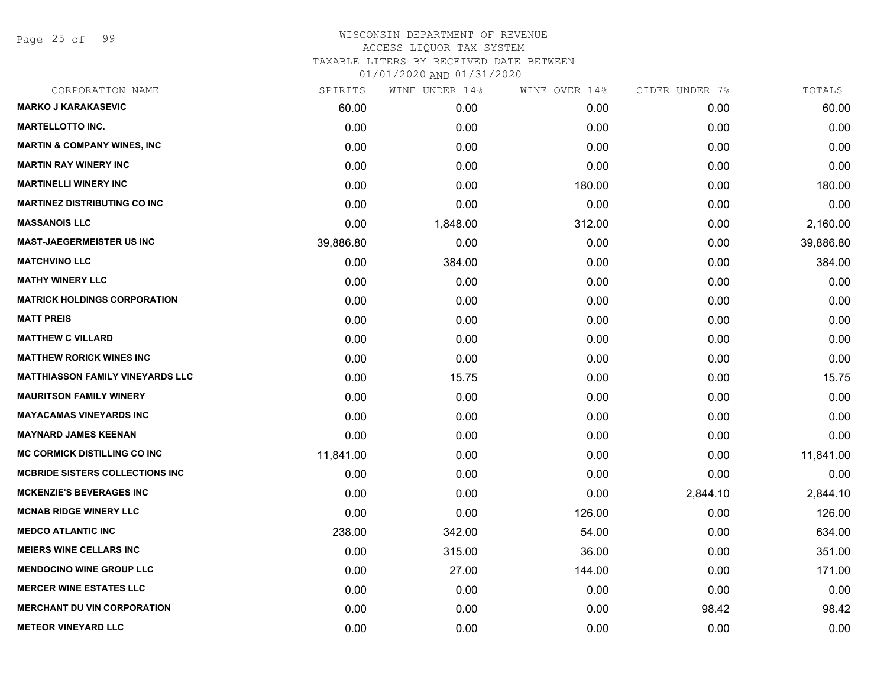Page 25 of 99

| CORPORATION NAME                        | SPIRITS   | WINE UNDER 14% | WINE OVER 14% | CIDER UNDER 7% | TOTALS    |
|-----------------------------------------|-----------|----------------|---------------|----------------|-----------|
| <b>MARKO J KARAKASEVIC</b>              | 60.00     | 0.00           | 0.00          | 0.00           | 60.00     |
| <b>MARTELLOTTO INC.</b>                 | 0.00      | 0.00           | 0.00          | 0.00           | 0.00      |
| <b>MARTIN &amp; COMPANY WINES, INC</b>  | 0.00      | 0.00           | 0.00          | 0.00           | 0.00      |
| <b>MARTIN RAY WINERY INC</b>            | 0.00      | 0.00           | 0.00          | 0.00           | 0.00      |
| <b>MARTINELLI WINERY INC</b>            | 0.00      | 0.00           | 180.00        | 0.00           | 180.00    |
| <b>MARTINEZ DISTRIBUTING CO INC</b>     | 0.00      | 0.00           | 0.00          | 0.00           | 0.00      |
| <b>MASSANOIS LLC</b>                    | 0.00      | 1,848.00       | 312.00        | 0.00           | 2,160.00  |
| <b>MAST-JAEGERMEISTER US INC</b>        | 39,886.80 | 0.00           | 0.00          | 0.00           | 39,886.80 |
| <b>MATCHVINO LLC</b>                    | 0.00      | 384.00         | 0.00          | 0.00           | 384.00    |
| <b>MATHY WINERY LLC</b>                 | 0.00      | 0.00           | 0.00          | 0.00           | 0.00      |
| <b>MATRICK HOLDINGS CORPORATION</b>     | 0.00      | 0.00           | 0.00          | 0.00           | 0.00      |
| <b>MATT PREIS</b>                       | 0.00      | 0.00           | 0.00          | 0.00           | 0.00      |
| <b>MATTHEW C VILLARD</b>                | 0.00      | 0.00           | 0.00          | 0.00           | 0.00      |
| <b>MATTHEW RORICK WINES INC</b>         | 0.00      | 0.00           | 0.00          | 0.00           | 0.00      |
| <b>MATTHIASSON FAMILY VINEYARDS LLC</b> | 0.00      | 15.75          | 0.00          | 0.00           | 15.75     |
| <b>MAURITSON FAMILY WINERY</b>          | 0.00      | 0.00           | 0.00          | 0.00           | 0.00      |
| <b>MAYACAMAS VINEYARDS INC</b>          | 0.00      | 0.00           | 0.00          | 0.00           | 0.00      |
| <b>MAYNARD JAMES KEENAN</b>             | 0.00      | 0.00           | 0.00          | 0.00           | 0.00      |
| <b>MC CORMICK DISTILLING CO INC</b>     | 11,841.00 | 0.00           | 0.00          | 0.00           | 11,841.00 |
| <b>MCBRIDE SISTERS COLLECTIONS INC.</b> | 0.00      | 0.00           | 0.00          | 0.00           | 0.00      |
| <b>MCKENZIE'S BEVERAGES INC</b>         | 0.00      | 0.00           | 0.00          | 2,844.10       | 2,844.10  |
| <b>MCNAB RIDGE WINERY LLC</b>           | 0.00      | 0.00           | 126.00        | 0.00           | 126.00    |
| <b>MEDCO ATLANTIC INC</b>               | 238.00    | 342.00         | 54.00         | 0.00           | 634.00    |
| <b>MEIERS WINE CELLARS INC</b>          | 0.00      | 315.00         | 36.00         | 0.00           | 351.00    |
| <b>MENDOCINO WINE GROUP LLC</b>         | 0.00      | 27.00          | 144.00        | 0.00           | 171.00    |
| <b>MERCER WINE ESTATES LLC</b>          | 0.00      | 0.00           | 0.00          | 0.00           | 0.00      |
| <b>MERCHANT DU VIN CORPORATION</b>      | 0.00      | 0.00           | 0.00          | 98.42          | 98.42     |
| <b>METEOR VINEYARD LLC</b>              | 0.00      | 0.00           | 0.00          | 0.00           | 0.00      |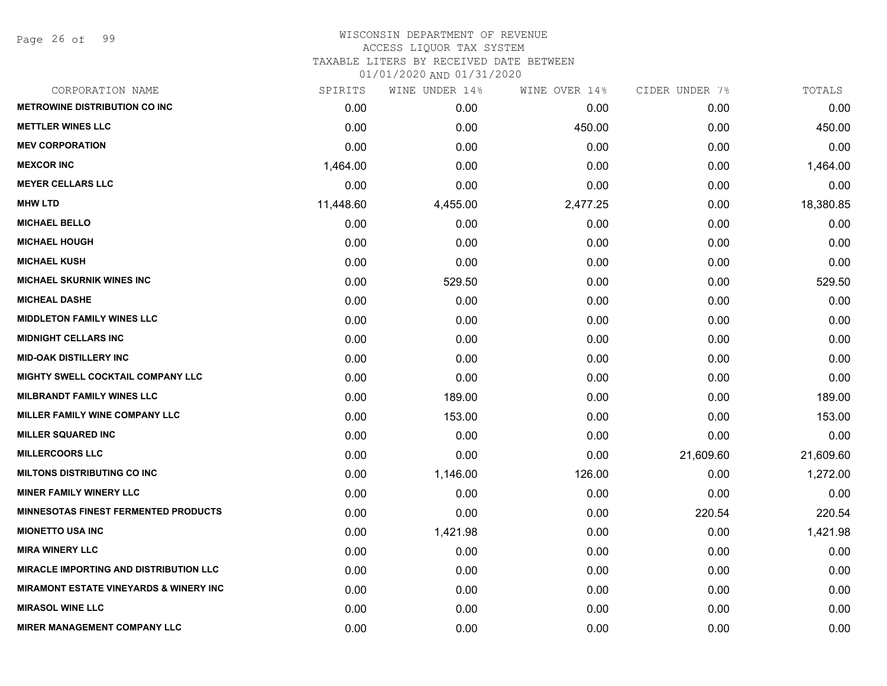Page 26 of 99

## WISCONSIN DEPARTMENT OF REVENUE ACCESS LIQUOR TAX SYSTEM TAXABLE LITERS BY RECEIVED DATE BETWEEN

| CORPORATION NAME                                  | SPIRITS   | WINE UNDER 14% | WINE OVER 14% | CIDER UNDER 7% | TOTALS    |
|---------------------------------------------------|-----------|----------------|---------------|----------------|-----------|
| <b>METROWINE DISTRIBUTION CO INC</b>              | 0.00      | 0.00           | 0.00          | 0.00           | 0.00      |
| <b>METTLER WINES LLC</b>                          | 0.00      | 0.00           | 450.00        | 0.00           | 450.00    |
| <b>MEV CORPORATION</b>                            | 0.00      | 0.00           | 0.00          | 0.00           | 0.00      |
| <b>MEXCOR INC</b>                                 | 1,464.00  | 0.00           | 0.00          | 0.00           | 1,464.00  |
| <b>MEYER CELLARS LLC</b>                          | 0.00      | 0.00           | 0.00          | 0.00           | 0.00      |
| <b>MHW LTD</b>                                    | 11,448.60 | 4,455.00       | 2,477.25      | 0.00           | 18,380.85 |
| <b>MICHAEL BELLO</b>                              | 0.00      | 0.00           | 0.00          | 0.00           | 0.00      |
| <b>MICHAEL HOUGH</b>                              | 0.00      | 0.00           | 0.00          | 0.00           | 0.00      |
| <b>MICHAEL KUSH</b>                               | 0.00      | 0.00           | 0.00          | 0.00           | 0.00      |
| <b>MICHAEL SKURNIK WINES INC</b>                  | 0.00      | 529.50         | 0.00          | 0.00           | 529.50    |
| <b>MICHEAL DASHE</b>                              | 0.00      | 0.00           | 0.00          | 0.00           | 0.00      |
| <b>MIDDLETON FAMILY WINES LLC</b>                 | 0.00      | 0.00           | 0.00          | 0.00           | 0.00      |
| <b>MIDNIGHT CELLARS INC</b>                       | 0.00      | 0.00           | 0.00          | 0.00           | 0.00      |
| <b>MID-OAK DISTILLERY INC</b>                     | 0.00      | 0.00           | 0.00          | 0.00           | 0.00      |
| MIGHTY SWELL COCKTAIL COMPANY LLC                 | 0.00      | 0.00           | 0.00          | 0.00           | 0.00      |
| <b>MILBRANDT FAMILY WINES LLC</b>                 | 0.00      | 189.00         | 0.00          | 0.00           | 189.00    |
| MILLER FAMILY WINE COMPANY LLC                    | 0.00      | 153.00         | 0.00          | 0.00           | 153.00    |
| <b>MILLER SQUARED INC</b>                         | 0.00      | 0.00           | 0.00          | 0.00           | 0.00      |
| <b>MILLERCOORS LLC</b>                            | 0.00      | 0.00           | 0.00          | 21,609.60      | 21,609.60 |
| <b>MILTONS DISTRIBUTING CO INC</b>                | 0.00      | 1,146.00       | 126.00        | 0.00           | 1,272.00  |
| <b>MINER FAMILY WINERY LLC</b>                    | 0.00      | 0.00           | 0.00          | 0.00           | 0.00      |
| <b>MINNESOTAS FINEST FERMENTED PRODUCTS</b>       | 0.00      | 0.00           | 0.00          | 220.54         | 220.54    |
| <b>MIONETTO USA INC</b>                           | 0.00      | 1,421.98       | 0.00          | 0.00           | 1,421.98  |
| <b>MIRA WINERY LLC</b>                            | 0.00      | 0.00           | 0.00          | 0.00           | 0.00      |
| <b>MIRACLE IMPORTING AND DISTRIBUTION LLC</b>     | 0.00      | 0.00           | 0.00          | 0.00           | 0.00      |
| <b>MIRAMONT ESTATE VINEYARDS &amp; WINERY INC</b> | 0.00      | 0.00           | 0.00          | 0.00           | 0.00      |
| <b>MIRASOL WINE LLC</b>                           | 0.00      | 0.00           | 0.00          | 0.00           | 0.00      |
| <b>MIRER MANAGEMENT COMPANY LLC</b>               | 0.00      | 0.00           | 0.00          | 0.00           | 0.00      |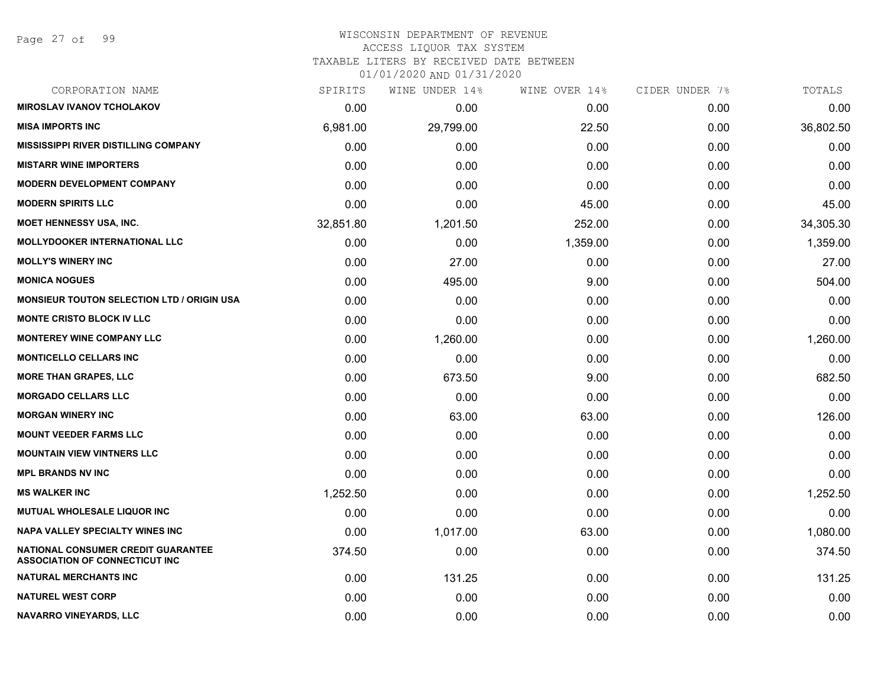## WISCONSIN DEPARTMENT OF REVENUE ACCESS LIQUOR TAX SYSTEM

TAXABLE LITERS BY RECEIVED DATE BETWEEN

| CORPORATION NAME                                                            | SPIRITS   | WINE UNDER 14% | WINE OVER 14% | CIDER UNDER 7% | TOTALS    |
|-----------------------------------------------------------------------------|-----------|----------------|---------------|----------------|-----------|
| <b>MIROSLAV IVANOV TCHOLAKOV</b>                                            | 0.00      | 0.00           | 0.00          | 0.00           | 0.00      |
| <b>MISA IMPORTS INC</b>                                                     | 6,981.00  | 29,799.00      | 22.50         | 0.00           | 36,802.50 |
| <b>MISSISSIPPI RIVER DISTILLING COMPANY</b>                                 | 0.00      | 0.00           | 0.00          | 0.00           | 0.00      |
| <b>MISTARR WINE IMPORTERS</b>                                               | 0.00      | 0.00           | 0.00          | 0.00           | 0.00      |
| <b>MODERN DEVELOPMENT COMPANY</b>                                           | 0.00      | 0.00           | 0.00          | 0.00           | 0.00      |
| <b>MODERN SPIRITS LLC</b>                                                   | 0.00      | 0.00           | 45.00         | 0.00           | 45.00     |
| <b>MOET HENNESSY USA, INC.</b>                                              | 32,851.80 | 1,201.50       | 252.00        | 0.00           | 34,305.30 |
| <b>MOLLYDOOKER INTERNATIONAL LLC</b>                                        | 0.00      | 0.00           | 1,359.00      | 0.00           | 1,359.00  |
| <b>MOLLY'S WINERY INC</b>                                                   | 0.00      | 27.00          | 0.00          | 0.00           | 27.00     |
| <b>MONICA NOGUES</b>                                                        | 0.00      | 495.00         | 9.00          | 0.00           | 504.00    |
| <b>MONSIEUR TOUTON SELECTION LTD / ORIGIN USA</b>                           | 0.00      | 0.00           | 0.00          | 0.00           | 0.00      |
| <b>MONTE CRISTO BLOCK IV LLC</b>                                            | 0.00      | 0.00           | 0.00          | 0.00           | 0.00      |
| <b>MONTEREY WINE COMPANY LLC</b>                                            | 0.00      | 1,260.00       | 0.00          | 0.00           | 1,260.00  |
| <b>MONTICELLO CELLARS INC</b>                                               | 0.00      | 0.00           | 0.00          | 0.00           | 0.00      |
| <b>MORE THAN GRAPES, LLC</b>                                                | 0.00      | 673.50         | 9.00          | 0.00           | 682.50    |
| <b>MORGADO CELLARS LLC</b>                                                  | 0.00      | 0.00           | 0.00          | 0.00           | 0.00      |
| <b>MORGAN WINERY INC</b>                                                    | 0.00      | 63.00          | 63.00         | 0.00           | 126.00    |
| <b>MOUNT VEEDER FARMS LLC</b>                                               | 0.00      | 0.00           | 0.00          | 0.00           | 0.00      |
| <b>MOUNTAIN VIEW VINTNERS LLC</b>                                           | 0.00      | 0.00           | 0.00          | 0.00           | 0.00      |
| <b>MPL BRANDS NV INC</b>                                                    | 0.00      | 0.00           | 0.00          | 0.00           | 0.00      |
| <b>MS WALKER INC</b>                                                        | 1,252.50  | 0.00           | 0.00          | 0.00           | 1,252.50  |
| <b>MUTUAL WHOLESALE LIQUOR INC</b>                                          | 0.00      | 0.00           | 0.00          | 0.00           | 0.00      |
| <b>NAPA VALLEY SPECIALTY WINES INC</b>                                      | 0.00      | 1,017.00       | 63.00         | 0.00           | 1,080.00  |
| NATIONAL CONSUMER CREDIT GUARANTEE<br><b>ASSOCIATION OF CONNECTICUT INC</b> | 374.50    | 0.00           | 0.00          | 0.00           | 374.50    |
| <b>NATURAL MERCHANTS INC</b>                                                | 0.00      | 131.25         | 0.00          | 0.00           | 131.25    |
| <b>NATUREL WEST CORP</b>                                                    | 0.00      | 0.00           | 0.00          | 0.00           | 0.00      |
| NAVARRO VINEYARDS, LLC                                                      | 0.00      | 0.00           | 0.00          | 0.00           | 0.00      |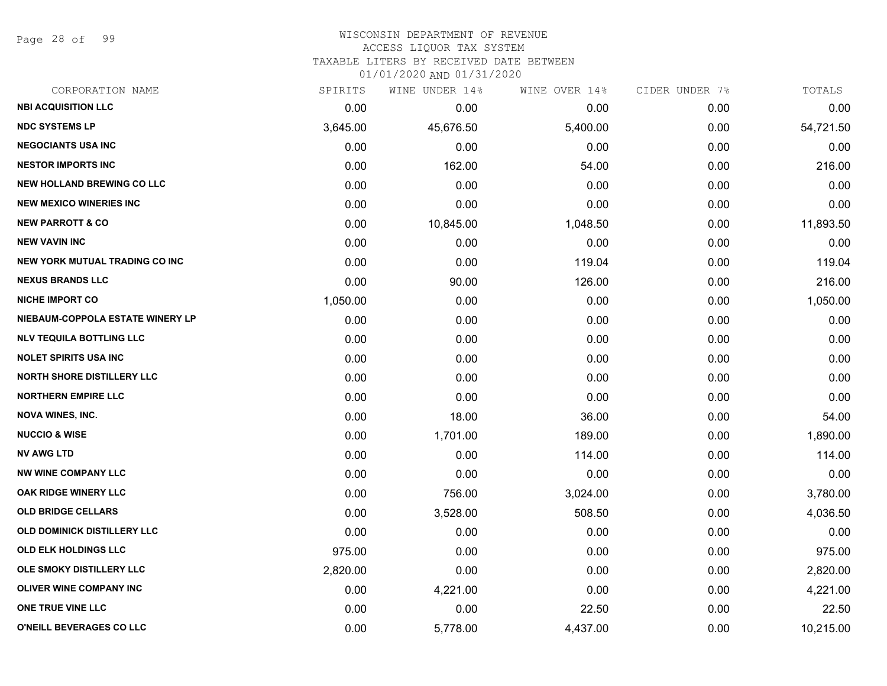Page 28 of 99

#### WISCONSIN DEPARTMENT OF REVENUE ACCESS LIQUOR TAX SYSTEM

TAXABLE LITERS BY RECEIVED DATE BETWEEN

| CORPORATION NAME                      | SPIRITS  | WINE UNDER 14% | WINE OVER 14% | CIDER UNDER 7% | TOTALS    |
|---------------------------------------|----------|----------------|---------------|----------------|-----------|
| <b>NBI ACQUISITION LLC</b>            | 0.00     | 0.00           | 0.00          | 0.00           | 0.00      |
| <b>NDC SYSTEMS LP</b>                 | 3,645.00 | 45,676.50      | 5,400.00      | 0.00           | 54,721.50 |
| <b>NEGOCIANTS USA INC</b>             | 0.00     | 0.00           | 0.00          | 0.00           | 0.00      |
| <b>NESTOR IMPORTS INC</b>             | 0.00     | 162.00         | 54.00         | 0.00           | 216.00    |
| <b>NEW HOLLAND BREWING CO LLC</b>     | 0.00     | 0.00           | 0.00          | 0.00           | 0.00      |
| <b>NEW MEXICO WINERIES INC</b>        | 0.00     | 0.00           | 0.00          | 0.00           | 0.00      |
| <b>NEW PARROTT &amp; CO</b>           | 0.00     | 10,845.00      | 1,048.50      | 0.00           | 11,893.50 |
| <b>NEW VAVIN INC</b>                  | 0.00     | 0.00           | 0.00          | 0.00           | 0.00      |
| <b>NEW YORK MUTUAL TRADING CO INC</b> | 0.00     | 0.00           | 119.04        | 0.00           | 119.04    |
| <b>NEXUS BRANDS LLC</b>               | 0.00     | 90.00          | 126.00        | 0.00           | 216.00    |
| <b>NICHE IMPORT CO</b>                | 1,050.00 | 0.00           | 0.00          | 0.00           | 1,050.00  |
| NIEBAUM-COPPOLA ESTATE WINERY LP      | 0.00     | 0.00           | 0.00          | 0.00           | 0.00      |
| <b>NLV TEQUILA BOTTLING LLC</b>       | 0.00     | 0.00           | 0.00          | 0.00           | 0.00      |
| <b>NOLET SPIRITS USA INC</b>          | 0.00     | 0.00           | 0.00          | 0.00           | 0.00      |
| <b>NORTH SHORE DISTILLERY LLC</b>     | 0.00     | 0.00           | 0.00          | 0.00           | 0.00      |
| <b>NORTHERN EMPIRE LLC</b>            | 0.00     | 0.00           | 0.00          | 0.00           | 0.00      |
| <b>NOVA WINES, INC.</b>               | 0.00     | 18.00          | 36.00         | 0.00           | 54.00     |
| <b>NUCCIO &amp; WISE</b>              | 0.00     | 1,701.00       | 189.00        | 0.00           | 1,890.00  |
| <b>NV AWG LTD</b>                     | 0.00     | 0.00           | 114.00        | 0.00           | 114.00    |
| <b>NW WINE COMPANY LLC</b>            | 0.00     | 0.00           | 0.00          | 0.00           | 0.00      |
| <b>OAK RIDGE WINERY LLC</b>           | 0.00     | 756.00         | 3,024.00      | 0.00           | 3,780.00  |
| <b>OLD BRIDGE CELLARS</b>             | 0.00     | 3,528.00       | 508.50        | 0.00           | 4,036.50  |
| OLD DOMINICK DISTILLERY LLC           | 0.00     | 0.00           | 0.00          | 0.00           | 0.00      |
| OLD ELK HOLDINGS LLC                  | 975.00   | 0.00           | 0.00          | 0.00           | 975.00    |
| OLE SMOKY DISTILLERY LLC              | 2,820.00 | 0.00           | 0.00          | 0.00           | 2,820.00  |
| <b>OLIVER WINE COMPANY INC</b>        | 0.00     | 4,221.00       | 0.00          | 0.00           | 4,221.00  |
| ONE TRUE VINE LLC                     | 0.00     | 0.00           | 22.50         | 0.00           | 22.50     |
| O'NEILL BEVERAGES CO LLC              | 0.00     | 5,778.00       | 4,437.00      | 0.00           | 10,215.00 |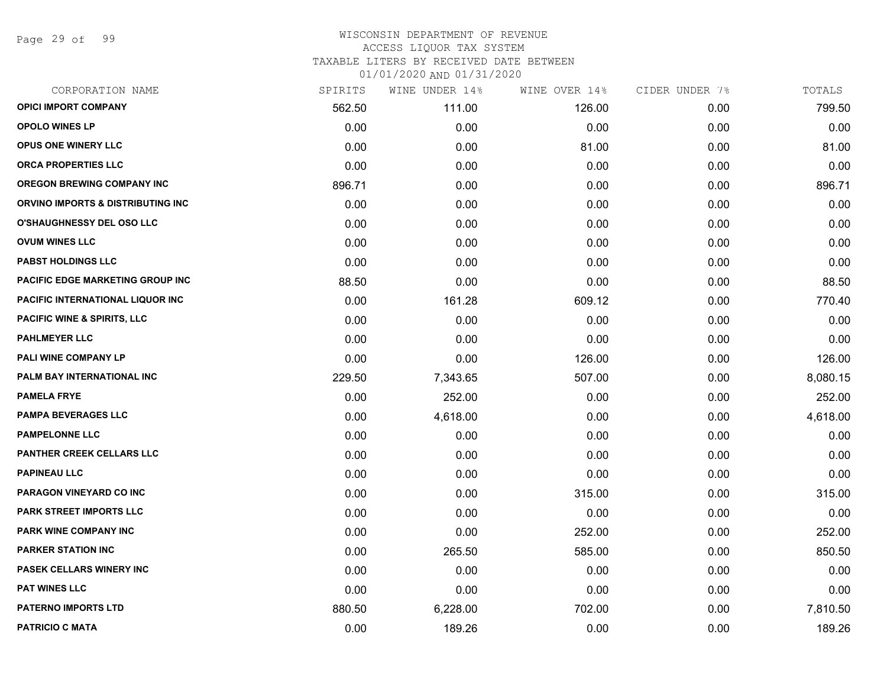Page 29 of 99

| CORPORATION NAME                        | SPIRITS | WINE UNDER 14% | WINE OVER 14% | CIDER UNDER 7% | TOTALS   |
|-----------------------------------------|---------|----------------|---------------|----------------|----------|
| <b>OPICI IMPORT COMPANY</b>             | 562.50  | 111.00         | 126.00        | 0.00           | 799.50   |
| <b>OPOLO WINES LP</b>                   | 0.00    | 0.00           | 0.00          | 0.00           | 0.00     |
| OPUS ONE WINERY LLC                     | 0.00    | 0.00           | 81.00         | 0.00           | 81.00    |
| <b>ORCA PROPERTIES LLC</b>              | 0.00    | 0.00           | 0.00          | 0.00           | 0.00     |
| <b>OREGON BREWING COMPANY INC</b>       | 896.71  | 0.00           | 0.00          | 0.00           | 896.71   |
| ORVINO IMPORTS & DISTRIBUTING INC       | 0.00    | 0.00           | 0.00          | 0.00           | 0.00     |
| <b>O'SHAUGHNESSY DEL OSO LLC</b>        | 0.00    | 0.00           | 0.00          | 0.00           | 0.00     |
| <b>OVUM WINES LLC</b>                   | 0.00    | 0.00           | 0.00          | 0.00           | 0.00     |
| <b>PABST HOLDINGS LLC</b>               | 0.00    | 0.00           | 0.00          | 0.00           | 0.00     |
| <b>PACIFIC EDGE MARKETING GROUP INC</b> | 88.50   | 0.00           | 0.00          | 0.00           | 88.50    |
| PACIFIC INTERNATIONAL LIQUOR INC        | 0.00    | 161.28         | 609.12        | 0.00           | 770.40   |
| <b>PACIFIC WINE &amp; SPIRITS, LLC</b>  | 0.00    | 0.00           | 0.00          | 0.00           | 0.00     |
| <b>PAHLMEYER LLC</b>                    | 0.00    | 0.00           | 0.00          | 0.00           | 0.00     |
| PALI WINE COMPANY LP                    | 0.00    | 0.00           | 126.00        | 0.00           | 126.00   |
| PALM BAY INTERNATIONAL INC              | 229.50  | 7,343.65       | 507.00        | 0.00           | 8,080.15 |
| <b>PAMELA FRYE</b>                      | 0.00    | 252.00         | 0.00          | 0.00           | 252.00   |
| <b>PAMPA BEVERAGES LLC</b>              | 0.00    | 4,618.00       | 0.00          | 0.00           | 4,618.00 |
| <b>PAMPELONNE LLC</b>                   | 0.00    | 0.00           | 0.00          | 0.00           | 0.00     |
| <b>PANTHER CREEK CELLARS LLC</b>        | 0.00    | 0.00           | 0.00          | 0.00           | 0.00     |
| <b>PAPINEAU LLC</b>                     | 0.00    | 0.00           | 0.00          | 0.00           | 0.00     |
| PARAGON VINEYARD CO INC                 | 0.00    | 0.00           | 315.00        | 0.00           | 315.00   |
| PARK STREET IMPORTS LLC                 | 0.00    | 0.00           | 0.00          | 0.00           | 0.00     |
| PARK WINE COMPANY INC                   | 0.00    | 0.00           | 252.00        | 0.00           | 252.00   |
| <b>PARKER STATION INC</b>               | 0.00    | 265.50         | 585.00        | 0.00           | 850.50   |
| <b>PASEK CELLARS WINERY INC</b>         | 0.00    | 0.00           | 0.00          | 0.00           | 0.00     |
| <b>PAT WINES LLC</b>                    | 0.00    | 0.00           | 0.00          | 0.00           | 0.00     |
| PATERNO IMPORTS LTD                     | 880.50  | 6,228.00       | 702.00        | 0.00           | 7,810.50 |
| <b>PATRICIO C MATA</b>                  | 0.00    | 189.26         | 0.00          | 0.00           | 189.26   |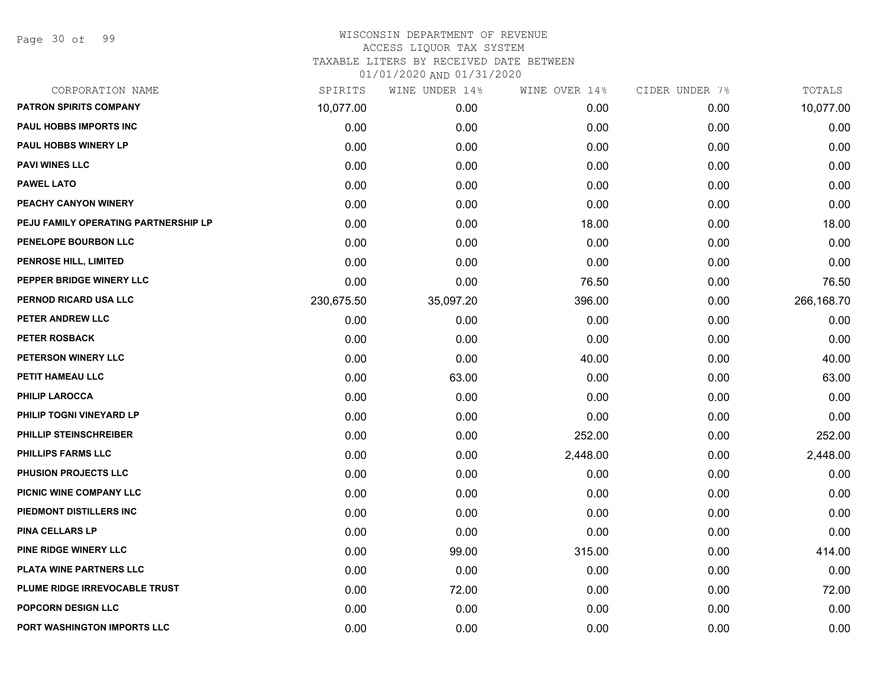Page 30 of 99

## WISCONSIN DEPARTMENT OF REVENUE ACCESS LIQUOR TAX SYSTEM TAXABLE LITERS BY RECEIVED DATE BETWEEN

| CORPORATION NAME                     | SPIRITS    | WINE UNDER 14% | WINE OVER 14% | CIDER UNDER 7% | TOTALS     |
|--------------------------------------|------------|----------------|---------------|----------------|------------|
| PATRON SPIRITS COMPANY               | 10,077.00  | 0.00           | 0.00          | 0.00           | 10,077.00  |
| PAUL HOBBS IMPORTS INC               | 0.00       | 0.00           | 0.00          | 0.00           | 0.00       |
| <b>PAUL HOBBS WINERY LP</b>          | 0.00       | 0.00           | 0.00          | 0.00           | 0.00       |
| <b>PAVI WINES LLC</b>                | 0.00       | 0.00           | 0.00          | 0.00           | 0.00       |
| <b>PAWEL LATO</b>                    | 0.00       | 0.00           | 0.00          | 0.00           | 0.00       |
| PEACHY CANYON WINERY                 | 0.00       | 0.00           | 0.00          | 0.00           | 0.00       |
| PEJU FAMILY OPERATING PARTNERSHIP LP | 0.00       | 0.00           | 18.00         | 0.00           | 18.00      |
| PENELOPE BOURBON LLC                 | 0.00       | 0.00           | 0.00          | 0.00           | 0.00       |
| <b>PENROSE HILL, LIMITED</b>         | 0.00       | 0.00           | 0.00          | 0.00           | 0.00       |
| PEPPER BRIDGE WINERY LLC             | 0.00       | 0.00           | 76.50         | 0.00           | 76.50      |
| PERNOD RICARD USA LLC                | 230,675.50 | 35,097.20      | 396.00        | 0.00           | 266,168.70 |
| PETER ANDREW LLC                     | 0.00       | 0.00           | 0.00          | 0.00           | 0.00       |
| PETER ROSBACK                        | 0.00       | 0.00           | 0.00          | 0.00           | 0.00       |
| PETERSON WINERY LLC                  | 0.00       | 0.00           | 40.00         | 0.00           | 40.00      |
| PETIT HAMEAU LLC                     | 0.00       | 63.00          | 0.00          | 0.00           | 63.00      |
| <b>PHILIP LAROCCA</b>                | 0.00       | 0.00           | 0.00          | 0.00           | 0.00       |
| PHILIP TOGNI VINEYARD LP             | 0.00       | 0.00           | 0.00          | 0.00           | 0.00       |
| PHILLIP STEINSCHREIBER               | 0.00       | 0.00           | 252.00        | 0.00           | 252.00     |
| PHILLIPS FARMS LLC                   | 0.00       | 0.00           | 2,448.00      | 0.00           | 2,448.00   |
| PHUSION PROJECTS LLC                 | 0.00       | 0.00           | 0.00          | 0.00           | 0.00       |
| PICNIC WINE COMPANY LLC              | 0.00       | 0.00           | 0.00          | 0.00           | 0.00       |
| PIEDMONT DISTILLERS INC              | 0.00       | 0.00           | 0.00          | 0.00           | 0.00       |
| <b>PINA CELLARS LP</b>               | 0.00       | 0.00           | 0.00          | 0.00           | 0.00       |
| PINE RIDGE WINERY LLC                | 0.00       | 99.00          | 315.00        | 0.00           | 414.00     |
| PLATA WINE PARTNERS LLC              | 0.00       | 0.00           | 0.00          | 0.00           | 0.00       |
| PLUME RIDGE IRREVOCABLE TRUST        | 0.00       | 72.00          | 0.00          | 0.00           | 72.00      |
| POPCORN DESIGN LLC                   | 0.00       | 0.00           | 0.00          | 0.00           | 0.00       |
| PORT WASHINGTON IMPORTS LLC          | 0.00       | 0.00           | 0.00          | 0.00           | 0.00       |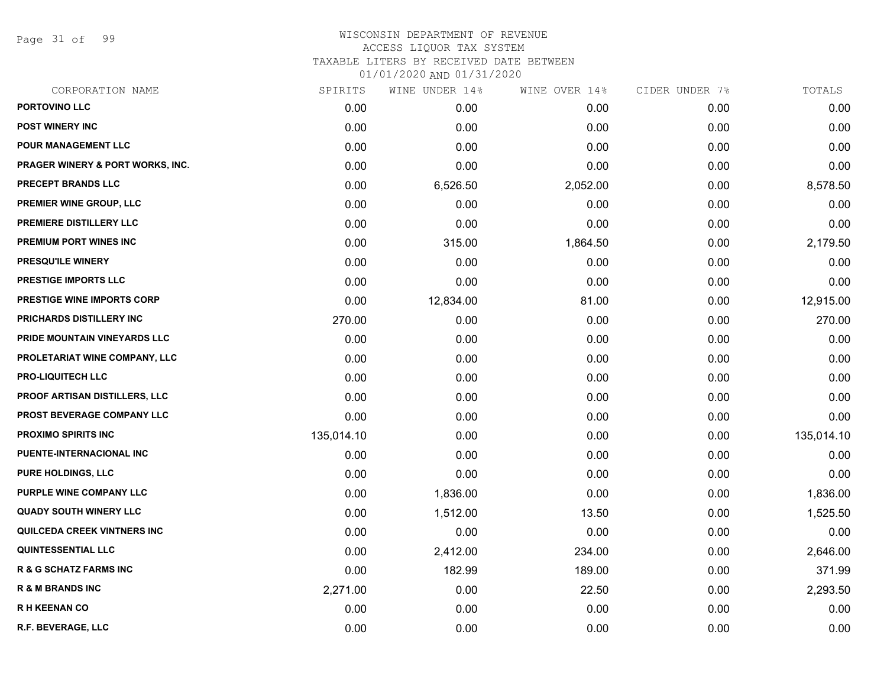Page 31 of 99

## WISCONSIN DEPARTMENT OF REVENUE ACCESS LIQUOR TAX SYSTEM TAXABLE LITERS BY RECEIVED DATE BETWEEN

| CORPORATION NAME                            | SPIRITS    | WINE UNDER 14% | WINE OVER 14% | CIDER UNDER 7% | TOTALS     |
|---------------------------------------------|------------|----------------|---------------|----------------|------------|
| PORTOVINO LLC                               | 0.00       | 0.00           | 0.00          | 0.00           | 0.00       |
| <b>POST WINERY INC</b>                      | 0.00       | 0.00           | 0.00          | 0.00           | 0.00       |
| POUR MANAGEMENT LLC                         | 0.00       | 0.00           | 0.00          | 0.00           | 0.00       |
| <b>PRAGER WINERY &amp; PORT WORKS, INC.</b> | 0.00       | 0.00           | 0.00          | 0.00           | 0.00       |
| PRECEPT BRANDS LLC                          | 0.00       | 6,526.50       | 2,052.00      | 0.00           | 8,578.50   |
| <b>PREMIER WINE GROUP, LLC</b>              | 0.00       | 0.00           | 0.00          | 0.00           | 0.00       |
| PREMIERE DISTILLERY LLC                     | 0.00       | 0.00           | 0.00          | 0.00           | 0.00       |
| <b>PREMIUM PORT WINES INC</b>               | 0.00       | 315.00         | 1,864.50      | 0.00           | 2,179.50   |
| PRESQU'ILE WINERY                           | 0.00       | 0.00           | 0.00          | 0.00           | 0.00       |
| <b>PRESTIGE IMPORTS LLC</b>                 | 0.00       | 0.00           | 0.00          | 0.00           | 0.00       |
| PRESTIGE WINE IMPORTS CORP                  | 0.00       | 12,834.00      | 81.00         | 0.00           | 12,915.00  |
| PRICHARDS DISTILLERY INC                    | 270.00     | 0.00           | 0.00          | 0.00           | 270.00     |
| PRIDE MOUNTAIN VINEYARDS LLC                | 0.00       | 0.00           | 0.00          | 0.00           | 0.00       |
| PROLETARIAT WINE COMPANY, LLC               | 0.00       | 0.00           | 0.00          | 0.00           | 0.00       |
| <b>PRO-LIQUITECH LLC</b>                    | 0.00       | 0.00           | 0.00          | 0.00           | 0.00       |
| <b>PROOF ARTISAN DISTILLERS, LLC</b>        | 0.00       | 0.00           | 0.00          | 0.00           | 0.00       |
| PROST BEVERAGE COMPANY LLC                  | 0.00       | 0.00           | 0.00          | 0.00           | 0.00       |
| PROXIMO SPIRITS INC                         | 135,014.10 | 0.00           | 0.00          | 0.00           | 135,014.10 |
| PUENTE-INTERNACIONAL INC                    | 0.00       | 0.00           | 0.00          | 0.00           | 0.00       |
| <b>PURE HOLDINGS, LLC</b>                   | 0.00       | 0.00           | 0.00          | 0.00           | 0.00       |
| <b>PURPLE WINE COMPANY LLC</b>              | 0.00       | 1,836.00       | 0.00          | 0.00           | 1,836.00   |
| <b>QUADY SOUTH WINERY LLC</b>               | 0.00       | 1,512.00       | 13.50         | 0.00           | 1,525.50   |
| QUILCEDA CREEK VINTNERS INC                 | 0.00       | 0.00           | 0.00          | 0.00           | 0.00       |
| <b>QUINTESSENTIAL LLC</b>                   | 0.00       | 2,412.00       | 234.00        | 0.00           | 2,646.00   |
| <b>R &amp; G SCHATZ FARMS INC</b>           | 0.00       | 182.99         | 189.00        | 0.00           | 371.99     |
| <b>R &amp; M BRANDS INC</b>                 | 2,271.00   | 0.00           | 22.50         | 0.00           | 2,293.50   |
| <b>RH KEENAN CO</b>                         | 0.00       | 0.00           | 0.00          | 0.00           | 0.00       |
| R.F. BEVERAGE, LLC                          | 0.00       | 0.00           | 0.00          | 0.00           | 0.00       |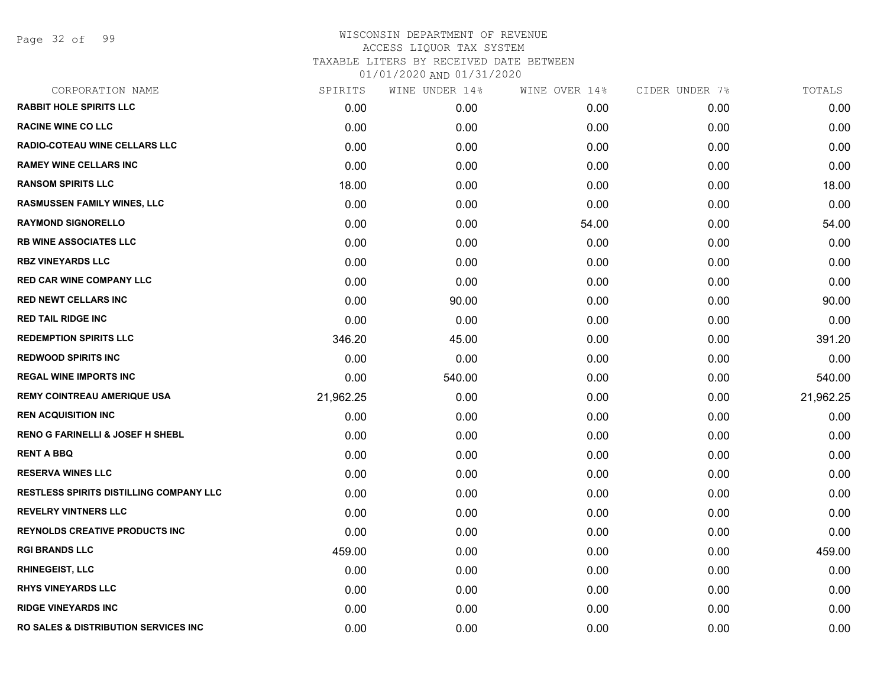Page 32 of 99

| CORPORATION NAME                                 | SPIRITS   | WINE UNDER 14% | WINE OVER 14% | CIDER UNDER 7% | TOTALS    |
|--------------------------------------------------|-----------|----------------|---------------|----------------|-----------|
| <b>RABBIT HOLE SPIRITS LLC</b>                   | 0.00      | 0.00           | 0.00          | 0.00           | 0.00      |
| <b>RACINE WINE CO LLC</b>                        | 0.00      | 0.00           | 0.00          | 0.00           | 0.00      |
| <b>RADIO-COTEAU WINE CELLARS LLC</b>             | 0.00      | 0.00           | 0.00          | 0.00           | 0.00      |
| <b>RAMEY WINE CELLARS INC</b>                    | 0.00      | 0.00           | 0.00          | 0.00           | 0.00      |
| <b>RANSOM SPIRITS LLC</b>                        | 18.00     | 0.00           | 0.00          | 0.00           | 18.00     |
| RASMUSSEN FAMILY WINES, LLC                      | 0.00      | 0.00           | 0.00          | 0.00           | 0.00      |
| <b>RAYMOND SIGNORELLO</b>                        | 0.00      | 0.00           | 54.00         | 0.00           | 54.00     |
| <b>RB WINE ASSOCIATES LLC</b>                    | 0.00      | 0.00           | 0.00          | 0.00           | 0.00      |
| <b>RBZ VINEYARDS LLC</b>                         | 0.00      | 0.00           | 0.00          | 0.00           | 0.00      |
| <b>RED CAR WINE COMPANY LLC</b>                  | 0.00      | 0.00           | 0.00          | 0.00           | 0.00      |
| <b>RED NEWT CELLARS INC</b>                      | 0.00      | 90.00          | 0.00          | 0.00           | 90.00     |
| <b>RED TAIL RIDGE INC</b>                        | 0.00      | 0.00           | 0.00          | 0.00           | 0.00      |
| <b>REDEMPTION SPIRITS LLC</b>                    | 346.20    | 45.00          | 0.00          | 0.00           | 391.20    |
| <b>REDWOOD SPIRITS INC</b>                       | 0.00      | 0.00           | 0.00          | 0.00           | 0.00      |
| <b>REGAL WINE IMPORTS INC</b>                    | 0.00      | 540.00         | 0.00          | 0.00           | 540.00    |
| <b>REMY COINTREAU AMERIQUE USA</b>               | 21,962.25 | 0.00           | 0.00          | 0.00           | 21,962.25 |
| <b>REN ACQUISITION INC</b>                       | 0.00      | 0.00           | 0.00          | 0.00           | 0.00      |
| <b>RENO G FARINELLI &amp; JOSEF H SHEBL</b>      | 0.00      | 0.00           | 0.00          | 0.00           | 0.00      |
| <b>RENT A BBQ</b>                                | 0.00      | 0.00           | 0.00          | 0.00           | 0.00      |
| <b>RESERVA WINES LLC</b>                         | 0.00      | 0.00           | 0.00          | 0.00           | 0.00      |
| <b>RESTLESS SPIRITS DISTILLING COMPANY LLC</b>   | 0.00      | 0.00           | 0.00          | 0.00           | 0.00      |
| <b>REVELRY VINTNERS LLC</b>                      | 0.00      | 0.00           | 0.00          | 0.00           | 0.00      |
| <b>REYNOLDS CREATIVE PRODUCTS INC</b>            | 0.00      | 0.00           | 0.00          | 0.00           | 0.00      |
| <b>RGI BRANDS LLC</b>                            | 459.00    | 0.00           | 0.00          | 0.00           | 459.00    |
| <b>RHINEGEIST, LLC</b>                           | 0.00      | 0.00           | 0.00          | 0.00           | 0.00      |
| <b>RHYS VINEYARDS LLC</b>                        | 0.00      | 0.00           | 0.00          | 0.00           | 0.00      |
| <b>RIDGE VINEYARDS INC</b>                       | 0.00      | 0.00           | 0.00          | 0.00           | 0.00      |
| <b>RO SALES &amp; DISTRIBUTION SERVICES INC.</b> | 0.00      | 0.00           | 0.00          | 0.00           | 0.00      |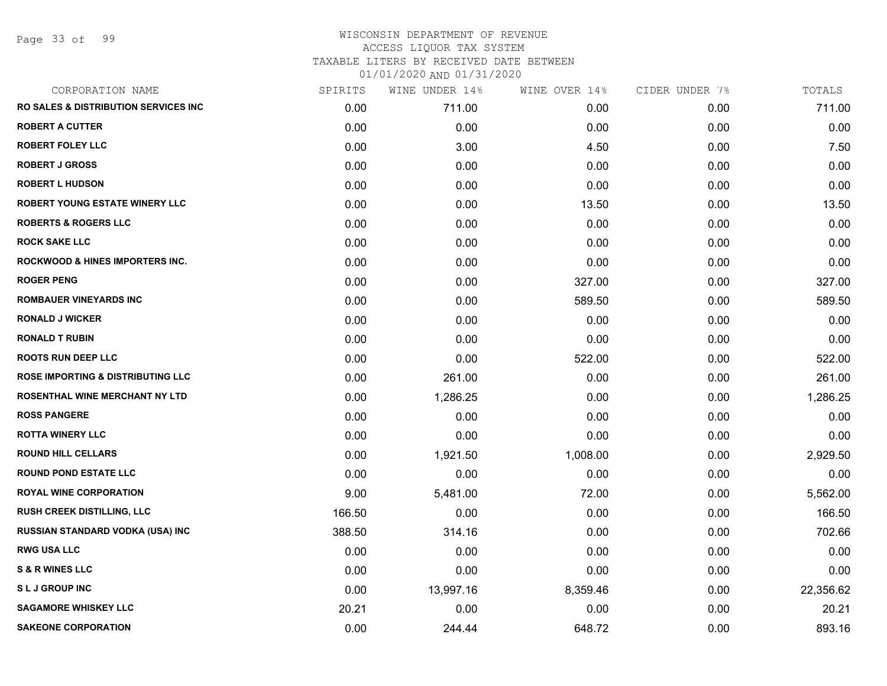Page 33 of 99

| CORPORATION NAME                                 | SPIRITS | WINE UNDER 14% | WINE OVER 14% | CIDER UNDER 7% | TOTALS    |
|--------------------------------------------------|---------|----------------|---------------|----------------|-----------|
| <b>RO SALES &amp; DISTRIBUTION SERVICES INC.</b> | 0.00    | 711.00         | 0.00          | 0.00           | 711.00    |
| <b>ROBERT A CUTTER</b>                           | 0.00    | 0.00           | 0.00          | 0.00           | 0.00      |
| <b>ROBERT FOLEY LLC</b>                          | 0.00    | 3.00           | 4.50          | 0.00           | 7.50      |
| <b>ROBERT J GROSS</b>                            | 0.00    | 0.00           | 0.00          | 0.00           | 0.00      |
| <b>ROBERT L HUDSON</b>                           | 0.00    | 0.00           | 0.00          | 0.00           | 0.00      |
| <b>ROBERT YOUNG ESTATE WINERY LLC</b>            | 0.00    | 0.00           | 13.50         | 0.00           | 13.50     |
| <b>ROBERTS &amp; ROGERS LLC</b>                  | 0.00    | 0.00           | 0.00          | 0.00           | 0.00      |
| <b>ROCK SAKE LLC</b>                             | 0.00    | 0.00           | 0.00          | 0.00           | 0.00      |
| <b>ROCKWOOD &amp; HINES IMPORTERS INC.</b>       | 0.00    | 0.00           | 0.00          | 0.00           | 0.00      |
| <b>ROGER PENG</b>                                | 0.00    | 0.00           | 327.00        | 0.00           | 327.00    |
| <b>ROMBAUER VINEYARDS INC</b>                    | 0.00    | 0.00           | 589.50        | 0.00           | 589.50    |
| <b>RONALD J WICKER</b>                           | 0.00    | 0.00           | 0.00          | 0.00           | 0.00      |
| <b>RONALD T RUBIN</b>                            | 0.00    | 0.00           | 0.00          | 0.00           | 0.00      |
| <b>ROOTS RUN DEEP LLC</b>                        | 0.00    | 0.00           | 522.00        | 0.00           | 522.00    |
| <b>ROSE IMPORTING &amp; DISTRIBUTING LLC</b>     | 0.00    | 261.00         | 0.00          | 0.00           | 261.00    |
| ROSENTHAL WINE MERCHANT NY LTD                   | 0.00    | 1,286.25       | 0.00          | 0.00           | 1,286.25  |
| <b>ROSS PANGERE</b>                              | 0.00    | 0.00           | 0.00          | 0.00           | 0.00      |
| <b>ROTTA WINERY LLC</b>                          | 0.00    | 0.00           | 0.00          | 0.00           | 0.00      |
| <b>ROUND HILL CELLARS</b>                        | 0.00    | 1,921.50       | 1,008.00      | 0.00           | 2,929.50  |
| <b>ROUND POND ESTATE LLC</b>                     | 0.00    | 0.00           | 0.00          | 0.00           | 0.00      |
| <b>ROYAL WINE CORPORATION</b>                    | 9.00    | 5,481.00       | 72.00         | 0.00           | 5,562.00  |
| <b>RUSH CREEK DISTILLING, LLC</b>                | 166.50  | 0.00           | 0.00          | 0.00           | 166.50    |
| <b>RUSSIAN STANDARD VODKA (USA) INC</b>          | 388.50  | 314.16         | 0.00          | 0.00           | 702.66    |
| <b>RWG USA LLC</b>                               | 0.00    | 0.00           | 0.00          | 0.00           | 0.00      |
| <b>S &amp; R WINES LLC</b>                       | 0.00    | 0.00           | 0.00          | 0.00           | 0.00      |
| <b>SLJ GROUP INC</b>                             | 0.00    | 13,997.16      | 8,359.46      | 0.00           | 22,356.62 |
| <b>SAGAMORE WHISKEY LLC</b>                      | 20.21   | 0.00           | 0.00          | 0.00           | 20.21     |
| <b>SAKEONE CORPORATION</b>                       | 0.00    | 244.44         | 648.72        | 0.00           | 893.16    |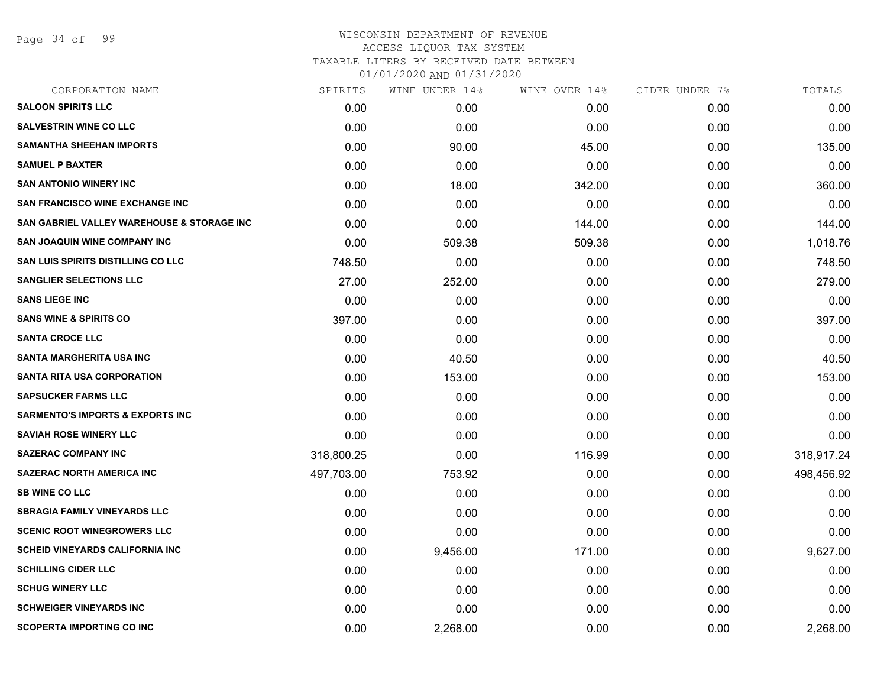Page 34 of 99

| CORPORATION NAME                                      | SPIRITS    | WINE UNDER 14% | WINE OVER 14% | CIDER UNDER 7% | TOTALS     |
|-------------------------------------------------------|------------|----------------|---------------|----------------|------------|
| <b>SALOON SPIRITS LLC</b>                             | 0.00       | 0.00           | 0.00          | 0.00           | 0.00       |
| <b>SALVESTRIN WINE CO LLC</b>                         | 0.00       | 0.00           | 0.00          | 0.00           | 0.00       |
| <b>SAMANTHA SHEEHAN IMPORTS</b>                       | 0.00       | 90.00          | 45.00         | 0.00           | 135.00     |
| <b>SAMUEL P BAXTER</b>                                | 0.00       | 0.00           | 0.00          | 0.00           | 0.00       |
| <b>SAN ANTONIO WINERY INC</b>                         | 0.00       | 18.00          | 342.00        | 0.00           | 360.00     |
| <b>SAN FRANCISCO WINE EXCHANGE INC</b>                | 0.00       | 0.00           | 0.00          | 0.00           | 0.00       |
| <b>SAN GABRIEL VALLEY WAREHOUSE &amp; STORAGE INC</b> | 0.00       | 0.00           | 144.00        | 0.00           | 144.00     |
| <b>SAN JOAQUIN WINE COMPANY INC</b>                   | 0.00       | 509.38         | 509.38        | 0.00           | 1,018.76   |
| <b>SAN LUIS SPIRITS DISTILLING CO LLC</b>             | 748.50     | 0.00           | 0.00          | 0.00           | 748.50     |
| <b>SANGLIER SELECTIONS LLC</b>                        | 27.00      | 252.00         | 0.00          | 0.00           | 279.00     |
| <b>SANS LIEGE INC</b>                                 | 0.00       | 0.00           | 0.00          | 0.00           | 0.00       |
| <b>SANS WINE &amp; SPIRITS CO</b>                     | 397.00     | 0.00           | 0.00          | 0.00           | 397.00     |
| <b>SANTA CROCE LLC</b>                                | 0.00       | 0.00           | 0.00          | 0.00           | 0.00       |
| <b>SANTA MARGHERITA USA INC</b>                       | 0.00       | 40.50          | 0.00          | 0.00           | 40.50      |
| <b>SANTA RITA USA CORPORATION</b>                     | 0.00       | 153.00         | 0.00          | 0.00           | 153.00     |
| <b>SAPSUCKER FARMS LLC</b>                            | 0.00       | 0.00           | 0.00          | 0.00           | 0.00       |
| <b>SARMENTO'S IMPORTS &amp; EXPORTS INC</b>           | 0.00       | 0.00           | 0.00          | 0.00           | 0.00       |
| <b>SAVIAH ROSE WINERY LLC</b>                         | 0.00       | 0.00           | 0.00          | 0.00           | 0.00       |
| <b>SAZERAC COMPANY INC</b>                            | 318,800.25 | 0.00           | 116.99        | 0.00           | 318,917.24 |
| <b>SAZERAC NORTH AMERICA INC</b>                      | 497,703.00 | 753.92         | 0.00          | 0.00           | 498,456.92 |
| <b>SB WINE CO LLC</b>                                 | 0.00       | 0.00           | 0.00          | 0.00           | 0.00       |
| <b>SBRAGIA FAMILY VINEYARDS LLC</b>                   | 0.00       | 0.00           | 0.00          | 0.00           | 0.00       |
| <b>SCENIC ROOT WINEGROWERS LLC</b>                    | 0.00       | 0.00           | 0.00          | 0.00           | 0.00       |
| <b>SCHEID VINEYARDS CALIFORNIA INC</b>                | 0.00       | 9,456.00       | 171.00        | 0.00           | 9,627.00   |
| <b>SCHILLING CIDER LLC</b>                            | 0.00       | 0.00           | 0.00          | 0.00           | 0.00       |
| <b>SCHUG WINERY LLC</b>                               | 0.00       | 0.00           | 0.00          | 0.00           | 0.00       |
| <b>SCHWEIGER VINEYARDS INC</b>                        | 0.00       | 0.00           | 0.00          | 0.00           | 0.00       |
| <b>SCOPERTA IMPORTING CO INC</b>                      | 0.00       | 2,268.00       | 0.00          | 0.00           | 2,268.00   |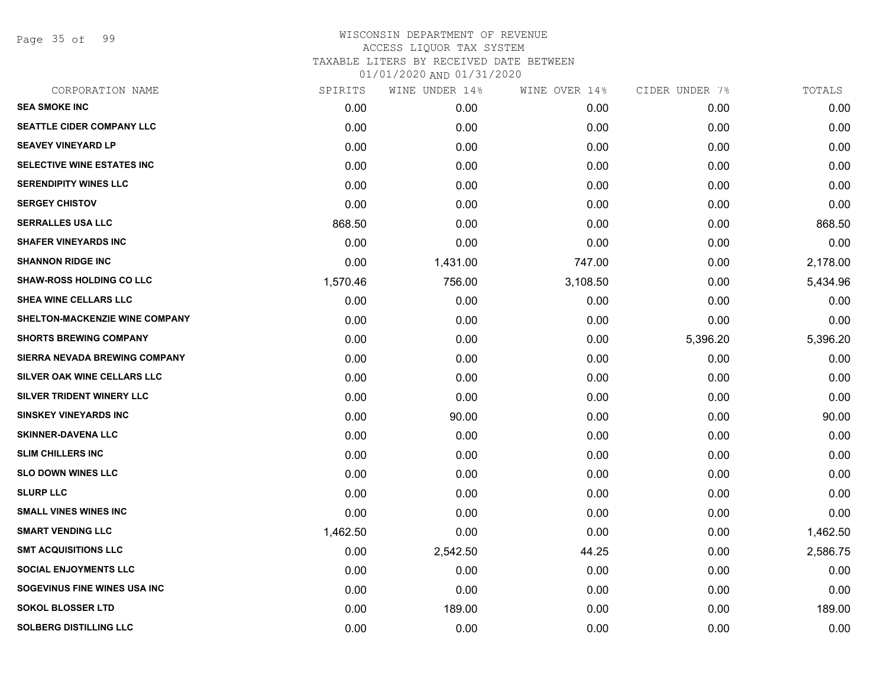Page 35 of 99

| CORPORATION NAME                     | SPIRITS  | WINE UNDER 14% | WINE OVER 14% | CIDER UNDER 7% | TOTALS   |
|--------------------------------------|----------|----------------|---------------|----------------|----------|
| <b>SEA SMOKE INC</b>                 | 0.00     | 0.00           | 0.00          | 0.00           | 0.00     |
| SEATTLE CIDER COMPANY LLC            | 0.00     | 0.00           | 0.00          | 0.00           | 0.00     |
| <b>SEAVEY VINEYARD LP</b>            | 0.00     | 0.00           | 0.00          | 0.00           | 0.00     |
| <b>SELECTIVE WINE ESTATES INC</b>    | 0.00     | 0.00           | 0.00          | 0.00           | 0.00     |
| <b>SERENDIPITY WINES LLC</b>         | 0.00     | 0.00           | 0.00          | 0.00           | 0.00     |
| <b>SERGEY CHISTOV</b>                | 0.00     | 0.00           | 0.00          | 0.00           | 0.00     |
| <b>SERRALLES USA LLC</b>             | 868.50   | 0.00           | 0.00          | 0.00           | 868.50   |
| <b>SHAFER VINEYARDS INC</b>          | 0.00     | 0.00           | 0.00          | 0.00           | 0.00     |
| <b>SHANNON RIDGE INC</b>             | 0.00     | 1,431.00       | 747.00        | 0.00           | 2,178.00 |
| <b>SHAW-ROSS HOLDING CO LLC</b>      | 1,570.46 | 756.00         | 3,108.50      | 0.00           | 5,434.96 |
| SHEA WINE CELLARS LLC                | 0.00     | 0.00           | 0.00          | 0.00           | 0.00     |
| SHELTON-MACKENZIE WINE COMPANY       | 0.00     | 0.00           | 0.00          | 0.00           | 0.00     |
| <b>SHORTS BREWING COMPANY</b>        | 0.00     | 0.00           | 0.00          | 5,396.20       | 5,396.20 |
| <b>SIERRA NEVADA BREWING COMPANY</b> | 0.00     | 0.00           | 0.00          | 0.00           | 0.00     |
| SILVER OAK WINE CELLARS LLC          | 0.00     | 0.00           | 0.00          | 0.00           | 0.00     |
| SILVER TRIDENT WINERY LLC            | 0.00     | 0.00           | 0.00          | 0.00           | 0.00     |
| <b>SINSKEY VINEYARDS INC</b>         | 0.00     | 90.00          | 0.00          | 0.00           | 90.00    |
| <b>SKINNER-DAVENA LLC</b>            | 0.00     | 0.00           | 0.00          | 0.00           | 0.00     |
| <b>SLIM CHILLERS INC</b>             | 0.00     | 0.00           | 0.00          | 0.00           | 0.00     |
| <b>SLO DOWN WINES LLC</b>            | 0.00     | 0.00           | 0.00          | 0.00           | 0.00     |
| <b>SLURP LLC</b>                     | 0.00     | 0.00           | 0.00          | 0.00           | 0.00     |
| <b>SMALL VINES WINES INC</b>         | 0.00     | 0.00           | 0.00          | 0.00           | 0.00     |
| <b>SMART VENDING LLC</b>             | 1,462.50 | 0.00           | 0.00          | 0.00           | 1,462.50 |
| <b>SMT ACQUISITIONS LLC</b>          | 0.00     | 2,542.50       | 44.25         | 0.00           | 2,586.75 |
| <b>SOCIAL ENJOYMENTS LLC</b>         | 0.00     | 0.00           | 0.00          | 0.00           | 0.00     |
| SOGEVINUS FINE WINES USA INC         | 0.00     | 0.00           | 0.00          | 0.00           | 0.00     |
| <b>SOKOL BLOSSER LTD</b>             | 0.00     | 189.00         | 0.00          | 0.00           | 189.00   |
| <b>SOLBERG DISTILLING LLC</b>        | 0.00     | 0.00           | 0.00          | 0.00           | 0.00     |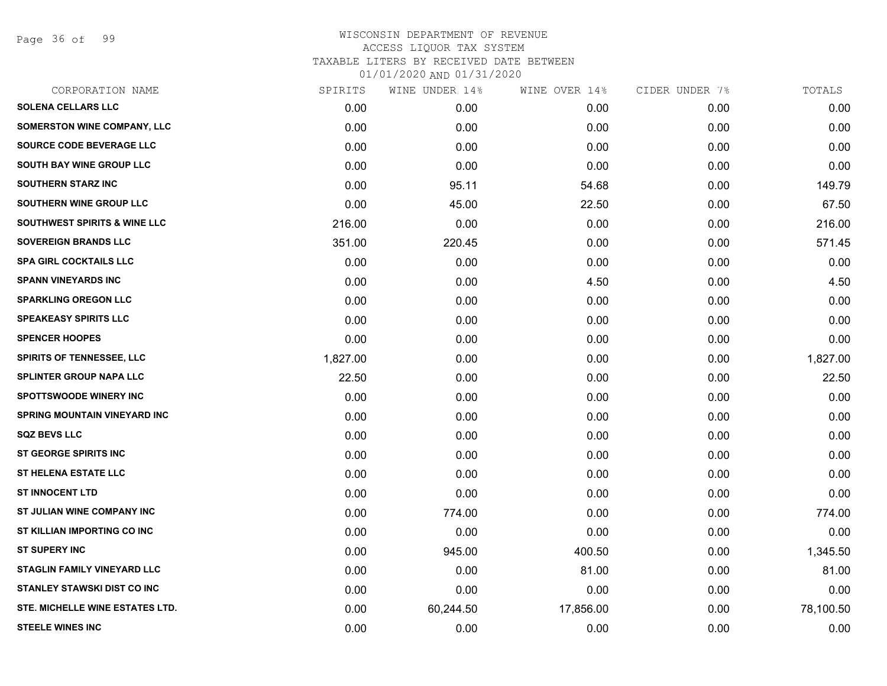Page 36 of 99

# WISCONSIN DEPARTMENT OF REVENUE ACCESS LIQUOR TAX SYSTEM TAXABLE LITERS BY RECEIVED DATE BETWEEN

| 01/01/2020 AND 01/31/2020 |  |  |  |  |  |  |  |  |
|---------------------------|--|--|--|--|--|--|--|--|
|---------------------------|--|--|--|--|--|--|--|--|

| CORPORATION NAME                        | SPIRITS  | WINE UNDER 14% | WINE OVER 14% | CIDER UNDER 7% | TOTALS    |
|-----------------------------------------|----------|----------------|---------------|----------------|-----------|
| <b>SOLENA CELLARS LLC</b>               | 0.00     | 0.00           | 0.00          | 0.00           | 0.00      |
| <b>SOMERSTON WINE COMPANY, LLC</b>      | 0.00     | 0.00           | 0.00          | 0.00           | 0.00      |
| SOURCE CODE BEVERAGE LLC                | 0.00     | 0.00           | 0.00          | 0.00           | 0.00      |
| SOUTH BAY WINE GROUP LLC                | 0.00     | 0.00           | 0.00          | 0.00           | 0.00      |
| <b>SOUTHERN STARZ INC</b>               | 0.00     | 95.11          | 54.68         | 0.00           | 149.79    |
| <b>SOUTHERN WINE GROUP LLC</b>          | 0.00     | 45.00          | 22.50         | 0.00           | 67.50     |
| <b>SOUTHWEST SPIRITS &amp; WINE LLC</b> | 216.00   | 0.00           | 0.00          | 0.00           | 216.00    |
| <b>SOVEREIGN BRANDS LLC</b>             | 351.00   | 220.45         | 0.00          | 0.00           | 571.45    |
| <b>SPA GIRL COCKTAILS LLC</b>           | 0.00     | 0.00           | 0.00          | 0.00           | 0.00      |
| <b>SPANN VINEYARDS INC</b>              | 0.00     | 0.00           | 4.50          | 0.00           | 4.50      |
| <b>SPARKLING OREGON LLC</b>             | 0.00     | 0.00           | 0.00          | 0.00           | 0.00      |
| <b>SPEAKEASY SPIRITS LLC</b>            | 0.00     | 0.00           | 0.00          | 0.00           | 0.00      |
| <b>SPENCER HOOPES</b>                   | 0.00     | 0.00           | 0.00          | 0.00           | 0.00      |
| <b>SPIRITS OF TENNESSEE, LLC</b>        | 1,827.00 | 0.00           | 0.00          | 0.00           | 1,827.00  |
| <b>SPLINTER GROUP NAPA LLC</b>          | 22.50    | 0.00           | 0.00          | 0.00           | 22.50     |
| SPOTTSWOODE WINERY INC                  | 0.00     | 0.00           | 0.00          | 0.00           | 0.00      |
| <b>SPRING MOUNTAIN VINEYARD INC</b>     | 0.00     | 0.00           | 0.00          | 0.00           | 0.00      |
| <b>SQZ BEVS LLC</b>                     | 0.00     | 0.00           | 0.00          | 0.00           | 0.00      |
| ST GEORGE SPIRITS INC                   | 0.00     | 0.00           | 0.00          | 0.00           | 0.00      |
| <b>ST HELENA ESTATE LLC</b>             | 0.00     | 0.00           | 0.00          | 0.00           | 0.00      |
| <b>ST INNOCENT LTD</b>                  | 0.00     | 0.00           | 0.00          | 0.00           | 0.00      |
| ST JULIAN WINE COMPANY INC              | 0.00     | 774.00         | 0.00          | 0.00           | 774.00    |
| ST KILLIAN IMPORTING CO INC             | 0.00     | 0.00           | 0.00          | 0.00           | 0.00      |
| <b>ST SUPERY INC</b>                    | 0.00     | 945.00         | 400.50        | 0.00           | 1,345.50  |
| <b>STAGLIN FAMILY VINEYARD LLC</b>      | 0.00     | 0.00           | 81.00         | 0.00           | 81.00     |
| STANLEY STAWSKI DIST CO INC             | 0.00     | 0.00           | 0.00          | 0.00           | 0.00      |
| STE. MICHELLE WINE ESTATES LTD.         | 0.00     | 60,244.50      | 17,856.00     | 0.00           | 78,100.50 |
| <b>STEELE WINES INC</b>                 | 0.00     | 0.00           | 0.00          | 0.00           | 0.00      |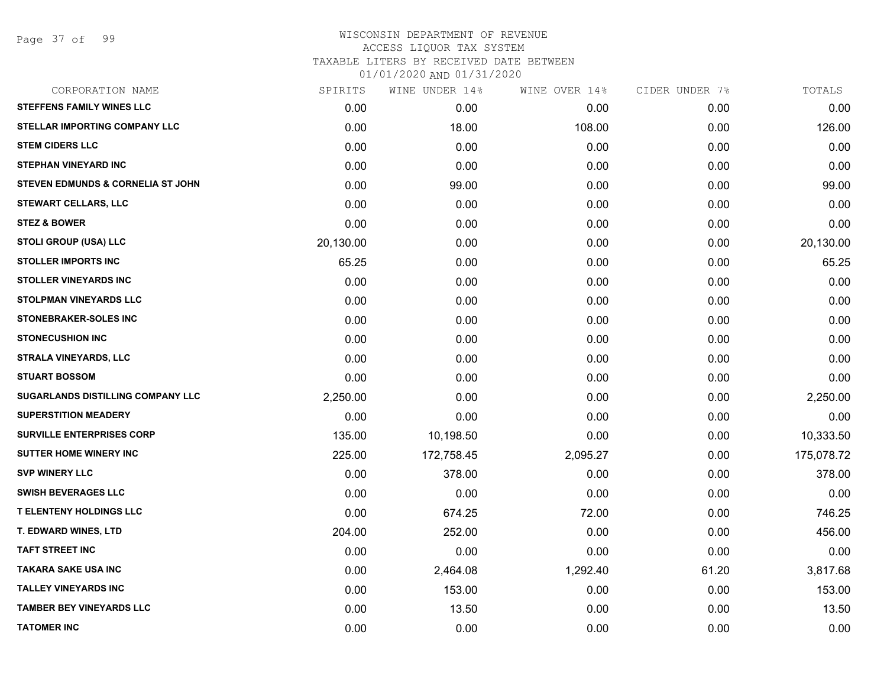Page 37 of 99

# WISCONSIN DEPARTMENT OF REVENUE ACCESS LIQUOR TAX SYSTEM TAXABLE LITERS BY RECEIVED DATE BETWEEN

| CORPORATION NAME                             | SPIRITS   | WINE UNDER 14% | WINE OVER 14% | CIDER UNDER 7% | TOTALS     |
|----------------------------------------------|-----------|----------------|---------------|----------------|------------|
| <b>STEFFENS FAMILY WINES LLC</b>             | 0.00      | 0.00           | 0.00          | 0.00           | 0.00       |
| <b>STELLAR IMPORTING COMPANY LLC</b>         | 0.00      | 18.00          | 108.00        | 0.00           | 126.00     |
| <b>STEM CIDERS LLC</b>                       | 0.00      | 0.00           | 0.00          | 0.00           | 0.00       |
| <b>STEPHAN VINEYARD INC</b>                  | 0.00      | 0.00           | 0.00          | 0.00           | 0.00       |
| <b>STEVEN EDMUNDS &amp; CORNELIA ST JOHN</b> | 0.00      | 99.00          | 0.00          | 0.00           | 99.00      |
| <b>STEWART CELLARS, LLC</b>                  | 0.00      | 0.00           | 0.00          | 0.00           | 0.00       |
| <b>STEZ &amp; BOWER</b>                      | 0.00      | 0.00           | 0.00          | 0.00           | 0.00       |
| <b>STOLI GROUP (USA) LLC</b>                 | 20,130.00 | 0.00           | 0.00          | 0.00           | 20,130.00  |
| <b>STOLLER IMPORTS INC</b>                   | 65.25     | 0.00           | 0.00          | 0.00           | 65.25      |
| <b>STOLLER VINEYARDS INC</b>                 | 0.00      | 0.00           | 0.00          | 0.00           | 0.00       |
| STOLPMAN VINEYARDS LLC                       | 0.00      | 0.00           | 0.00          | 0.00           | 0.00       |
| <b>STONEBRAKER-SOLES INC</b>                 | 0.00      | 0.00           | 0.00          | 0.00           | 0.00       |
| <b>STONECUSHION INC</b>                      | 0.00      | 0.00           | 0.00          | 0.00           | 0.00       |
| <b>STRALA VINEYARDS, LLC</b>                 | 0.00      | 0.00           | 0.00          | 0.00           | 0.00       |
| <b>STUART BOSSOM</b>                         | 0.00      | 0.00           | 0.00          | 0.00           | 0.00       |
| SUGARLANDS DISTILLING COMPANY LLC            | 2,250.00  | 0.00           | 0.00          | 0.00           | 2,250.00   |
| <b>SUPERSTITION MEADERY</b>                  | 0.00      | 0.00           | 0.00          | 0.00           | 0.00       |
| <b>SURVILLE ENTERPRISES CORP</b>             | 135.00    | 10,198.50      | 0.00          | 0.00           | 10,333.50  |
| <b>SUTTER HOME WINERY INC</b>                | 225.00    | 172,758.45     | 2,095.27      | 0.00           | 175,078.72 |
| <b>SVP WINERY LLC</b>                        | 0.00      | 378.00         | 0.00          | 0.00           | 378.00     |
| <b>SWISH BEVERAGES LLC</b>                   | 0.00      | 0.00           | 0.00          | 0.00           | 0.00       |
| <b>T ELENTENY HOLDINGS LLC</b>               | 0.00      | 674.25         | 72.00         | 0.00           | 746.25     |
| T. EDWARD WINES, LTD                         | 204.00    | 252.00         | 0.00          | 0.00           | 456.00     |
| <b>TAFT STREET INC</b>                       | 0.00      | 0.00           | 0.00          | 0.00           | 0.00       |
| <b>TAKARA SAKE USA INC</b>                   | 0.00      | 2,464.08       | 1,292.40      | 61.20          | 3,817.68   |
| <b>TALLEY VINEYARDS INC</b>                  | 0.00      | 153.00         | 0.00          | 0.00           | 153.00     |
| <b>TAMBER BEY VINEYARDS LLC</b>              | 0.00      | 13.50          | 0.00          | 0.00           | 13.50      |
| <b>TATOMER INC</b>                           | 0.00      | 0.00           | 0.00          | 0.00           | 0.00       |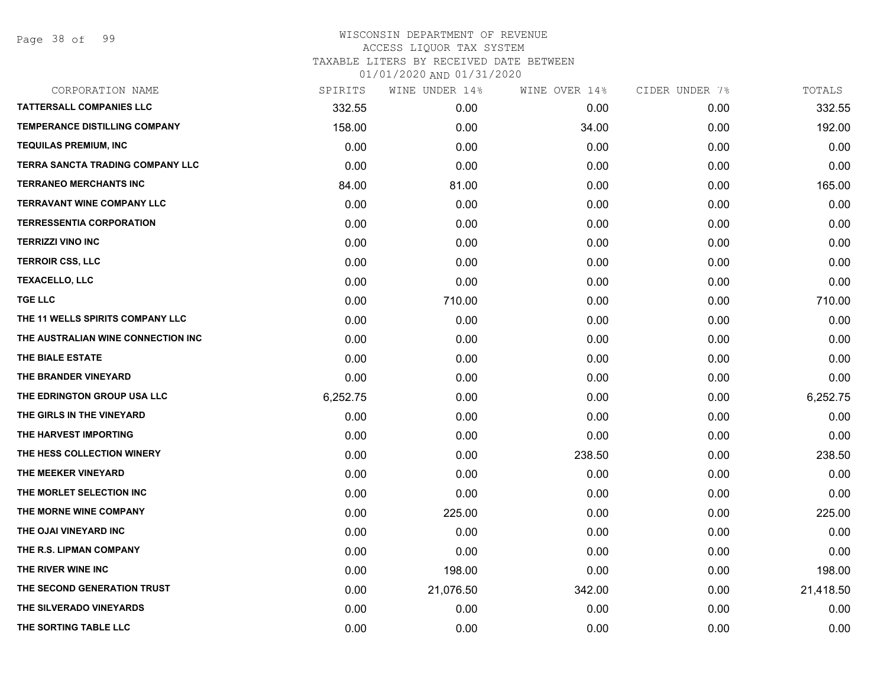| CORPORATION NAME                   | SPIRITS  | WINE UNDER 14% | WINE OVER 14% | CIDER UNDER 7% | TOTALS    |
|------------------------------------|----------|----------------|---------------|----------------|-----------|
| <b>TATTERSALL COMPANIES LLC</b>    | 332.55   | 0.00           | 0.00          | 0.00           | 332.55    |
| TEMPERANCE DISTILLING COMPANY      | 158.00   | 0.00           | 34.00         | 0.00           | 192.00    |
| <b>TEQUILAS PREMIUM, INC</b>       | 0.00     | 0.00           | 0.00          | 0.00           | 0.00      |
| TERRA SANCTA TRADING COMPANY LLC   | 0.00     | 0.00           | 0.00          | 0.00           | 0.00      |
| <b>TERRANEO MERCHANTS INC</b>      | 84.00    | 81.00          | 0.00          | 0.00           | 165.00    |
| <b>TERRAVANT WINE COMPANY LLC</b>  | 0.00     | 0.00           | 0.00          | 0.00           | 0.00      |
| <b>TERRESSENTIA CORPORATION</b>    | 0.00     | 0.00           | 0.00          | 0.00           | 0.00      |
| <b>TERRIZZI VINO INC</b>           | 0.00     | 0.00           | 0.00          | 0.00           | 0.00      |
| <b>TERROIR CSS, LLC</b>            | 0.00     | 0.00           | 0.00          | 0.00           | 0.00      |
| <b>TEXACELLO, LLC</b>              | 0.00     | 0.00           | 0.00          | 0.00           | 0.00      |
| <b>TGE LLC</b>                     | 0.00     | 710.00         | 0.00          | 0.00           | 710.00    |
| THE 11 WELLS SPIRITS COMPANY LLC   | 0.00     | 0.00           | 0.00          | 0.00           | 0.00      |
| THE AUSTRALIAN WINE CONNECTION INC | 0.00     | 0.00           | 0.00          | 0.00           | 0.00      |
| THE BIALE ESTATE                   | 0.00     | 0.00           | 0.00          | 0.00           | 0.00      |
| THE BRANDER VINEYARD               | 0.00     | 0.00           | 0.00          | 0.00           | 0.00      |
| THE EDRINGTON GROUP USA LLC        | 6,252.75 | 0.00           | 0.00          | 0.00           | 6,252.75  |
| THE GIRLS IN THE VINEYARD          | 0.00     | 0.00           | 0.00          | 0.00           | 0.00      |
| THE HARVEST IMPORTING              | 0.00     | 0.00           | 0.00          | 0.00           | 0.00      |
| THE HESS COLLECTION WINERY         | 0.00     | 0.00           | 238.50        | 0.00           | 238.50    |
| THE MEEKER VINEYARD                | 0.00     | 0.00           | 0.00          | 0.00           | 0.00      |
| THE MORLET SELECTION INC           | 0.00     | 0.00           | 0.00          | 0.00           | 0.00      |
| THE MORNE WINE COMPANY             | 0.00     | 225.00         | 0.00          | 0.00           | 225.00    |
| THE OJAI VINEYARD INC              | 0.00     | 0.00           | 0.00          | 0.00           | 0.00      |
| THE R.S. LIPMAN COMPANY            | 0.00     | 0.00           | 0.00          | 0.00           | 0.00      |
| THE RIVER WINE INC                 | 0.00     | 198.00         | 0.00          | 0.00           | 198.00    |
| THE SECOND GENERATION TRUST        | 0.00     | 21,076.50      | 342.00        | 0.00           | 21,418.50 |
| THE SILVERADO VINEYARDS            | 0.00     | 0.00           | 0.00          | 0.00           | 0.00      |
| THE SORTING TABLE LLC              | 0.00     | 0.00           | 0.00          | 0.00           | 0.00      |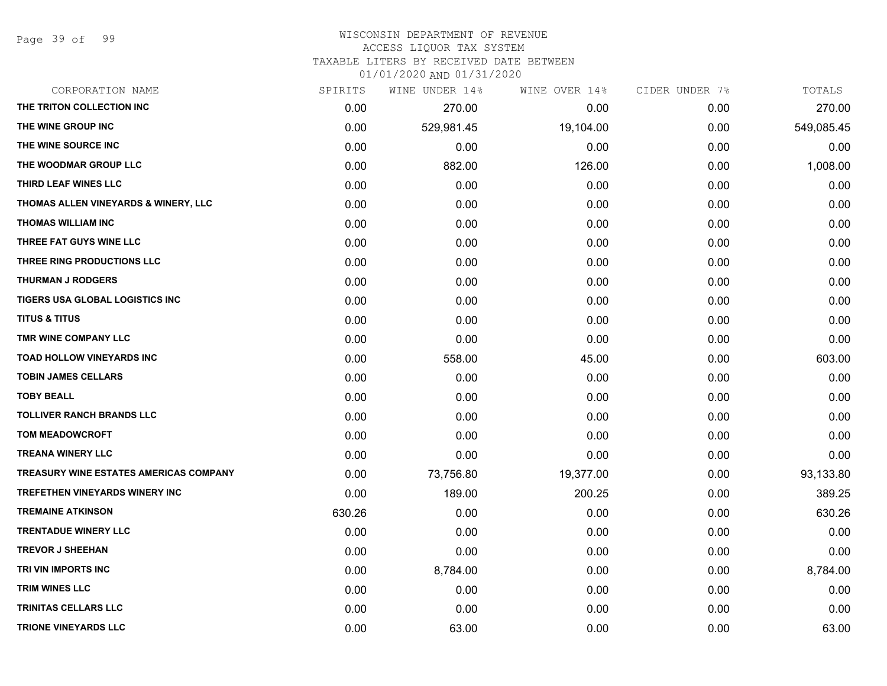# WISCONSIN DEPARTMENT OF REVENUE

ACCESS LIQUOR TAX SYSTEM

TAXABLE LITERS BY RECEIVED DATE BETWEEN

| CORPORATION NAME                              | SPIRITS | WINE UNDER 14% | WINE OVER 14% | CIDER UNDER 7% | TOTALS     |
|-----------------------------------------------|---------|----------------|---------------|----------------|------------|
| THE TRITON COLLECTION INC                     | 0.00    | 270.00         | 0.00          | 0.00           | 270.00     |
| THE WINE GROUP INC                            | 0.00    | 529,981.45     | 19,104.00     | 0.00           | 549,085.45 |
| THE WINE SOURCE INC                           | 0.00    | 0.00           | 0.00          | 0.00           | 0.00       |
| THE WOODMAR GROUP LLC                         | 0.00    | 882.00         | 126.00        | 0.00           | 1,008.00   |
| THIRD LEAF WINES LLC                          | 0.00    | 0.00           | 0.00          | 0.00           | 0.00       |
| THOMAS ALLEN VINEYARDS & WINERY, LLC          | 0.00    | 0.00           | 0.00          | 0.00           | 0.00       |
| THOMAS WILLIAM INC                            | 0.00    | 0.00           | 0.00          | 0.00           | 0.00       |
| THREE FAT GUYS WINE LLC                       | 0.00    | 0.00           | 0.00          | 0.00           | 0.00       |
| THREE RING PRODUCTIONS LLC                    | 0.00    | 0.00           | 0.00          | 0.00           | 0.00       |
| <b>THURMAN J RODGERS</b>                      | 0.00    | 0.00           | 0.00          | 0.00           | 0.00       |
| TIGERS USA GLOBAL LOGISTICS INC               | 0.00    | 0.00           | 0.00          | 0.00           | 0.00       |
| <b>TITUS &amp; TITUS</b>                      | 0.00    | 0.00           | 0.00          | 0.00           | 0.00       |
| TMR WINE COMPANY LLC                          | 0.00    | 0.00           | 0.00          | 0.00           | 0.00       |
| <b>TOAD HOLLOW VINEYARDS INC</b>              | 0.00    | 558.00         | 45.00         | 0.00           | 603.00     |
| <b>TOBIN JAMES CELLARS</b>                    | 0.00    | 0.00           | 0.00          | 0.00           | 0.00       |
| <b>TOBY BEALL</b>                             | 0.00    | 0.00           | 0.00          | 0.00           | 0.00       |
| <b>TOLLIVER RANCH BRANDS LLC</b>              | 0.00    | 0.00           | 0.00          | 0.00           | 0.00       |
| <b>TOM MEADOWCROFT</b>                        | 0.00    | 0.00           | 0.00          | 0.00           | 0.00       |
| <b>TREANA WINERY LLC</b>                      | 0.00    | 0.00           | 0.00          | 0.00           | 0.00       |
| <b>TREASURY WINE ESTATES AMERICAS COMPANY</b> | 0.00    | 73,756.80      | 19,377.00     | 0.00           | 93,133.80  |
| TREFETHEN VINEYARDS WINERY INC                | 0.00    | 189.00         | 200.25        | 0.00           | 389.25     |
| <b>TREMAINE ATKINSON</b>                      | 630.26  | 0.00           | 0.00          | 0.00           | 630.26     |
| <b>TRENTADUE WINERY LLC</b>                   | 0.00    | 0.00           | 0.00          | 0.00           | 0.00       |
| <b>TREVOR J SHEEHAN</b>                       | 0.00    | 0.00           | 0.00          | 0.00           | 0.00       |
| TRI VIN IMPORTS INC                           | 0.00    | 8,784.00       | 0.00          | 0.00           | 8,784.00   |
| <b>TRIM WINES LLC</b>                         | 0.00    | 0.00           | 0.00          | 0.00           | 0.00       |
| TRINITAS CELLARS LLC                          | 0.00    | 0.00           | 0.00          | 0.00           | 0.00       |
| <b>TRIONE VINEYARDS LLC</b>                   | 0.00    | 63.00          | 0.00          | 0.00           | 63.00      |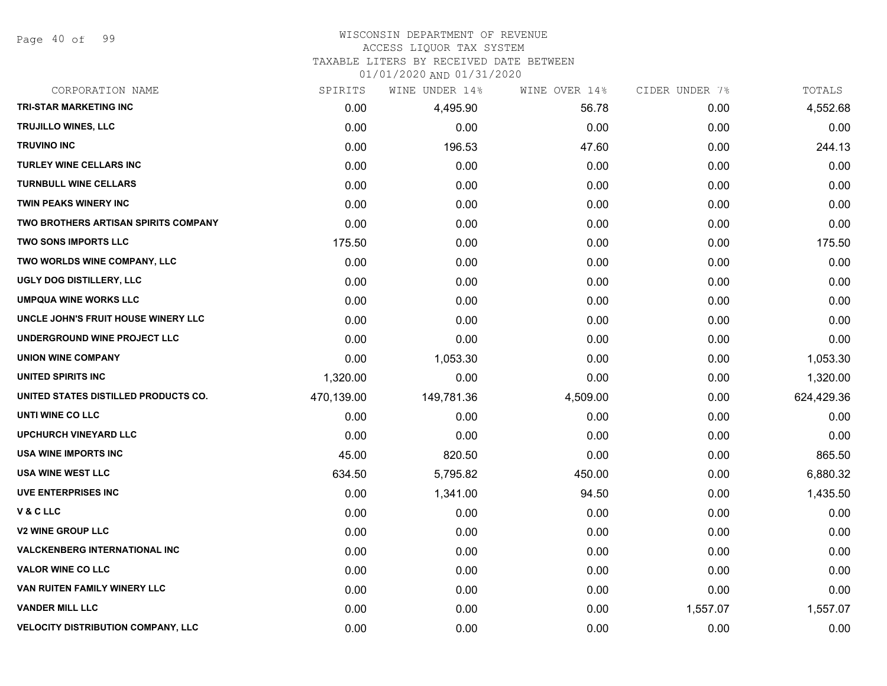#### WISCONSIN DEPARTMENT OF REVENUE ACCESS LIQUOR TAX SYSTEM

TAXABLE LITERS BY RECEIVED DATE BETWEEN

| CORPORATION NAME                          | SPIRITS    | WINE UNDER 14% | WINE OVER 14% | CIDER UNDER 7% | TOTALS     |
|-------------------------------------------|------------|----------------|---------------|----------------|------------|
| <b>TRI-STAR MARKETING INC</b>             | 0.00       | 4,495.90       | 56.78         | 0.00           | 4,552.68   |
| <b>TRUJILLO WINES, LLC</b>                | 0.00       | 0.00           | 0.00          | 0.00           | 0.00       |
| <b>TRUVINO INC</b>                        | 0.00       | 196.53         | 47.60         | 0.00           | 244.13     |
| <b>TURLEY WINE CELLARS INC</b>            | 0.00       | 0.00           | 0.00          | 0.00           | 0.00       |
| <b>TURNBULL WINE CELLARS</b>              | 0.00       | 0.00           | 0.00          | 0.00           | 0.00       |
| <b>TWIN PEAKS WINERY INC</b>              | 0.00       | 0.00           | 0.00          | 0.00           | 0.00       |
| TWO BROTHERS ARTISAN SPIRITS COMPANY      | 0.00       | 0.00           | 0.00          | 0.00           | 0.00       |
| <b>TWO SONS IMPORTS LLC</b>               | 175.50     | 0.00           | 0.00          | 0.00           | 175.50     |
| TWO WORLDS WINE COMPANY, LLC              | 0.00       | 0.00           | 0.00          | 0.00           | 0.00       |
| UGLY DOG DISTILLERY, LLC                  | 0.00       | 0.00           | 0.00          | 0.00           | 0.00       |
| <b>UMPQUA WINE WORKS LLC</b>              | 0.00       | 0.00           | 0.00          | 0.00           | 0.00       |
| UNCLE JOHN'S FRUIT HOUSE WINERY LLC       | 0.00       | 0.00           | 0.00          | 0.00           | 0.00       |
| UNDERGROUND WINE PROJECT LLC              | 0.00       | 0.00           | 0.00          | 0.00           | 0.00       |
| <b>UNION WINE COMPANY</b>                 | 0.00       | 1,053.30       | 0.00          | 0.00           | 1,053.30   |
| <b>UNITED SPIRITS INC</b>                 | 1,320.00   | 0.00           | 0.00          | 0.00           | 1,320.00   |
| UNITED STATES DISTILLED PRODUCTS CO.      | 470,139.00 | 149,781.36     | 4,509.00      | 0.00           | 624,429.36 |
| UNTI WINE CO LLC                          | 0.00       | 0.00           | 0.00          | 0.00           | 0.00       |
| <b>UPCHURCH VINEYARD LLC</b>              | 0.00       | 0.00           | 0.00          | 0.00           | 0.00       |
| <b>USA WINE IMPORTS INC</b>               | 45.00      | 820.50         | 0.00          | 0.00           | 865.50     |
| USA WINE WEST LLC                         | 634.50     | 5,795.82       | 450.00        | 0.00           | 6,880.32   |
| UVE ENTERPRISES INC                       | 0.00       | 1,341.00       | 94.50         | 0.00           | 1,435.50   |
| V&CLLC                                    | 0.00       | 0.00           | 0.00          | 0.00           | 0.00       |
| <b>V2 WINE GROUP LLC</b>                  | 0.00       | 0.00           | 0.00          | 0.00           | 0.00       |
| <b>VALCKENBERG INTERNATIONAL INC</b>      | 0.00       | 0.00           | 0.00          | 0.00           | 0.00       |
| <b>VALOR WINE CO LLC</b>                  | 0.00       | 0.00           | 0.00          | 0.00           | 0.00       |
| VAN RUITEN FAMILY WINERY LLC              | 0.00       | 0.00           | 0.00          | 0.00           | 0.00       |
| <b>VANDER MILL LLC</b>                    | 0.00       | 0.00           | 0.00          | 1,557.07       | 1,557.07   |
| <b>VELOCITY DISTRIBUTION COMPANY, LLC</b> | 0.00       | 0.00           | 0.00          | 0.00           | 0.00       |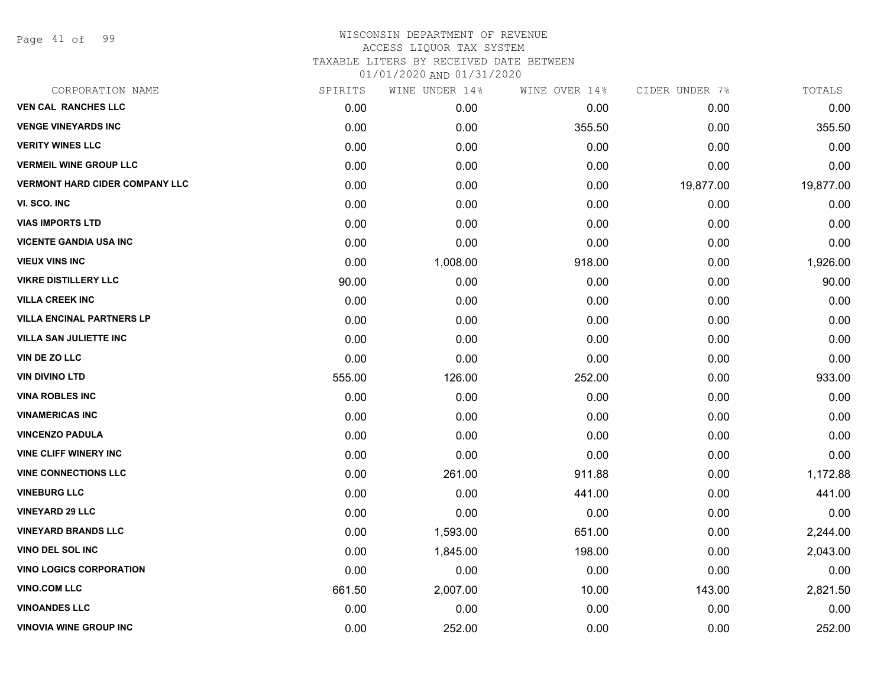Page 41 of 99

# WISCONSIN DEPARTMENT OF REVENUE ACCESS LIQUOR TAX SYSTEM TAXABLE LITERS BY RECEIVED DATE BETWEEN

| CORPORATION NAME                      | SPIRITS | WINE UNDER 14% | WINE OVER 14% | CIDER UNDER 7% | TOTALS    |
|---------------------------------------|---------|----------------|---------------|----------------|-----------|
| <b>VEN CAL RANCHES LLC</b>            | 0.00    | 0.00           | 0.00          | 0.00           | 0.00      |
| <b>VENGE VINEYARDS INC</b>            | 0.00    | 0.00           | 355.50        | 0.00           | 355.50    |
| <b>VERITY WINES LLC</b>               | 0.00    | 0.00           | 0.00          | 0.00           | 0.00      |
| <b>VERMEIL WINE GROUP LLC</b>         | 0.00    | 0.00           | 0.00          | 0.00           | 0.00      |
| <b>VERMONT HARD CIDER COMPANY LLC</b> | 0.00    | 0.00           | 0.00          | 19,877.00      | 19,877.00 |
| VI. SCO. INC                          | 0.00    | 0.00           | 0.00          | 0.00           | 0.00      |
| <b>VIAS IMPORTS LTD</b>               | 0.00    | 0.00           | 0.00          | 0.00           | 0.00      |
| <b>VICENTE GANDIA USA INC</b>         | 0.00    | 0.00           | 0.00          | 0.00           | 0.00      |
| <b>VIEUX VINS INC</b>                 | 0.00    | 1,008.00       | 918.00        | 0.00           | 1,926.00  |
| <b>VIKRE DISTILLERY LLC</b>           | 90.00   | 0.00           | 0.00          | 0.00           | 90.00     |
| <b>VILLA CREEK INC</b>                | 0.00    | 0.00           | 0.00          | 0.00           | 0.00      |
| <b>VILLA ENCINAL PARTNERS LP</b>      | 0.00    | 0.00           | 0.00          | 0.00           | 0.00      |
| <b>VILLA SAN JULIETTE INC</b>         | 0.00    | 0.00           | 0.00          | 0.00           | 0.00      |
| VIN DE ZO LLC                         | 0.00    | 0.00           | 0.00          | 0.00           | 0.00      |
| <b>VIN DIVINO LTD</b>                 | 555.00  | 126.00         | 252.00        | 0.00           | 933.00    |
| <b>VINA ROBLES INC</b>                | 0.00    | 0.00           | 0.00          | 0.00           | 0.00      |
| <b>VINAMERICAS INC</b>                | 0.00    | 0.00           | 0.00          | 0.00           | 0.00      |
| <b>VINCENZO PADULA</b>                | 0.00    | 0.00           | 0.00          | 0.00           | 0.00      |
| <b>VINE CLIFF WINERY INC</b>          | 0.00    | 0.00           | 0.00          | 0.00           | 0.00      |
| <b>VINE CONNECTIONS LLC</b>           | 0.00    | 261.00         | 911.88        | 0.00           | 1,172.88  |
| <b>VINEBURG LLC</b>                   | 0.00    | 0.00           | 441.00        | 0.00           | 441.00    |
| <b>VINEYARD 29 LLC</b>                | 0.00    | 0.00           | 0.00          | 0.00           | 0.00      |
| <b>VINEYARD BRANDS LLC</b>            | 0.00    | 1,593.00       | 651.00        | 0.00           | 2,244.00  |
| VINO DEL SOL INC                      | 0.00    | 1,845.00       | 198.00        | 0.00           | 2,043.00  |
| <b>VINO LOGICS CORPORATION</b>        | 0.00    | 0.00           | 0.00          | 0.00           | 0.00      |
| <b>VINO.COM LLC</b>                   | 661.50  | 2,007.00       | 10.00         | 143.00         | 2,821.50  |
| <b>VINOANDES LLC</b>                  | 0.00    | 0.00           | 0.00          | 0.00           | 0.00      |
| <b>VINOVIA WINE GROUP INC</b>         | 0.00    | 252.00         | 0.00          | 0.00           | 252.00    |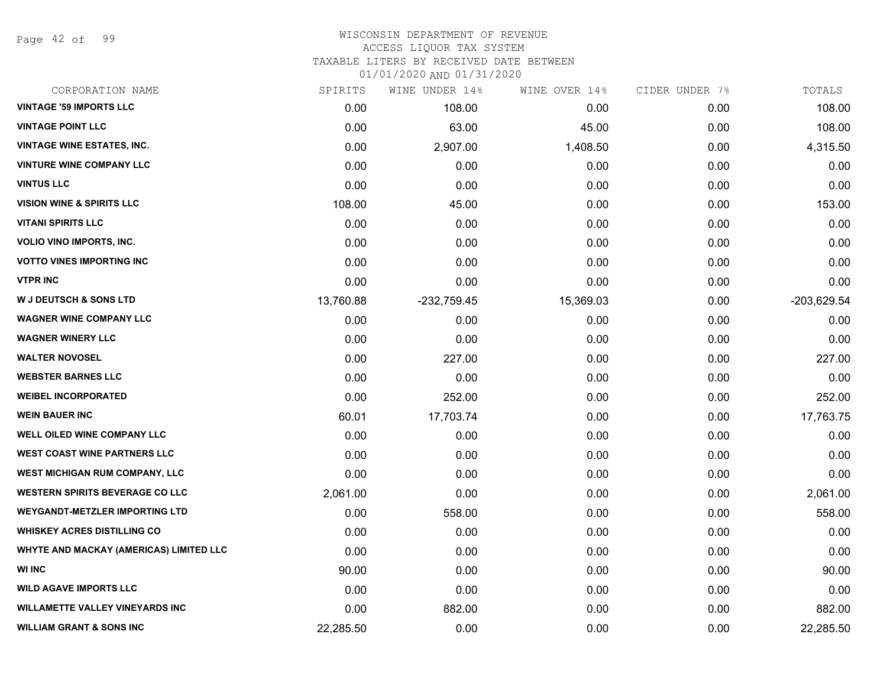Page 42 of 99

#### WISCONSIN DEPARTMENT OF REVENUE ACCESS LIQUOR TAX SYSTEM TAXABLE LITERS BY RECEIVED DATE BETWEEN

| CORPORATION NAME                        | SPIRITS   | WINE UNDER 14% | WINE OVER 14% | CIDER UNDER 7% | TOTALS      |
|-----------------------------------------|-----------|----------------|---------------|----------------|-------------|
| <b>VINTAGE '59 IMPORTS LLC</b>          | 0.00      | 108.00         | 0.00          | 0.00           | 108.00      |
| <b>VINTAGE POINT LLC</b>                | 0.00      | 63.00          | 45.00         | 0.00           | 108.00      |
| <b>VINTAGE WINE ESTATES, INC.</b>       | 0.00      | 2,907.00       | 1,408.50      | 0.00           | 4,315.50    |
| <b>VINTURE WINE COMPANY LLC</b>         | 0.00      | 0.00           | 0.00          | 0.00           | 0.00        |
| <b>VINTUS LLC</b>                       | 0.00      | 0.00           | 0.00          | 0.00           | 0.00        |
| <b>VISION WINE &amp; SPIRITS LLC</b>    | 108.00    | 45.00          | 0.00          | 0.00           | 153.00      |
| <b>VITANI SPIRITS LLC</b>               | 0.00      | 0.00           | 0.00          | 0.00           | 0.00        |
| <b>VOLIO VINO IMPORTS, INC.</b>         | 0.00      | 0.00           | 0.00          | 0.00           | 0.00        |
| <b>VOTTO VINES IMPORTING INC</b>        | 0.00      | 0.00           | 0.00          | 0.00           | 0.00        |
| <b>VTPR INC</b>                         | 0.00      | 0.00           | 0.00          | 0.00           | 0.00        |
| <b>W J DEUTSCH &amp; SONS LTD</b>       | 13,760.88 | $-232,759.45$  | 15,369.03     | 0.00           | -203,629.54 |
| <b>WAGNER WINE COMPANY LLC</b>          | 0.00      | 0.00           | 0.00          | 0.00           | 0.00        |
| <b>WAGNER WINERY LLC</b>                | 0.00      | 0.00           | 0.00          | 0.00           | 0.00        |
| <b>WALTER NOVOSEL</b>                   | 0.00      | 227.00         | 0.00          | 0.00           | 227.00      |
| <b>WEBSTER BARNES LLC</b>               | 0.00      | 0.00           | 0.00          | 0.00           | 0.00        |
| <b>WEIBEL INCORPORATED</b>              | 0.00      | 252.00         | 0.00          | 0.00           | 252.00      |
| <b>WEIN BAUER INC</b>                   | 60.01     | 17,703.74      | 0.00          | 0.00           | 17,763.75   |
| WELL OILED WINE COMPANY LLC             | 0.00      | 0.00           | 0.00          | 0.00           | 0.00        |
| <b>WEST COAST WINE PARTNERS LLC</b>     | 0.00      | 0.00           | 0.00          | 0.00           | 0.00        |
| <b>WEST MICHIGAN RUM COMPANY, LLC</b>   | 0.00      | 0.00           | 0.00          | 0.00           | 0.00        |
| <b>WESTERN SPIRITS BEVERAGE CO LLC</b>  | 2,061.00  | 0.00           | 0.00          | 0.00           | 2,061.00    |
| <b>WEYGANDT-METZLER IMPORTING LTD</b>   | 0.00      | 558.00         | 0.00          | 0.00           | 558.00      |
| <b>WHISKEY ACRES DISTILLING CO</b>      | 0.00      | 0.00           | 0.00          | 0.00           | 0.00        |
| WHYTE AND MACKAY (AMERICAS) LIMITED LLC | 0.00      | 0.00           | 0.00          | 0.00           | 0.00        |
| <b>WI INC</b>                           | 90.00     | 0.00           | 0.00          | 0.00           | 90.00       |
| <b>WILD AGAVE IMPORTS LLC</b>           | 0.00      | 0.00           | 0.00          | 0.00           | 0.00        |
| <b>WILLAMETTE VALLEY VINEYARDS INC</b>  | 0.00      | 882.00         | 0.00          | 0.00           | 882.00      |
| <b>WILLIAM GRANT &amp; SONS INC</b>     | 22,285.50 | 0.00           | 0.00          | 0.00           | 22,285.50   |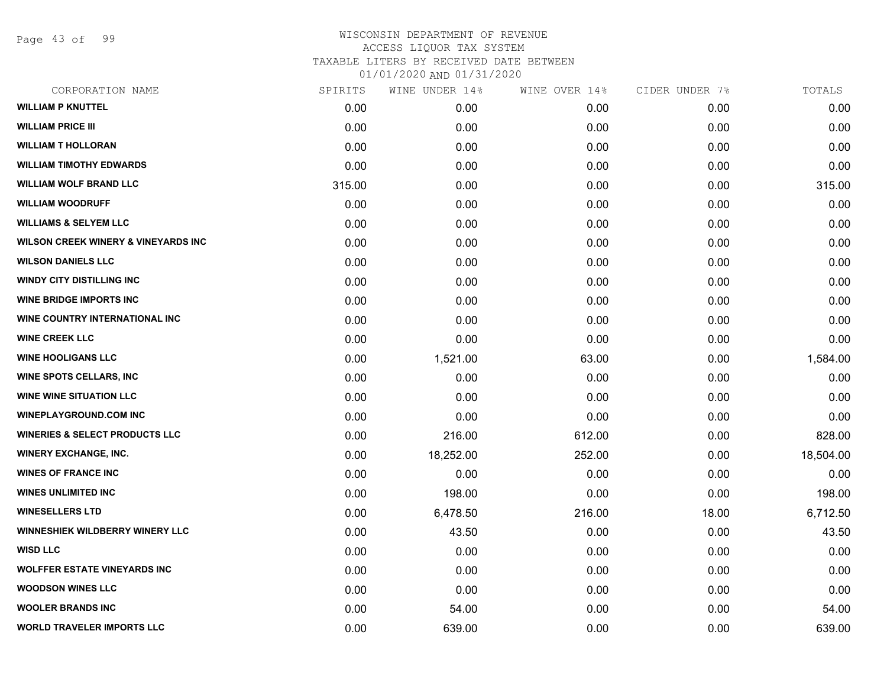Page 43 of 99

| CORPORATION NAME                               | SPIRITS | WINE UNDER 14% | WINE OVER 14% | CIDER UNDER 7% | TOTALS    |
|------------------------------------------------|---------|----------------|---------------|----------------|-----------|
| <b>WILLIAM P KNUTTEL</b>                       | 0.00    | 0.00           | 0.00          | 0.00           | 0.00      |
| <b>WILLIAM PRICE III</b>                       | 0.00    | 0.00           | 0.00          | 0.00           | 0.00      |
| <b>WILLIAM T HOLLORAN</b>                      | 0.00    | 0.00           | 0.00          | 0.00           | 0.00      |
| <b>WILLIAM TIMOTHY EDWARDS</b>                 | 0.00    | 0.00           | 0.00          | 0.00           | 0.00      |
| <b>WILLIAM WOLF BRAND LLC</b>                  | 315.00  | 0.00           | 0.00          | 0.00           | 315.00    |
| <b>WILLIAM WOODRUFF</b>                        | 0.00    | 0.00           | 0.00          | 0.00           | 0.00      |
| <b>WILLIAMS &amp; SELYEM LLC</b>               | 0.00    | 0.00           | 0.00          | 0.00           | 0.00      |
| <b>WILSON CREEK WINERY &amp; VINEYARDS INC</b> | 0.00    | 0.00           | 0.00          | 0.00           | 0.00      |
| <b>WILSON DANIELS LLC</b>                      | 0.00    | 0.00           | 0.00          | 0.00           | 0.00      |
| <b>WINDY CITY DISTILLING INC</b>               | 0.00    | 0.00           | 0.00          | 0.00           | 0.00      |
| <b>WINE BRIDGE IMPORTS INC</b>                 | 0.00    | 0.00           | 0.00          | 0.00           | 0.00      |
| WINE COUNTRY INTERNATIONAL INC                 | 0.00    | 0.00           | 0.00          | 0.00           | 0.00      |
| <b>WINE CREEK LLC</b>                          | 0.00    | 0.00           | 0.00          | 0.00           | 0.00      |
| <b>WINE HOOLIGANS LLC</b>                      | 0.00    | 1,521.00       | 63.00         | 0.00           | 1,584.00  |
| <b>WINE SPOTS CELLARS, INC</b>                 | 0.00    | 0.00           | 0.00          | 0.00           | 0.00      |
| <b>WINE WINE SITUATION LLC</b>                 | 0.00    | 0.00           | 0.00          | 0.00           | 0.00      |
| <b>WINEPLAYGROUND.COM INC</b>                  | 0.00    | 0.00           | 0.00          | 0.00           | 0.00      |
| <b>WINERIES &amp; SELECT PRODUCTS LLC</b>      | 0.00    | 216.00         | 612.00        | 0.00           | 828.00    |
| <b>WINERY EXCHANGE, INC.</b>                   | 0.00    | 18,252.00      | 252.00        | 0.00           | 18,504.00 |
| <b>WINES OF FRANCE INC</b>                     | 0.00    | 0.00           | 0.00          | 0.00           | 0.00      |
| <b>WINES UNLIMITED INC</b>                     | 0.00    | 198.00         | 0.00          | 0.00           | 198.00    |
| <b>WINESELLERS LTD</b>                         | 0.00    | 6,478.50       | 216.00        | 18.00          | 6,712.50  |
| <b>WINNESHIEK WILDBERRY WINERY LLC</b>         | 0.00    | 43.50          | 0.00          | 0.00           | 43.50     |
| <b>WISD LLC</b>                                | 0.00    | 0.00           | 0.00          | 0.00           | 0.00      |
| <b>WOLFFER ESTATE VINEYARDS INC</b>            | 0.00    | 0.00           | 0.00          | 0.00           | 0.00      |
| <b>WOODSON WINES LLC</b>                       | 0.00    | 0.00           | 0.00          | 0.00           | 0.00      |
| <b>WOOLER BRANDS INC</b>                       | 0.00    | 54.00          | 0.00          | 0.00           | 54.00     |
| <b>WORLD TRAVELER IMPORTS LLC</b>              | 0.00    | 639.00         | 0.00          | 0.00           | 639.00    |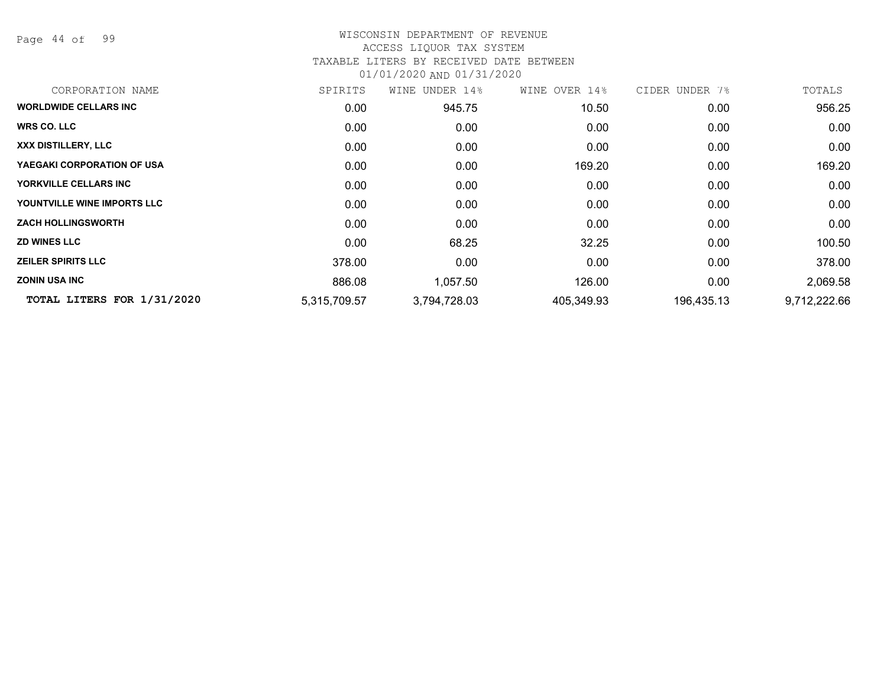Page 44 of 99

## WISCONSIN DEPARTMENT OF REVENUE ACCESS LIQUOR TAX SYSTEM TAXABLE LITERS BY RECEIVED DATE BETWEEN

| CORPORATION NAME             | SPIRITS      | WINE UNDER 14% | WINE OVER 14% | CIDER UNDER 7% | TOTALS       |
|------------------------------|--------------|----------------|---------------|----------------|--------------|
| <b>WORLDWIDE CELLARS INC</b> | 0.00         | 945.75         | 10.50         | 0.00           | 956.25       |
| <b>WRS CO. LLC</b>           | 0.00         | 0.00           | 0.00          | 0.00           | 0.00         |
| XXX DISTILLERY, LLC          | 0.00         | 0.00           | 0.00          | 0.00           | 0.00         |
| YAEGAKI CORPORATION OF USA   | 0.00         | 0.00           | 169.20        | 0.00           | 169.20       |
| YORKVILLE CELLARS INC        | 0.00         | 0.00           | 0.00          | 0.00           | 0.00         |
| YOUNTVILLE WINE IMPORTS LLC  | 0.00         | 0.00           | 0.00          | 0.00           | 0.00         |
| <b>ZACH HOLLINGSWORTH</b>    | 0.00         | 0.00           | 0.00          | 0.00           | 0.00         |
| <b>ZD WINES LLC</b>          | 0.00         | 68.25          | 32.25         | 0.00           | 100.50       |
| <b>ZEILER SPIRITS LLC</b>    | 378.00       | 0.00           | 0.00          | 0.00           | 378.00       |
| <b>ZONIN USA INC</b>         | 886.08       | 1,057.50       | 126.00        | 0.00           | 2,069.58     |
| TOTAL LITERS FOR 1/31/2020   | 5,315,709.57 | 3,794,728.03   | 405,349.93    | 196,435.13     | 9,712,222.66 |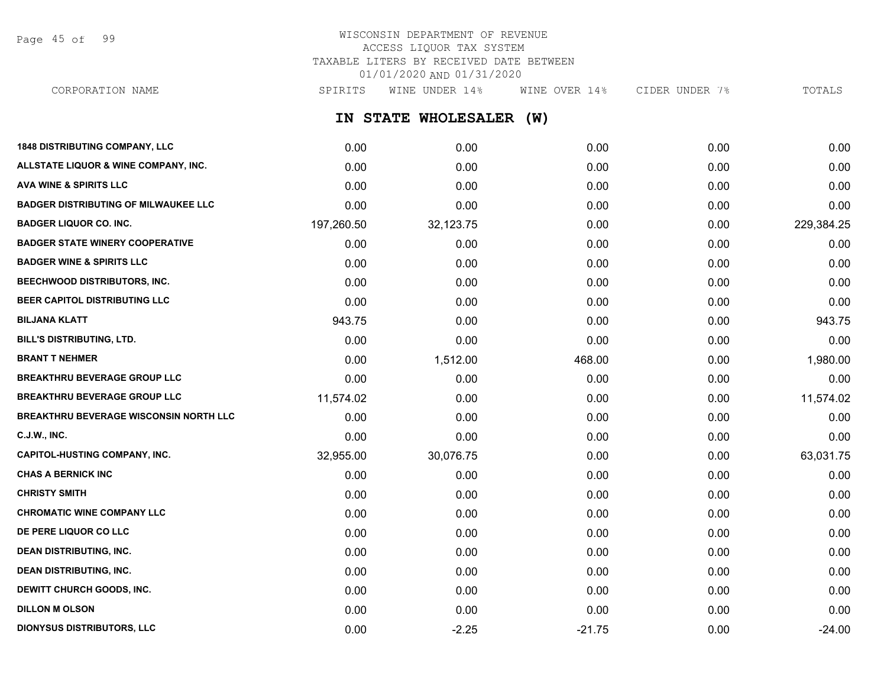Page 45 of 99

# WISCONSIN DEPARTMENT OF REVENUE ACCESS LIQUOR TAX SYSTEM TAXABLE LITERS BY RECEIVED DATE BETWEEN 01/01/2020 AND 01/31/2020

CORPORATION NAME SPIRITS WINE UNDER 14% WINE OVER 14% CIDER UNDER 7% TOTALS

**IN STATE WHOLESALER (W)**

| <b>1848 DISTRIBUTING COMPANY, LLC</b>       | 0.00       | 0.00      | 0.00     | 0.00 | 0.00       |
|---------------------------------------------|------------|-----------|----------|------|------------|
| ALLSTATE LIQUOR & WINE COMPANY, INC.        | 0.00       | 0.00      | 0.00     | 0.00 | 0.00       |
| <b>AVA WINE &amp; SPIRITS LLC</b>           | 0.00       | 0.00      | 0.00     | 0.00 | 0.00       |
| <b>BADGER DISTRIBUTING OF MILWAUKEE LLC</b> | 0.00       | 0.00      | 0.00     | 0.00 | 0.00       |
| <b>BADGER LIQUOR CO. INC.</b>               | 197,260.50 | 32,123.75 | 0.00     | 0.00 | 229,384.25 |
| <b>BADGER STATE WINERY COOPERATIVE</b>      | 0.00       | 0.00      | 0.00     | 0.00 | 0.00       |
| <b>BADGER WINE &amp; SPIRITS LLC</b>        | 0.00       | 0.00      | 0.00     | 0.00 | 0.00       |
| BEECHWOOD DISTRIBUTORS, INC.                | 0.00       | 0.00      | 0.00     | 0.00 | 0.00       |
| BEER CAPITOL DISTRIBUTING LLC               | 0.00       | 0.00      | 0.00     | 0.00 | 0.00       |
| <b>BILJANA KLATT</b>                        | 943.75     | 0.00      | 0.00     | 0.00 | 943.75     |
| BILL'S DISTRIBUTING, LTD.                   | 0.00       | 0.00      | 0.00     | 0.00 | 0.00       |
| <b>BRANT T NEHMER</b>                       | 0.00       | 1,512.00  | 468.00   | 0.00 | 1,980.00   |
| <b>BREAKTHRU BEVERAGE GROUP LLC</b>         | 0.00       | 0.00      | 0.00     | 0.00 | 0.00       |
| <b>BREAKTHRU BEVERAGE GROUP LLC</b>         | 11,574.02  | 0.00      | 0.00     | 0.00 | 11,574.02  |
| BREAKTHRU BEVERAGE WISCONSIN NORTH LLC      | 0.00       | 0.00      | 0.00     | 0.00 | 0.00       |
| <b>C.J.W., INC.</b>                         | 0.00       | 0.00      | 0.00     | 0.00 | 0.00       |
| <b>CAPITOL-HUSTING COMPANY, INC.</b>        | 32,955.00  | 30,076.75 | 0.00     | 0.00 | 63,031.75  |
| <b>CHAS A BERNICK INC</b>                   | 0.00       | 0.00      | 0.00     | 0.00 | 0.00       |
| <b>CHRISTY SMITH</b>                        | 0.00       | 0.00      | 0.00     | 0.00 | 0.00       |
| <b>CHROMATIC WINE COMPANY LLC</b>           | 0.00       | 0.00      | 0.00     | 0.00 | 0.00       |
| DE PERE LIQUOR CO LLC                       | 0.00       | 0.00      | 0.00     | 0.00 | 0.00       |
| <b>DEAN DISTRIBUTING, INC.</b>              | 0.00       | 0.00      | 0.00     | 0.00 | 0.00       |
| <b>DEAN DISTRIBUTING, INC.</b>              | 0.00       | 0.00      | 0.00     | 0.00 | 0.00       |
| DEWITT CHURCH GOODS, INC.                   | 0.00       | 0.00      | 0.00     | 0.00 | 0.00       |
| <b>DILLON M OLSON</b>                       | 0.00       | 0.00      | 0.00     | 0.00 | 0.00       |
| <b>DIONYSUS DISTRIBUTORS, LLC</b>           | 0.00       | $-2.25$   | $-21.75$ | 0.00 | $-24.00$   |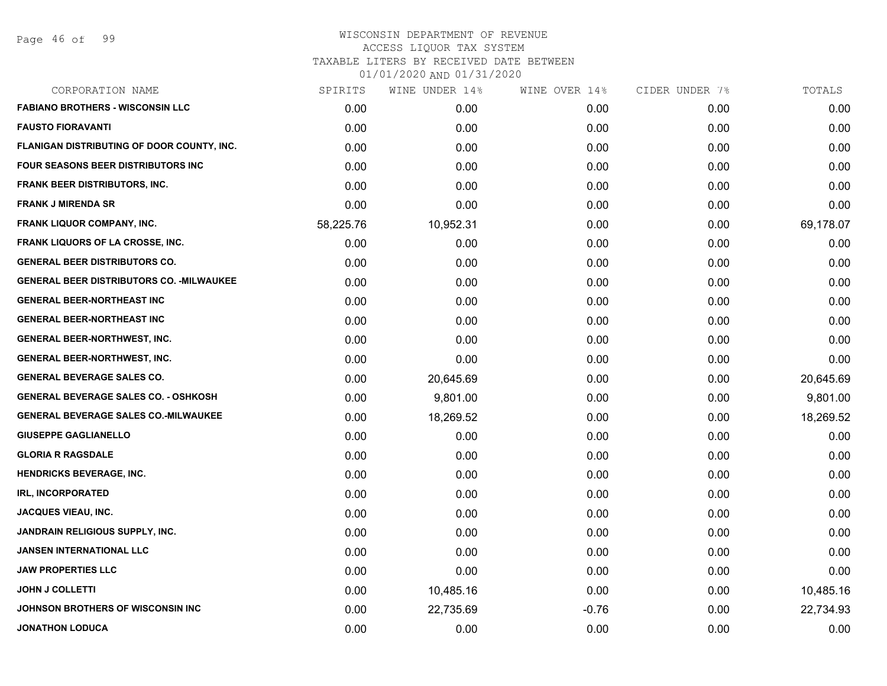| CORPORATION NAME                                 | SPIRITS   | WINE UNDER 14% | WINE OVER 14% | CIDER UNDER 7% | TOTALS    |
|--------------------------------------------------|-----------|----------------|---------------|----------------|-----------|
| <b>FABIANO BROTHERS - WISCONSIN LLC</b>          | 0.00      | 0.00           | 0.00          | 0.00           | 0.00      |
| <b>FAUSTO FIORAVANTI</b>                         | 0.00      | 0.00           | 0.00          | 0.00           | 0.00      |
| FLANIGAN DISTRIBUTING OF DOOR COUNTY, INC.       | 0.00      | 0.00           | 0.00          | 0.00           | 0.00      |
| <b>FOUR SEASONS BEER DISTRIBUTORS INC.</b>       | 0.00      | 0.00           | 0.00          | 0.00           | 0.00      |
| <b>FRANK BEER DISTRIBUTORS, INC.</b>             | 0.00      | 0.00           | 0.00          | 0.00           | 0.00      |
| <b>FRANK J MIRENDA SR</b>                        | 0.00      | 0.00           | 0.00          | 0.00           | 0.00      |
| FRANK LIQUOR COMPANY, INC.                       | 58,225.76 | 10,952.31      | 0.00          | 0.00           | 69,178.07 |
| <b>FRANK LIQUORS OF LA CROSSE, INC.</b>          | 0.00      | 0.00           | 0.00          | 0.00           | 0.00      |
| <b>GENERAL BEER DISTRIBUTORS CO.</b>             | 0.00      | 0.00           | 0.00          | 0.00           | 0.00      |
| <b>GENERAL BEER DISTRIBUTORS CO. - MILWAUKEE</b> | 0.00      | 0.00           | 0.00          | 0.00           | 0.00      |
| <b>GENERAL BEER-NORTHEAST INC</b>                | 0.00      | 0.00           | 0.00          | 0.00           | 0.00      |
| <b>GENERAL BEER-NORTHEAST INC</b>                | 0.00      | 0.00           | 0.00          | 0.00           | 0.00      |
| <b>GENERAL BEER-NORTHWEST, INC.</b>              | 0.00      | 0.00           | 0.00          | 0.00           | 0.00      |
| <b>GENERAL BEER-NORTHWEST, INC.</b>              | 0.00      | 0.00           | 0.00          | 0.00           | 0.00      |
| <b>GENERAL BEVERAGE SALES CO.</b>                | 0.00      | 20,645.69      | 0.00          | 0.00           | 20,645.69 |
| <b>GENERAL BEVERAGE SALES CO. - OSHKOSH</b>      | 0.00      | 9,801.00       | 0.00          | 0.00           | 9,801.00  |
| <b>GENERAL BEVERAGE SALES CO.-MILWAUKEE</b>      | 0.00      | 18,269.52      | 0.00          | 0.00           | 18,269.52 |
| <b>GIUSEPPE GAGLIANELLO</b>                      | 0.00      | 0.00           | 0.00          | 0.00           | 0.00      |
| <b>GLORIA R RAGSDALE</b>                         | 0.00      | 0.00           | 0.00          | 0.00           | 0.00      |
| <b>HENDRICKS BEVERAGE, INC.</b>                  | 0.00      | 0.00           | 0.00          | 0.00           | 0.00      |
| <b>IRL, INCORPORATED</b>                         | 0.00      | 0.00           | 0.00          | 0.00           | 0.00      |
| <b>JACQUES VIEAU, INC.</b>                       | 0.00      | 0.00           | 0.00          | 0.00           | 0.00      |
| JANDRAIN RELIGIOUS SUPPLY, INC.                  | 0.00      | 0.00           | 0.00          | 0.00           | 0.00      |
| <b>JANSEN INTERNATIONAL LLC</b>                  | 0.00      | 0.00           | 0.00          | 0.00           | 0.00      |
| <b>JAW PROPERTIES LLC</b>                        | 0.00      | 0.00           | 0.00          | 0.00           | 0.00      |
| <b>JOHN J COLLETTI</b>                           | 0.00      | 10,485.16      | 0.00          | 0.00           | 10,485.16 |
| JOHNSON BROTHERS OF WISCONSIN INC                | 0.00      | 22,735.69      | $-0.76$       | 0.00           | 22,734.93 |
| <b>JONATHON LODUCA</b>                           | 0.00      | 0.00           | 0.00          | 0.00           | 0.00      |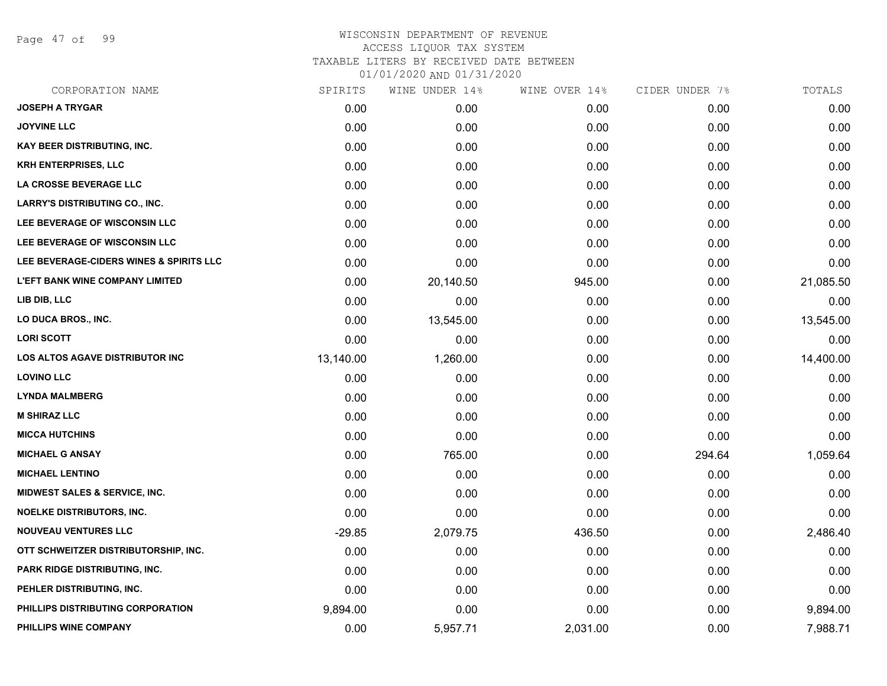Page 47 of 99

| SPIRITS   | WINE UNDER 14% |          |               | TOTALS         |
|-----------|----------------|----------|---------------|----------------|
| 0.00      | 0.00           | 0.00     | 0.00          | 0.00           |
| 0.00      | 0.00           | 0.00     | 0.00          | 0.00           |
| 0.00      | 0.00           | 0.00     | 0.00          | 0.00           |
| 0.00      | 0.00           | 0.00     | 0.00          | 0.00           |
| 0.00      | 0.00           | 0.00     | 0.00          | 0.00           |
| 0.00      | 0.00           | 0.00     | 0.00          | 0.00           |
| 0.00      | 0.00           | 0.00     | 0.00          | 0.00           |
| 0.00      | 0.00           | 0.00     | 0.00          | 0.00           |
| 0.00      | 0.00           | 0.00     | 0.00          | 0.00           |
| 0.00      | 20,140.50      | 945.00   | 0.00          | 21,085.50      |
| 0.00      | 0.00           | 0.00     | 0.00          | 0.00           |
| 0.00      | 13,545.00      | 0.00     | 0.00          | 13,545.00      |
| 0.00      | 0.00           | 0.00     | 0.00          | 0.00           |
| 13,140.00 | 1,260.00       | 0.00     | 0.00          | 14,400.00      |
| 0.00      | 0.00           | 0.00     | 0.00          | 0.00           |
| 0.00      | 0.00           | 0.00     | 0.00          | 0.00           |
| 0.00      | 0.00           | 0.00     | 0.00          | 0.00           |
| 0.00      | 0.00           | 0.00     | 0.00          | 0.00           |
| 0.00      | 765.00         | 0.00     | 294.64        | 1,059.64       |
| 0.00      | 0.00           | 0.00     | 0.00          | 0.00           |
| 0.00      | 0.00           | 0.00     | 0.00          | 0.00           |
| 0.00      | 0.00           | 0.00     | 0.00          | 0.00           |
| $-29.85$  | 2,079.75       | 436.50   | 0.00          | 2,486.40       |
| 0.00      | 0.00           | 0.00     | 0.00          | 0.00           |
| 0.00      | 0.00           | 0.00     | 0.00          | 0.00           |
| 0.00      | 0.00           | 0.00     | 0.00          | 0.00           |
| 9,894.00  | 0.00           | 0.00     | 0.00          | 9,894.00       |
| 0.00      | 5,957.71       | 2,031.00 | 0.00          | 7,988.71       |
|           |                |          | WINE OVER 14% | CIDER UNDER 7% |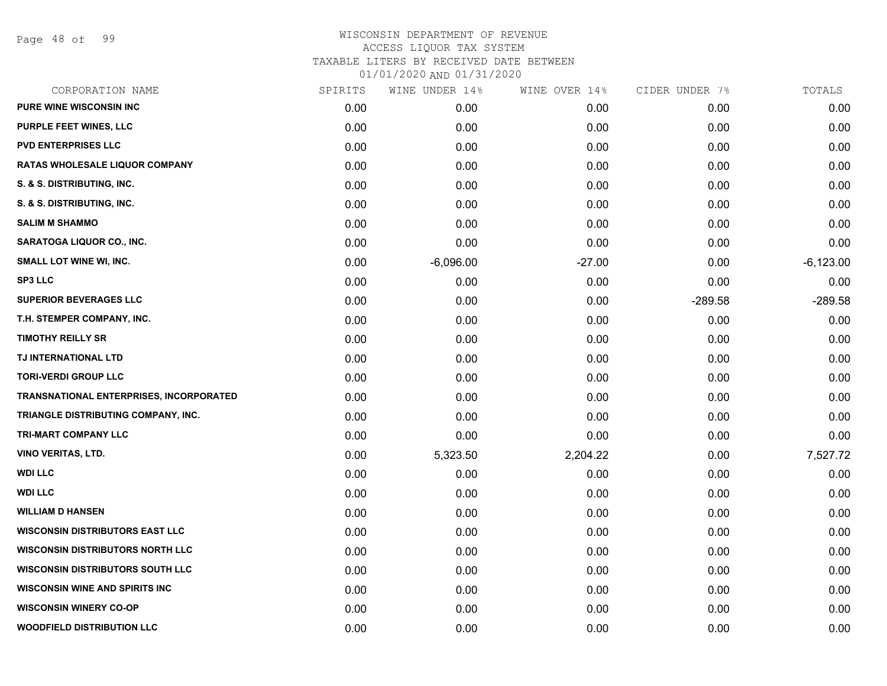Page 48 of 99

| CORPORATION NAME                        | SPIRITS | WINE UNDER 14% | WINE OVER 14% | CIDER UNDER 7% | TOTALS      |
|-----------------------------------------|---------|----------------|---------------|----------------|-------------|
| <b>PURE WINE WISCONSIN INC</b>          | 0.00    | 0.00           | 0.00          | 0.00           | 0.00        |
| PURPLE FEET WINES, LLC                  | 0.00    | 0.00           | 0.00          | 0.00           | 0.00        |
| <b>PVD ENTERPRISES LLC</b>              | 0.00    | 0.00           | 0.00          | 0.00           | 0.00        |
| <b>RATAS WHOLESALE LIQUOR COMPANY</b>   | 0.00    | 0.00           | 0.00          | 0.00           | 0.00        |
| S. & S. DISTRIBUTING, INC.              | 0.00    | 0.00           | 0.00          | 0.00           | 0.00        |
| S. & S. DISTRIBUTING, INC.              | 0.00    | 0.00           | 0.00          | 0.00           | 0.00        |
| <b>SALIM M SHAMMO</b>                   | 0.00    | 0.00           | 0.00          | 0.00           | 0.00        |
| SARATOGA LIQUOR CO., INC.               | 0.00    | 0.00           | 0.00          | 0.00           | 0.00        |
| SMALL LOT WINE WI, INC.                 | 0.00    | $-6,096.00$    | $-27.00$      | 0.00           | $-6,123.00$ |
| <b>SP3 LLC</b>                          | 0.00    | 0.00           | 0.00          | 0.00           | 0.00        |
| <b>SUPERIOR BEVERAGES LLC</b>           | 0.00    | 0.00           | 0.00          | $-289.58$      | $-289.58$   |
| T.H. STEMPER COMPANY, INC.              | 0.00    | 0.00           | 0.00          | 0.00           | 0.00        |
| <b>TIMOTHY REILLY SR</b>                | 0.00    | 0.00           | 0.00          | 0.00           | 0.00        |
| TJ INTERNATIONAL LTD                    | 0.00    | 0.00           | 0.00          | 0.00           | 0.00        |
| <b>TORI-VERDI GROUP LLC</b>             | 0.00    | 0.00           | 0.00          | 0.00           | 0.00        |
| TRANSNATIONAL ENTERPRISES, INCORPORATED | 0.00    | 0.00           | 0.00          | 0.00           | 0.00        |
| TRIANGLE DISTRIBUTING COMPANY, INC.     | 0.00    | 0.00           | 0.00          | 0.00           | 0.00        |
| TRI-MART COMPANY LLC                    | 0.00    | 0.00           | 0.00          | 0.00           | 0.00        |
| <b>VINO VERITAS, LTD.</b>               | 0.00    | 5,323.50       | 2,204.22      | 0.00           | 7,527.72    |
| <b>WDI LLC</b>                          | 0.00    | 0.00           | 0.00          | 0.00           | 0.00        |
| <b>WDI LLC</b>                          | 0.00    | 0.00           | 0.00          | 0.00           | 0.00        |
| <b>WILLIAM D HANSEN</b>                 | 0.00    | 0.00           | 0.00          | 0.00           | 0.00        |
| <b>WISCONSIN DISTRIBUTORS EAST LLC</b>  | 0.00    | 0.00           | 0.00          | 0.00           | 0.00        |
| <b>WISCONSIN DISTRIBUTORS NORTH LLC</b> | 0.00    | 0.00           | 0.00          | 0.00           | 0.00        |
| <b>WISCONSIN DISTRIBUTORS SOUTH LLC</b> | 0.00    | 0.00           | 0.00          | 0.00           | 0.00        |
| <b>WISCONSIN WINE AND SPIRITS INC</b>   | 0.00    | 0.00           | 0.00          | 0.00           | 0.00        |
| <b>WISCONSIN WINERY CO-OP</b>           | 0.00    | 0.00           | 0.00          | 0.00           | 0.00        |
| <b>WOODFIELD DISTRIBUTION LLC</b>       | 0.00    | 0.00           | 0.00          | 0.00           | 0.00        |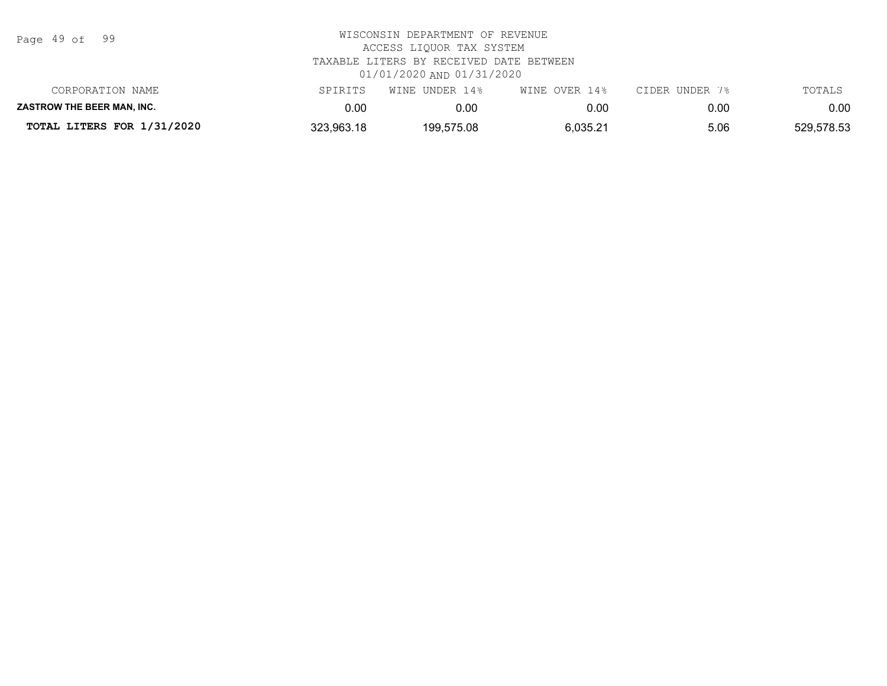| Page | 49 of |  | 99 |
|------|-------|--|----|
|------|-------|--|----|

| TOTAL LITERS FOR 1/31/2020        | 323,963.18 | 199,575.08     | 6,035.21      | 5.06           | 529,578.53 |
|-----------------------------------|------------|----------------|---------------|----------------|------------|
| <b>ZASTROW THE BEER MAN. INC.</b> | 0.00       | 0.00           | 0.00          | 0.00           | 0.00       |
| CORPORATION NAME                  | SPIRITS    | WINE UNDER 14% | WINE OVER 14% | CIDER UNDER 7% | TOTALS     |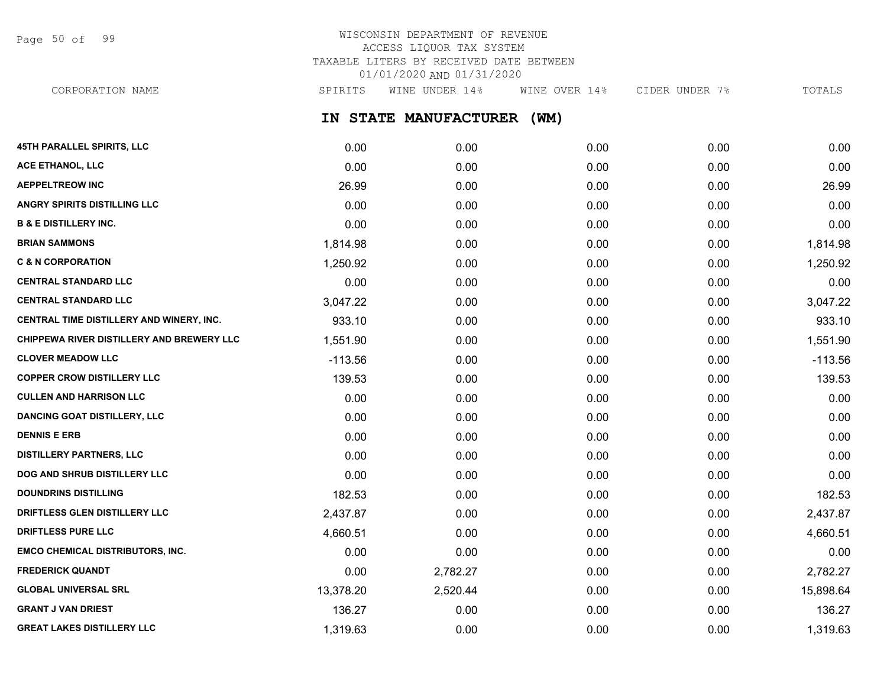Page 50 of 99

# WISCONSIN DEPARTMENT OF REVENUE ACCESS LIQUOR TAX SYSTEM TAXABLE LITERS BY RECEIVED DATE BETWEEN 01/01/2020 AND 01/31/2020

CORPORATION NAME SPIRITS WINE UNDER 14% WINE OVER 14% CIDER UNDER 7% TOTALS

**IN STATE MANUFACTURER (WM)**

| <b>45TH PARALLEL SPIRITS, LLC</b>         | 0.00      | 0.00     | 0.00 | 0.00 | 0.00      |
|-------------------------------------------|-----------|----------|------|------|-----------|
| ACE ETHANOL, LLC                          | 0.00      | 0.00     | 0.00 | 0.00 | 0.00      |
| <b>AEPPELTREOW INC</b>                    | 26.99     | 0.00     | 0.00 | 0.00 | 26.99     |
| ANGRY SPIRITS DISTILLING LLC              | 0.00      | 0.00     | 0.00 | 0.00 | 0.00      |
| <b>B &amp; E DISTILLERY INC.</b>          | 0.00      | 0.00     | 0.00 | 0.00 | 0.00      |
| <b>BRIAN SAMMONS</b>                      | 1,814.98  | 0.00     | 0.00 | 0.00 | 1,814.98  |
| <b>C &amp; N CORPORATION</b>              | 1,250.92  | 0.00     | 0.00 | 0.00 | 1,250.92  |
| <b>CENTRAL STANDARD LLC</b>               | 0.00      | 0.00     | 0.00 | 0.00 | 0.00      |
| <b>CENTRAL STANDARD LLC</b>               | 3,047.22  | 0.00     | 0.00 | 0.00 | 3,047.22  |
| CENTRAL TIME DISTILLERY AND WINERY, INC.  | 933.10    | 0.00     | 0.00 | 0.00 | 933.10    |
| CHIPPEWA RIVER DISTILLERY AND BREWERY LLC | 1,551.90  | 0.00     | 0.00 | 0.00 | 1,551.90  |
| <b>CLOVER MEADOW LLC</b>                  | $-113.56$ | 0.00     | 0.00 | 0.00 | $-113.56$ |
| <b>COPPER CROW DISTILLERY LLC</b>         | 139.53    | 0.00     | 0.00 | 0.00 | 139.53    |
| <b>CULLEN AND HARRISON LLC</b>            | 0.00      | 0.00     | 0.00 | 0.00 | 0.00      |
| <b>DANCING GOAT DISTILLERY, LLC</b>       | 0.00      | 0.00     | 0.00 | 0.00 | 0.00      |
| <b>DENNIS E ERB</b>                       | 0.00      | 0.00     | 0.00 | 0.00 | 0.00      |
| <b>DISTILLERY PARTNERS, LLC</b>           | 0.00      | 0.00     | 0.00 | 0.00 | 0.00      |
| DOG AND SHRUB DISTILLERY LLC              | 0.00      | 0.00     | 0.00 | 0.00 | 0.00      |
| <b>DOUNDRINS DISTILLING</b>               | 182.53    | 0.00     | 0.00 | 0.00 | 182.53    |
| DRIFTLESS GLEN DISTILLERY LLC             | 2,437.87  | 0.00     | 0.00 | 0.00 | 2,437.87  |
| <b>DRIFTLESS PURE LLC</b>                 | 4,660.51  | 0.00     | 0.00 | 0.00 | 4,660.51  |
| <b>EMCO CHEMICAL DISTRIBUTORS, INC.</b>   | 0.00      | 0.00     | 0.00 | 0.00 | 0.00      |
| <b>FREDERICK QUANDT</b>                   | 0.00      | 2,782.27 | 0.00 | 0.00 | 2,782.27  |
| <b>GLOBAL UNIVERSAL SRL</b>               | 13,378.20 | 2,520.44 | 0.00 | 0.00 | 15,898.64 |
| <b>GRANT J VAN DRIEST</b>                 | 136.27    | 0.00     | 0.00 | 0.00 | 136.27    |
| <b>GREAT LAKES DISTILLERY LLC</b>         | 1,319.63  | 0.00     | 0.00 | 0.00 | 1,319.63  |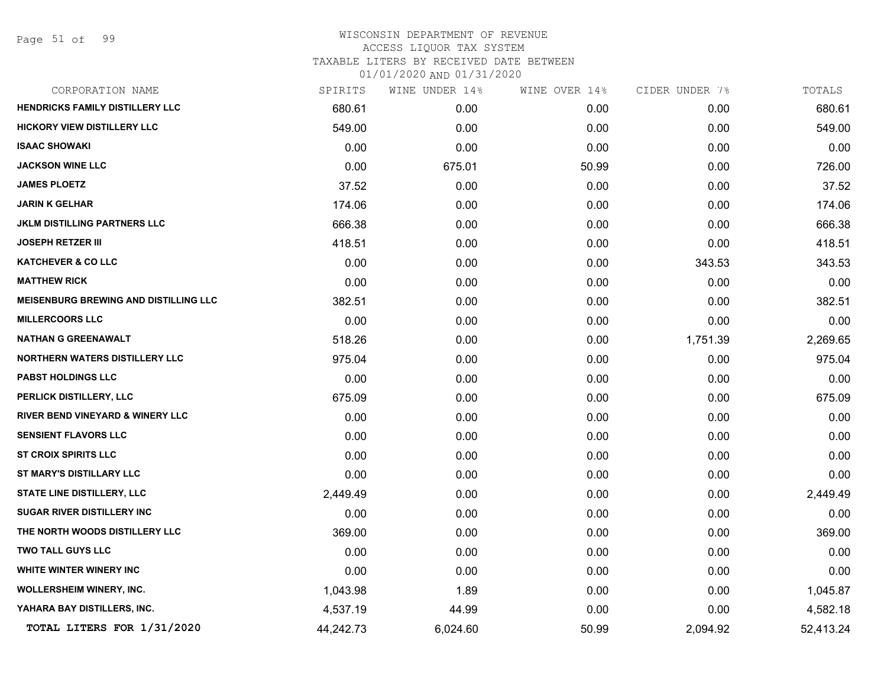Page 51 of 99

| CORPORATION NAME                             | SPIRITS   | WINE UNDER 14% | WINE OVER 14% | CIDER UNDER 7% | TOTALS    |
|----------------------------------------------|-----------|----------------|---------------|----------------|-----------|
| HENDRICKS FAMILY DISTILLERY LLC              | 680.61    | 0.00           | 0.00          | 0.00           | 680.61    |
| <b>HICKORY VIEW DISTILLERY LLC</b>           | 549.00    | 0.00           | 0.00          | 0.00           | 549.00    |
| <b>ISAAC SHOWAKI</b>                         | 0.00      | 0.00           | 0.00          | 0.00           | 0.00      |
| <b>JACKSON WINE LLC</b>                      | 0.00      | 675.01         | 50.99         | 0.00           | 726.00    |
| <b>JAMES PLOETZ</b>                          | 37.52     | 0.00           | 0.00          | 0.00           | 37.52     |
| <b>JARIN K GELHAR</b>                        | 174.06    | 0.00           | 0.00          | 0.00           | 174.06    |
| <b>JKLM DISTILLING PARTNERS LLC</b>          | 666.38    | 0.00           | 0.00          | 0.00           | 666.38    |
| <b>JOSEPH RETZER III</b>                     | 418.51    | 0.00           | 0.00          | 0.00           | 418.51    |
| <b>KATCHEVER &amp; CO LLC</b>                | 0.00      | 0.00           | 0.00          | 343.53         | 343.53    |
| <b>MATTHEW RICK</b>                          | 0.00      | 0.00           | 0.00          | 0.00           | 0.00      |
| <b>MEISENBURG BREWING AND DISTILLING LLC</b> | 382.51    | 0.00           | 0.00          | 0.00           | 382.51    |
| <b>MILLERCOORS LLC</b>                       | 0.00      | 0.00           | 0.00          | 0.00           | 0.00      |
| <b>NATHAN G GREENAWALT</b>                   | 518.26    | 0.00           | 0.00          | 1,751.39       | 2,269.65  |
| <b>NORTHERN WATERS DISTILLERY LLC</b>        | 975.04    | 0.00           | 0.00          | 0.00           | 975.04    |
| <b>PABST HOLDINGS LLC</b>                    | 0.00      | 0.00           | 0.00          | 0.00           | 0.00      |
| PERLICK DISTILLERY, LLC                      | 675.09    | 0.00           | 0.00          | 0.00           | 675.09    |
| <b>RIVER BEND VINEYARD &amp; WINERY LLC</b>  | 0.00      | 0.00           | 0.00          | 0.00           | 0.00      |
| <b>SENSIENT FLAVORS LLC</b>                  | 0.00      | 0.00           | 0.00          | 0.00           | 0.00      |
| <b>ST CROIX SPIRITS LLC</b>                  | 0.00      | 0.00           | 0.00          | 0.00           | 0.00      |
| ST MARY'S DISTILLARY LLC                     | 0.00      | 0.00           | 0.00          | 0.00           | 0.00      |
| <b>STATE LINE DISTILLERY, LLC</b>            | 2,449.49  | 0.00           | 0.00          | 0.00           | 2,449.49  |
| <b>SUGAR RIVER DISTILLERY INC</b>            | 0.00      | 0.00           | 0.00          | 0.00           | 0.00      |
| THE NORTH WOODS DISTILLERY LLC               | 369.00    | 0.00           | 0.00          | 0.00           | 369.00    |
| <b>TWO TALL GUYS LLC</b>                     | 0.00      | 0.00           | 0.00          | 0.00           | 0.00      |
| WHITE WINTER WINERY INC                      | 0.00      | 0.00           | 0.00          | 0.00           | 0.00      |
| WOLLERSHEIM WINERY, INC.                     | 1,043.98  | 1.89           | 0.00          | 0.00           | 1,045.87  |
| YAHARA BAY DISTILLERS, INC.                  | 4,537.19  | 44.99          | 0.00          | 0.00           | 4,582.18  |
| TOTAL LITERS FOR 1/31/2020                   | 44,242.73 | 6,024.60       | 50.99         | 2,094.92       | 52,413.24 |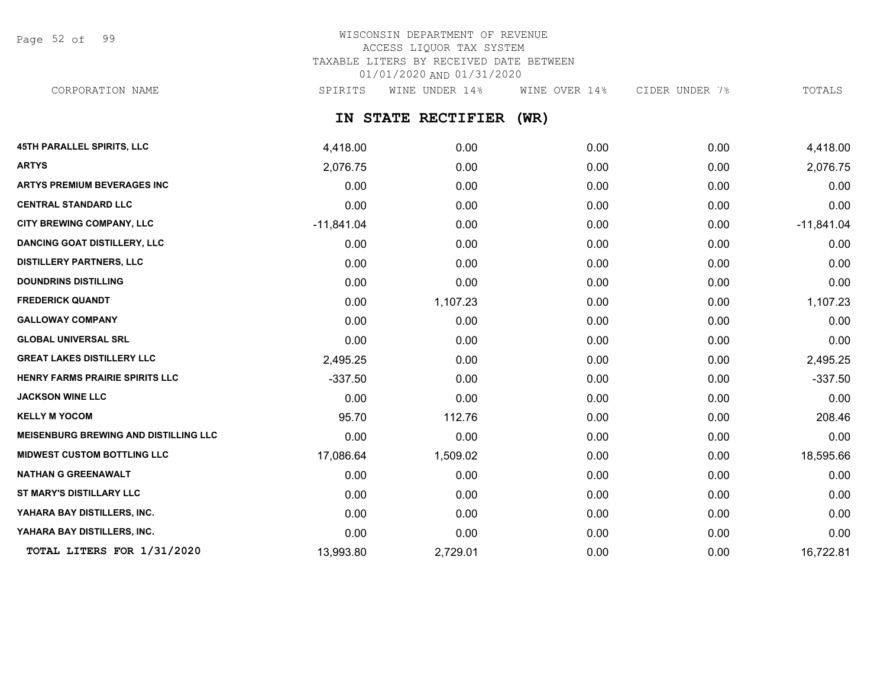Page 52 of 99

# WISCONSIN DEPARTMENT OF REVENUE ACCESS LIQUOR TAX SYSTEM TAXABLE LITERS BY RECEIVED DATE BETWEEN 01/01/2020 AND 01/31/2020 CORPORATION NAME SPIRITS WINE UNDER 14% WINE OVER 14% CIDER UNDER 7% TOTALS

# **IN STATE RECTIFIER (WR)**

| <b>45TH PARALLEL SPIRITS, LLC</b>            | 4,418.00     | 0.00     | 0.00 | 0.00 | 4,418.00     |
|----------------------------------------------|--------------|----------|------|------|--------------|
| <b>ARTYS</b>                                 | 2,076.75     | 0.00     | 0.00 | 0.00 | 2,076.75     |
| <b>ARTYS PREMIUM BEVERAGES INC</b>           | 0.00         | 0.00     | 0.00 | 0.00 | 0.00         |
| <b>CENTRAL STANDARD LLC</b>                  | 0.00         | 0.00     | 0.00 | 0.00 | 0.00         |
| <b>CITY BREWING COMPANY, LLC</b>             | $-11,841.04$ | 0.00     | 0.00 | 0.00 | $-11,841.04$ |
| <b>DANCING GOAT DISTILLERY, LLC</b>          | 0.00         | 0.00     | 0.00 | 0.00 | 0.00         |
| <b>DISTILLERY PARTNERS, LLC</b>              | 0.00         | 0.00     | 0.00 | 0.00 | 0.00         |
| <b>DOUNDRINS DISTILLING</b>                  | 0.00         | 0.00     | 0.00 | 0.00 | 0.00         |
| <b>FREDERICK QUANDT</b>                      | 0.00         | 1,107.23 | 0.00 | 0.00 | 1,107.23     |
| <b>GALLOWAY COMPANY</b>                      | 0.00         | 0.00     | 0.00 | 0.00 | 0.00         |
| <b>GLOBAL UNIVERSAL SRL</b>                  | 0.00         | 0.00     | 0.00 | 0.00 | 0.00         |
| <b>GREAT LAKES DISTILLERY LLC</b>            | 2,495.25     | 0.00     | 0.00 | 0.00 | 2,495.25     |
| HENRY FARMS PRAIRIE SPIRITS LLC              | $-337.50$    | 0.00     | 0.00 | 0.00 | $-337.50$    |
| <b>JACKSON WINE LLC</b>                      | 0.00         | 0.00     | 0.00 | 0.00 | 0.00         |
| <b>KELLY M YOCOM</b>                         | 95.70        | 112.76   | 0.00 | 0.00 | 208.46       |
| <b>MEISENBURG BREWING AND DISTILLING LLC</b> | 0.00         | 0.00     | 0.00 | 0.00 | 0.00         |
| <b>MIDWEST CUSTOM BOTTLING LLC</b>           | 17,086.64    | 1,509.02 | 0.00 | 0.00 | 18,595.66    |
| <b>NATHAN G GREENAWALT</b>                   | 0.00         | 0.00     | 0.00 | 0.00 | 0.00         |
| ST MARY'S DISTILLARY LLC                     | 0.00         | 0.00     | 0.00 | 0.00 | 0.00         |
| YAHARA BAY DISTILLERS, INC.                  | 0.00         | 0.00     | 0.00 | 0.00 | 0.00         |
| YAHARA BAY DISTILLERS, INC.                  | 0.00         | 0.00     | 0.00 | 0.00 | 0.00         |
| TOTAL LITERS FOR 1/31/2020                   | 13,993.80    | 2,729.01 | 0.00 | 0.00 | 16,722.81    |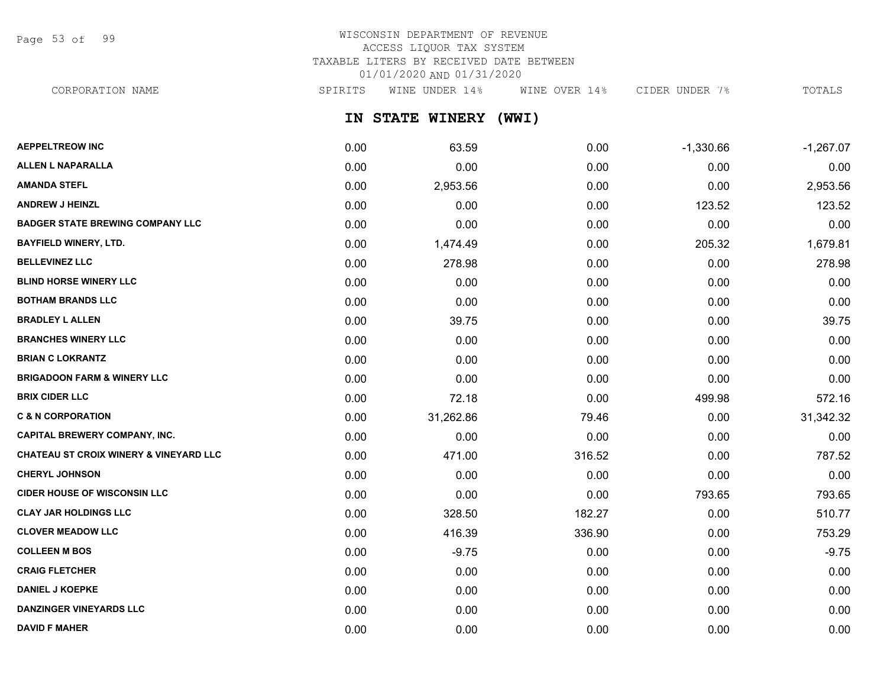Page 53 of 99

# WISCONSIN DEPARTMENT OF REVENUE ACCESS LIQUOR TAX SYSTEM TAXABLE LITERS BY RECEIVED DATE BETWEEN 01/01/2020 AND 01/31/2020

CORPORATION NAME SPIRITS WINE UNDER 14% WINE OVER 14% CIDER UNDER 7% TOTALS

**IN STATE WINERY (WWI)**

| <b>AEPPELTREOW INC</b>                            | 0.00 | 63.59     | 0.00   | $-1,330.66$ | $-1,267.07$ |
|---------------------------------------------------|------|-----------|--------|-------------|-------------|
| <b>ALLEN L NAPARALLA</b>                          | 0.00 | 0.00      | 0.00   | 0.00        | 0.00        |
| <b>AMANDA STEFL</b>                               | 0.00 | 2,953.56  | 0.00   | 0.00        | 2,953.56    |
| <b>ANDREW J HEINZL</b>                            | 0.00 | 0.00      | 0.00   | 123.52      | 123.52      |
| <b>BADGER STATE BREWING COMPANY LLC</b>           | 0.00 | 0.00      | 0.00   | 0.00        | 0.00        |
| <b>BAYFIELD WINERY, LTD.</b>                      | 0.00 | 1,474.49  | 0.00   | 205.32      | 1,679.81    |
| <b>BELLEVINEZ LLC</b>                             | 0.00 | 278.98    | 0.00   | 0.00        | 278.98      |
| <b>BLIND HORSE WINERY LLC</b>                     | 0.00 | 0.00      | 0.00   | 0.00        | 0.00        |
| <b>BOTHAM BRANDS LLC</b>                          | 0.00 | 0.00      | 0.00   | 0.00        | 0.00        |
| <b>BRADLEY L ALLEN</b>                            | 0.00 | 39.75     | 0.00   | 0.00        | 39.75       |
| <b>BRANCHES WINERY LLC</b>                        | 0.00 | 0.00      | 0.00   | 0.00        | 0.00        |
| <b>BRIAN C LOKRANTZ</b>                           | 0.00 | 0.00      | 0.00   | 0.00        | 0.00        |
| <b>BRIGADOON FARM &amp; WINERY LLC</b>            | 0.00 | 0.00      | 0.00   | 0.00        | 0.00        |
| <b>BRIX CIDER LLC</b>                             | 0.00 | 72.18     | 0.00   | 499.98      | 572.16      |
| <b>C &amp; N CORPORATION</b>                      | 0.00 | 31,262.86 | 79.46  | 0.00        | 31,342.32   |
| <b>CAPITAL BREWERY COMPANY, INC.</b>              | 0.00 | 0.00      | 0.00   | 0.00        | 0.00        |
| <b>CHATEAU ST CROIX WINERY &amp; VINEYARD LLC</b> | 0.00 | 471.00    | 316.52 | 0.00        | 787.52      |
| <b>CHERYL JOHNSON</b>                             | 0.00 | 0.00      | 0.00   | 0.00        | 0.00        |
| <b>CIDER HOUSE OF WISCONSIN LLC</b>               | 0.00 | 0.00      | 0.00   | 793.65      | 793.65      |
| <b>CLAY JAR HOLDINGS LLC</b>                      | 0.00 | 328.50    | 182.27 | 0.00        | 510.77      |
| <b>CLOVER MEADOW LLC</b>                          | 0.00 | 416.39    | 336.90 | 0.00        | 753.29      |
| <b>COLLEEN M BOS</b>                              | 0.00 | $-9.75$   | 0.00   | 0.00        | $-9.75$     |
| <b>CRAIG FLETCHER</b>                             | 0.00 | 0.00      | 0.00   | 0.00        | 0.00        |
| <b>DANIEL J KOEPKE</b>                            | 0.00 | 0.00      | 0.00   | 0.00        | 0.00        |
| <b>DANZINGER VINEYARDS LLC</b>                    | 0.00 | 0.00      | 0.00   | 0.00        | 0.00        |
| <b>DAVID F MAHER</b>                              | 0.00 | 0.00      | 0.00   | 0.00        | 0.00        |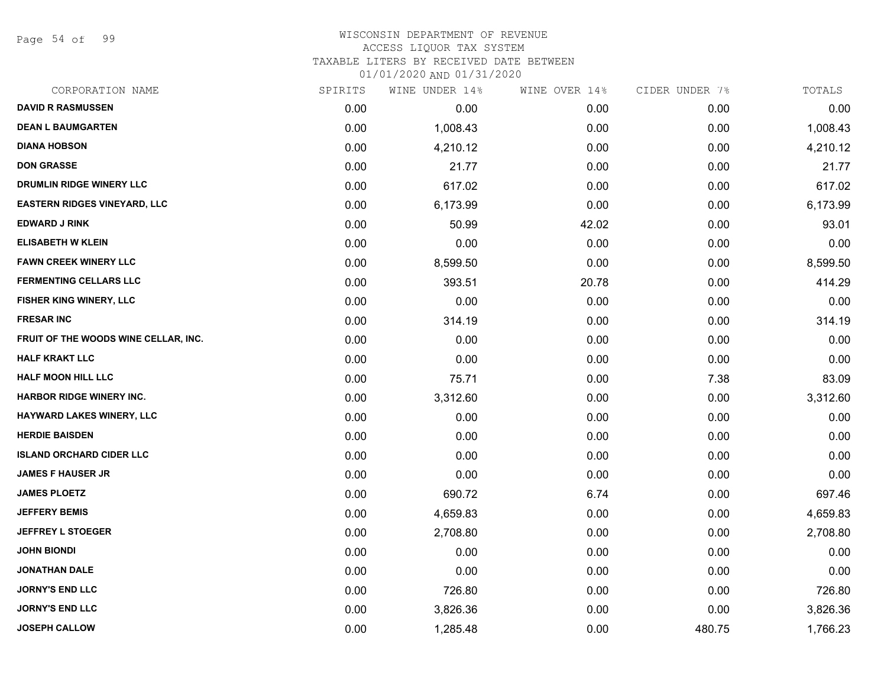Page 54 of 99

#### WISCONSIN DEPARTMENT OF REVENUE ACCESS LIQUOR TAX SYSTEM TAXABLE LITERS BY RECEIVED DATE BETWEEN

| CORPORATION NAME                     | SPIRITS | WINE UNDER 14% | WINE OVER 14% | CIDER UNDER 7% | TOTALS   |
|--------------------------------------|---------|----------------|---------------|----------------|----------|
| <b>DAVID R RASMUSSEN</b>             | 0.00    | 0.00           | 0.00          | 0.00           | 0.00     |
| <b>DEAN L BAUMGARTEN</b>             | 0.00    | 1,008.43       | 0.00          | 0.00           | 1,008.43 |
| <b>DIANA HOBSON</b>                  | 0.00    | 4,210.12       | 0.00          | 0.00           | 4,210.12 |
| <b>DON GRASSE</b>                    | 0.00    | 21.77          | 0.00          | 0.00           | 21.77    |
| DRUMLIN RIDGE WINERY LLC             | 0.00    | 617.02         | 0.00          | 0.00           | 617.02   |
| <b>EASTERN RIDGES VINEYARD, LLC</b>  | 0.00    | 6,173.99       | 0.00          | 0.00           | 6,173.99 |
| <b>EDWARD J RINK</b>                 | 0.00    | 50.99          | 42.02         | 0.00           | 93.01    |
| <b>ELISABETH W KLEIN</b>             | 0.00    | 0.00           | 0.00          | 0.00           | 0.00     |
| <b>FAWN CREEK WINERY LLC</b>         | 0.00    | 8,599.50       | 0.00          | 0.00           | 8,599.50 |
| <b>FERMENTING CELLARS LLC</b>        | 0.00    | 393.51         | 20.78         | 0.00           | 414.29   |
| <b>FISHER KING WINERY, LLC</b>       | 0.00    | 0.00           | 0.00          | 0.00           | 0.00     |
| <b>FRESAR INC</b>                    | 0.00    | 314.19         | 0.00          | 0.00           | 314.19   |
| FRUIT OF THE WOODS WINE CELLAR, INC. | 0.00    | 0.00           | 0.00          | 0.00           | 0.00     |
| <b>HALF KRAKT LLC</b>                | 0.00    | 0.00           | 0.00          | 0.00           | 0.00     |
| HALF MOON HILL LLC                   | 0.00    | 75.71          | 0.00          | 7.38           | 83.09    |
| <b>HARBOR RIDGE WINERY INC.</b>      | 0.00    | 3,312.60       | 0.00          | 0.00           | 3,312.60 |
| <b>HAYWARD LAKES WINERY, LLC</b>     | 0.00    | 0.00           | 0.00          | 0.00           | 0.00     |
| <b>HERDIE BAISDEN</b>                | 0.00    | 0.00           | 0.00          | 0.00           | 0.00     |
| <b>ISLAND ORCHARD CIDER LLC</b>      | 0.00    | 0.00           | 0.00          | 0.00           | 0.00     |
| <b>JAMES F HAUSER JR</b>             | 0.00    | 0.00           | 0.00          | 0.00           | 0.00     |
| <b>JAMES PLOETZ</b>                  | 0.00    | 690.72         | 6.74          | 0.00           | 697.46   |
| <b>JEFFERY BEMIS</b>                 | 0.00    | 4,659.83       | 0.00          | 0.00           | 4,659.83 |
| <b>JEFFREY L STOEGER</b>             | 0.00    | 2,708.80       | 0.00          | 0.00           | 2,708.80 |
| <b>JOHN BIONDI</b>                   | 0.00    | 0.00           | 0.00          | 0.00           | 0.00     |
| <b>JONATHAN DALE</b>                 | 0.00    | 0.00           | 0.00          | 0.00           | 0.00     |
| <b>JORNY'S END LLC</b>               | 0.00    | 726.80         | 0.00          | 0.00           | 726.80   |
| <b>JORNY'S END LLC</b>               | 0.00    | 3,826.36       | 0.00          | 0.00           | 3,826.36 |
| <b>JOSEPH CALLOW</b>                 | 0.00    | 1,285.48       | 0.00          | 480.75         | 1,766.23 |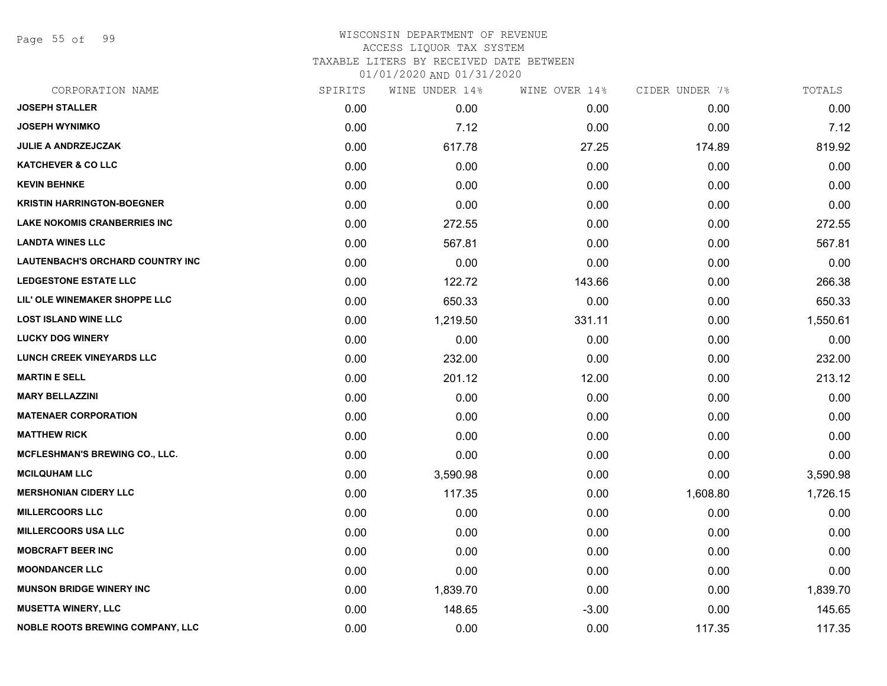Page 55 of 99

| CORPORATION NAME                        | SPIRITS | WINE UNDER 14% | WINE OVER 14% | CIDER UNDER 7% | TOTALS   |
|-----------------------------------------|---------|----------------|---------------|----------------|----------|
| <b>JOSEPH STALLER</b>                   | 0.00    | 0.00           | 0.00          | 0.00           | 0.00     |
| <b>JOSEPH WYNIMKO</b>                   | 0.00    | 7.12           | 0.00          | 0.00           | 7.12     |
| <b>JULIE A ANDRZEJCZAK</b>              | 0.00    | 617.78         | 27.25         | 174.89         | 819.92   |
| <b>KATCHEVER &amp; CO LLC</b>           | 0.00    | 0.00           | 0.00          | 0.00           | 0.00     |
| <b>KEVIN BEHNKE</b>                     | 0.00    | 0.00           | 0.00          | 0.00           | 0.00     |
| <b>KRISTIN HARRINGTON-BOEGNER</b>       | 0.00    | 0.00           | 0.00          | 0.00           | 0.00     |
| <b>LAKE NOKOMIS CRANBERRIES INC</b>     | 0.00    | 272.55         | 0.00          | 0.00           | 272.55   |
| <b>LANDTA WINES LLC</b>                 | 0.00    | 567.81         | 0.00          | 0.00           | 567.81   |
| LAUTENBACH'S ORCHARD COUNTRY INC        | 0.00    | 0.00           | 0.00          | 0.00           | 0.00     |
| <b>LEDGESTONE ESTATE LLC</b>            | 0.00    | 122.72         | 143.66        | 0.00           | 266.38   |
| LIL' OLE WINEMAKER SHOPPE LLC           | 0.00    | 650.33         | 0.00          | 0.00           | 650.33   |
| <b>LOST ISLAND WINE LLC</b>             | 0.00    | 1,219.50       | 331.11        | 0.00           | 1,550.61 |
| <b>LUCKY DOG WINERY</b>                 | 0.00    | 0.00           | 0.00          | 0.00           | 0.00     |
| <b>LUNCH CREEK VINEYARDS LLC</b>        | 0.00    | 232.00         | 0.00          | 0.00           | 232.00   |
| <b>MARTIN E SELL</b>                    | 0.00    | 201.12         | 12.00         | 0.00           | 213.12   |
| <b>MARY BELLAZZINI</b>                  | 0.00    | 0.00           | 0.00          | 0.00           | 0.00     |
| <b>MATENAER CORPORATION</b>             | 0.00    | 0.00           | 0.00          | 0.00           | 0.00     |
| <b>MATTHEW RICK</b>                     | 0.00    | 0.00           | 0.00          | 0.00           | 0.00     |
| MCFLESHMAN'S BREWING CO., LLC.          | 0.00    | 0.00           | 0.00          | 0.00           | 0.00     |
| <b>MCILQUHAM LLC</b>                    | 0.00    | 3,590.98       | 0.00          | 0.00           | 3,590.98 |
| <b>MERSHONIAN CIDERY LLC</b>            | 0.00    | 117.35         | 0.00          | 1,608.80       | 1,726.15 |
| <b>MILLERCOORS LLC</b>                  | 0.00    | 0.00           | 0.00          | 0.00           | 0.00     |
| <b>MILLERCOORS USA LLC</b>              | 0.00    | 0.00           | 0.00          | 0.00           | 0.00     |
| <b>MOBCRAFT BEER INC</b>                | 0.00    | 0.00           | 0.00          | 0.00           | 0.00     |
| <b>MOONDANCER LLC</b>                   | 0.00    | 0.00           | 0.00          | 0.00           | 0.00     |
| <b>MUNSON BRIDGE WINERY INC</b>         | 0.00    | 1,839.70       | 0.00          | 0.00           | 1,839.70 |
| <b>MUSETTA WINERY, LLC</b>              | 0.00    | 148.65         | $-3.00$       | 0.00           | 145.65   |
| <b>NOBLE ROOTS BREWING COMPANY, LLC</b> | 0.00    | 0.00           | 0.00          | 117.35         | 117.35   |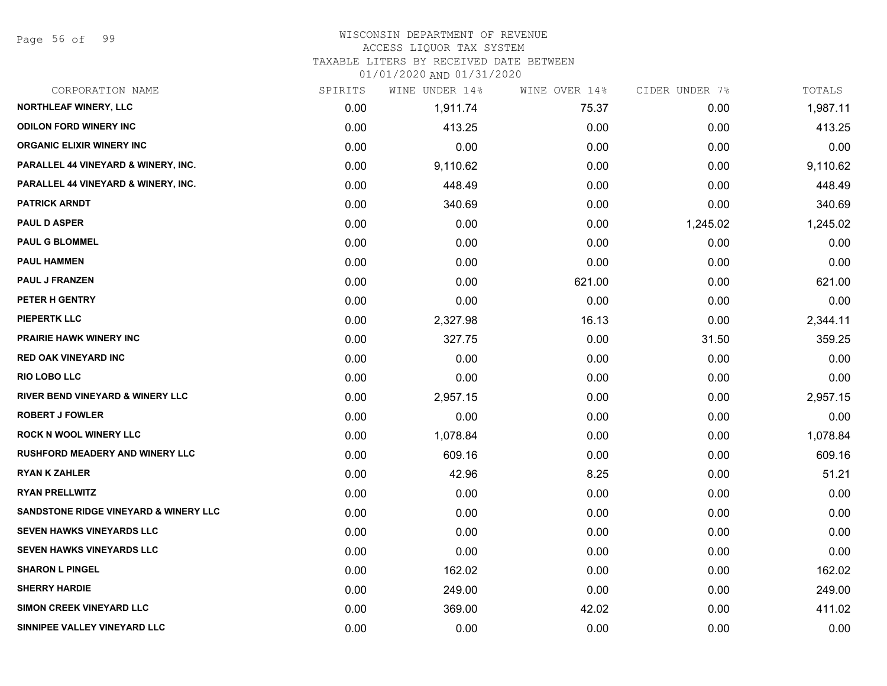Page 56 of 99

#### WISCONSIN DEPARTMENT OF REVENUE ACCESS LIQUOR TAX SYSTEM

TAXABLE LITERS BY RECEIVED DATE BETWEEN

| CORPORATION NAME                                 | SPIRITS | WINE UNDER 14% | WINE OVER 14% | CIDER UNDER 7% | TOTALS   |
|--------------------------------------------------|---------|----------------|---------------|----------------|----------|
| NORTHLEAF WINERY, LLC                            | 0.00    | 1,911.74       | 75.37         | 0.00           | 1,987.11 |
| <b>ODILON FORD WINERY INC</b>                    | 0.00    | 413.25         | 0.00          | 0.00           | 413.25   |
| <b>ORGANIC ELIXIR WINERY INC</b>                 | 0.00    | 0.00           | 0.00          | 0.00           | 0.00     |
| PARALLEL 44 VINEYARD & WINERY, INC.              | 0.00    | 9,110.62       | 0.00          | 0.00           | 9,110.62 |
| PARALLEL 44 VINEYARD & WINERY, INC.              | 0.00    | 448.49         | 0.00          | 0.00           | 448.49   |
| <b>PATRICK ARNDT</b>                             | 0.00    | 340.69         | 0.00          | 0.00           | 340.69   |
| <b>PAUL D ASPER</b>                              | 0.00    | 0.00           | 0.00          | 1,245.02       | 1,245.02 |
| <b>PAUL G BLOMMEL</b>                            | 0.00    | 0.00           | 0.00          | 0.00           | 0.00     |
| <b>PAUL HAMMEN</b>                               | 0.00    | 0.00           | 0.00          | 0.00           | 0.00     |
| <b>PAUL J FRANZEN</b>                            | 0.00    | 0.00           | 621.00        | 0.00           | 621.00   |
| PETER H GENTRY                                   | 0.00    | 0.00           | 0.00          | 0.00           | 0.00     |
| <b>PIEPERTK LLC</b>                              | 0.00    | 2,327.98       | 16.13         | 0.00           | 2,344.11 |
| <b>PRAIRIE HAWK WINERY INC</b>                   | 0.00    | 327.75         | 0.00          | 31.50          | 359.25   |
| <b>RED OAK VINEYARD INC</b>                      | 0.00    | 0.00           | 0.00          | 0.00           | 0.00     |
| <b>RIO LOBO LLC</b>                              | 0.00    | 0.00           | 0.00          | 0.00           | 0.00     |
| RIVER BEND VINEYARD & WINERY LLC                 | 0.00    | 2,957.15       | 0.00          | 0.00           | 2,957.15 |
| <b>ROBERT J FOWLER</b>                           | 0.00    | 0.00           | 0.00          | 0.00           | 0.00     |
| <b>ROCK N WOOL WINERY LLC</b>                    | 0.00    | 1,078.84       | 0.00          | 0.00           | 1,078.84 |
| <b>RUSHFORD MEADERY AND WINERY LLC</b>           | 0.00    | 609.16         | 0.00          | 0.00           | 609.16   |
| <b>RYAN K ZAHLER</b>                             | 0.00    | 42.96          | 8.25          | 0.00           | 51.21    |
| <b>RYAN PRELLWITZ</b>                            | 0.00    | 0.00           | 0.00          | 0.00           | 0.00     |
| <b>SANDSTONE RIDGE VINEYARD &amp; WINERY LLC</b> | 0.00    | 0.00           | 0.00          | 0.00           | 0.00     |
| <b>SEVEN HAWKS VINEYARDS LLC</b>                 | 0.00    | 0.00           | 0.00          | 0.00           | 0.00     |
| <b>SEVEN HAWKS VINEYARDS LLC</b>                 | 0.00    | 0.00           | 0.00          | 0.00           | 0.00     |
| <b>SHARON L PINGEL</b>                           | 0.00    | 162.02         | 0.00          | 0.00           | 162.02   |
| <b>SHERRY HARDIE</b>                             | 0.00    | 249.00         | 0.00          | 0.00           | 249.00   |
| <b>SIMON CREEK VINEYARD LLC</b>                  | 0.00    | 369.00         | 42.02         | 0.00           | 411.02   |
| SINNIPEE VALLEY VINEYARD LLC                     | 0.00    | 0.00           | 0.00          | 0.00           | 0.00     |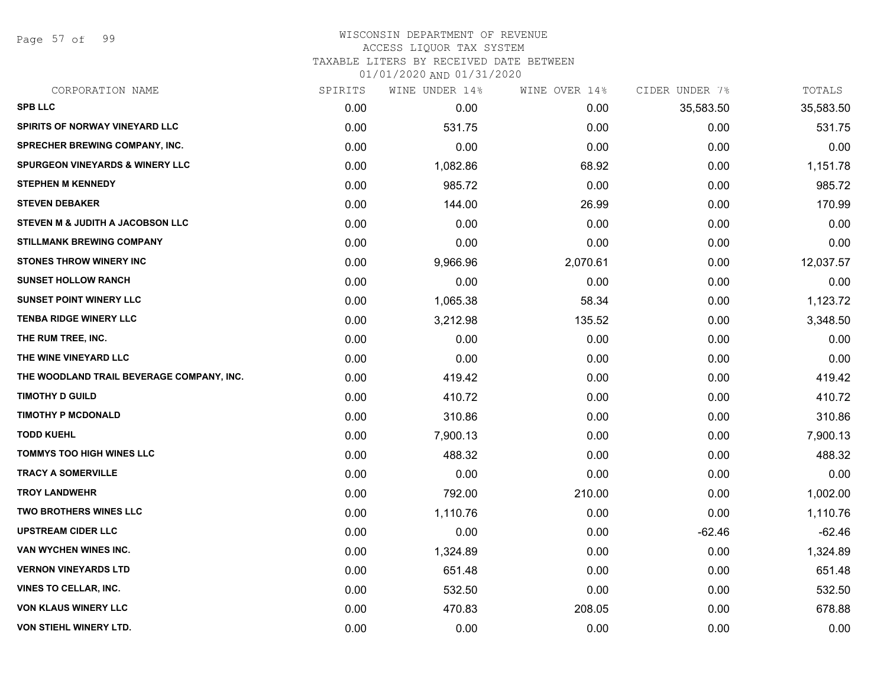Page 57 of 99

# WISCONSIN DEPARTMENT OF REVENUE ACCESS LIQUOR TAX SYSTEM

TAXABLE LITERS BY RECEIVED DATE BETWEEN

| CORPORATION NAME                            | SPIRITS | WINE UNDER 14% | WINE OVER 14% | CIDER UNDER 7% | TOTALS    |
|---------------------------------------------|---------|----------------|---------------|----------------|-----------|
| <b>SPB LLC</b>                              | 0.00    | 0.00           | 0.00          | 35,583.50      | 35,583.50 |
| SPIRITS OF NORWAY VINEYARD LLC              | 0.00    | 531.75         | 0.00          | 0.00           | 531.75    |
| SPRECHER BREWING COMPANY, INC.              | 0.00    | 0.00           | 0.00          | 0.00           | 0.00      |
| <b>SPURGEON VINEYARDS &amp; WINERY LLC</b>  | 0.00    | 1,082.86       | 68.92         | 0.00           | 1,151.78  |
| <b>STEPHEN M KENNEDY</b>                    | 0.00    | 985.72         | 0.00          | 0.00           | 985.72    |
| <b>STEVEN DEBAKER</b>                       | 0.00    | 144.00         | 26.99         | 0.00           | 170.99    |
| <b>STEVEN M &amp; JUDITH A JACOBSON LLC</b> | 0.00    | 0.00           | 0.00          | 0.00           | 0.00      |
| <b>STILLMANK BREWING COMPANY</b>            | 0.00    | 0.00           | 0.00          | 0.00           | 0.00      |
| <b>STONES THROW WINERY INC</b>              | 0.00    | 9,966.96       | 2,070.61      | 0.00           | 12,037.57 |
| <b>SUNSET HOLLOW RANCH</b>                  | 0.00    | 0.00           | 0.00          | 0.00           | 0.00      |
| <b>SUNSET POINT WINERY LLC</b>              | 0.00    | 1,065.38       | 58.34         | 0.00           | 1,123.72  |
| <b>TENBA RIDGE WINERY LLC</b>               | 0.00    | 3,212.98       | 135.52        | 0.00           | 3,348.50  |
| THE RUM TREE, INC.                          | 0.00    | 0.00           | 0.00          | 0.00           | 0.00      |
| THE WINE VINEYARD LLC                       | 0.00    | 0.00           | 0.00          | 0.00           | 0.00      |
| THE WOODLAND TRAIL BEVERAGE COMPANY, INC.   | 0.00    | 419.42         | 0.00          | 0.00           | 419.42    |
| <b>TIMOTHY D GUILD</b>                      | 0.00    | 410.72         | 0.00          | 0.00           | 410.72    |
| <b>TIMOTHY P MCDONALD</b>                   | 0.00    | 310.86         | 0.00          | 0.00           | 310.86    |
| <b>TODD KUEHL</b>                           | 0.00    | 7,900.13       | 0.00          | 0.00           | 7,900.13  |
| <b>TOMMYS TOO HIGH WINES LLC</b>            | 0.00    | 488.32         | 0.00          | 0.00           | 488.32    |
| <b>TRACY A SOMERVILLE</b>                   | 0.00    | 0.00           | 0.00          | 0.00           | 0.00      |
| <b>TROY LANDWEHR</b>                        | 0.00    | 792.00         | 210.00        | 0.00           | 1,002.00  |
| TWO BROTHERS WINES LLC                      | 0.00    | 1,110.76       | 0.00          | 0.00           | 1,110.76  |
| <b>UPSTREAM CIDER LLC</b>                   | 0.00    | 0.00           | 0.00          | $-62.46$       | $-62.46$  |
| VAN WYCHEN WINES INC.                       | 0.00    | 1,324.89       | 0.00          | 0.00           | 1,324.89  |
| <b>VERNON VINEYARDS LTD</b>                 | 0.00    | 651.48         | 0.00          | 0.00           | 651.48    |
| <b>VINES TO CELLAR, INC.</b>                | 0.00    | 532.50         | 0.00          | 0.00           | 532.50    |
| <b>VON KLAUS WINERY LLC</b>                 | 0.00    | 470.83         | 208.05        | 0.00           | 678.88    |
| <b>VON STIEHL WINERY LTD.</b>               | 0.00    | 0.00           | 0.00          | 0.00           | 0.00      |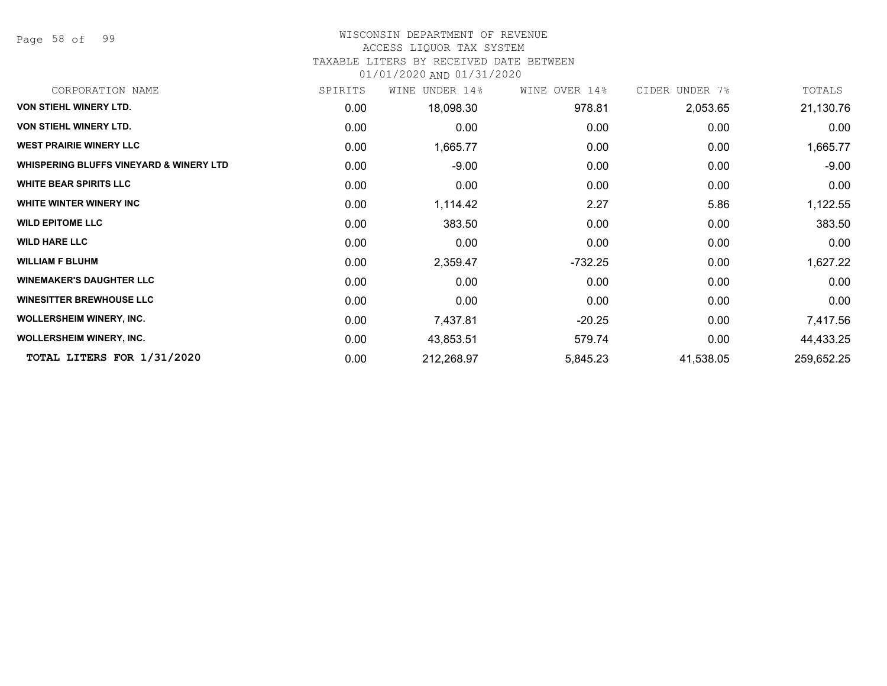Page 58 of 99

#### WISCONSIN DEPARTMENT OF REVENUE

#### ACCESS LIQUOR TAX SYSTEM

#### TAXABLE LITERS BY RECEIVED DATE BETWEEN

| CORPORATION NAME                        | SPIRITS | UNDER 14%<br>WINE | WINE OVER 14% | CIDER UNDER 7% | TOTALS     |
|-----------------------------------------|---------|-------------------|---------------|----------------|------------|
| <b>VON STIEHL WINERY LTD.</b>           | 0.00    | 18,098.30         | 978.81        | 2,053.65       | 21,130.76  |
| <b>VON STIEHL WINERY LTD.</b>           | 0.00    | 0.00              | 0.00          | 0.00           | 0.00       |
| <b>WEST PRAIRIE WINERY LLC</b>          | 0.00    | 1,665.77          | 0.00          | 0.00           | 1,665.77   |
| WHISPERING BLUFFS VINEYARD & WINERY LTD | 0.00    | $-9.00$           | 0.00          | 0.00           | $-9.00$    |
| <b>WHITE BEAR SPIRITS LLC</b>           | 0.00    | 0.00              | 0.00          | 0.00           | 0.00       |
| WHITE WINTER WINERY INC                 | 0.00    | 1,114.42          | 2.27          | 5.86           | 1,122.55   |
| <b>WILD EPITOME LLC</b>                 | 0.00    | 383.50            | 0.00          | 0.00           | 383.50     |
| <b>WILD HARE LLC</b>                    | 0.00    | 0.00              | 0.00          | 0.00           | 0.00       |
| <b>WILLIAM F BLUHM</b>                  | 0.00    | 2,359.47          | -732.25       | 0.00           | 1,627.22   |
| <b>WINEMAKER'S DAUGHTER LLC</b>         | 0.00    | 0.00              | 0.00          | 0.00           | 0.00       |
| <b>WINESITTER BREWHOUSE LLC</b>         | 0.00    | 0.00              | 0.00          | 0.00           | 0.00       |
| <b>WOLLERSHEIM WINERY, INC.</b>         | 0.00    | 7,437.81          | $-20.25$      | 0.00           | 7,417.56   |
| <b>WOLLERSHEIM WINERY, INC.</b>         | 0.00    | 43,853.51         | 579.74        | 0.00           | 44,433.25  |
| TOTAL LITERS FOR 1/31/2020              | 0.00    | 212,268.97        | 5,845.23      | 41,538.05      | 259,652.25 |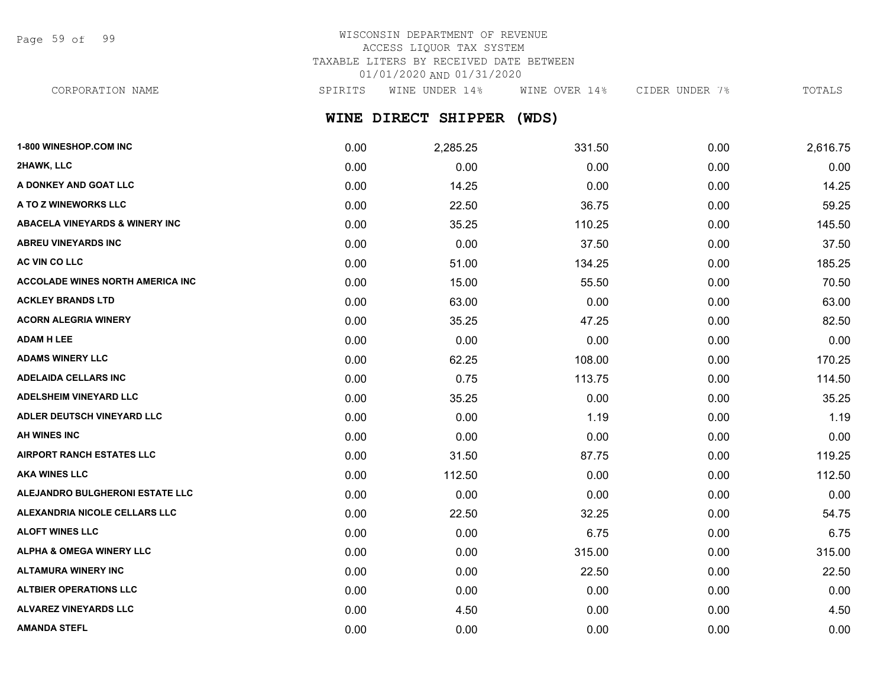Page 59 of 99

# WISCONSIN DEPARTMENT OF REVENUE ACCESS LIQUOR TAX SYSTEM TAXABLE LITERS BY RECEIVED DATE BETWEEN 01/01/2020 AND 01/31/2020

CORPORATION NAME SPIRITS WINE UNDER 14% WINE OVER 14% CIDER UNDER 7% TOTALS

**WINE DIRECT SHIPPER (WDS)**

| 1-800 WINESHOP.COM INC                    | 0.00 | 2,285.25 | 331.50 | 0.00 | 2,616.75 |
|-------------------------------------------|------|----------|--------|------|----------|
| 2HAWK, LLC                                | 0.00 | 0.00     | 0.00   | 0.00 | 0.00     |
| A DONKEY AND GOAT LLC                     | 0.00 | 14.25    | 0.00   | 0.00 | 14.25    |
| A TO Z WINEWORKS LLC                      | 0.00 | 22.50    | 36.75  | 0.00 | 59.25    |
| <b>ABACELA VINEYARDS &amp; WINERY INC</b> | 0.00 | 35.25    | 110.25 | 0.00 | 145.50   |
| <b>ABREU VINEYARDS INC</b>                | 0.00 | 0.00     | 37.50  | 0.00 | 37.50    |
| AC VIN CO LLC                             | 0.00 | 51.00    | 134.25 | 0.00 | 185.25   |
| <b>ACCOLADE WINES NORTH AMERICA INC</b>   | 0.00 | 15.00    | 55.50  | 0.00 | 70.50    |
| <b>ACKLEY BRANDS LTD</b>                  | 0.00 | 63.00    | 0.00   | 0.00 | 63.00    |
| <b>ACORN ALEGRIA WINERY</b>               | 0.00 | 35.25    | 47.25  | 0.00 | 82.50    |
| <b>ADAM H LEE</b>                         | 0.00 | 0.00     | 0.00   | 0.00 | 0.00     |
| <b>ADAMS WINERY LLC</b>                   | 0.00 | 62.25    | 108.00 | 0.00 | 170.25   |
| <b>ADELAIDA CELLARS INC</b>               | 0.00 | 0.75     | 113.75 | 0.00 | 114.50   |
| <b>ADELSHEIM VINEYARD LLC</b>             | 0.00 | 35.25    | 0.00   | 0.00 | 35.25    |
| ADLER DEUTSCH VINEYARD LLC                | 0.00 | 0.00     | 1.19   | 0.00 | 1.19     |
| <b>AH WINES INC</b>                       | 0.00 | 0.00     | 0.00   | 0.00 | 0.00     |
| <b>AIRPORT RANCH ESTATES LLC</b>          | 0.00 | 31.50    | 87.75  | 0.00 | 119.25   |
| <b>AKA WINES LLC</b>                      | 0.00 | 112.50   | 0.00   | 0.00 | 112.50   |
| ALEJANDRO BULGHERONI ESTATE LLC           | 0.00 | 0.00     | 0.00   | 0.00 | 0.00     |
| ALEXANDRIA NICOLE CELLARS LLC             | 0.00 | 22.50    | 32.25  | 0.00 | 54.75    |
| <b>ALOFT WINES LLC</b>                    | 0.00 | 0.00     | 6.75   | 0.00 | 6.75     |
| <b>ALPHA &amp; OMEGA WINERY LLC</b>       | 0.00 | 0.00     | 315.00 | 0.00 | 315.00   |
| <b>ALTAMURA WINERY INC</b>                | 0.00 | 0.00     | 22.50  | 0.00 | 22.50    |
| <b>ALTBIER OPERATIONS LLC</b>             | 0.00 | 0.00     | 0.00   | 0.00 | 0.00     |
| <b>ALVAREZ VINEYARDS LLC</b>              | 0.00 | 4.50     | 0.00   | 0.00 | 4.50     |
| <b>AMANDA STEFL</b>                       | 0.00 | 0.00     | 0.00   | 0.00 | 0.00     |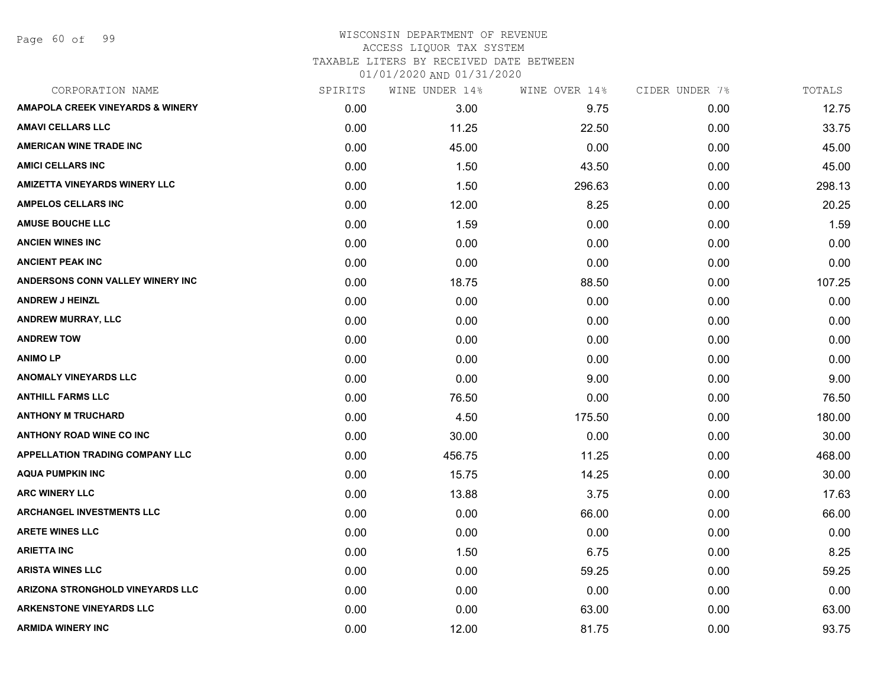Page 60 of 99

| SPIRITS | WINE UNDER 14% | WINE OVER 14% | CIDER UNDER 7% | TOTALS |
|---------|----------------|---------------|----------------|--------|
| 0.00    | 3.00           | 9.75          | 0.00           | 12.75  |
| 0.00    | 11.25          | 22.50         | 0.00           | 33.75  |
| 0.00    | 45.00          | 0.00          | 0.00           | 45.00  |
| 0.00    | 1.50           | 43.50         | 0.00           | 45.00  |
| 0.00    | 1.50           | 296.63        | 0.00           | 298.13 |
| 0.00    | 12.00          | 8.25          | 0.00           | 20.25  |
| 0.00    | 1.59           | 0.00          | 0.00           | 1.59   |
| 0.00    | 0.00           | 0.00          | 0.00           | 0.00   |
| 0.00    | 0.00           | 0.00          | 0.00           | 0.00   |
| 0.00    | 18.75          | 88.50         | 0.00           | 107.25 |
| 0.00    | 0.00           | 0.00          | 0.00           | 0.00   |
| 0.00    | 0.00           | 0.00          | 0.00           | 0.00   |
| 0.00    | 0.00           | 0.00          | 0.00           | 0.00   |
| 0.00    | 0.00           | 0.00          | 0.00           | 0.00   |
| 0.00    | 0.00           | 9.00          | 0.00           | 9.00   |
| 0.00    | 76.50          | 0.00          | 0.00           | 76.50  |
| 0.00    | 4.50           | 175.50        | 0.00           | 180.00 |
| 0.00    | 30.00          | 0.00          | 0.00           | 30.00  |
| 0.00    | 456.75         | 11.25         | 0.00           | 468.00 |
| 0.00    | 15.75          | 14.25         | 0.00           | 30.00  |
| 0.00    | 13.88          | 3.75          | 0.00           | 17.63  |
| 0.00    | 0.00           | 66.00         | 0.00           | 66.00  |
| 0.00    | 0.00           | 0.00          | 0.00           | 0.00   |
| 0.00    | 1.50           | 6.75          | 0.00           | 8.25   |
| 0.00    | 0.00           | 59.25         | 0.00           | 59.25  |
| 0.00    | 0.00           | 0.00          | 0.00           | 0.00   |
| 0.00    | 0.00           | 63.00         | 0.00           | 63.00  |
| 0.00    | 12.00          | 81.75         | 0.00           | 93.75  |
|         |                |               |                |        |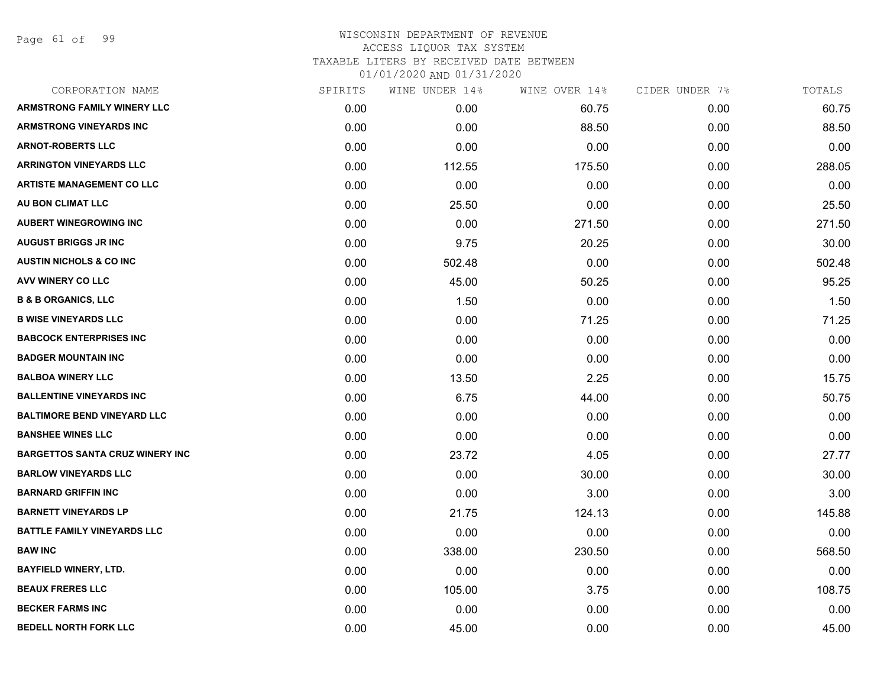Page 61 of 99

| CORPORATION NAME                       | SPIRITS | WINE UNDER 14% | WINE OVER 14% | CIDER UNDER 7% | TOTALS |
|----------------------------------------|---------|----------------|---------------|----------------|--------|
| <b>ARMSTRONG FAMILY WINERY LLC</b>     | 0.00    | 0.00           | 60.75         | 0.00           | 60.75  |
| <b>ARMSTRONG VINEYARDS INC</b>         | 0.00    | 0.00           | 88.50         | 0.00           | 88.50  |
| <b>ARNOT-ROBERTS LLC</b>               | 0.00    | 0.00           | 0.00          | 0.00           | 0.00   |
| <b>ARRINGTON VINEYARDS LLC</b>         | 0.00    | 112.55         | 175.50        | 0.00           | 288.05 |
| <b>ARTISTE MANAGEMENT CO LLC</b>       | 0.00    | 0.00           | 0.00          | 0.00           | 0.00   |
| AU BON CLIMAT LLC                      | 0.00    | 25.50          | 0.00          | 0.00           | 25.50  |
| <b>AUBERT WINEGROWING INC</b>          | 0.00    | 0.00           | 271.50        | 0.00           | 271.50 |
| <b>AUGUST BRIGGS JR INC</b>            | 0.00    | 9.75           | 20.25         | 0.00           | 30.00  |
| <b>AUSTIN NICHOLS &amp; CO INC</b>     | 0.00    | 502.48         | 0.00          | 0.00           | 502.48 |
| AVV WINERY CO LLC                      | 0.00    | 45.00          | 50.25         | 0.00           | 95.25  |
| <b>B &amp; B ORGANICS, LLC</b>         | 0.00    | 1.50           | 0.00          | 0.00           | 1.50   |
| <b>B WISE VINEYARDS LLC</b>            | 0.00    | 0.00           | 71.25         | 0.00           | 71.25  |
| <b>BABCOCK ENTERPRISES INC</b>         | 0.00    | 0.00           | 0.00          | 0.00           | 0.00   |
| <b>BADGER MOUNTAIN INC</b>             | 0.00    | 0.00           | 0.00          | 0.00           | 0.00   |
| <b>BALBOA WINERY LLC</b>               | 0.00    | 13.50          | 2.25          | 0.00           | 15.75  |
| <b>BALLENTINE VINEYARDS INC</b>        | 0.00    | 6.75           | 44.00         | 0.00           | 50.75  |
| <b>BALTIMORE BEND VINEYARD LLC</b>     | 0.00    | 0.00           | 0.00          | 0.00           | 0.00   |
| <b>BANSHEE WINES LLC</b>               | 0.00    | 0.00           | 0.00          | 0.00           | 0.00   |
| <b>BARGETTOS SANTA CRUZ WINERY INC</b> | 0.00    | 23.72          | 4.05          | 0.00           | 27.77  |
| <b>BARLOW VINEYARDS LLC</b>            | 0.00    | 0.00           | 30.00         | 0.00           | 30.00  |
| <b>BARNARD GRIFFIN INC</b>             | 0.00    | 0.00           | 3.00          | 0.00           | 3.00   |
| <b>BARNETT VINEYARDS LP</b>            | 0.00    | 21.75          | 124.13        | 0.00           | 145.88 |
| <b>BATTLE FAMILY VINEYARDS LLC</b>     | 0.00    | 0.00           | 0.00          | 0.00           | 0.00   |
| <b>BAW INC</b>                         | 0.00    | 338.00         | 230.50        | 0.00           | 568.50 |
| <b>BAYFIELD WINERY, LTD.</b>           | 0.00    | 0.00           | 0.00          | 0.00           | 0.00   |
| <b>BEAUX FRERES LLC</b>                | 0.00    | 105.00         | 3.75          | 0.00           | 108.75 |
| <b>BECKER FARMS INC</b>                | 0.00    | 0.00           | 0.00          | 0.00           | 0.00   |
| BEDELL NORTH FORK LLC                  | 0.00    | 45.00          | 0.00          | 0.00           | 45.00  |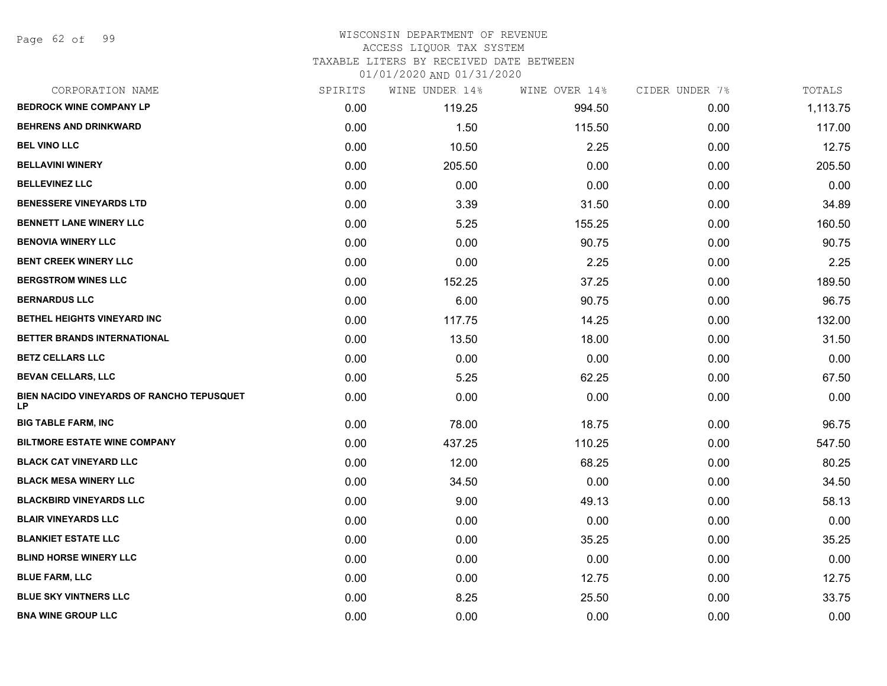Page 62 of 99

#### WISCONSIN DEPARTMENT OF REVENUE ACCESS LIQUOR TAX SYSTEM

TAXABLE LITERS BY RECEIVED DATE BETWEEN

| CORPORATION NAME                                | SPIRITS | WINE UNDER 14% | WINE OVER 14% | CIDER UNDER 7% | TOTALS   |
|-------------------------------------------------|---------|----------------|---------------|----------------|----------|
| <b>BEDROCK WINE COMPANY LP</b>                  | 0.00    | 119.25         | 994.50        | 0.00           | 1,113.75 |
| <b>BEHRENS AND DRINKWARD</b>                    | 0.00    | 1.50           | 115.50        | 0.00           | 117.00   |
| <b>BEL VINO LLC</b>                             | 0.00    | 10.50          | 2.25          | 0.00           | 12.75    |
| <b>BELLAVINI WINERY</b>                         | 0.00    | 205.50         | 0.00          | 0.00           | 205.50   |
| <b>BELLEVINEZ LLC</b>                           | 0.00    | 0.00           | 0.00          | 0.00           | 0.00     |
| <b>BENESSERE VINEYARDS LTD</b>                  | 0.00    | 3.39           | 31.50         | 0.00           | 34.89    |
| <b>BENNETT LANE WINERY LLC</b>                  | 0.00    | 5.25           | 155.25        | 0.00           | 160.50   |
| <b>BENOVIA WINERY LLC</b>                       | 0.00    | 0.00           | 90.75         | 0.00           | 90.75    |
| <b>BENT CREEK WINERY LLC</b>                    | 0.00    | 0.00           | 2.25          | 0.00           | 2.25     |
| <b>BERGSTROM WINES LLC</b>                      | 0.00    | 152.25         | 37.25         | 0.00           | 189.50   |
| <b>BERNARDUS LLC</b>                            | 0.00    | 6.00           | 90.75         | 0.00           | 96.75    |
| BETHEL HEIGHTS VINEYARD INC                     | 0.00    | 117.75         | 14.25         | 0.00           | 132.00   |
| BETTER BRANDS INTERNATIONAL                     | 0.00    | 13.50          | 18.00         | 0.00           | 31.50    |
| <b>BETZ CELLARS LLC</b>                         | 0.00    | 0.00           | 0.00          | 0.00           | 0.00     |
| <b>BEVAN CELLARS, LLC</b>                       | 0.00    | 5.25           | 62.25         | 0.00           | 67.50    |
| BIEN NACIDO VINEYARDS OF RANCHO TEPUSQUET<br>LP | 0.00    | 0.00           | 0.00          | 0.00           | 0.00     |
| <b>BIG TABLE FARM, INC</b>                      | 0.00    | 78.00          | 18.75         | 0.00           | 96.75    |
| <b>BILTMORE ESTATE WINE COMPANY</b>             | 0.00    | 437.25         | 110.25        | 0.00           | 547.50   |
| <b>BLACK CAT VINEYARD LLC</b>                   | 0.00    | 12.00          | 68.25         | 0.00           | 80.25    |
| <b>BLACK MESA WINERY LLC</b>                    | 0.00    | 34.50          | 0.00          | 0.00           | 34.50    |
| <b>BLACKBIRD VINEYARDS LLC</b>                  | 0.00    | 9.00           | 49.13         | 0.00           | 58.13    |
| <b>BLAIR VINEYARDS LLC</b>                      | 0.00    | 0.00           | 0.00          | 0.00           | 0.00     |
| <b>BLANKIET ESTATE LLC</b>                      | 0.00    | 0.00           | 35.25         | 0.00           | 35.25    |
| <b>BLIND HORSE WINERY LLC</b>                   | 0.00    | 0.00           | 0.00          | 0.00           | 0.00     |
| <b>BLUE FARM, LLC</b>                           | 0.00    | 0.00           | 12.75         | 0.00           | 12.75    |
| <b>BLUE SKY VINTNERS LLC</b>                    | 0.00    | 8.25           | 25.50         | 0.00           | 33.75    |
| <b>BNA WINE GROUP LLC</b>                       | 0.00    | 0.00           | 0.00          | 0.00           | 0.00     |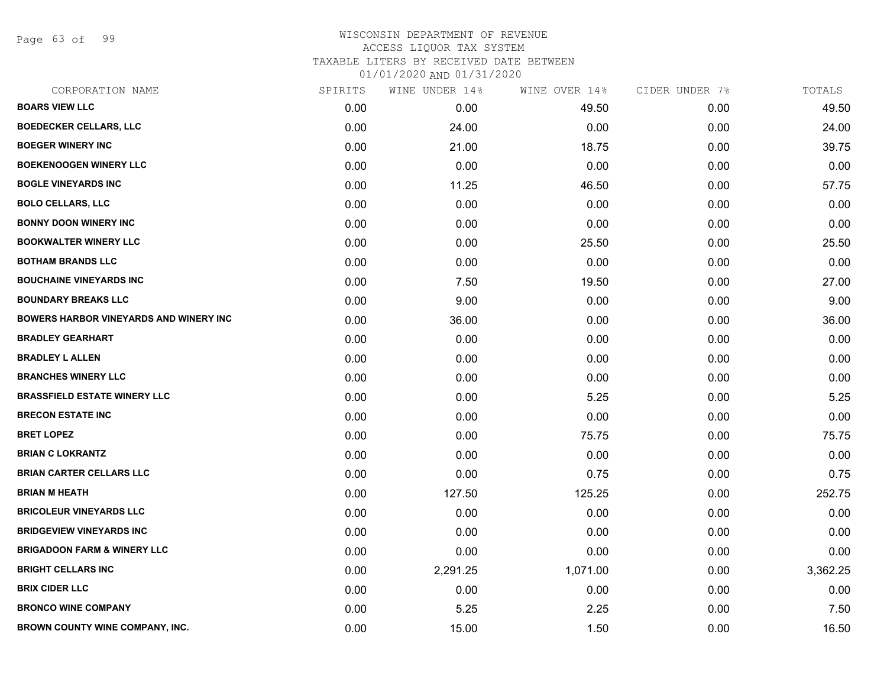Page 63 of 99

| CORPORATION NAME                       | SPIRITS | WINE UNDER 14% | WINE OVER 14% | CIDER UNDER 7% | TOTALS   |
|----------------------------------------|---------|----------------|---------------|----------------|----------|
| <b>BOARS VIEW LLC</b>                  | 0.00    | 0.00           | 49.50         | 0.00           | 49.50    |
| <b>BOEDECKER CELLARS, LLC</b>          | 0.00    | 24.00          | 0.00          | 0.00           | 24.00    |
| <b>BOEGER WINERY INC</b>               | 0.00    | 21.00          | 18.75         | 0.00           | 39.75    |
| <b>BOEKENOOGEN WINERY LLC</b>          | 0.00    | 0.00           | 0.00          | 0.00           | 0.00     |
| <b>BOGLE VINEYARDS INC</b>             | 0.00    | 11.25          | 46.50         | 0.00           | 57.75    |
| <b>BOLO CELLARS, LLC</b>               | 0.00    | 0.00           | 0.00          | 0.00           | 0.00     |
| <b>BONNY DOON WINERY INC</b>           | 0.00    | 0.00           | 0.00          | 0.00           | 0.00     |
| <b>BOOKWALTER WINERY LLC</b>           | 0.00    | 0.00           | 25.50         | 0.00           | 25.50    |
| <b>BOTHAM BRANDS LLC</b>               | 0.00    | 0.00           | 0.00          | 0.00           | 0.00     |
| <b>BOUCHAINE VINEYARDS INC</b>         | 0.00    | 7.50           | 19.50         | 0.00           | 27.00    |
| <b>BOUNDARY BREAKS LLC</b>             | 0.00    | 9.00           | 0.00          | 0.00           | 9.00     |
| BOWERS HARBOR VINEYARDS AND WINERY INC | 0.00    | 36.00          | 0.00          | 0.00           | 36.00    |
| <b>BRADLEY GEARHART</b>                | 0.00    | 0.00           | 0.00          | 0.00           | 0.00     |
| <b>BRADLEY L ALLEN</b>                 | 0.00    | 0.00           | 0.00          | 0.00           | 0.00     |
| <b>BRANCHES WINERY LLC</b>             | 0.00    | 0.00           | 0.00          | 0.00           | 0.00     |
| <b>BRASSFIELD ESTATE WINERY LLC</b>    | 0.00    | 0.00           | 5.25          | 0.00           | 5.25     |
| <b>BRECON ESTATE INC</b>               | 0.00    | 0.00           | 0.00          | 0.00           | 0.00     |
| <b>BRET LOPEZ</b>                      | 0.00    | 0.00           | 75.75         | 0.00           | 75.75    |
| <b>BRIAN C LOKRANTZ</b>                | 0.00    | 0.00           | 0.00          | 0.00           | 0.00     |
| <b>BRIAN CARTER CELLARS LLC</b>        | 0.00    | 0.00           | 0.75          | 0.00           | 0.75     |
| <b>BRIAN M HEATH</b>                   | 0.00    | 127.50         | 125.25        | 0.00           | 252.75   |
| <b>BRICOLEUR VINEYARDS LLC</b>         | 0.00    | 0.00           | 0.00          | 0.00           | 0.00     |
| <b>BRIDGEVIEW VINEYARDS INC</b>        | 0.00    | 0.00           | 0.00          | 0.00           | 0.00     |
| <b>BRIGADOON FARM &amp; WINERY LLC</b> | 0.00    | 0.00           | 0.00          | 0.00           | 0.00     |
| <b>BRIGHT CELLARS INC</b>              | 0.00    | 2,291.25       | 1,071.00      | 0.00           | 3,362.25 |
| <b>BRIX CIDER LLC</b>                  | 0.00    | 0.00           | 0.00          | 0.00           | 0.00     |
| <b>BRONCO WINE COMPANY</b>             | 0.00    | 5.25           | 2.25          | 0.00           | 7.50     |
| BROWN COUNTY WINE COMPANY, INC.        | 0.00    | 15.00          | 1.50          | 0.00           | 16.50    |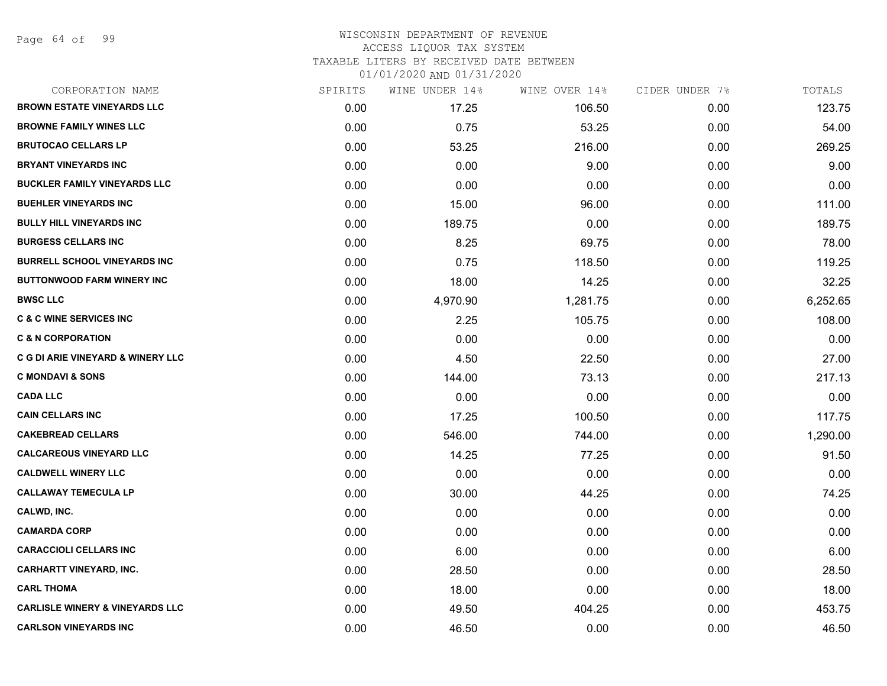Page 64 of 99

#### WISCONSIN DEPARTMENT OF REVENUE ACCESS LIQUOR TAX SYSTEM TAXABLE LITERS BY RECEIVED DATE BETWEEN

| CORPORATION NAME                             | SPIRITS | WINE UNDER 14% | WINE OVER 14% | CIDER UNDER 7% | TOTALS   |
|----------------------------------------------|---------|----------------|---------------|----------------|----------|
| <b>BROWN ESTATE VINEYARDS LLC</b>            | 0.00    | 17.25          | 106.50        | 0.00           | 123.75   |
| <b>BROWNE FAMILY WINES LLC</b>               | 0.00    | 0.75           | 53.25         | 0.00           | 54.00    |
| <b>BRUTOCAO CELLARS LP</b>                   | 0.00    | 53.25          | 216.00        | 0.00           | 269.25   |
| <b>BRYANT VINEYARDS INC</b>                  | 0.00    | 0.00           | 9.00          | 0.00           | 9.00     |
| <b>BUCKLER FAMILY VINEYARDS LLC</b>          | 0.00    | 0.00           | 0.00          | 0.00           | 0.00     |
| <b>BUEHLER VINEYARDS INC</b>                 | 0.00    | 15.00          | 96.00         | 0.00           | 111.00   |
| <b>BULLY HILL VINEYARDS INC</b>              | 0.00    | 189.75         | 0.00          | 0.00           | 189.75   |
| <b>BURGESS CELLARS INC</b>                   | 0.00    | 8.25           | 69.75         | 0.00           | 78.00    |
| <b>BURRELL SCHOOL VINEYARDS INC</b>          | 0.00    | 0.75           | 118.50        | 0.00           | 119.25   |
| <b>BUTTONWOOD FARM WINERY INC</b>            | 0.00    | 18.00          | 14.25         | 0.00           | 32.25    |
| <b>BWSC LLC</b>                              | 0.00    | 4,970.90       | 1,281.75      | 0.00           | 6,252.65 |
| <b>C &amp; C WINE SERVICES INC</b>           | 0.00    | 2.25           | 105.75        | 0.00           | 108.00   |
| <b>C &amp; N CORPORATION</b>                 | 0.00    | 0.00           | 0.00          | 0.00           | 0.00     |
| <b>C G DI ARIE VINEYARD &amp; WINERY LLC</b> | 0.00    | 4.50           | 22.50         | 0.00           | 27.00    |
| <b>C MONDAVI &amp; SONS</b>                  | 0.00    | 144.00         | 73.13         | 0.00           | 217.13   |
| <b>CADA LLC</b>                              | 0.00    | 0.00           | 0.00          | 0.00           | 0.00     |
| <b>CAIN CELLARS INC</b>                      | 0.00    | 17.25          | 100.50        | 0.00           | 117.75   |
| <b>CAKEBREAD CELLARS</b>                     | 0.00    | 546.00         | 744.00        | 0.00           | 1,290.00 |
| <b>CALCAREOUS VINEYARD LLC</b>               | 0.00    | 14.25          | 77.25         | 0.00           | 91.50    |
| <b>CALDWELL WINERY LLC</b>                   | 0.00    | 0.00           | 0.00          | 0.00           | 0.00     |
| <b>CALLAWAY TEMECULA LP</b>                  | 0.00    | 30.00          | 44.25         | 0.00           | 74.25    |
| CALWD, INC.                                  | 0.00    | 0.00           | 0.00          | 0.00           | 0.00     |
| <b>CAMARDA CORP</b>                          | 0.00    | 0.00           | 0.00          | 0.00           | 0.00     |
| <b>CARACCIOLI CELLARS INC</b>                | 0.00    | 6.00           | 0.00          | 0.00           | 6.00     |
| <b>CARHARTT VINEYARD, INC.</b>               | 0.00    | 28.50          | 0.00          | 0.00           | 28.50    |
| <b>CARL THOMA</b>                            | 0.00    | 18.00          | 0.00          | 0.00           | 18.00    |
| <b>CARLISLE WINERY &amp; VINEYARDS LLC</b>   | 0.00    | 49.50          | 404.25        | 0.00           | 453.75   |
| <b>CARLSON VINEYARDS INC</b>                 | 0.00    | 46.50          | 0.00          | 0.00           | 46.50    |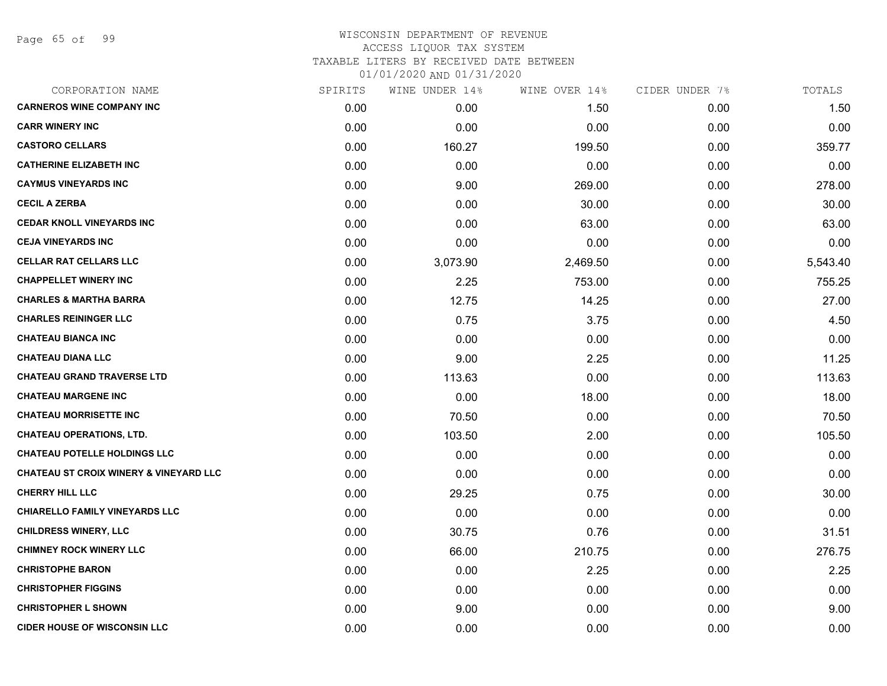| CORPORATION NAME                                  | SPIRITS | WINE UNDER 14% | WINE OVER 14% | CIDER UNDER 7% | TOTALS   |
|---------------------------------------------------|---------|----------------|---------------|----------------|----------|
| <b>CARNEROS WINE COMPANY INC</b>                  | 0.00    | 0.00           | 1.50          | 0.00           | 1.50     |
| <b>CARR WINERY INC</b>                            | 0.00    | 0.00           | 0.00          | 0.00           | 0.00     |
| <b>CASTORO CELLARS</b>                            | 0.00    | 160.27         | 199.50        | 0.00           | 359.77   |
| <b>CATHERINE ELIZABETH INC</b>                    | 0.00    | 0.00           | 0.00          | 0.00           | 0.00     |
| <b>CAYMUS VINEYARDS INC</b>                       | 0.00    | 9.00           | 269.00        | 0.00           | 278.00   |
| <b>CECIL A ZERBA</b>                              | 0.00    | 0.00           | 30.00         | 0.00           | 30.00    |
| <b>CEDAR KNOLL VINEYARDS INC</b>                  | 0.00    | 0.00           | 63.00         | 0.00           | 63.00    |
| <b>CEJA VINEYARDS INC</b>                         | 0.00    | 0.00           | 0.00          | 0.00           | 0.00     |
| <b>CELLAR RAT CELLARS LLC</b>                     | 0.00    | 3,073.90       | 2,469.50      | 0.00           | 5,543.40 |
| <b>CHAPPELLET WINERY INC</b>                      | 0.00    | 2.25           | 753.00        | 0.00           | 755.25   |
| <b>CHARLES &amp; MARTHA BARRA</b>                 | 0.00    | 12.75          | 14.25         | 0.00           | 27.00    |
| <b>CHARLES REININGER LLC</b>                      | 0.00    | 0.75           | 3.75          | 0.00           | 4.50     |
| <b>CHATEAU BIANCA INC</b>                         | 0.00    | 0.00           | 0.00          | 0.00           | 0.00     |
| <b>CHATEAU DIANA LLC</b>                          | 0.00    | 9.00           | 2.25          | 0.00           | 11.25    |
| <b>CHATEAU GRAND TRAVERSE LTD</b>                 | 0.00    | 113.63         | 0.00          | 0.00           | 113.63   |
| <b>CHATEAU MARGENE INC</b>                        | 0.00    | 0.00           | 18.00         | 0.00           | 18.00    |
| <b>CHATEAU MORRISETTE INC</b>                     | 0.00    | 70.50          | 0.00          | 0.00           | 70.50    |
| <b>CHATEAU OPERATIONS, LTD.</b>                   | 0.00    | 103.50         | 2.00          | 0.00           | 105.50   |
| <b>CHATEAU POTELLE HOLDINGS LLC</b>               | 0.00    | 0.00           | 0.00          | 0.00           | 0.00     |
| <b>CHATEAU ST CROIX WINERY &amp; VINEYARD LLC</b> | 0.00    | 0.00           | 0.00          | 0.00           | 0.00     |
| <b>CHERRY HILL LLC</b>                            | 0.00    | 29.25          | 0.75          | 0.00           | 30.00    |
| <b>CHIARELLO FAMILY VINEYARDS LLC</b>             | 0.00    | 0.00           | 0.00          | 0.00           | 0.00     |
| <b>CHILDRESS WINERY, LLC</b>                      | 0.00    | 30.75          | 0.76          | 0.00           | 31.51    |
| <b>CHIMNEY ROCK WINERY LLC</b>                    | 0.00    | 66.00          | 210.75        | 0.00           | 276.75   |
| <b>CHRISTOPHE BARON</b>                           | 0.00    | 0.00           | 2.25          | 0.00           | 2.25     |
| <b>CHRISTOPHER FIGGINS</b>                        | 0.00    | 0.00           | 0.00          | 0.00           | 0.00     |
| <b>CHRISTOPHER L SHOWN</b>                        | 0.00    | 9.00           | 0.00          | 0.00           | 9.00     |
| <b>CIDER HOUSE OF WISCONSIN LLC</b>               | 0.00    | 0.00           | 0.00          | 0.00           | 0.00     |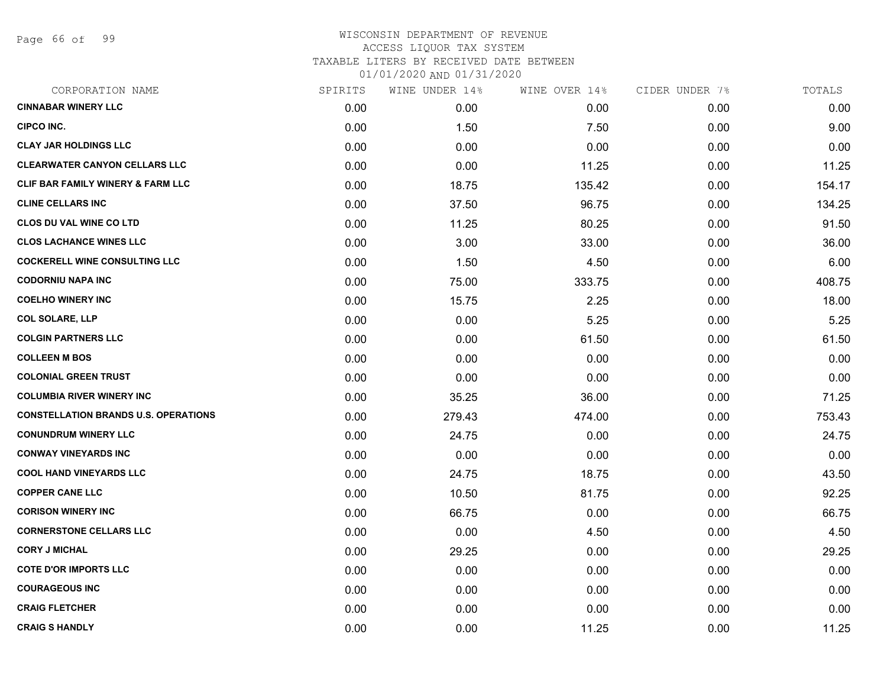Page 66 of 99

| CORPORATION NAME                            | SPIRITS | WINE UNDER 14% | WINE OVER 14% | CIDER UNDER 7% | TOTALS |
|---------------------------------------------|---------|----------------|---------------|----------------|--------|
| <b>CINNABAR WINERY LLC</b>                  | 0.00    | 0.00           | 0.00          | 0.00           | 0.00   |
| <b>CIPCO INC.</b>                           | 0.00    | 1.50           | 7.50          | 0.00           | 9.00   |
| <b>CLAY JAR HOLDINGS LLC</b>                | 0.00    | 0.00           | 0.00          | 0.00           | 0.00   |
| <b>CLEARWATER CANYON CELLARS LLC</b>        | 0.00    | 0.00           | 11.25         | 0.00           | 11.25  |
| CLIF BAR FAMILY WINERY & FARM LLC           | 0.00    | 18.75          | 135.42        | 0.00           | 154.17 |
| <b>CLINE CELLARS INC</b>                    | 0.00    | 37.50          | 96.75         | 0.00           | 134.25 |
| <b>CLOS DU VAL WINE CO LTD</b>              | 0.00    | 11.25          | 80.25         | 0.00           | 91.50  |
| <b>CLOS LACHANCE WINES LLC</b>              | 0.00    | 3.00           | 33.00         | 0.00           | 36.00  |
| <b>COCKERELL WINE CONSULTING LLC</b>        | 0.00    | 1.50           | 4.50          | 0.00           | 6.00   |
| <b>CODORNIU NAPA INC</b>                    | 0.00    | 75.00          | 333.75        | 0.00           | 408.75 |
| <b>COELHO WINERY INC</b>                    | 0.00    | 15.75          | 2.25          | 0.00           | 18.00  |
| <b>COL SOLARE, LLP</b>                      | 0.00    | 0.00           | 5.25          | 0.00           | 5.25   |
| <b>COLGIN PARTNERS LLC</b>                  | 0.00    | 0.00           | 61.50         | 0.00           | 61.50  |
| <b>COLLEEN M BOS</b>                        | 0.00    | 0.00           | 0.00          | 0.00           | 0.00   |
| <b>COLONIAL GREEN TRUST</b>                 | 0.00    | 0.00           | 0.00          | 0.00           | 0.00   |
| <b>COLUMBIA RIVER WINERY INC</b>            | 0.00    | 35.25          | 36.00         | 0.00           | 71.25  |
| <b>CONSTELLATION BRANDS U.S. OPERATIONS</b> | 0.00    | 279.43         | 474.00        | 0.00           | 753.43 |
| <b>CONUNDRUM WINERY LLC</b>                 | 0.00    | 24.75          | 0.00          | 0.00           | 24.75  |
| <b>CONWAY VINEYARDS INC</b>                 | 0.00    | 0.00           | 0.00          | 0.00           | 0.00   |
| <b>COOL HAND VINEYARDS LLC</b>              | 0.00    | 24.75          | 18.75         | 0.00           | 43.50  |
| <b>COPPER CANE LLC</b>                      | 0.00    | 10.50          | 81.75         | 0.00           | 92.25  |
| <b>CORISON WINERY INC</b>                   | 0.00    | 66.75          | 0.00          | 0.00           | 66.75  |
| <b>CORNERSTONE CELLARS LLC</b>              | 0.00    | 0.00           | 4.50          | 0.00           | 4.50   |
| <b>CORY J MICHAL</b>                        | 0.00    | 29.25          | 0.00          | 0.00           | 29.25  |
| <b>COTE D'OR IMPORTS LLC</b>                | 0.00    | 0.00           | 0.00          | 0.00           | 0.00   |
| <b>COURAGEOUS INC</b>                       | 0.00    | 0.00           | 0.00          | 0.00           | 0.00   |
| <b>CRAIG FLETCHER</b>                       | 0.00    | 0.00           | 0.00          | 0.00           | 0.00   |
| <b>CRAIG S HANDLY</b>                       | 0.00    | 0.00           | 11.25         | 0.00           | 11.25  |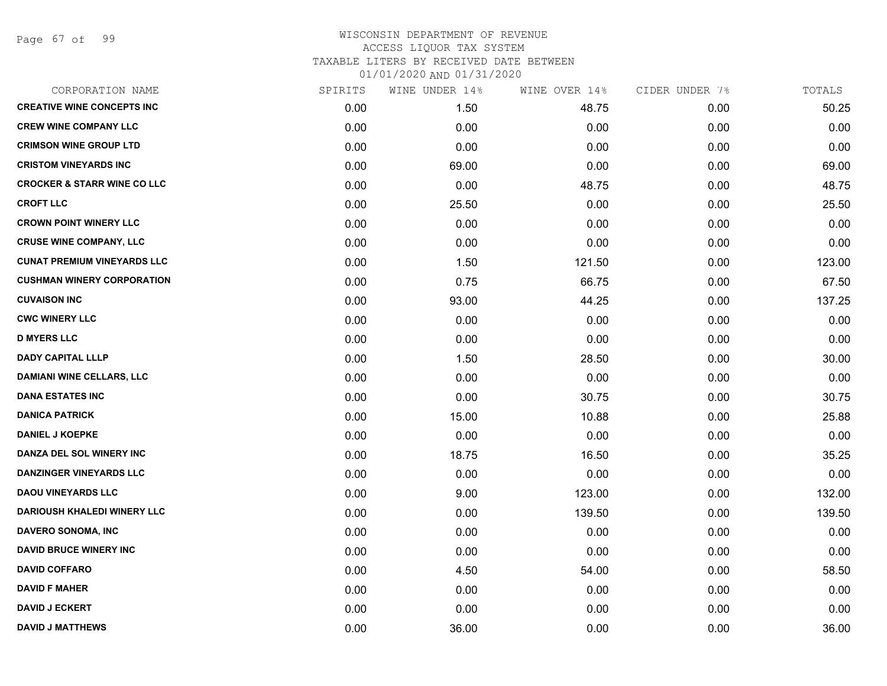Page 67 of 99

# WISCONSIN DEPARTMENT OF REVENUE ACCESS LIQUOR TAX SYSTEM TAXABLE LITERS BY RECEIVED DATE BETWEEN

| CORPORATION NAME                       | SPIRITS | WINE UNDER 14% | WINE OVER 14% | CIDER UNDER 7% | TOTALS |
|----------------------------------------|---------|----------------|---------------|----------------|--------|
| <b>CREATIVE WINE CONCEPTS INC</b>      | 0.00    | 1.50           | 48.75         | 0.00           | 50.25  |
| <b>CREW WINE COMPANY LLC</b>           | 0.00    | 0.00           | 0.00          | 0.00           | 0.00   |
| <b>CRIMSON WINE GROUP LTD</b>          | 0.00    | 0.00           | 0.00          | 0.00           | 0.00   |
| <b>CRISTOM VINEYARDS INC</b>           | 0.00    | 69.00          | 0.00          | 0.00           | 69.00  |
| <b>CROCKER &amp; STARR WINE CO LLC</b> | 0.00    | 0.00           | 48.75         | 0.00           | 48.75  |
| <b>CROFT LLC</b>                       | 0.00    | 25.50          | 0.00          | 0.00           | 25.50  |
| <b>CROWN POINT WINERY LLC</b>          | 0.00    | 0.00           | 0.00          | 0.00           | 0.00   |
| <b>CRUSE WINE COMPANY, LLC</b>         | 0.00    | 0.00           | 0.00          | 0.00           | 0.00   |
| <b>CUNAT PREMIUM VINEYARDS LLC</b>     | 0.00    | 1.50           | 121.50        | 0.00           | 123.00 |
| <b>CUSHMAN WINERY CORPORATION</b>      | 0.00    | 0.75           | 66.75         | 0.00           | 67.50  |
| <b>CUVAISON INC</b>                    | 0.00    | 93.00          | 44.25         | 0.00           | 137.25 |
| <b>CWC WINERY LLC</b>                  | 0.00    | 0.00           | 0.00          | 0.00           | 0.00   |
| <b>D MYERS LLC</b>                     | 0.00    | 0.00           | 0.00          | 0.00           | 0.00   |
| <b>DADY CAPITAL LLLP</b>               | 0.00    | 1.50           | 28.50         | 0.00           | 30.00  |
| <b>DAMIANI WINE CELLARS, LLC</b>       | 0.00    | 0.00           | 0.00          | 0.00           | 0.00   |
| <b>DANA ESTATES INC</b>                | 0.00    | 0.00           | 30.75         | 0.00           | 30.75  |
| <b>DANICA PATRICK</b>                  | 0.00    | 15.00          | 10.88         | 0.00           | 25.88  |
| <b>DANIEL J KOEPKE</b>                 | 0.00    | 0.00           | 0.00          | 0.00           | 0.00   |
| DANZA DEL SOL WINERY INC               | 0.00    | 18.75          | 16.50         | 0.00           | 35.25  |
| <b>DANZINGER VINEYARDS LLC</b>         | 0.00    | 0.00           | 0.00          | 0.00           | 0.00   |
| <b>DAOU VINEYARDS LLC</b>              | 0.00    | 9.00           | 123.00        | 0.00           | 132.00 |
| <b>DARIOUSH KHALEDI WINERY LLC</b>     | 0.00    | 0.00           | 139.50        | 0.00           | 139.50 |
| <b>DAVERO SONOMA, INC</b>              | 0.00    | 0.00           | 0.00          | 0.00           | 0.00   |
| <b>DAVID BRUCE WINERY INC</b>          | 0.00    | 0.00           | 0.00          | 0.00           | 0.00   |
| <b>DAVID COFFARO</b>                   | 0.00    | 4.50           | 54.00         | 0.00           | 58.50  |
| <b>DAVID F MAHER</b>                   | 0.00    | 0.00           | 0.00          | 0.00           | 0.00   |
| <b>DAVID J ECKERT</b>                  | 0.00    | 0.00           | 0.00          | 0.00           | 0.00   |
| <b>DAVID J MATTHEWS</b>                | 0.00    | 36.00          | 0.00          | 0.00           | 36.00  |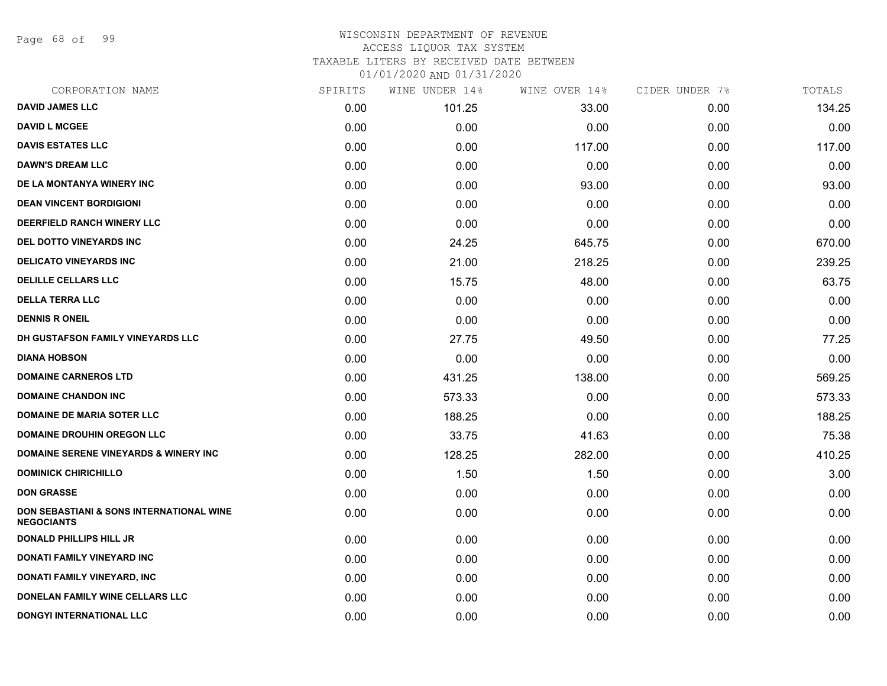Page 68 of 99

### WISCONSIN DEPARTMENT OF REVENUE ACCESS LIQUOR TAX SYSTEM TAXABLE LITERS BY RECEIVED DATE BETWEEN

| CORPORATION NAME                                                         | SPIRITS | WINE UNDER 14% | WINE OVER 14% | CIDER UNDER 7% | TOTALS |
|--------------------------------------------------------------------------|---------|----------------|---------------|----------------|--------|
| <b>DAVID JAMES LLC</b>                                                   | 0.00    | 101.25         | 33.00         | 0.00           | 134.25 |
| <b>DAVID L MCGEE</b>                                                     | 0.00    | 0.00           | 0.00          | 0.00           | 0.00   |
| <b>DAVIS ESTATES LLC</b>                                                 | 0.00    | 0.00           | 117.00        | 0.00           | 117.00 |
| <b>DAWN'S DREAM LLC</b>                                                  | 0.00    | 0.00           | 0.00          | 0.00           | 0.00   |
| DE LA MONTANYA WINERY INC                                                | 0.00    | 0.00           | 93.00         | 0.00           | 93.00  |
| <b>DEAN VINCENT BORDIGIONI</b>                                           | 0.00    | 0.00           | 0.00          | 0.00           | 0.00   |
| DEERFIELD RANCH WINERY LLC                                               | 0.00    | 0.00           | 0.00          | 0.00           | 0.00   |
| DEL DOTTO VINEYARDS INC                                                  | 0.00    | 24.25          | 645.75        | 0.00           | 670.00 |
| <b>DELICATO VINEYARDS INC</b>                                            | 0.00    | 21.00          | 218.25        | 0.00           | 239.25 |
| <b>DELILLE CELLARS LLC</b>                                               | 0.00    | 15.75          | 48.00         | 0.00           | 63.75  |
| <b>DELLA TERRA LLC</b>                                                   | 0.00    | 0.00           | 0.00          | 0.00           | 0.00   |
| <b>DENNIS R ONEIL</b>                                                    | 0.00    | 0.00           | 0.00          | 0.00           | 0.00   |
| DH GUSTAFSON FAMILY VINEYARDS LLC                                        | 0.00    | 27.75          | 49.50         | 0.00           | 77.25  |
| <b>DIANA HOBSON</b>                                                      | 0.00    | 0.00           | 0.00          | 0.00           | 0.00   |
| <b>DOMAINE CARNEROS LTD</b>                                              | 0.00    | 431.25         | 138.00        | 0.00           | 569.25 |
| <b>DOMAINE CHANDON INC</b>                                               | 0.00    | 573.33         | 0.00          | 0.00           | 573.33 |
| <b>DOMAINE DE MARIA SOTER LLC</b>                                        | 0.00    | 188.25         | 0.00          | 0.00           | 188.25 |
| <b>DOMAINE DROUHIN OREGON LLC</b>                                        | 0.00    | 33.75          | 41.63         | 0.00           | 75.38  |
| <b>DOMAINE SERENE VINEYARDS &amp; WINERY INC</b>                         | 0.00    | 128.25         | 282.00        | 0.00           | 410.25 |
| <b>DOMINICK CHIRICHILLO</b>                                              | 0.00    | 1.50           | 1.50          | 0.00           | 3.00   |
| <b>DON GRASSE</b>                                                        | 0.00    | 0.00           | 0.00          | 0.00           | 0.00   |
| <b>DON SEBASTIANI &amp; SONS INTERNATIONAL WINE</b><br><b>NEGOCIANTS</b> | 0.00    | 0.00           | 0.00          | 0.00           | 0.00   |
| <b>DONALD PHILLIPS HILL JR</b>                                           | 0.00    | 0.00           | 0.00          | 0.00           | 0.00   |
| DONATI FAMILY VINEYARD INC                                               | 0.00    | 0.00           | 0.00          | 0.00           | 0.00   |
| DONATI FAMILY VINEYARD, INC                                              | 0.00    | 0.00           | 0.00          | 0.00           | 0.00   |
| DONELAN FAMILY WINE CELLARS LLC                                          | 0.00    | 0.00           | 0.00          | 0.00           | 0.00   |
| <b>DONGYI INTERNATIONAL LLC</b>                                          | 0.00    | 0.00           | 0.00          | 0.00           | 0.00   |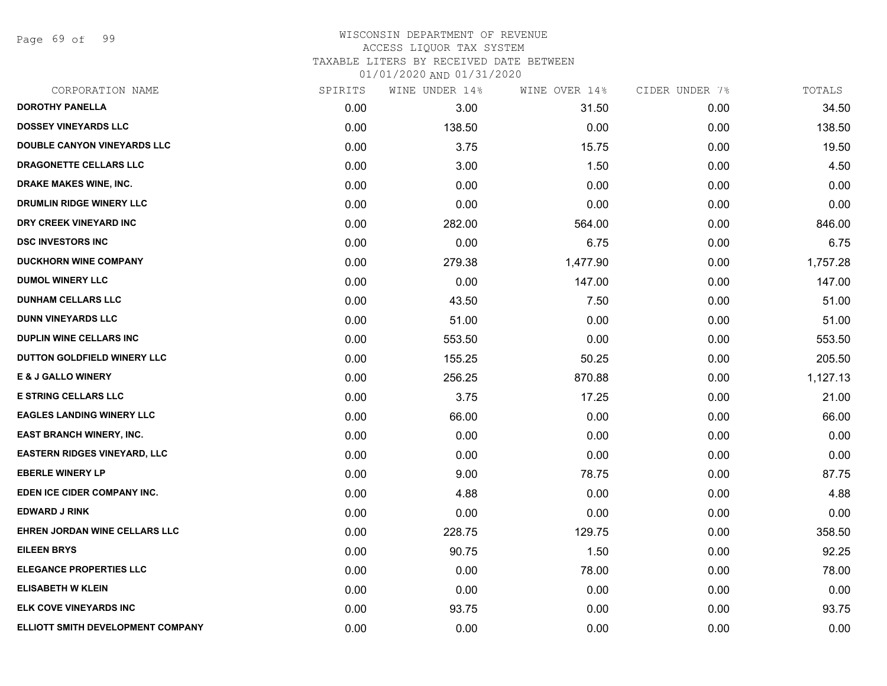Page 69 of 99

# WISCONSIN DEPARTMENT OF REVENUE ACCESS LIQUOR TAX SYSTEM TAXABLE LITERS BY RECEIVED DATE BETWEEN

| CORPORATION NAME                    | SPIRITS | WINE UNDER 14% | WINE OVER 14% | CIDER UNDER 7% | TOTALS   |
|-------------------------------------|---------|----------------|---------------|----------------|----------|
| <b>DOROTHY PANELLA</b>              | 0.00    | 3.00           | 31.50         | 0.00           | 34.50    |
| <b>DOSSEY VINEYARDS LLC</b>         | 0.00    | 138.50         | 0.00          | 0.00           | 138.50   |
| <b>DOUBLE CANYON VINEYARDS LLC</b>  | 0.00    | 3.75           | 15.75         | 0.00           | 19.50    |
| DRAGONETTE CELLARS LLC              | 0.00    | 3.00           | 1.50          | 0.00           | 4.50     |
| <b>DRAKE MAKES WINE, INC.</b>       | 0.00    | 0.00           | 0.00          | 0.00           | 0.00     |
| DRUMLIN RIDGE WINERY LLC            | 0.00    | 0.00           | 0.00          | 0.00           | 0.00     |
| DRY CREEK VINEYARD INC              | 0.00    | 282.00         | 564.00        | 0.00           | 846.00   |
| <b>DSC INVESTORS INC</b>            | 0.00    | 0.00           | 6.75          | 0.00           | 6.75     |
| <b>DUCKHORN WINE COMPANY</b>        | 0.00    | 279.38         | 1,477.90      | 0.00           | 1,757.28 |
| <b>DUMOL WINERY LLC</b>             | 0.00    | 0.00           | 147.00        | 0.00           | 147.00   |
| <b>DUNHAM CELLARS LLC</b>           | 0.00    | 43.50          | 7.50          | 0.00           | 51.00    |
| <b>DUNN VINEYARDS LLC</b>           | 0.00    | 51.00          | 0.00          | 0.00           | 51.00    |
| <b>DUPLIN WINE CELLARS INC</b>      | 0.00    | 553.50         | 0.00          | 0.00           | 553.50   |
| DUTTON GOLDFIELD WINERY LLC         | 0.00    | 155.25         | 50.25         | 0.00           | 205.50   |
| <b>E &amp; J GALLO WINERY</b>       | 0.00    | 256.25         | 870.88        | 0.00           | 1,127.13 |
| <b>E STRING CELLARS LLC</b>         | 0.00    | 3.75           | 17.25         | 0.00           | 21.00    |
| <b>EAGLES LANDING WINERY LLC</b>    | 0.00    | 66.00          | 0.00          | 0.00           | 66.00    |
| EAST BRANCH WINERY, INC.            | 0.00    | 0.00           | 0.00          | 0.00           | 0.00     |
| <b>EASTERN RIDGES VINEYARD, LLC</b> | 0.00    | 0.00           | 0.00          | 0.00           | 0.00     |
| <b>EBERLE WINERY LP</b>             | 0.00    | 9.00           | 78.75         | 0.00           | 87.75    |
| EDEN ICE CIDER COMPANY INC.         | 0.00    | 4.88           | 0.00          | 0.00           | 4.88     |
| <b>EDWARD J RINK</b>                | 0.00    | 0.00           | 0.00          | 0.00           | 0.00     |
| EHREN JORDAN WINE CELLARS LLC       | 0.00    | 228.75         | 129.75        | 0.00           | 358.50   |
| <b>EILEEN BRYS</b>                  | 0.00    | 90.75          | 1.50          | 0.00           | 92.25    |
| <b>ELEGANCE PROPERTIES LLC</b>      | 0.00    | 0.00           | 78.00         | 0.00           | 78.00    |
| <b>ELISABETH W KLEIN</b>            | 0.00    | 0.00           | 0.00          | 0.00           | 0.00     |
| <b>ELK COVE VINEYARDS INC</b>       | 0.00    | 93.75          | 0.00          | 0.00           | 93.75    |
| ELLIOTT SMITH DEVELOPMENT COMPANY   | 0.00    | 0.00           | 0.00          | 0.00           | 0.00     |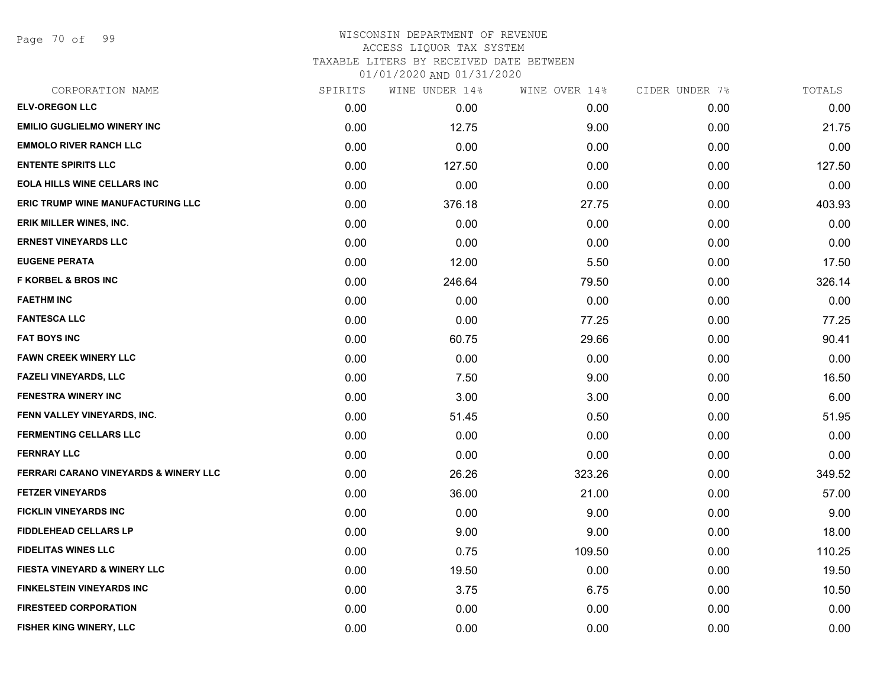Page 70 of 99

# WISCONSIN DEPARTMENT OF REVENUE ACCESS LIQUOR TAX SYSTEM TAXABLE LITERS BY RECEIVED DATE BETWEEN

| CORPORATION NAME                                 | SPIRITS | WINE UNDER 14% | WINE OVER 14% | CIDER UNDER 7% | TOTALS |
|--------------------------------------------------|---------|----------------|---------------|----------------|--------|
| <b>ELV-OREGON LLC</b>                            | 0.00    | 0.00           | 0.00          | 0.00           | 0.00   |
| <b>EMILIO GUGLIELMO WINERY INC</b>               | 0.00    | 12.75          | 9.00          | 0.00           | 21.75  |
| <b>EMMOLO RIVER RANCH LLC</b>                    | 0.00    | 0.00           | 0.00          | 0.00           | 0.00   |
| <b>ENTENTE SPIRITS LLC</b>                       | 0.00    | 127.50         | 0.00          | 0.00           | 127.50 |
| <b>EOLA HILLS WINE CELLARS INC</b>               | 0.00    | 0.00           | 0.00          | 0.00           | 0.00   |
| <b>ERIC TRUMP WINE MANUFACTURING LLC</b>         | 0.00    | 376.18         | 27.75         | 0.00           | 403.93 |
| ERIK MILLER WINES, INC.                          | 0.00    | 0.00           | 0.00          | 0.00           | 0.00   |
| <b>ERNEST VINEYARDS LLC</b>                      | 0.00    | 0.00           | 0.00          | 0.00           | 0.00   |
| <b>EUGENE PERATA</b>                             | 0.00    | 12.00          | 5.50          | 0.00           | 17.50  |
| <b>F KORBEL &amp; BROS INC</b>                   | 0.00    | 246.64         | 79.50         | 0.00           | 326.14 |
| <b>FAETHM INC</b>                                | 0.00    | 0.00           | 0.00          | 0.00           | 0.00   |
| <b>FANTESCA LLC</b>                              | 0.00    | 0.00           | 77.25         | 0.00           | 77.25  |
| <b>FAT BOYS INC</b>                              | 0.00    | 60.75          | 29.66         | 0.00           | 90.41  |
| <b>FAWN CREEK WINERY LLC</b>                     | 0.00    | 0.00           | 0.00          | 0.00           | 0.00   |
| <b>FAZELI VINEYARDS, LLC</b>                     | 0.00    | 7.50           | 9.00          | 0.00           | 16.50  |
| <b>FENESTRA WINERY INC</b>                       | 0.00    | 3.00           | 3.00          | 0.00           | 6.00   |
| FENN VALLEY VINEYARDS, INC.                      | 0.00    | 51.45          | 0.50          | 0.00           | 51.95  |
| <b>FERMENTING CELLARS LLC</b>                    | 0.00    | 0.00           | 0.00          | 0.00           | 0.00   |
| <b>FERNRAY LLC</b>                               | 0.00    | 0.00           | 0.00          | 0.00           | 0.00   |
| <b>FERRARI CARANO VINEYARDS &amp; WINERY LLC</b> | 0.00    | 26.26          | 323.26        | 0.00           | 349.52 |
| <b>FETZER VINEYARDS</b>                          | 0.00    | 36.00          | 21.00         | 0.00           | 57.00  |
| <b>FICKLIN VINEYARDS INC</b>                     | 0.00    | 0.00           | 9.00          | 0.00           | 9.00   |
| <b>FIDDLEHEAD CELLARS LP</b>                     | 0.00    | 9.00           | 9.00          | 0.00           | 18.00  |
| <b>FIDELITAS WINES LLC</b>                       | 0.00    | 0.75           | 109.50        | 0.00           | 110.25 |
| <b>FIESTA VINEYARD &amp; WINERY LLC</b>          | 0.00    | 19.50          | 0.00          | 0.00           | 19.50  |
| <b>FINKELSTEIN VINEYARDS INC</b>                 | 0.00    | 3.75           | 6.75          | 0.00           | 10.50  |
| <b>FIRESTEED CORPORATION</b>                     | 0.00    | 0.00           | 0.00          | 0.00           | 0.00   |
| FISHER KING WINERY, LLC                          | 0.00    | 0.00           | 0.00          | 0.00           | 0.00   |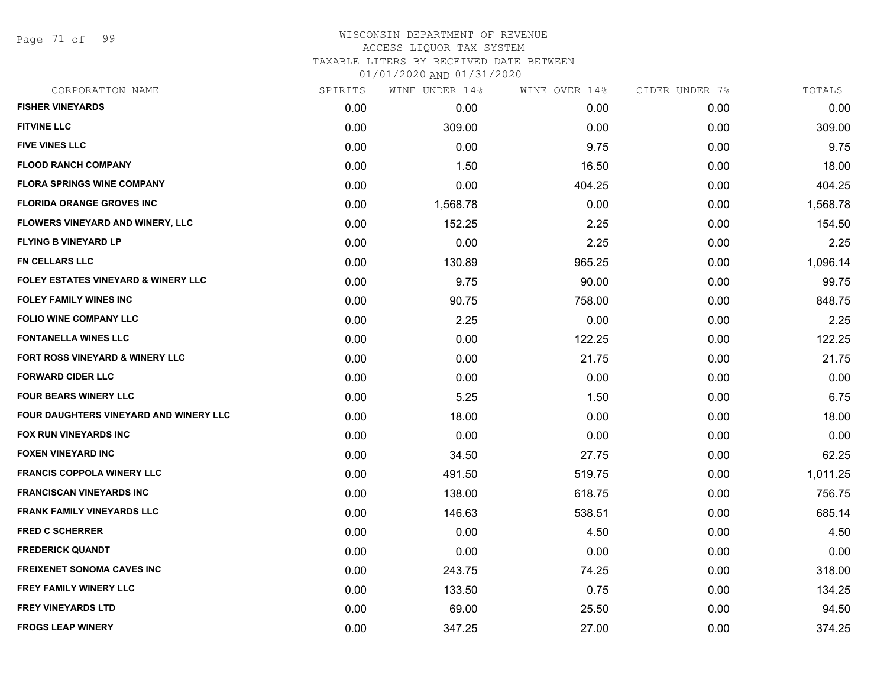Page 71 of 99

#### WISCONSIN DEPARTMENT OF REVENUE ACCESS LIQUOR TAX SYSTEM TAXABLE LITERS BY RECEIVED DATE BETWEEN

| CORPORATION NAME                               | SPIRITS | WINE UNDER 14% | WINE OVER 14% | CIDER UNDER 7% | TOTALS   |
|------------------------------------------------|---------|----------------|---------------|----------------|----------|
| <b>FISHER VINEYARDS</b>                        | 0.00    | 0.00           | 0.00          | 0.00           | 0.00     |
| <b>FITVINE LLC</b>                             | 0.00    | 309.00         | 0.00          | 0.00           | 309.00   |
| <b>FIVE VINES LLC</b>                          | 0.00    | 0.00           | 9.75          | 0.00           | 9.75     |
| <b>FLOOD RANCH COMPANY</b>                     | 0.00    | 1.50           | 16.50         | 0.00           | 18.00    |
| <b>FLORA SPRINGS WINE COMPANY</b>              | 0.00    | 0.00           | 404.25        | 0.00           | 404.25   |
| <b>FLORIDA ORANGE GROVES INC</b>               | 0.00    | 1,568.78       | 0.00          | 0.00           | 1,568.78 |
| FLOWERS VINEYARD AND WINERY, LLC               | 0.00    | 152.25         | 2.25          | 0.00           | 154.50   |
| <b>FLYING B VINEYARD LP</b>                    | 0.00    | 0.00           | 2.25          | 0.00           | 2.25     |
| <b>FN CELLARS LLC</b>                          | 0.00    | 130.89         | 965.25        | 0.00           | 1,096.14 |
| <b>FOLEY ESTATES VINEYARD &amp; WINERY LLC</b> | 0.00    | 9.75           | 90.00         | 0.00           | 99.75    |
| <b>FOLEY FAMILY WINES INC</b>                  | 0.00    | 90.75          | 758.00        | 0.00           | 848.75   |
| <b>FOLIO WINE COMPANY LLC</b>                  | 0.00    | 2.25           | 0.00          | 0.00           | 2.25     |
| <b>FONTANELLA WINES LLC</b>                    | 0.00    | 0.00           | 122.25        | 0.00           | 122.25   |
| FORT ROSS VINEYARD & WINERY LLC                | 0.00    | 0.00           | 21.75         | 0.00           | 21.75    |
| <b>FORWARD CIDER LLC</b>                       | 0.00    | 0.00           | 0.00          | 0.00           | 0.00     |
| <b>FOUR BEARS WINERY LLC</b>                   | 0.00    | 5.25           | 1.50          | 0.00           | 6.75     |
| <b>FOUR DAUGHTERS VINEYARD AND WINERY LLC</b>  | 0.00    | 18.00          | 0.00          | 0.00           | 18.00    |
| <b>FOX RUN VINEYARDS INC</b>                   | 0.00    | 0.00           | 0.00          | 0.00           | 0.00     |
| <b>FOXEN VINEYARD INC</b>                      | 0.00    | 34.50          | 27.75         | 0.00           | 62.25    |
| <b>FRANCIS COPPOLA WINERY LLC</b>              | 0.00    | 491.50         | 519.75        | 0.00           | 1,011.25 |
| <b>FRANCISCAN VINEYARDS INC</b>                | 0.00    | 138.00         | 618.75        | 0.00           | 756.75   |
| <b>FRANK FAMILY VINEYARDS LLC</b>              | 0.00    | 146.63         | 538.51        | 0.00           | 685.14   |
| <b>FRED C SCHERRER</b>                         | 0.00    | 0.00           | 4.50          | 0.00           | 4.50     |
| <b>FREDERICK QUANDT</b>                        | 0.00    | 0.00           | 0.00          | 0.00           | 0.00     |
| <b>FREIXENET SONOMA CAVES INC</b>              | 0.00    | 243.75         | 74.25         | 0.00           | 318.00   |
| <b>FREY FAMILY WINERY LLC</b>                  | 0.00    | 133.50         | 0.75          | 0.00           | 134.25   |
| <b>FREY VINEYARDS LTD</b>                      | 0.00    | 69.00          | 25.50         | 0.00           | 94.50    |
| <b>FROGS LEAP WINERY</b>                       | 0.00    | 347.25         | 27.00         | 0.00           | 374.25   |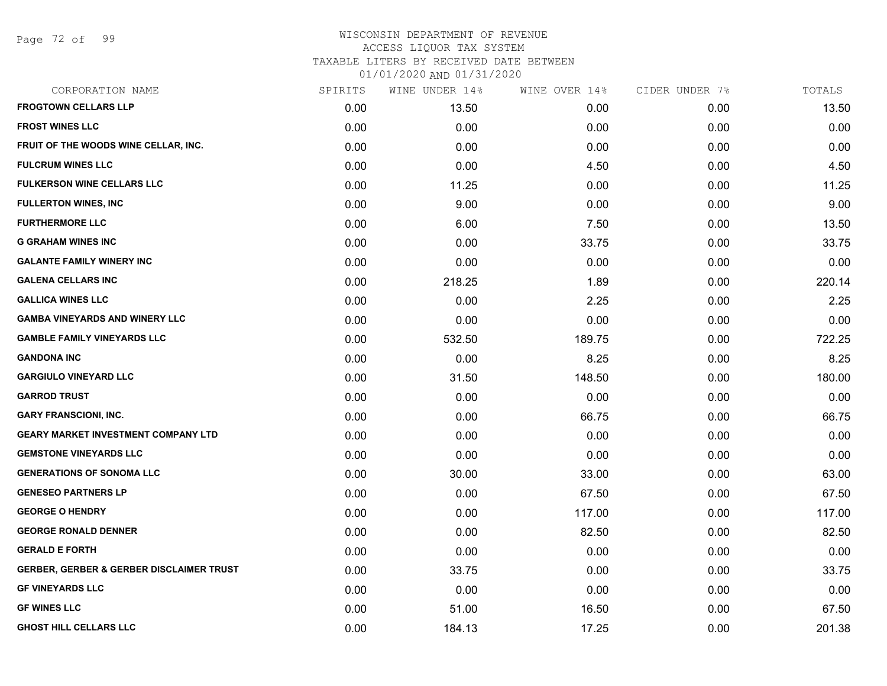Page 72 of 99

# WISCONSIN DEPARTMENT OF REVENUE ACCESS LIQUOR TAX SYSTEM TAXABLE LITERS BY RECEIVED DATE BETWEEN

| CORPORATION NAME                                    | SPIRITS | WINE UNDER 14% | WINE OVER 14% | CIDER UNDER 7% | TOTALS |
|-----------------------------------------------------|---------|----------------|---------------|----------------|--------|
| <b>FROGTOWN CELLARS LLP</b>                         | 0.00    | 13.50          | 0.00          | 0.00           | 13.50  |
| <b>FROST WINES LLC</b>                              | 0.00    | 0.00           | 0.00          | 0.00           | 0.00   |
| FRUIT OF THE WOODS WINE CELLAR, INC.                | 0.00    | 0.00           | 0.00          | 0.00           | 0.00   |
| <b>FULCRUM WINES LLC</b>                            | 0.00    | 0.00           | 4.50          | 0.00           | 4.50   |
| <b>FULKERSON WINE CELLARS LLC</b>                   | 0.00    | 11.25          | 0.00          | 0.00           | 11.25  |
| <b>FULLERTON WINES, INC</b>                         | 0.00    | 9.00           | 0.00          | 0.00           | 9.00   |
| <b>FURTHERMORE LLC</b>                              | 0.00    | 6.00           | 7.50          | 0.00           | 13.50  |
| <b>G GRAHAM WINES INC</b>                           | 0.00    | 0.00           | 33.75         | 0.00           | 33.75  |
| <b>GALANTE FAMILY WINERY INC</b>                    | 0.00    | 0.00           | 0.00          | 0.00           | 0.00   |
| <b>GALENA CELLARS INC</b>                           | 0.00    | 218.25         | 1.89          | 0.00           | 220.14 |
| <b>GALLICA WINES LLC</b>                            | 0.00    | 0.00           | 2.25          | 0.00           | 2.25   |
| <b>GAMBA VINEYARDS AND WINERY LLC</b>               | 0.00    | 0.00           | 0.00          | 0.00           | 0.00   |
| <b>GAMBLE FAMILY VINEYARDS LLC</b>                  | 0.00    | 532.50         | 189.75        | 0.00           | 722.25 |
| <b>GANDONA INC</b>                                  | 0.00    | 0.00           | 8.25          | 0.00           | 8.25   |
| <b>GARGIULO VINEYARD LLC</b>                        | 0.00    | 31.50          | 148.50        | 0.00           | 180.00 |
| <b>GARROD TRUST</b>                                 | 0.00    | 0.00           | 0.00          | 0.00           | 0.00   |
| <b>GARY FRANSCIONI, INC.</b>                        | 0.00    | 0.00           | 66.75         | 0.00           | 66.75  |
| <b>GEARY MARKET INVESTMENT COMPANY LTD</b>          | 0.00    | 0.00           | 0.00          | 0.00           | 0.00   |
| <b>GEMSTONE VINEYARDS LLC</b>                       | 0.00    | 0.00           | 0.00          | 0.00           | 0.00   |
| <b>GENERATIONS OF SONOMA LLC</b>                    | 0.00    | 30.00          | 33.00         | 0.00           | 63.00  |
| <b>GENESEO PARTNERS LP</b>                          | 0.00    | 0.00           | 67.50         | 0.00           | 67.50  |
| <b>GEORGE O HENDRY</b>                              | 0.00    | 0.00           | 117.00        | 0.00           | 117.00 |
| <b>GEORGE RONALD DENNER</b>                         | 0.00    | 0.00           | 82.50         | 0.00           | 82.50  |
| <b>GERALD E FORTH</b>                               | 0.00    | 0.00           | 0.00          | 0.00           | 0.00   |
| <b>GERBER, GERBER &amp; GERBER DISCLAIMER TRUST</b> | 0.00    | 33.75          | 0.00          | 0.00           | 33.75  |
| <b>GF VINEYARDS LLC</b>                             | 0.00    | 0.00           | 0.00          | 0.00           | 0.00   |
| <b>GF WINES LLC</b>                                 | 0.00    | 51.00          | 16.50         | 0.00           | 67.50  |
| <b>GHOST HILL CELLARS LLC</b>                       | 0.00    | 184.13         | 17.25         | 0.00           | 201.38 |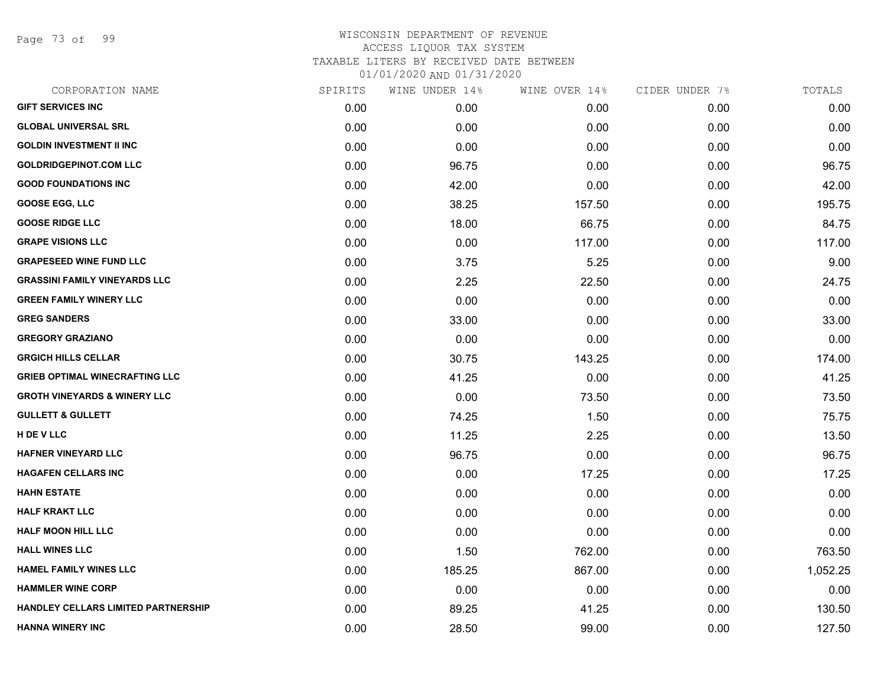Page 73 of 99

| CORPORATION NAME                        | SPIRITS | WINE UNDER 14% | WINE OVER 14% | CIDER UNDER 7% | TOTALS   |
|-----------------------------------------|---------|----------------|---------------|----------------|----------|
| <b>GIFT SERVICES INC</b>                | 0.00    | 0.00           | 0.00          | 0.00           | 0.00     |
| <b>GLOBAL UNIVERSAL SRL</b>             | 0.00    | 0.00           | 0.00          | 0.00           | 0.00     |
| <b>GOLDIN INVESTMENT II INC</b>         | 0.00    | 0.00           | 0.00          | 0.00           | 0.00     |
| <b>GOLDRIDGEPINOT.COM LLC</b>           | 0.00    | 96.75          | 0.00          | 0.00           | 96.75    |
| <b>GOOD FOUNDATIONS INC</b>             | 0.00    | 42.00          | 0.00          | 0.00           | 42.00    |
| <b>GOOSE EGG, LLC</b>                   | 0.00    | 38.25          | 157.50        | 0.00           | 195.75   |
| <b>GOOSE RIDGE LLC</b>                  | 0.00    | 18.00          | 66.75         | 0.00           | 84.75    |
| <b>GRAPE VISIONS LLC</b>                | 0.00    | 0.00           | 117.00        | 0.00           | 117.00   |
| <b>GRAPESEED WINE FUND LLC</b>          | 0.00    | 3.75           | 5.25          | 0.00           | 9.00     |
| <b>GRASSINI FAMILY VINEYARDS LLC</b>    | 0.00    | 2.25           | 22.50         | 0.00           | 24.75    |
| <b>GREEN FAMILY WINERY LLC</b>          | 0.00    | 0.00           | 0.00          | 0.00           | 0.00     |
| <b>GREG SANDERS</b>                     | 0.00    | 33.00          | 0.00          | 0.00           | 33.00    |
| <b>GREGORY GRAZIANO</b>                 | 0.00    | 0.00           | 0.00          | 0.00           | 0.00     |
| <b>GRGICH HILLS CELLAR</b>              | 0.00    | 30.75          | 143.25        | 0.00           | 174.00   |
| <b>GRIEB OPTIMAL WINECRAFTING LLC</b>   | 0.00    | 41.25          | 0.00          | 0.00           | 41.25    |
| <b>GROTH VINEYARDS &amp; WINERY LLC</b> | 0.00    | 0.00           | 73.50         | 0.00           | 73.50    |
| <b>GULLETT &amp; GULLETT</b>            | 0.00    | 74.25          | 1.50          | 0.00           | 75.75    |
| H DE V LLC                              | 0.00    | 11.25          | 2.25          | 0.00           | 13.50    |
| <b>HAFNER VINEYARD LLC</b>              | 0.00    | 96.75          | 0.00          | 0.00           | 96.75    |
| <b>HAGAFEN CELLARS INC</b>              | 0.00    | 0.00           | 17.25         | 0.00           | 17.25    |
| <b>HAHN ESTATE</b>                      | 0.00    | 0.00           | 0.00          | 0.00           | 0.00     |
| <b>HALF KRAKT LLC</b>                   | 0.00    | 0.00           | 0.00          | 0.00           | 0.00     |
| <b>HALF MOON HILL LLC</b>               | 0.00    | 0.00           | 0.00          | 0.00           | 0.00     |
| <b>HALL WINES LLC</b>                   | 0.00    | 1.50           | 762.00        | 0.00           | 763.50   |
| <b>HAMEL FAMILY WINES LLC</b>           | 0.00    | 185.25         | 867.00        | 0.00           | 1,052.25 |
| <b>HAMMLER WINE CORP</b>                | 0.00    | 0.00           | 0.00          | 0.00           | 0.00     |
| HANDLEY CELLARS LIMITED PARTNERSHIP     | 0.00    | 89.25          | 41.25         | 0.00           | 130.50   |
| <b>HANNA WINERY INC</b>                 | 0.00    | 28.50          | 99.00         | 0.00           | 127.50   |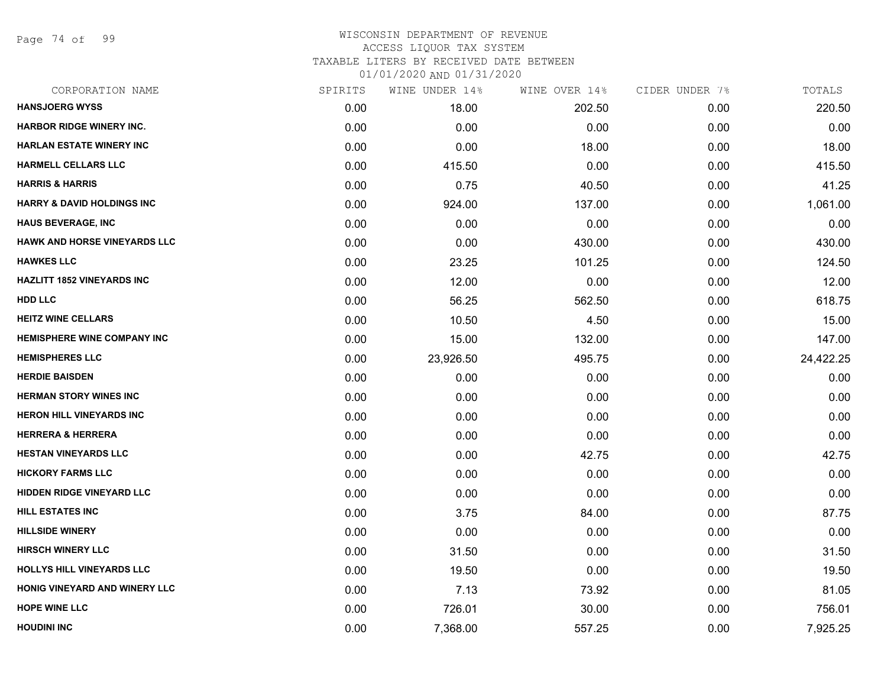Page 74 of 99

# WISCONSIN DEPARTMENT OF REVENUE ACCESS LIQUOR TAX SYSTEM TAXABLE LITERS BY RECEIVED DATE BETWEEN

| CORPORATION NAME                      | SPIRITS | WINE UNDER 14% | WINE OVER 14% | CIDER UNDER 7% | TOTALS    |
|---------------------------------------|---------|----------------|---------------|----------------|-----------|
| <b>HANSJOERG WYSS</b>                 | 0.00    | 18.00          | 202.50        | 0.00           | 220.50    |
| <b>HARBOR RIDGE WINERY INC.</b>       | 0.00    | 0.00           | 0.00          | 0.00           | 0.00      |
| <b>HARLAN ESTATE WINERY INC</b>       | 0.00    | 0.00           | 18.00         | 0.00           | 18.00     |
| <b>HARMELL CELLARS LLC</b>            | 0.00    | 415.50         | 0.00          | 0.00           | 415.50    |
| <b>HARRIS &amp; HARRIS</b>            | 0.00    | 0.75           | 40.50         | 0.00           | 41.25     |
| <b>HARRY &amp; DAVID HOLDINGS INC</b> | 0.00    | 924.00         | 137.00        | 0.00           | 1,061.00  |
| <b>HAUS BEVERAGE, INC</b>             | 0.00    | 0.00           | 0.00          | 0.00           | 0.00      |
| HAWK AND HORSE VINEYARDS LLC          | 0.00    | 0.00           | 430.00        | 0.00           | 430.00    |
| <b>HAWKES LLC</b>                     | 0.00    | 23.25          | 101.25        | 0.00           | 124.50    |
| <b>HAZLITT 1852 VINEYARDS INC</b>     | 0.00    | 12.00          | 0.00          | 0.00           | 12.00     |
| <b>HDD LLC</b>                        | 0.00    | 56.25          | 562.50        | 0.00           | 618.75    |
| <b>HEITZ WINE CELLARS</b>             | 0.00    | 10.50          | 4.50          | 0.00           | 15.00     |
| <b>HEMISPHERE WINE COMPANY INC</b>    | 0.00    | 15.00          | 132.00        | 0.00           | 147.00    |
| <b>HEMISPHERES LLC</b>                | 0.00    | 23,926.50      | 495.75        | 0.00           | 24,422.25 |
| <b>HERDIE BAISDEN</b>                 | 0.00    | 0.00           | 0.00          | 0.00           | 0.00      |
| <b>HERMAN STORY WINES INC</b>         | 0.00    | 0.00           | 0.00          | 0.00           | 0.00      |
| <b>HERON HILL VINEYARDS INC</b>       | 0.00    | 0.00           | 0.00          | 0.00           | 0.00      |
| <b>HERRERA &amp; HERRERA</b>          | 0.00    | 0.00           | 0.00          | 0.00           | 0.00      |
| <b>HESTAN VINEYARDS LLC</b>           | 0.00    | 0.00           | 42.75         | 0.00           | 42.75     |
| <b>HICKORY FARMS LLC</b>              | 0.00    | 0.00           | 0.00          | 0.00           | 0.00      |
| <b>HIDDEN RIDGE VINEYARD LLC</b>      | 0.00    | 0.00           | 0.00          | 0.00           | 0.00      |
| <b>HILL ESTATES INC</b>               | 0.00    | 3.75           | 84.00         | 0.00           | 87.75     |
| <b>HILLSIDE WINERY</b>                | 0.00    | 0.00           | 0.00          | 0.00           | 0.00      |
| <b>HIRSCH WINERY LLC</b>              | 0.00    | 31.50          | 0.00          | 0.00           | 31.50     |
| HOLLYS HILL VINEYARDS LLC             | 0.00    | 19.50          | 0.00          | 0.00           | 19.50     |
| HONIG VINEYARD AND WINERY LLC         | 0.00    | 7.13           | 73.92         | 0.00           | 81.05     |
| <b>HOPE WINE LLC</b>                  | 0.00    | 726.01         | 30.00         | 0.00           | 756.01    |
| <b>HOUDINI INC</b>                    | 0.00    | 7,368.00       | 557.25        | 0.00           | 7,925.25  |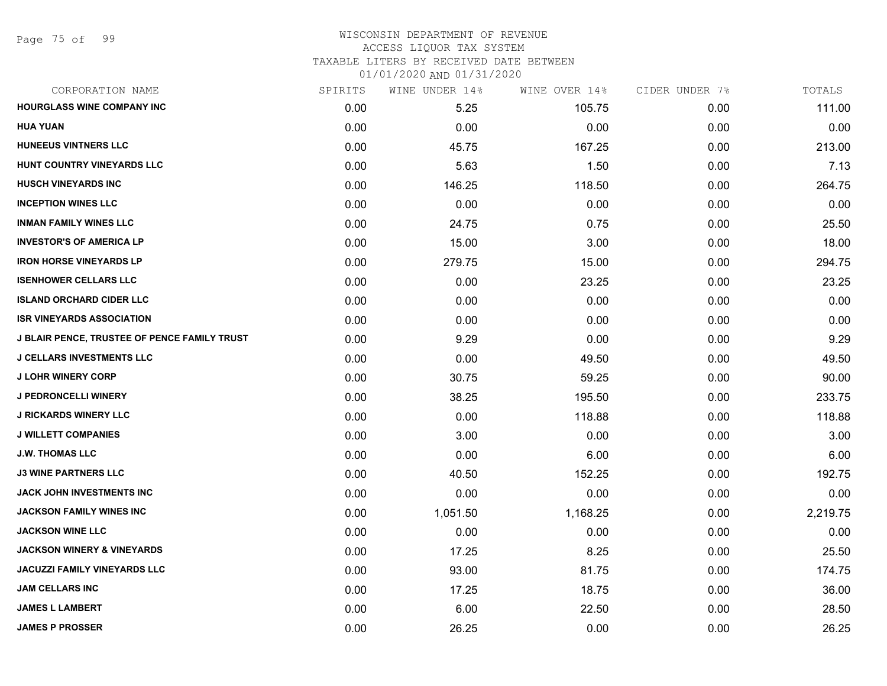### WISCONSIN DEPARTMENT OF REVENUE ACCESS LIQUOR TAX SYSTEM TAXABLE LITERS BY RECEIVED DATE BETWEEN

| CORPORATION NAME                             | SPIRITS | WINE UNDER 14% | WINE OVER 14% | CIDER UNDER 7% | TOTALS   |
|----------------------------------------------|---------|----------------|---------------|----------------|----------|
| <b>HOURGLASS WINE COMPANY INC</b>            | 0.00    | 5.25           | 105.75        | 0.00           | 111.00   |
| <b>HUA YUAN</b>                              | 0.00    | 0.00           | 0.00          | 0.00           | 0.00     |
| <b>HUNEEUS VINTNERS LLC</b>                  | 0.00    | 45.75          | 167.25        | 0.00           | 213.00   |
| HUNT COUNTRY VINEYARDS LLC                   | 0.00    | 5.63           | 1.50          | 0.00           | 7.13     |
| <b>HUSCH VINEYARDS INC</b>                   | 0.00    | 146.25         | 118.50        | 0.00           | 264.75   |
| <b>INCEPTION WINES LLC</b>                   | 0.00    | 0.00           | 0.00          | 0.00           | 0.00     |
| <b>INMAN FAMILY WINES LLC</b>                | 0.00    | 24.75          | 0.75          | 0.00           | 25.50    |
| <b>INVESTOR'S OF AMERICA LP</b>              | 0.00    | 15.00          | 3.00          | 0.00           | 18.00    |
| <b>IRON HORSE VINEYARDS LP</b>               | 0.00    | 279.75         | 15.00         | 0.00           | 294.75   |
| <b>ISENHOWER CELLARS LLC</b>                 | 0.00    | 0.00           | 23.25         | 0.00           | 23.25    |
| <b>ISLAND ORCHARD CIDER LLC</b>              | 0.00    | 0.00           | 0.00          | 0.00           | 0.00     |
| <b>ISR VINEYARDS ASSOCIATION</b>             | 0.00    | 0.00           | 0.00          | 0.00           | 0.00     |
| J BLAIR PENCE, TRUSTEE OF PENCE FAMILY TRUST | 0.00    | 9.29           | 0.00          | 0.00           | 9.29     |
| <b>J CELLARS INVESTMENTS LLC</b>             | 0.00    | 0.00           | 49.50         | 0.00           | 49.50    |
| <b>J LOHR WINERY CORP</b>                    | 0.00    | 30.75          | 59.25         | 0.00           | 90.00    |
| <b>J PEDRONCELLI WINERY</b>                  | 0.00    | 38.25          | 195.50        | 0.00           | 233.75   |
| <b>J RICKARDS WINERY LLC</b>                 | 0.00    | 0.00           | 118.88        | 0.00           | 118.88   |
| <b>J WILLETT COMPANIES</b>                   | 0.00    | 3.00           | 0.00          | 0.00           | 3.00     |
| <b>J.W. THOMAS LLC</b>                       | 0.00    | 0.00           | 6.00          | 0.00           | 6.00     |
| <b>J3 WINE PARTNERS LLC</b>                  | 0.00    | 40.50          | 152.25        | 0.00           | 192.75   |
| JACK JOHN INVESTMENTS INC                    | 0.00    | 0.00           | 0.00          | 0.00           | 0.00     |
| <b>JACKSON FAMILY WINES INC</b>              | 0.00    | 1,051.50       | 1,168.25      | 0.00           | 2,219.75 |
| <b>JACKSON WINE LLC</b>                      | 0.00    | 0.00           | 0.00          | 0.00           | 0.00     |
| <b>JACKSON WINERY &amp; VINEYARDS</b>        | 0.00    | 17.25          | 8.25          | 0.00           | 25.50    |
| JACUZZI FAMILY VINEYARDS LLC                 | 0.00    | 93.00          | 81.75         | 0.00           | 174.75   |
| <b>JAM CELLARS INC</b>                       | 0.00    | 17.25          | 18.75         | 0.00           | 36.00    |
| <b>JAMES L LAMBERT</b>                       | 0.00    | 6.00           | 22.50         | 0.00           | 28.50    |
| <b>JAMES P PROSSER</b>                       | 0.00    | 26.25          | 0.00          | 0.00           | 26.25    |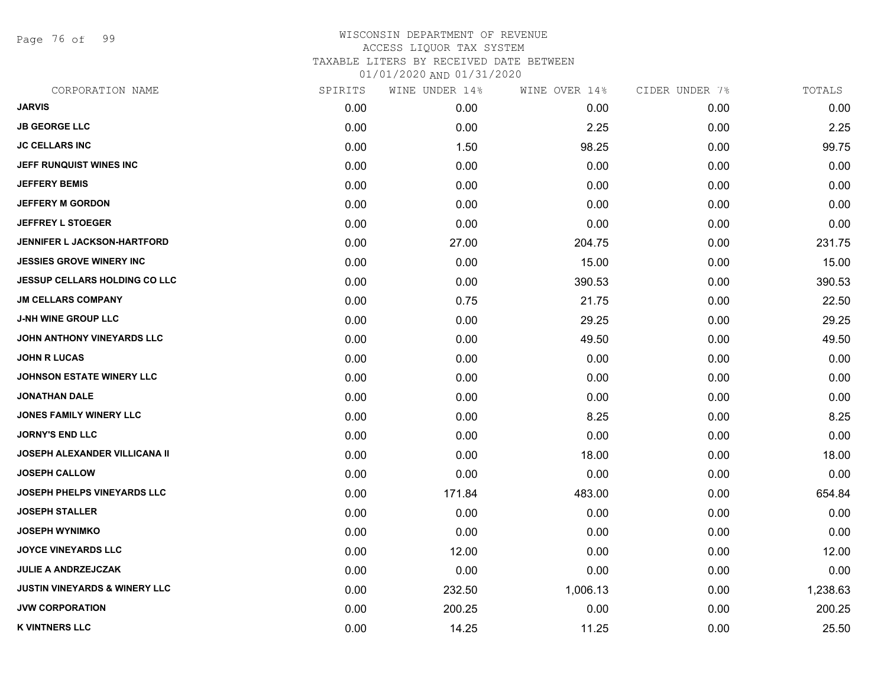Page 76 of 99

| CORPORATION NAME                         | SPIRITS | WINE UNDER 14% | WINE OVER 14% | CIDER UNDER 7% | TOTALS   |
|------------------------------------------|---------|----------------|---------------|----------------|----------|
| <b>JARVIS</b>                            | 0.00    | 0.00           | 0.00          | 0.00           | 0.00     |
| <b>JB GEORGE LLC</b>                     | 0.00    | 0.00           | 2.25          | 0.00           | 2.25     |
| <b>JC CELLARS INC</b>                    | 0.00    | 1.50           | 98.25         | 0.00           | 99.75    |
| JEFF RUNQUIST WINES INC                  | 0.00    | 0.00           | 0.00          | 0.00           | 0.00     |
| <b>JEFFERY BEMIS</b>                     | 0.00    | 0.00           | 0.00          | 0.00           | 0.00     |
| <b>JEFFERY M GORDON</b>                  | 0.00    | 0.00           | 0.00          | 0.00           | 0.00     |
| <b>JEFFREY L STOEGER</b>                 | 0.00    | 0.00           | 0.00          | 0.00           | 0.00     |
| <b>JENNIFER L JACKSON-HARTFORD</b>       | 0.00    | 27.00          | 204.75        | 0.00           | 231.75   |
| <b>JESSIES GROVE WINERY INC</b>          | 0.00    | 0.00           | 15.00         | 0.00           | 15.00    |
| JESSUP CELLARS HOLDING CO LLC            | 0.00    | 0.00           | 390.53        | 0.00           | 390.53   |
| <b>JM CELLARS COMPANY</b>                | 0.00    | 0.75           | 21.75         | 0.00           | 22.50    |
| <b>J-NH WINE GROUP LLC</b>               | 0.00    | 0.00           | 29.25         | 0.00           | 29.25    |
| JOHN ANTHONY VINEYARDS LLC               | 0.00    | 0.00           | 49.50         | 0.00           | 49.50    |
| <b>JOHN R LUCAS</b>                      | 0.00    | 0.00           | 0.00          | 0.00           | 0.00     |
| <b>JOHNSON ESTATE WINERY LLC</b>         | 0.00    | 0.00           | 0.00          | 0.00           | 0.00     |
| <b>JONATHAN DALE</b>                     | 0.00    | 0.00           | 0.00          | 0.00           | 0.00     |
| JONES FAMILY WINERY LLC                  | 0.00    | 0.00           | 8.25          | 0.00           | 8.25     |
| <b>JORNY'S END LLC</b>                   | 0.00    | 0.00           | 0.00          | 0.00           | 0.00     |
| JOSEPH ALEXANDER VILLICANA II            | 0.00    | 0.00           | 18.00         | 0.00           | 18.00    |
| <b>JOSEPH CALLOW</b>                     | 0.00    | 0.00           | 0.00          | 0.00           | 0.00     |
| JOSEPH PHELPS VINEYARDS LLC              | 0.00    | 171.84         | 483.00        | 0.00           | 654.84   |
| <b>JOSEPH STALLER</b>                    | 0.00    | 0.00           | 0.00          | 0.00           | 0.00     |
| <b>JOSEPH WYNIMKO</b>                    | 0.00    | 0.00           | 0.00          | 0.00           | 0.00     |
| <b>JOYCE VINEYARDS LLC</b>               | 0.00    | 12.00          | 0.00          | 0.00           | 12.00    |
| <b>JULIE A ANDRZEJCZAK</b>               | 0.00    | 0.00           | 0.00          | 0.00           | 0.00     |
| <b>JUSTIN VINEYARDS &amp; WINERY LLC</b> | 0.00    | 232.50         | 1,006.13      | 0.00           | 1,238.63 |
| <b>JVW CORPORATION</b>                   | 0.00    | 200.25         | 0.00          | 0.00           | 200.25   |
| <b>K VINTNERS LLC</b>                    | 0.00    | 14.25          | 11.25         | 0.00           | 25.50    |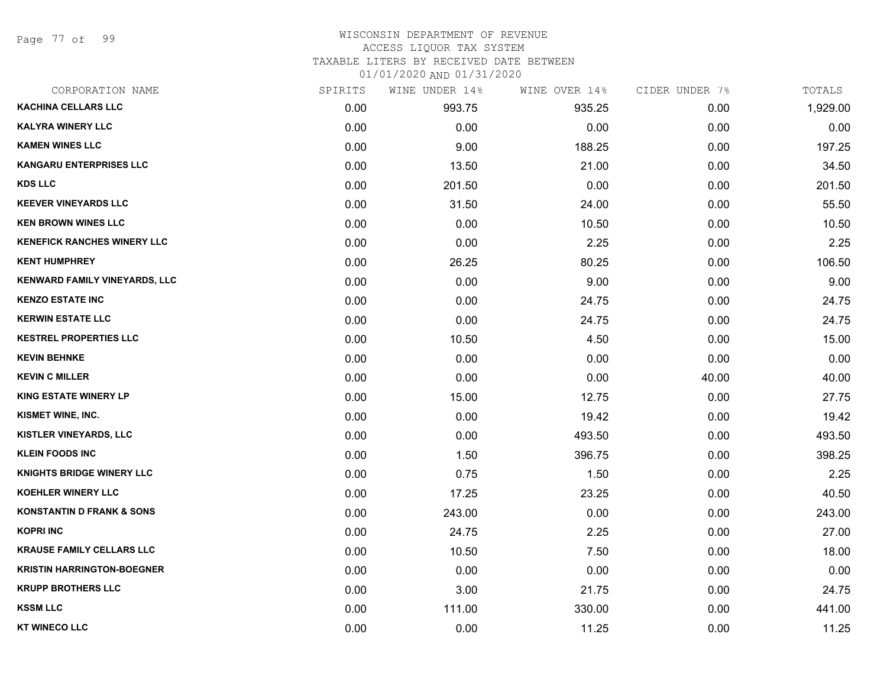Page 77 of 99

### WISCONSIN DEPARTMENT OF REVENUE ACCESS LIQUOR TAX SYSTEM

TAXABLE LITERS BY RECEIVED DATE BETWEEN

| CORPORATION NAME                     | SPIRITS | WINE UNDER 14% | WINE OVER 14% | CIDER UNDER 7% | TOTALS   |
|--------------------------------------|---------|----------------|---------------|----------------|----------|
| <b>KACHINA CELLARS LLC</b>           | 0.00    | 993.75         | 935.25        | 0.00           | 1,929.00 |
| <b>KALYRA WINERY LLC</b>             | 0.00    | 0.00           | 0.00          | 0.00           | 0.00     |
| <b>KAMEN WINES LLC</b>               | 0.00    | 9.00           | 188.25        | 0.00           | 197.25   |
| <b>KANGARU ENTERPRISES LLC</b>       | 0.00    | 13.50          | 21.00         | 0.00           | 34.50    |
| <b>KDS LLC</b>                       | 0.00    | 201.50         | 0.00          | 0.00           | 201.50   |
| <b>KEEVER VINEYARDS LLC</b>          | 0.00    | 31.50          | 24.00         | 0.00           | 55.50    |
| <b>KEN BROWN WINES LLC</b>           | 0.00    | 0.00           | 10.50         | 0.00           | 10.50    |
| <b>KENEFICK RANCHES WINERY LLC</b>   | 0.00    | 0.00           | 2.25          | 0.00           | 2.25     |
| <b>KENT HUMPHREY</b>                 | 0.00    | 26.25          | 80.25         | 0.00           | 106.50   |
| KENWARD FAMILY VINEYARDS, LLC        | 0.00    | 0.00           | 9.00          | 0.00           | 9.00     |
| <b>KENZO ESTATE INC</b>              | 0.00    | 0.00           | 24.75         | 0.00           | 24.75    |
| <b>KERWIN ESTATE LLC</b>             | 0.00    | 0.00           | 24.75         | 0.00           | 24.75    |
| <b>KESTREL PROPERTIES LLC</b>        | 0.00    | 10.50          | 4.50          | 0.00           | 15.00    |
| <b>KEVIN BEHNKE</b>                  | 0.00    | 0.00           | 0.00          | 0.00           | 0.00     |
| <b>KEVIN C MILLER</b>                | 0.00    | 0.00           | 0.00          | 40.00          | 40.00    |
| <b>KING ESTATE WINERY LP</b>         | 0.00    | 15.00          | 12.75         | 0.00           | 27.75    |
| KISMET WINE, INC.                    | 0.00    | 0.00           | 19.42         | 0.00           | 19.42    |
| <b>KISTLER VINEYARDS, LLC</b>        | 0.00    | 0.00           | 493.50        | 0.00           | 493.50   |
| <b>KLEIN FOODS INC</b>               | 0.00    | 1.50           | 396.75        | 0.00           | 398.25   |
| <b>KNIGHTS BRIDGE WINERY LLC</b>     | 0.00    | 0.75           | 1.50          | 0.00           | 2.25     |
| <b>KOEHLER WINERY LLC</b>            | 0.00    | 17.25          | 23.25         | 0.00           | 40.50    |
| <b>KONSTANTIN D FRANK &amp; SONS</b> | 0.00    | 243.00         | 0.00          | 0.00           | 243.00   |
| <b>KOPRI INC</b>                     | 0.00    | 24.75          | 2.25          | 0.00           | 27.00    |
| <b>KRAUSE FAMILY CELLARS LLC</b>     | 0.00    | 10.50          | 7.50          | 0.00           | 18.00    |
| <b>KRISTIN HARRINGTON-BOEGNER</b>    | 0.00    | 0.00           | 0.00          | 0.00           | 0.00     |
| <b>KRUPP BROTHERS LLC</b>            | 0.00    | 3.00           | 21.75         | 0.00           | 24.75    |
| <b>KSSM LLC</b>                      | 0.00    | 111.00         | 330.00        | 0.00           | 441.00   |
| <b>KT WINECO LLC</b>                 | 0.00    | 0.00           | 11.25         | 0.00           | 11.25    |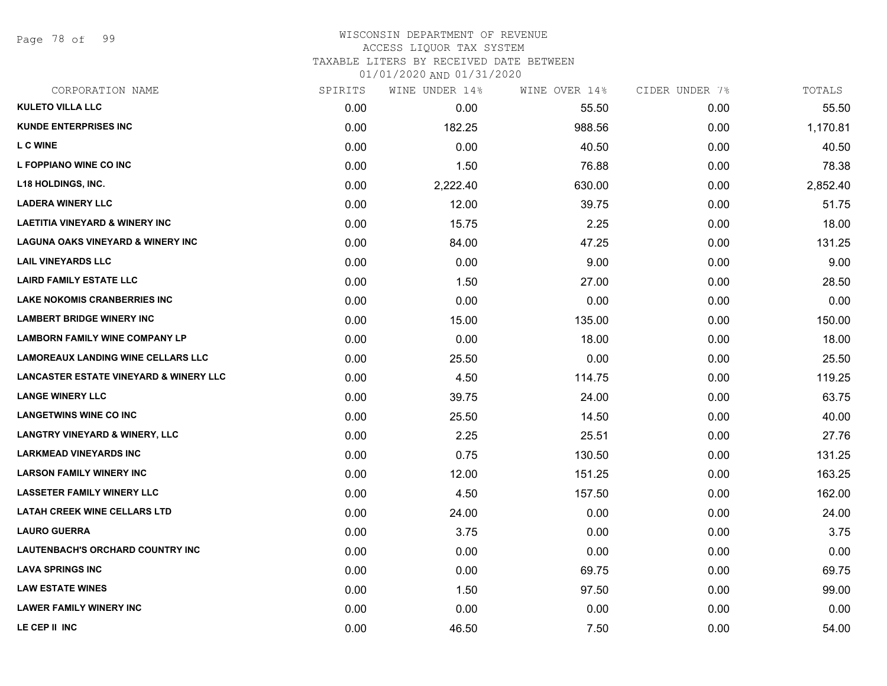Page 78 of 99

### WISCONSIN DEPARTMENT OF REVENUE ACCESS LIQUOR TAX SYSTEM TAXABLE LITERS BY RECEIVED DATE BETWEEN

| CORPORATION NAME                                  | SPIRITS | WINE UNDER 14% | WINE OVER 14% | CIDER UNDER 7% | TOTALS   |
|---------------------------------------------------|---------|----------------|---------------|----------------|----------|
| <b>KULETO VILLA LLC</b>                           | 0.00    | 0.00           | 55.50         | 0.00           | 55.50    |
| <b>KUNDE ENTERPRISES INC</b>                      | 0.00    | 182.25         | 988.56        | 0.00           | 1,170.81 |
| <b>LC WINE</b>                                    | 0.00    | 0.00           | 40.50         | 0.00           | 40.50    |
| L FOPPIANO WINE CO INC                            | 0.00    | 1.50           | 76.88         | 0.00           | 78.38    |
| <b>L18 HOLDINGS, INC.</b>                         | 0.00    | 2,222.40       | 630.00        | 0.00           | 2,852.40 |
| <b>LADERA WINERY LLC</b>                          | 0.00    | 12.00          | 39.75         | 0.00           | 51.75    |
| <b>LAETITIA VINEYARD &amp; WINERY INC</b>         | 0.00    | 15.75          | 2.25          | 0.00           | 18.00    |
| <b>LAGUNA OAKS VINEYARD &amp; WINERY INC</b>      | 0.00    | 84.00          | 47.25         | 0.00           | 131.25   |
| <b>LAIL VINEYARDS LLC</b>                         | 0.00    | 0.00           | 9.00          | 0.00           | 9.00     |
| <b>LAIRD FAMILY ESTATE LLC</b>                    | 0.00    | 1.50           | 27.00         | 0.00           | 28.50    |
| <b>LAKE NOKOMIS CRANBERRIES INC</b>               | 0.00    | 0.00           | 0.00          | 0.00           | 0.00     |
| <b>LAMBERT BRIDGE WINERY INC</b>                  | 0.00    | 15.00          | 135.00        | 0.00           | 150.00   |
| <b>LAMBORN FAMILY WINE COMPANY LP</b>             | 0.00    | 0.00           | 18.00         | 0.00           | 18.00    |
| <b>LAMOREAUX LANDING WINE CELLARS LLC</b>         | 0.00    | 25.50          | 0.00          | 0.00           | 25.50    |
| <b>LANCASTER ESTATE VINEYARD &amp; WINERY LLC</b> | 0.00    | 4.50           | 114.75        | 0.00           | 119.25   |
| <b>LANGE WINERY LLC</b>                           | 0.00    | 39.75          | 24.00         | 0.00           | 63.75    |
| <b>LANGETWINS WINE CO INC</b>                     | 0.00    | 25.50          | 14.50         | 0.00           | 40.00    |
| <b>LANGTRY VINEYARD &amp; WINERY, LLC</b>         | 0.00    | 2.25           | 25.51         | 0.00           | 27.76    |
| <b>LARKMEAD VINEYARDS INC</b>                     | 0.00    | 0.75           | 130.50        | 0.00           | 131.25   |
| <b>LARSON FAMILY WINERY INC</b>                   | 0.00    | 12.00          | 151.25        | 0.00           | 163.25   |
| <b>LASSETER FAMILY WINERY LLC</b>                 | 0.00    | 4.50           | 157.50        | 0.00           | 162.00   |
| <b>LATAH CREEK WINE CELLARS LTD</b>               | 0.00    | 24.00          | 0.00          | 0.00           | 24.00    |
| <b>LAURO GUERRA</b>                               | 0.00    | 3.75           | 0.00          | 0.00           | 3.75     |
| LAUTENBACH'S ORCHARD COUNTRY INC                  | 0.00    | 0.00           | 0.00          | 0.00           | 0.00     |
| <b>LAVA SPRINGS INC</b>                           | 0.00    | 0.00           | 69.75         | 0.00           | 69.75    |
| <b>LAW ESTATE WINES</b>                           | 0.00    | 1.50           | 97.50         | 0.00           | 99.00    |
| <b>LAWER FAMILY WINERY INC</b>                    | 0.00    | 0.00           | 0.00          | 0.00           | 0.00     |
| LE CEP II INC                                     | 0.00    | 46.50          | 7.50          | 0.00           | 54.00    |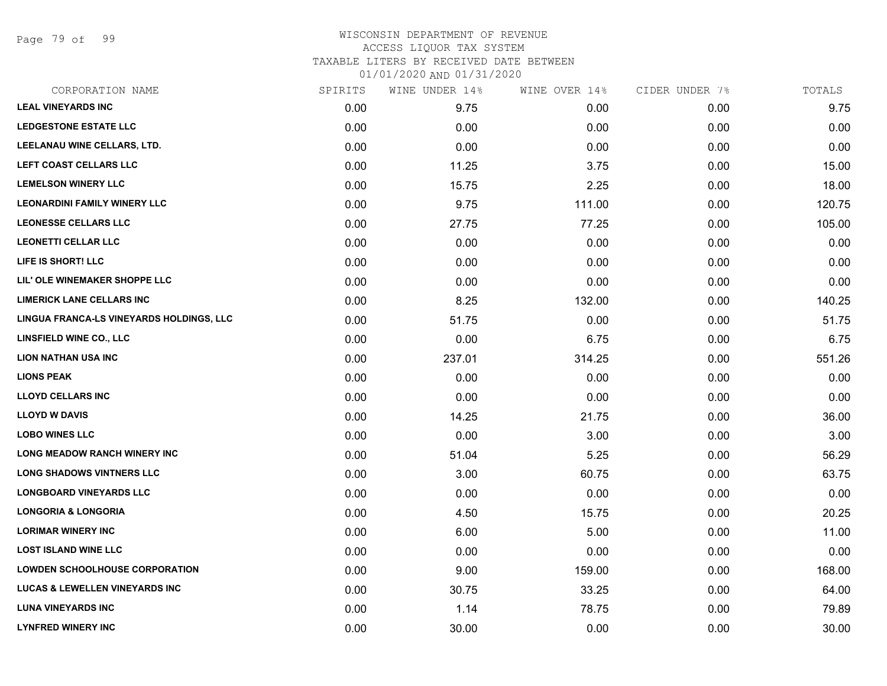Page 79 of 99

### WISCONSIN DEPARTMENT OF REVENUE ACCESS LIQUOR TAX SYSTEM TAXABLE LITERS BY RECEIVED DATE BETWEEN

| CORPORATION NAME                          | SPIRITS | WINE UNDER 14% | WINE OVER 14% | CIDER UNDER 7% | TOTALS |
|-------------------------------------------|---------|----------------|---------------|----------------|--------|
| <b>LEAL VINEYARDS INC</b>                 | 0.00    | 9.75           | 0.00          | 0.00           | 9.75   |
| <b>LEDGESTONE ESTATE LLC</b>              | 0.00    | 0.00           | 0.00          | 0.00           | 0.00   |
| LEELANAU WINE CELLARS, LTD.               | 0.00    | 0.00           | 0.00          | 0.00           | 0.00   |
| LEFT COAST CELLARS LLC                    | 0.00    | 11.25          | 3.75          | 0.00           | 15.00  |
| <b>LEMELSON WINERY LLC</b>                | 0.00    | 15.75          | 2.25          | 0.00           | 18.00  |
| <b>LEONARDINI FAMILY WINERY LLC</b>       | 0.00    | 9.75           | 111.00        | 0.00           | 120.75 |
| <b>LEONESSE CELLARS LLC</b>               | 0.00    | 27.75          | 77.25         | 0.00           | 105.00 |
| <b>LEONETTI CELLAR LLC</b>                | 0.00    | 0.00           | 0.00          | 0.00           | 0.00   |
| LIFE IS SHORT! LLC                        | 0.00    | 0.00           | 0.00          | 0.00           | 0.00   |
| LIL' OLE WINEMAKER SHOPPE LLC             | 0.00    | 0.00           | 0.00          | 0.00           | 0.00   |
| <b>LIMERICK LANE CELLARS INC</b>          | 0.00    | 8.25           | 132.00        | 0.00           | 140.25 |
| LINGUA FRANCA-LS VINEYARDS HOLDINGS, LLC  | 0.00    | 51.75          | 0.00          | 0.00           | 51.75  |
| LINSFIELD WINE CO., LLC                   | 0.00    | 0.00           | 6.75          | 0.00           | 6.75   |
| <b>LION NATHAN USA INC</b>                | 0.00    | 237.01         | 314.25        | 0.00           | 551.26 |
| <b>LIONS PEAK</b>                         | 0.00    | 0.00           | 0.00          | 0.00           | 0.00   |
| <b>LLOYD CELLARS INC</b>                  | 0.00    | 0.00           | 0.00          | 0.00           | 0.00   |
| <b>LLOYD W DAVIS</b>                      | 0.00    | 14.25          | 21.75         | 0.00           | 36.00  |
| <b>LOBO WINES LLC</b>                     | 0.00    | 0.00           | 3.00          | 0.00           | 3.00   |
| LONG MEADOW RANCH WINERY INC              | 0.00    | 51.04          | 5.25          | 0.00           | 56.29  |
| <b>LONG SHADOWS VINTNERS LLC</b>          | 0.00    | 3.00           | 60.75         | 0.00           | 63.75  |
| <b>LONGBOARD VINEYARDS LLC</b>            | 0.00    | 0.00           | 0.00          | 0.00           | 0.00   |
| <b>LONGORIA &amp; LONGORIA</b>            | 0.00    | 4.50           | 15.75         | 0.00           | 20.25  |
| <b>LORIMAR WINERY INC</b>                 | 0.00    | 6.00           | 5.00          | 0.00           | 11.00  |
| <b>LOST ISLAND WINE LLC</b>               | 0.00    | 0.00           | 0.00          | 0.00           | 0.00   |
| <b>LOWDEN SCHOOLHOUSE CORPORATION</b>     | 0.00    | 9.00           | 159.00        | 0.00           | 168.00 |
| <b>LUCAS &amp; LEWELLEN VINEYARDS INC</b> | 0.00    | 30.75          | 33.25         | 0.00           | 64.00  |
| <b>LUNA VINEYARDS INC</b>                 | 0.00    | 1.14           | 78.75         | 0.00           | 79.89  |
| <b>LYNFRED WINERY INC</b>                 | 0.00    | 30.00          | 0.00          | 0.00           | 30.00  |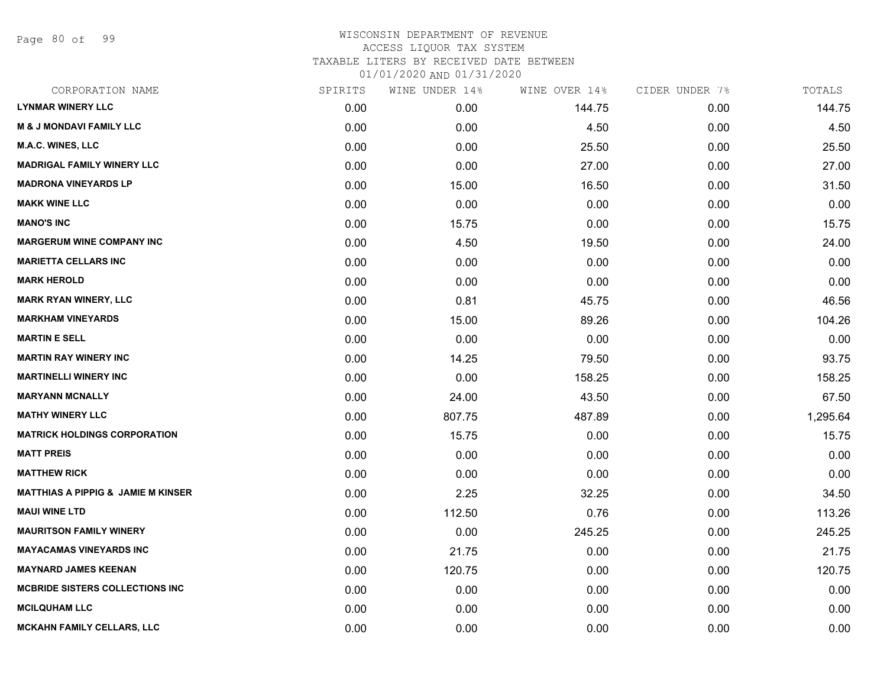Page 80 of 99

| CORPORATION NAME                              | SPIRITS | WINE UNDER 14% | WINE OVER 14% | CIDER UNDER 7% | TOTALS   |
|-----------------------------------------------|---------|----------------|---------------|----------------|----------|
| <b>LYNMAR WINERY LLC</b>                      | 0.00    | 0.00           | 144.75        | 0.00           | 144.75   |
| <b>M &amp; J MONDAVI FAMILY LLC</b>           | 0.00    | 0.00           | 4.50          | 0.00           | 4.50     |
| <b>M.A.C. WINES, LLC</b>                      | 0.00    | 0.00           | 25.50         | 0.00           | 25.50    |
| <b>MADRIGAL FAMILY WINERY LLC</b>             | 0.00    | 0.00           | 27.00         | 0.00           | 27.00    |
| <b>MADRONA VINEYARDS LP</b>                   | 0.00    | 15.00          | 16.50         | 0.00           | 31.50    |
| <b>MAKK WINE LLC</b>                          | 0.00    | 0.00           | 0.00          | 0.00           | 0.00     |
| <b>MANO'S INC</b>                             | 0.00    | 15.75          | 0.00          | 0.00           | 15.75    |
| <b>MARGERUM WINE COMPANY INC</b>              | 0.00    | 4.50           | 19.50         | 0.00           | 24.00    |
| <b>MARIETTA CELLARS INC</b>                   | 0.00    | 0.00           | 0.00          | 0.00           | 0.00     |
| <b>MARK HEROLD</b>                            | 0.00    | 0.00           | 0.00          | 0.00           | 0.00     |
| <b>MARK RYAN WINERY, LLC</b>                  | 0.00    | 0.81           | 45.75         | 0.00           | 46.56    |
| <b>MARKHAM VINEYARDS</b>                      | 0.00    | 15.00          | 89.26         | 0.00           | 104.26   |
| <b>MARTIN E SELL</b>                          | 0.00    | 0.00           | 0.00          | 0.00           | 0.00     |
| <b>MARTIN RAY WINERY INC</b>                  | 0.00    | 14.25          | 79.50         | 0.00           | 93.75    |
| <b>MARTINELLI WINERY INC</b>                  | 0.00    | 0.00           | 158.25        | 0.00           | 158.25   |
| <b>MARYANN MCNALLY</b>                        | 0.00    | 24.00          | 43.50         | 0.00           | 67.50    |
| <b>MATHY WINERY LLC</b>                       | 0.00    | 807.75         | 487.89        | 0.00           | 1,295.64 |
| <b>MATRICK HOLDINGS CORPORATION</b>           | 0.00    | 15.75          | 0.00          | 0.00           | 15.75    |
| <b>MATT PREIS</b>                             | 0.00    | 0.00           | 0.00          | 0.00           | 0.00     |
| <b>MATTHEW RICK</b>                           | 0.00    | 0.00           | 0.00          | 0.00           | 0.00     |
| <b>MATTHIAS A PIPPIG &amp; JAMIE M KINSER</b> | 0.00    | 2.25           | 32.25         | 0.00           | 34.50    |
| <b>MAUI WINE LTD</b>                          | 0.00    | 112.50         | 0.76          | 0.00           | 113.26   |
| <b>MAURITSON FAMILY WINERY</b>                | 0.00    | 0.00           | 245.25        | 0.00           | 245.25   |
| <b>MAYACAMAS VINEYARDS INC</b>                | 0.00    | 21.75          | 0.00          | 0.00           | 21.75    |
| <b>MAYNARD JAMES KEENAN</b>                   | 0.00    | 120.75         | 0.00          | 0.00           | 120.75   |
| <b>MCBRIDE SISTERS COLLECTIONS INC</b>        | 0.00    | 0.00           | 0.00          | 0.00           | 0.00     |
| <b>MCILQUHAM LLC</b>                          | 0.00    | 0.00           | 0.00          | 0.00           | 0.00     |
| <b>MCKAHN FAMILY CELLARS, LLC</b>             | 0.00    | 0.00           | 0.00          | 0.00           | 0.00     |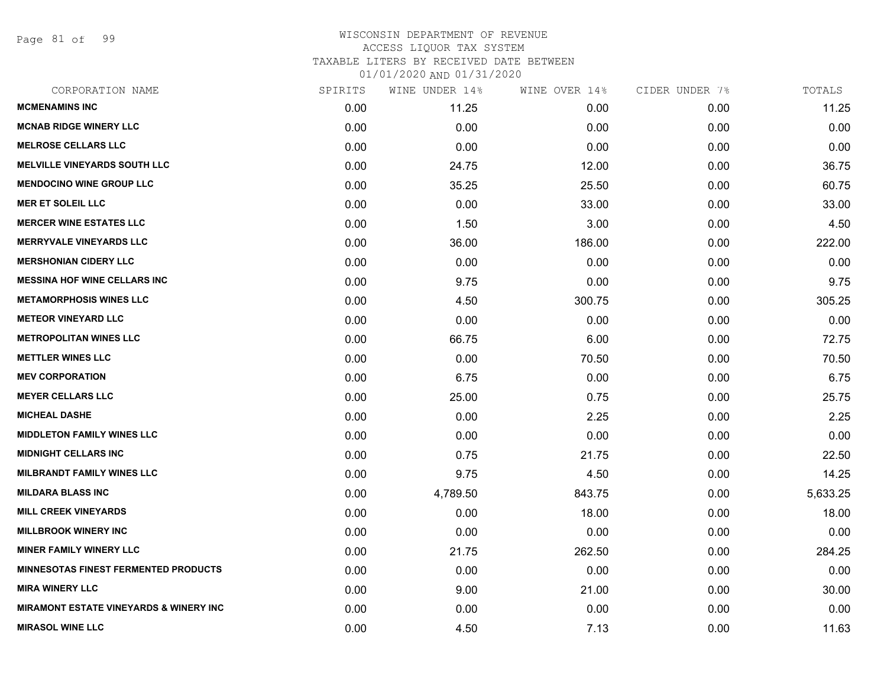Page 81 of 99

| CORPORATION NAME                                  | SPIRITS | WINE UNDER 14% | WINE OVER 14% | CIDER UNDER 7% | TOTALS   |
|---------------------------------------------------|---------|----------------|---------------|----------------|----------|
| <b>MCMENAMINS INC</b>                             | 0.00    | 11.25          | 0.00          | 0.00           | 11.25    |
| <b>MCNAB RIDGE WINERY LLC</b>                     | 0.00    | 0.00           | 0.00          | 0.00           | 0.00     |
| <b>MELROSE CELLARS LLC</b>                        | 0.00    | 0.00           | 0.00          | 0.00           | 0.00     |
| <b>MELVILLE VINEYARDS SOUTH LLC</b>               | 0.00    | 24.75          | 12.00         | 0.00           | 36.75    |
| <b>MENDOCINO WINE GROUP LLC</b>                   | 0.00    | 35.25          | 25.50         | 0.00           | 60.75    |
| <b>MER ET SOLEIL LLC</b>                          | 0.00    | 0.00           | 33.00         | 0.00           | 33.00    |
| <b>MERCER WINE ESTATES LLC</b>                    | 0.00    | 1.50           | 3.00          | 0.00           | 4.50     |
| <b>MERRYVALE VINEYARDS LLC</b>                    | 0.00    | 36.00          | 186.00        | 0.00           | 222.00   |
| <b>MERSHONIAN CIDERY LLC</b>                      | 0.00    | 0.00           | 0.00          | 0.00           | 0.00     |
| <b>MESSINA HOF WINE CELLARS INC</b>               | 0.00    | 9.75           | 0.00          | 0.00           | 9.75     |
| <b>METAMORPHOSIS WINES LLC</b>                    | 0.00    | 4.50           | 300.75        | 0.00           | 305.25   |
| <b>METEOR VINEYARD LLC</b>                        | 0.00    | 0.00           | 0.00          | 0.00           | 0.00     |
| <b>METROPOLITAN WINES LLC</b>                     | 0.00    | 66.75          | 6.00          | 0.00           | 72.75    |
| <b>METTLER WINES LLC</b>                          | 0.00    | 0.00           | 70.50         | 0.00           | 70.50    |
| <b>MEV CORPORATION</b>                            | 0.00    | 6.75           | 0.00          | 0.00           | 6.75     |
| <b>MEYER CELLARS LLC</b>                          | 0.00    | 25.00          | 0.75          | 0.00           | 25.75    |
| <b>MICHEAL DASHE</b>                              | 0.00    | 0.00           | 2.25          | 0.00           | 2.25     |
| <b>MIDDLETON FAMILY WINES LLC</b>                 | 0.00    | 0.00           | 0.00          | 0.00           | 0.00     |
| <b>MIDNIGHT CELLARS INC</b>                       | 0.00    | 0.75           | 21.75         | 0.00           | 22.50    |
| <b>MILBRANDT FAMILY WINES LLC</b>                 | 0.00    | 9.75           | 4.50          | 0.00           | 14.25    |
| <b>MILDARA BLASS INC</b>                          | 0.00    | 4,789.50       | 843.75        | 0.00           | 5,633.25 |
| <b>MILL CREEK VINEYARDS</b>                       | 0.00    | 0.00           | 18.00         | 0.00           | 18.00    |
| <b>MILLBROOK WINERY INC</b>                       | 0.00    | 0.00           | 0.00          | 0.00           | 0.00     |
| <b>MINER FAMILY WINERY LLC</b>                    | 0.00    | 21.75          | 262.50        | 0.00           | 284.25   |
| <b>MINNESOTAS FINEST FERMENTED PRODUCTS</b>       | 0.00    | 0.00           | 0.00          | 0.00           | 0.00     |
| <b>MIRA WINERY LLC</b>                            | 0.00    | 9.00           | 21.00         | 0.00           | 30.00    |
| <b>MIRAMONT ESTATE VINEYARDS &amp; WINERY INC</b> | 0.00    | 0.00           | 0.00          | 0.00           | 0.00     |
| <b>MIRASOL WINE LLC</b>                           | 0.00    | 4.50           | 7.13          | 0.00           | 11.63    |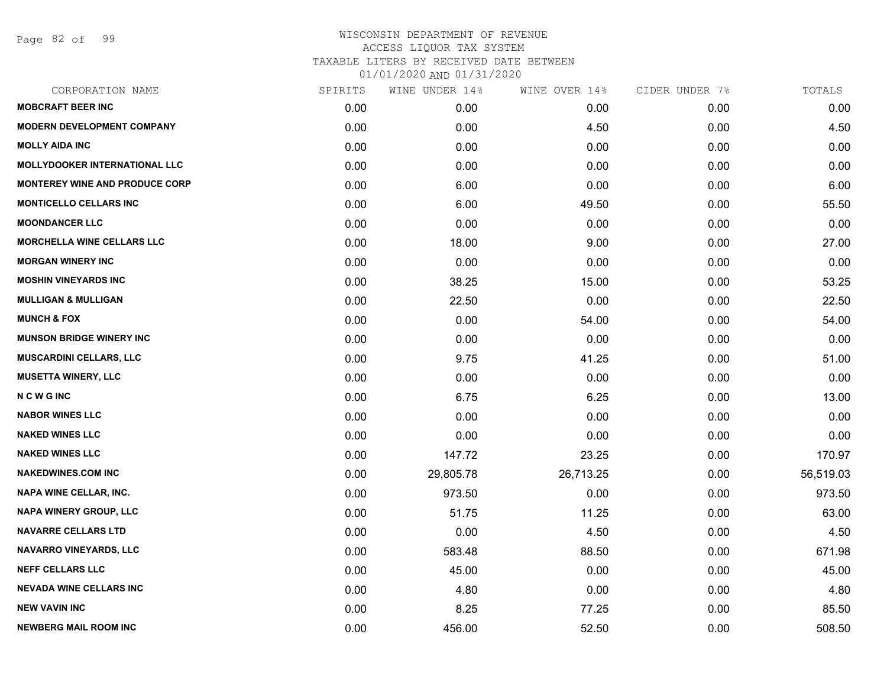Page 82 of 99

| CORPORATION NAME                      | SPIRITS | WINE UNDER 14% | WINE OVER 14% | CIDER UNDER 7% | TOTALS    |
|---------------------------------------|---------|----------------|---------------|----------------|-----------|
| <b>MOBCRAFT BEER INC</b>              | 0.00    | 0.00           | 0.00          | 0.00           | 0.00      |
| <b>MODERN DEVELOPMENT COMPANY</b>     | 0.00    | 0.00           | 4.50          | 0.00           | 4.50      |
| <b>MOLLY AIDA INC</b>                 | 0.00    | 0.00           | 0.00          | 0.00           | 0.00      |
| <b>MOLLYDOOKER INTERNATIONAL LLC</b>  | 0.00    | 0.00           | 0.00          | 0.00           | 0.00      |
| <b>MONTEREY WINE AND PRODUCE CORP</b> | 0.00    | 6.00           | 0.00          | 0.00           | 6.00      |
| <b>MONTICELLO CELLARS INC</b>         | 0.00    | 6.00           | 49.50         | 0.00           | 55.50     |
| <b>MOONDANCER LLC</b>                 | 0.00    | 0.00           | 0.00          | 0.00           | 0.00      |
| <b>MORCHELLA WINE CELLARS LLC</b>     | 0.00    | 18.00          | 9.00          | 0.00           | 27.00     |
| <b>MORGAN WINERY INC</b>              | 0.00    | 0.00           | 0.00          | 0.00           | 0.00      |
| <b>MOSHIN VINEYARDS INC</b>           | 0.00    | 38.25          | 15.00         | 0.00           | 53.25     |
| <b>MULLIGAN &amp; MULLIGAN</b>        | 0.00    | 22.50          | 0.00          | 0.00           | 22.50     |
| <b>MUNCH &amp; FOX</b>                | 0.00    | 0.00           | 54.00         | 0.00           | 54.00     |
| <b>MUNSON BRIDGE WINERY INC</b>       | 0.00    | 0.00           | 0.00          | 0.00           | 0.00      |
| <b>MUSCARDINI CELLARS, LLC</b>        | 0.00    | 9.75           | 41.25         | 0.00           | 51.00     |
| <b>MUSETTA WINERY, LLC</b>            | 0.00    | 0.00           | 0.00          | 0.00           | 0.00      |
| <b>NCWGINC</b>                        | 0.00    | 6.75           | 6.25          | 0.00           | 13.00     |
| <b>NABOR WINES LLC</b>                | 0.00    | 0.00           | 0.00          | 0.00           | 0.00      |
| <b>NAKED WINES LLC</b>                | 0.00    | 0.00           | 0.00          | 0.00           | 0.00      |
| <b>NAKED WINES LLC</b>                | 0.00    | 147.72         | 23.25         | 0.00           | 170.97    |
| <b>NAKEDWINES.COM INC</b>             | 0.00    | 29,805.78      | 26,713.25     | 0.00           | 56,519.03 |
| <b>NAPA WINE CELLAR, INC.</b>         | 0.00    | 973.50         | 0.00          | 0.00           | 973.50    |
| NAPA WINERY GROUP, LLC                | 0.00    | 51.75          | 11.25         | 0.00           | 63.00     |
| <b>NAVARRE CELLARS LTD</b>            | 0.00    | 0.00           | 4.50          | 0.00           | 4.50      |
| NAVARRO VINEYARDS, LLC                | 0.00    | 583.48         | 88.50         | 0.00           | 671.98    |
| <b>NEFF CELLARS LLC</b>               | 0.00    | 45.00          | 0.00          | 0.00           | 45.00     |
| <b>NEVADA WINE CELLARS INC</b>        | 0.00    | 4.80           | 0.00          | 0.00           | 4.80      |
| <b>NEW VAVIN INC</b>                  | 0.00    | 8.25           | 77.25         | 0.00           | 85.50     |
| <b>NEWBERG MAIL ROOM INC</b>          | 0.00    | 456.00         | 52.50         | 0.00           | 508.50    |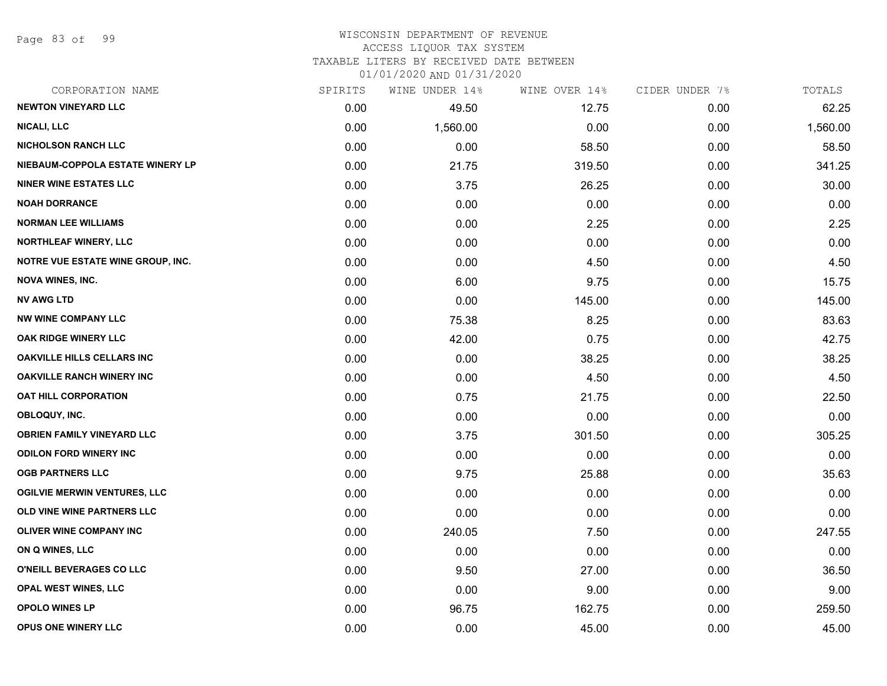Page 83 of 99

### WISCONSIN DEPARTMENT OF REVENUE ACCESS LIQUOR TAX SYSTEM

TAXABLE LITERS BY RECEIVED DATE BETWEEN

| CORPORATION NAME                    | SPIRITS | WINE UNDER 14% | WINE OVER 14% | CIDER UNDER 7% | TOTALS   |
|-------------------------------------|---------|----------------|---------------|----------------|----------|
| <b>NEWTON VINEYARD LLC</b>          | 0.00    | 49.50          | 12.75         | 0.00           | 62.25    |
| <b>NICALI, LLC</b>                  | 0.00    | 1,560.00       | 0.00          | 0.00           | 1,560.00 |
| <b>NICHOLSON RANCH LLC</b>          | 0.00    | 0.00           | 58.50         | 0.00           | 58.50    |
| NIEBAUM-COPPOLA ESTATE WINERY LP    | 0.00    | 21.75          | 319.50        | 0.00           | 341.25   |
| <b>NINER WINE ESTATES LLC</b>       | 0.00    | 3.75           | 26.25         | 0.00           | 30.00    |
| <b>NOAH DORRANCE</b>                | 0.00    | 0.00           | 0.00          | 0.00           | 0.00     |
| <b>NORMAN LEE WILLIAMS</b>          | 0.00    | 0.00           | 2.25          | 0.00           | 2.25     |
| <b>NORTHLEAF WINERY, LLC</b>        | 0.00    | 0.00           | 0.00          | 0.00           | 0.00     |
| NOTRE VUE ESTATE WINE GROUP, INC.   | 0.00    | 0.00           | 4.50          | 0.00           | 4.50     |
| <b>NOVA WINES, INC.</b>             | 0.00    | 6.00           | 9.75          | 0.00           | 15.75    |
| <b>NV AWG LTD</b>                   | 0.00    | 0.00           | 145.00        | 0.00           | 145.00   |
| <b>NW WINE COMPANY LLC</b>          | 0.00    | 75.38          | 8.25          | 0.00           | 83.63    |
| OAK RIDGE WINERY LLC                | 0.00    | 42.00          | 0.75          | 0.00           | 42.75    |
| <b>OAKVILLE HILLS CELLARS INC</b>   | 0.00    | 0.00           | 38.25         | 0.00           | 38.25    |
| <b>OAKVILLE RANCH WINERY INC</b>    | 0.00    | 0.00           | 4.50          | 0.00           | 4.50     |
| <b>OAT HILL CORPORATION</b>         | 0.00    | 0.75           | 21.75         | 0.00           | 22.50    |
| OBLOQUY, INC.                       | 0.00    | 0.00           | 0.00          | 0.00           | 0.00     |
| <b>OBRIEN FAMILY VINEYARD LLC</b>   | 0.00    | 3.75           | 301.50        | 0.00           | 305.25   |
| <b>ODILON FORD WINERY INC</b>       | 0.00    | 0.00           | 0.00          | 0.00           | 0.00     |
| <b>OGB PARTNERS LLC</b>             | 0.00    | 9.75           | 25.88         | 0.00           | 35.63    |
| <b>OGILVIE MERWIN VENTURES, LLC</b> | 0.00    | 0.00           | 0.00          | 0.00           | 0.00     |
| OLD VINE WINE PARTNERS LLC          | 0.00    | 0.00           | 0.00          | 0.00           | 0.00     |
| OLIVER WINE COMPANY INC             | 0.00    | 240.05         | 7.50          | 0.00           | 247.55   |
| ON Q WINES, LLC                     | 0.00    | 0.00           | 0.00          | 0.00           | 0.00     |
| O'NEILL BEVERAGES CO LLC            | 0.00    | 9.50           | 27.00         | 0.00           | 36.50    |
| <b>OPAL WEST WINES, LLC</b>         | 0.00    | 0.00           | 9.00          | 0.00           | 9.00     |
| <b>OPOLO WINES LP</b>               | 0.00    | 96.75          | 162.75        | 0.00           | 259.50   |
| <b>OPUS ONE WINERY LLC</b>          | 0.00    | 0.00           | 45.00         | 0.00           | 45.00    |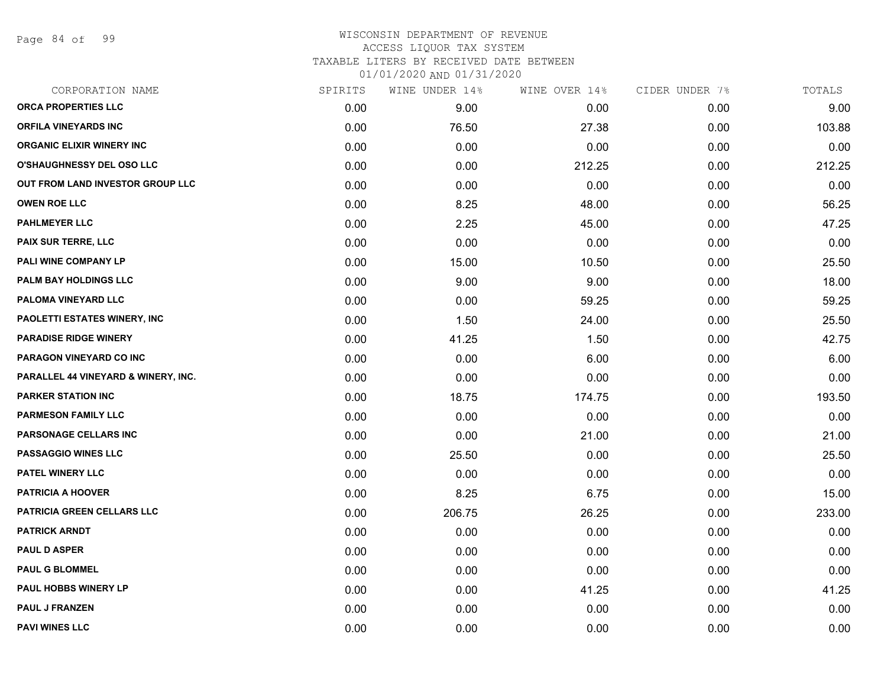Page 84 of 99

### WISCONSIN DEPARTMENT OF REVENUE ACCESS LIQUOR TAX SYSTEM TAXABLE LITERS BY RECEIVED DATE BETWEEN

| CORPORATION NAME                    | SPIRITS | WINE UNDER 14% | WINE OVER 14% | CIDER UNDER 7% | TOTALS |
|-------------------------------------|---------|----------------|---------------|----------------|--------|
| <b>ORCA PROPERTIES LLC</b>          | 0.00    | 9.00           | 0.00          | 0.00           | 9.00   |
| <b>ORFILA VINEYARDS INC</b>         | 0.00    | 76.50          | 27.38         | 0.00           | 103.88 |
| <b>ORGANIC ELIXIR WINERY INC</b>    | 0.00    | 0.00           | 0.00          | 0.00           | 0.00   |
| <b>O'SHAUGHNESSY DEL OSO LLC</b>    | 0.00    | 0.00           | 212.25        | 0.00           | 212.25 |
| OUT FROM LAND INVESTOR GROUP LLC    | 0.00    | 0.00           | 0.00          | 0.00           | 0.00   |
| <b>OWEN ROE LLC</b>                 | 0.00    | 8.25           | 48.00         | 0.00           | 56.25  |
| <b>PAHLMEYER LLC</b>                | 0.00    | 2.25           | 45.00         | 0.00           | 47.25  |
| <b>PAIX SUR TERRE, LLC</b>          | 0.00    | 0.00           | 0.00          | 0.00           | 0.00   |
| PALI WINE COMPANY LP                | 0.00    | 15.00          | 10.50         | 0.00           | 25.50  |
| PALM BAY HOLDINGS LLC               | 0.00    | 9.00           | 9.00          | 0.00           | 18.00  |
| PALOMA VINEYARD LLC                 | 0.00    | 0.00           | 59.25         | 0.00           | 59.25  |
| PAOLETTI ESTATES WINERY, INC        | 0.00    | 1.50           | 24.00         | 0.00           | 25.50  |
| <b>PARADISE RIDGE WINERY</b>        | 0.00    | 41.25          | 1.50          | 0.00           | 42.75  |
| PARAGON VINEYARD CO INC             | 0.00    | 0.00           | 6.00          | 0.00           | 6.00   |
| PARALLEL 44 VINEYARD & WINERY, INC. | 0.00    | 0.00           | 0.00          | 0.00           | 0.00   |
| <b>PARKER STATION INC</b>           | 0.00    | 18.75          | 174.75        | 0.00           | 193.50 |
| <b>PARMESON FAMILY LLC</b>          | 0.00    | 0.00           | 0.00          | 0.00           | 0.00   |
| PARSONAGE CELLARS INC               | 0.00    | 0.00           | 21.00         | 0.00           | 21.00  |
| PASSAGGIO WINES LLC                 | 0.00    | 25.50          | 0.00          | 0.00           | 25.50  |
| <b>PATEL WINERY LLC</b>             | 0.00    | 0.00           | 0.00          | 0.00           | 0.00   |
| <b>PATRICIA A HOOVER</b>            | 0.00    | 8.25           | 6.75          | 0.00           | 15.00  |
| PATRICIA GREEN CELLARS LLC          | 0.00    | 206.75         | 26.25         | 0.00           | 233.00 |
| <b>PATRICK ARNDT</b>                | 0.00    | 0.00           | 0.00          | 0.00           | 0.00   |
| <b>PAUL D ASPER</b>                 | 0.00    | 0.00           | 0.00          | 0.00           | 0.00   |
| <b>PAUL G BLOMMEL</b>               | 0.00    | 0.00           | 0.00          | 0.00           | 0.00   |
| PAUL HOBBS WINERY LP                | 0.00    | 0.00           | 41.25         | 0.00           | 41.25  |
| <b>PAUL J FRANZEN</b>               | 0.00    | 0.00           | 0.00          | 0.00           | 0.00   |
| <b>PAVI WINES LLC</b>               | 0.00    | 0.00           | 0.00          | 0.00           | 0.00   |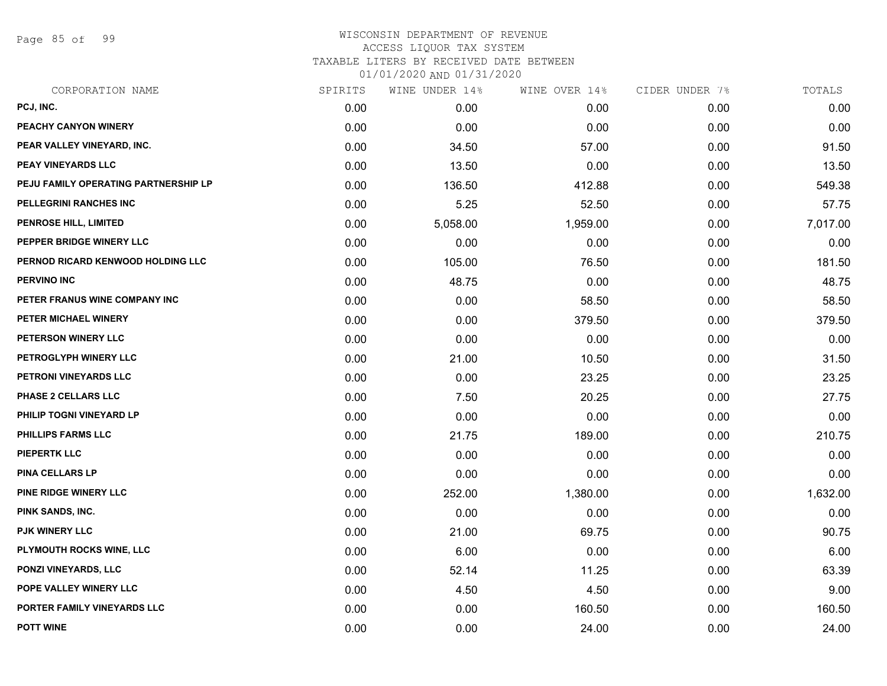Page 85 of 99

| CORPORATION NAME                     | SPIRITS | WINE UNDER 14% | WINE OVER 14% | CIDER UNDER 7% | TOTALS   |
|--------------------------------------|---------|----------------|---------------|----------------|----------|
| PCJ, INC.                            | 0.00    | 0.00           | 0.00          | 0.00           | 0.00     |
| PEACHY CANYON WINERY                 | 0.00    | 0.00           | 0.00          | 0.00           | 0.00     |
| PEAR VALLEY VINEYARD, INC.           | 0.00    | 34.50          | 57.00         | 0.00           | 91.50    |
| PEAY VINEYARDS LLC                   | 0.00    | 13.50          | 0.00          | 0.00           | 13.50    |
| PEJU FAMILY OPERATING PARTNERSHIP LP | 0.00    | 136.50         | 412.88        | 0.00           | 549.38   |
| PELLEGRINI RANCHES INC               | 0.00    | 5.25           | 52.50         | 0.00           | 57.75    |
| <b>PENROSE HILL, LIMITED</b>         | 0.00    | 5,058.00       | 1,959.00      | 0.00           | 7,017.00 |
| PEPPER BRIDGE WINERY LLC             | 0.00    | 0.00           | 0.00          | 0.00           | 0.00     |
| PERNOD RICARD KENWOOD HOLDING LLC    | 0.00    | 105.00         | 76.50         | 0.00           | 181.50   |
| <b>PERVINO INC</b>                   | 0.00    | 48.75          | 0.00          | 0.00           | 48.75    |
| PETER FRANUS WINE COMPANY INC        | 0.00    | 0.00           | 58.50         | 0.00           | 58.50    |
| PETER MICHAEL WINERY                 | 0.00    | 0.00           | 379.50        | 0.00           | 379.50   |
| PETERSON WINERY LLC                  | 0.00    | 0.00           | 0.00          | 0.00           | 0.00     |
| PETROGLYPH WINERY LLC                | 0.00    | 21.00          | 10.50         | 0.00           | 31.50    |
| PETRONI VINEYARDS LLC                | 0.00    | 0.00           | 23.25         | 0.00           | 23.25    |
| PHASE 2 CELLARS LLC                  | 0.00    | 7.50           | 20.25         | 0.00           | 27.75    |
| PHILIP TOGNI VINEYARD LP             | 0.00    | 0.00           | 0.00          | 0.00           | 0.00     |
| <b>PHILLIPS FARMS LLC</b>            | 0.00    | 21.75          | 189.00        | 0.00           | 210.75   |
| <b>PIEPERTK LLC</b>                  | 0.00    | 0.00           | 0.00          | 0.00           | 0.00     |
| <b>PINA CELLARS LP</b>               | 0.00    | 0.00           | 0.00          | 0.00           | 0.00     |
| PINE RIDGE WINERY LLC                | 0.00    | 252.00         | 1,380.00      | 0.00           | 1,632.00 |
| PINK SANDS, INC.                     | 0.00    | 0.00           | 0.00          | 0.00           | 0.00     |
| <b>PJK WINERY LLC</b>                | 0.00    | 21.00          | 69.75         | 0.00           | 90.75    |
| PLYMOUTH ROCKS WINE, LLC             | 0.00    | 6.00           | 0.00          | 0.00           | 6.00     |
| PONZI VINEYARDS, LLC                 | 0.00    | 52.14          | 11.25         | 0.00           | 63.39    |
| POPE VALLEY WINERY LLC               | 0.00    | 4.50           | 4.50          | 0.00           | 9.00     |
| PORTER FAMILY VINEYARDS LLC          | 0.00    | 0.00           | 160.50        | 0.00           | 160.50   |
| <b>POTT WINE</b>                     | 0.00    | 0.00           | 24.00         | 0.00           | 24.00    |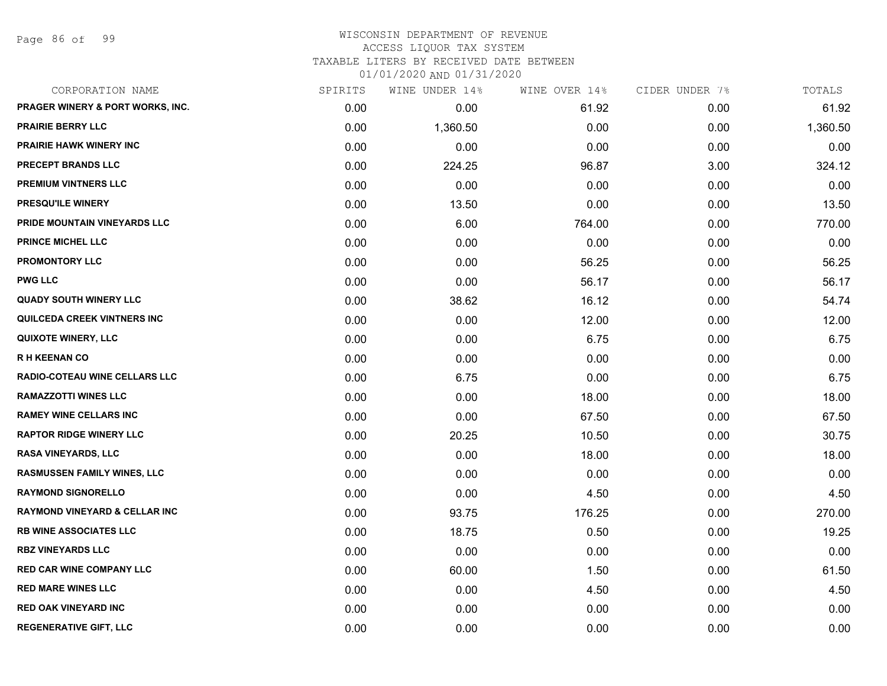Page 86 of 99

## WISCONSIN DEPARTMENT OF REVENUE ACCESS LIQUOR TAX SYSTEM TAXABLE LITERS BY RECEIVED DATE BETWEEN

| CORPORATION NAME                         | SPIRITS | WINE UNDER 14% | WINE OVER 14% | CIDER UNDER 7% | TOTALS   |
|------------------------------------------|---------|----------------|---------------|----------------|----------|
| PRAGER WINERY & PORT WORKS, INC.         | 0.00    | 0.00           | 61.92         | 0.00           | 61.92    |
| <b>PRAIRIE BERRY LLC</b>                 | 0.00    | 1,360.50       | 0.00          | 0.00           | 1,360.50 |
| <b>PRAIRIE HAWK WINERY INC</b>           | 0.00    | 0.00           | 0.00          | 0.00           | 0.00     |
| PRECEPT BRANDS LLC                       | 0.00    | 224.25         | 96.87         | 3.00           | 324.12   |
| PREMIUM VINTNERS LLC                     | 0.00    | 0.00           | 0.00          | 0.00           | 0.00     |
| PRESQU'ILE WINERY                        | 0.00    | 13.50          | 0.00          | 0.00           | 13.50    |
| PRIDE MOUNTAIN VINEYARDS LLC             | 0.00    | 6.00           | 764.00        | 0.00           | 770.00   |
| <b>PRINCE MICHEL LLC</b>                 | 0.00    | 0.00           | 0.00          | 0.00           | 0.00     |
| <b>PROMONTORY LLC</b>                    | 0.00    | 0.00           | 56.25         | 0.00           | 56.25    |
| <b>PWG LLC</b>                           | 0.00    | 0.00           | 56.17         | 0.00           | 56.17    |
| <b>QUADY SOUTH WINERY LLC</b>            | 0.00    | 38.62          | 16.12         | 0.00           | 54.74    |
| QUILCEDA CREEK VINTNERS INC              | 0.00    | 0.00           | 12.00         | 0.00           | 12.00    |
| <b>QUIXOTE WINERY, LLC</b>               | 0.00    | 0.00           | 6.75          | 0.00           | 6.75     |
| <b>RH KEENAN CO</b>                      | 0.00    | 0.00           | 0.00          | 0.00           | 0.00     |
| <b>RADIO-COTEAU WINE CELLARS LLC</b>     | 0.00    | 6.75           | 0.00          | 0.00           | 6.75     |
| <b>RAMAZZOTTI WINES LLC</b>              | 0.00    | 0.00           | 18.00         | 0.00           | 18.00    |
| <b>RAMEY WINE CELLARS INC</b>            | 0.00    | 0.00           | 67.50         | 0.00           | 67.50    |
| <b>RAPTOR RIDGE WINERY LLC</b>           | 0.00    | 20.25          | 10.50         | 0.00           | 30.75    |
| <b>RASA VINEYARDS, LLC</b>               | 0.00    | 0.00           | 18.00         | 0.00           | 18.00    |
| <b>RASMUSSEN FAMILY WINES, LLC</b>       | 0.00    | 0.00           | 0.00          | 0.00           | 0.00     |
| <b>RAYMOND SIGNORELLO</b>                | 0.00    | 0.00           | 4.50          | 0.00           | 4.50     |
| <b>RAYMOND VINEYARD &amp; CELLAR INC</b> | 0.00    | 93.75          | 176.25        | 0.00           | 270.00   |
| <b>RB WINE ASSOCIATES LLC</b>            | 0.00    | 18.75          | 0.50          | 0.00           | 19.25    |
| <b>RBZ VINEYARDS LLC</b>                 | 0.00    | 0.00           | 0.00          | 0.00           | 0.00     |
| <b>RED CAR WINE COMPANY LLC</b>          | 0.00    | 60.00          | 1.50          | 0.00           | 61.50    |
| <b>RED MARE WINES LLC</b>                | 0.00    | 0.00           | 4.50          | 0.00           | 4.50     |
| <b>RED OAK VINEYARD INC</b>              | 0.00    | 0.00           | 0.00          | 0.00           | 0.00     |
| <b>REGENERATIVE GIFT, LLC</b>            | 0.00    | 0.00           | 0.00          | 0.00           | 0.00     |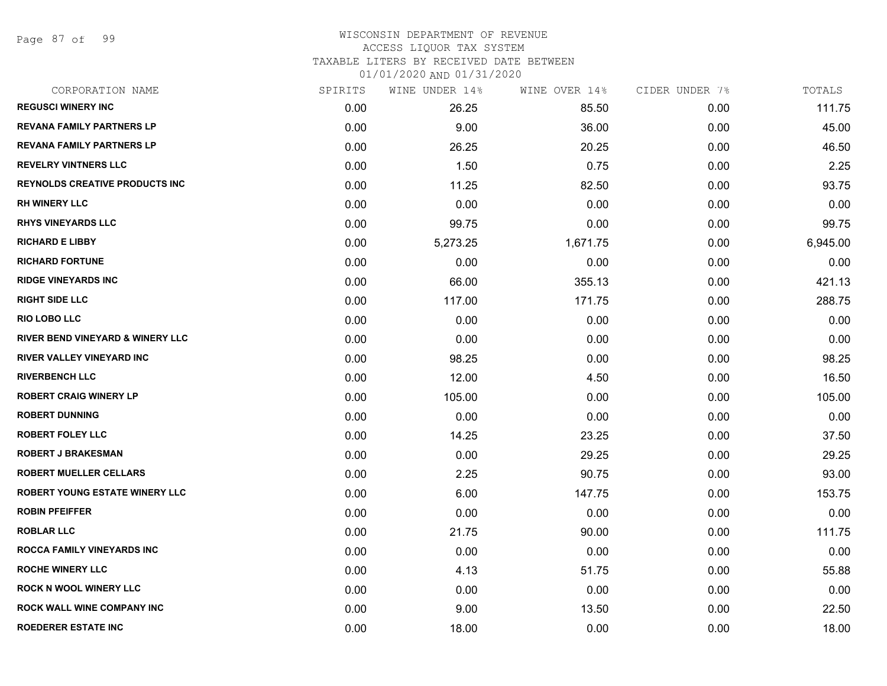Page 87 of 99

### WISCONSIN DEPARTMENT OF REVENUE ACCESS LIQUOR TAX SYSTEM

TAXABLE LITERS BY RECEIVED DATE BETWEEN

| CORPORATION NAME                      | SPIRITS | WINE UNDER 14% | WINE OVER 14% | CIDER UNDER 7% | TOTALS   |
|---------------------------------------|---------|----------------|---------------|----------------|----------|
| <b>REGUSCI WINERY INC</b>             | 0.00    | 26.25          | 85.50         | 0.00           | 111.75   |
| <b>REVANA FAMILY PARTNERS LP</b>      | 0.00    | 9.00           | 36.00         | 0.00           | 45.00    |
| <b>REVANA FAMILY PARTNERS LP</b>      | 0.00    | 26.25          | 20.25         | 0.00           | 46.50    |
| <b>REVELRY VINTNERS LLC</b>           | 0.00    | 1.50           | 0.75          | 0.00           | 2.25     |
| <b>REYNOLDS CREATIVE PRODUCTS INC</b> | 0.00    | 11.25          | 82.50         | 0.00           | 93.75    |
| <b>RH WINERY LLC</b>                  | 0.00    | 0.00           | 0.00          | 0.00           | 0.00     |
| <b>RHYS VINEYARDS LLC</b>             | 0.00    | 99.75          | 0.00          | 0.00           | 99.75    |
| <b>RICHARD E LIBBY</b>                | 0.00    | 5,273.25       | 1,671.75      | 0.00           | 6,945.00 |
| <b>RICHARD FORTUNE</b>                | 0.00    | 0.00           | 0.00          | 0.00           | 0.00     |
| <b>RIDGE VINEYARDS INC</b>            | 0.00    | 66.00          | 355.13        | 0.00           | 421.13   |
| <b>RIGHT SIDE LLC</b>                 | 0.00    | 117.00         | 171.75        | 0.00           | 288.75   |
| <b>RIO LOBO LLC</b>                   | 0.00    | 0.00           | 0.00          | 0.00           | 0.00     |
| RIVER BEND VINEYARD & WINERY LLC      | 0.00    | 0.00           | 0.00          | 0.00           | 0.00     |
| RIVER VALLEY VINEYARD INC             | 0.00    | 98.25          | 0.00          | 0.00           | 98.25    |
| <b>RIVERBENCH LLC</b>                 | 0.00    | 12.00          | 4.50          | 0.00           | 16.50    |
| <b>ROBERT CRAIG WINERY LP</b>         | 0.00    | 105.00         | 0.00          | 0.00           | 105.00   |
| <b>ROBERT DUNNING</b>                 | 0.00    | 0.00           | 0.00          | 0.00           | 0.00     |
| ROBERT FOLEY LLC                      | 0.00    | 14.25          | 23.25         | 0.00           | 37.50    |
| <b>ROBERT J BRAKESMAN</b>             | 0.00    | 0.00           | 29.25         | 0.00           | 29.25    |
| <b>ROBERT MUELLER CELLARS</b>         | 0.00    | 2.25           | 90.75         | 0.00           | 93.00    |
| ROBERT YOUNG ESTATE WINERY LLC        | 0.00    | 6.00           | 147.75        | 0.00           | 153.75   |
| <b>ROBIN PFEIFFER</b>                 | 0.00    | 0.00           | 0.00          | 0.00           | 0.00     |
| <b>ROBLAR LLC</b>                     | 0.00    | 21.75          | 90.00         | 0.00           | 111.75   |
| ROCCA FAMILY VINEYARDS INC            | 0.00    | 0.00           | 0.00          | 0.00           | 0.00     |
| <b>ROCHE WINERY LLC</b>               | 0.00    | 4.13           | 51.75         | 0.00           | 55.88    |
| <b>ROCK N WOOL WINERY LLC</b>         | 0.00    | 0.00           | 0.00          | 0.00           | 0.00     |
| ROCK WALL WINE COMPANY INC            | 0.00    | 9.00           | 13.50         | 0.00           | 22.50    |
| <b>ROEDERER ESTATE INC</b>            | 0.00    | 18.00          | 0.00          | 0.00           | 18.00    |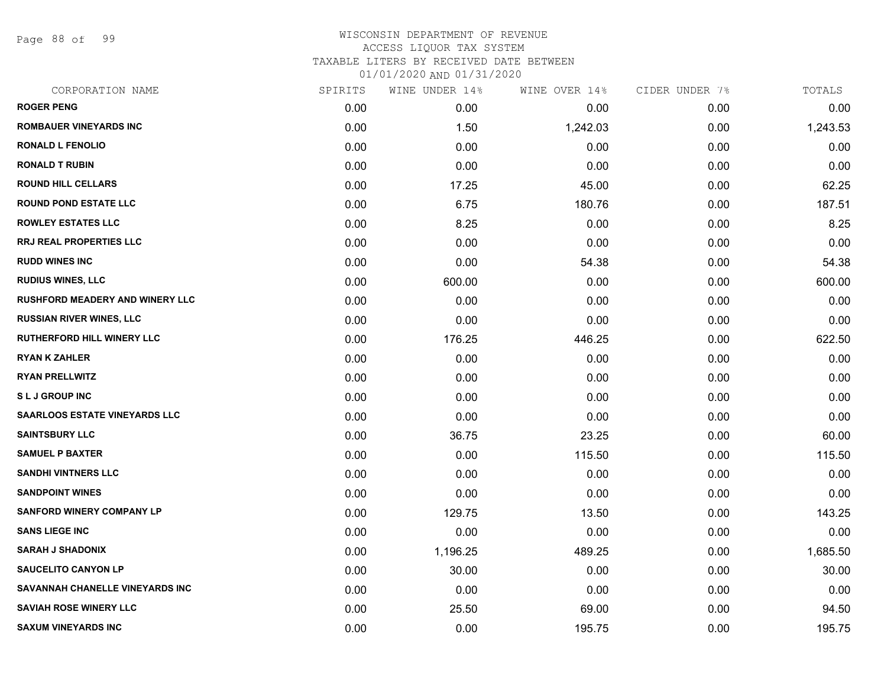Page 88 of 99

| CORPORATION NAME                       | SPIRITS | WINE UNDER 14% | WINE OVER 14% | CIDER UNDER 7% | TOTALS   |
|----------------------------------------|---------|----------------|---------------|----------------|----------|
| <b>ROGER PENG</b>                      | 0.00    | 0.00           | 0.00          | 0.00           | 0.00     |
| <b>ROMBAUER VINEYARDS INC</b>          | 0.00    | 1.50           | 1,242.03      | 0.00           | 1,243.53 |
| <b>RONALD L FENOLIO</b>                | 0.00    | 0.00           | 0.00          | 0.00           | 0.00     |
| <b>RONALD T RUBIN</b>                  | 0.00    | 0.00           | 0.00          | 0.00           | 0.00     |
| <b>ROUND HILL CELLARS</b>              | 0.00    | 17.25          | 45.00         | 0.00           | 62.25    |
| <b>ROUND POND ESTATE LLC</b>           | 0.00    | 6.75           | 180.76        | 0.00           | 187.51   |
| <b>ROWLEY ESTATES LLC</b>              | 0.00    | 8.25           | 0.00          | 0.00           | 8.25     |
| <b>RRJ REAL PROPERTIES LLC</b>         | 0.00    | 0.00           | 0.00          | 0.00           | 0.00     |
| <b>RUDD WINES INC</b>                  | 0.00    | 0.00           | 54.38         | 0.00           | 54.38    |
| <b>RUDIUS WINES, LLC</b>               | 0.00    | 600.00         | 0.00          | 0.00           | 600.00   |
| <b>RUSHFORD MEADERY AND WINERY LLC</b> | 0.00    | 0.00           | 0.00          | 0.00           | 0.00     |
| <b>RUSSIAN RIVER WINES, LLC</b>        | 0.00    | 0.00           | 0.00          | 0.00           | 0.00     |
| <b>RUTHERFORD HILL WINERY LLC</b>      | 0.00    | 176.25         | 446.25        | 0.00           | 622.50   |
| <b>RYAN K ZAHLER</b>                   | 0.00    | 0.00           | 0.00          | 0.00           | 0.00     |
| <b>RYAN PRELLWITZ</b>                  | 0.00    | 0.00           | 0.00          | 0.00           | 0.00     |
| <b>SLJ GROUP INC</b>                   | 0.00    | 0.00           | 0.00          | 0.00           | 0.00     |
| <b>SAARLOOS ESTATE VINEYARDS LLC</b>   | 0.00    | 0.00           | 0.00          | 0.00           | 0.00     |
| <b>SAINTSBURY LLC</b>                  | 0.00    | 36.75          | 23.25         | 0.00           | 60.00    |
| <b>SAMUEL P BAXTER</b>                 | 0.00    | 0.00           | 115.50        | 0.00           | 115.50   |
| <b>SANDHI VINTNERS LLC</b>             | 0.00    | 0.00           | 0.00          | 0.00           | 0.00     |
| <b>SANDPOINT WINES</b>                 | 0.00    | 0.00           | 0.00          | 0.00           | 0.00     |
| <b>SANFORD WINERY COMPANY LP</b>       | 0.00    | 129.75         | 13.50         | 0.00           | 143.25   |
| <b>SANS LIEGE INC</b>                  | 0.00    | 0.00           | 0.00          | 0.00           | 0.00     |
| <b>SARAH J SHADONIX</b>                | 0.00    | 1,196.25       | 489.25        | 0.00           | 1,685.50 |
| <b>SAUCELITO CANYON LP</b>             | 0.00    | 30.00          | 0.00          | 0.00           | 30.00    |
| SAVANNAH CHANELLE VINEYARDS INC        | 0.00    | 0.00           | 0.00          | 0.00           | 0.00     |
| <b>SAVIAH ROSE WINERY LLC</b>          | 0.00    | 25.50          | 69.00         | 0.00           | 94.50    |
| <b>SAXUM VINEYARDS INC</b>             | 0.00    | 0.00           | 195.75        | 0.00           | 195.75   |
|                                        |         |                |               |                |          |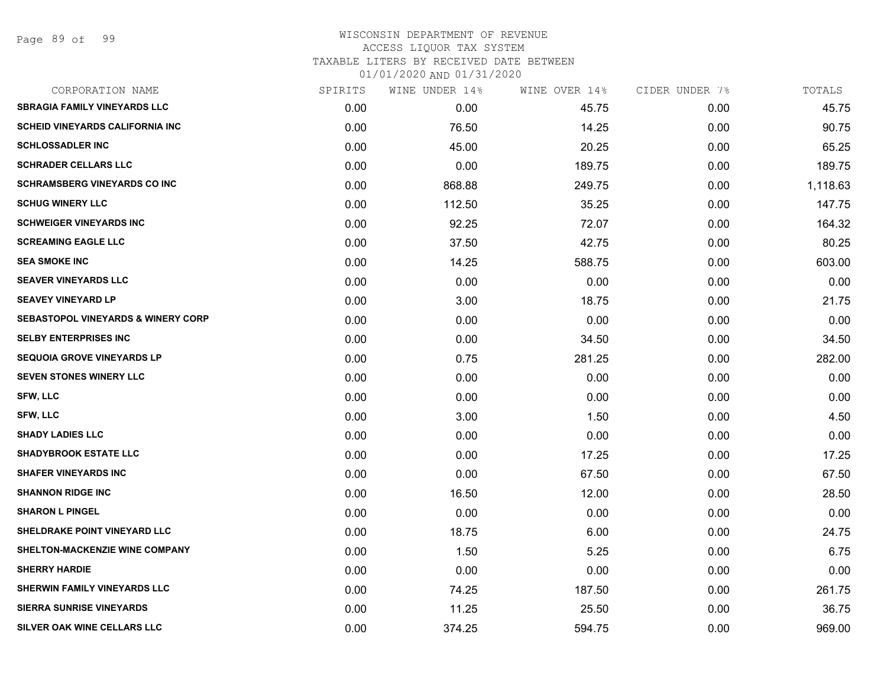### WISCONSIN DEPARTMENT OF REVENUE ACCESS LIQUOR TAX SYSTEM TAXABLE LITERS BY RECEIVED DATE BETWEEN

| CORPORATION NAME                              | SPIRITS | WINE UNDER 14% | WINE OVER 14% | CIDER UNDER 7% | TOTALS   |
|-----------------------------------------------|---------|----------------|---------------|----------------|----------|
| <b>SBRAGIA FAMILY VINEYARDS LLC</b>           | 0.00    | 0.00           | 45.75         | 0.00           | 45.75    |
| <b>SCHEID VINEYARDS CALIFORNIA INC</b>        | 0.00    | 76.50          | 14.25         | 0.00           | 90.75    |
| <b>SCHLOSSADLER INC</b>                       | 0.00    | 45.00          | 20.25         | 0.00           | 65.25    |
| <b>SCHRADER CELLARS LLC</b>                   | 0.00    | 0.00           | 189.75        | 0.00           | 189.75   |
| <b>SCHRAMSBERG VINEYARDS CO INC</b>           | 0.00    | 868.88         | 249.75        | 0.00           | 1,118.63 |
| <b>SCHUG WINERY LLC</b>                       | 0.00    | 112.50         | 35.25         | 0.00           | 147.75   |
| <b>SCHWEIGER VINEYARDS INC</b>                | 0.00    | 92.25          | 72.07         | 0.00           | 164.32   |
| <b>SCREAMING EAGLE LLC</b>                    | 0.00    | 37.50          | 42.75         | 0.00           | 80.25    |
| <b>SEA SMOKE INC</b>                          | 0.00    | 14.25          | 588.75        | 0.00           | 603.00   |
| <b>SEAVER VINEYARDS LLC</b>                   | 0.00    | 0.00           | 0.00          | 0.00           | 0.00     |
| <b>SEAVEY VINEYARD LP</b>                     | 0.00    | 3.00           | 18.75         | 0.00           | 21.75    |
| <b>SEBASTOPOL VINEYARDS &amp; WINERY CORP</b> | 0.00    | 0.00           | 0.00          | 0.00           | 0.00     |
| <b>SELBY ENTERPRISES INC</b>                  | 0.00    | 0.00           | 34.50         | 0.00           | 34.50    |
| <b>SEQUOIA GROVE VINEYARDS LP</b>             | 0.00    | 0.75           | 281.25        | 0.00           | 282.00   |
| <b>SEVEN STONES WINERY LLC</b>                | 0.00    | 0.00           | 0.00          | 0.00           | 0.00     |
| <b>SFW, LLC</b>                               | 0.00    | 0.00           | 0.00          | 0.00           | 0.00     |
| <b>SFW, LLC</b>                               | 0.00    | 3.00           | 1.50          | 0.00           | 4.50     |
| <b>SHADY LADIES LLC</b>                       | 0.00    | 0.00           | 0.00          | 0.00           | 0.00     |
| <b>SHADYBROOK ESTATE LLC</b>                  | 0.00    | 0.00           | 17.25         | 0.00           | 17.25    |
| <b>SHAFER VINEYARDS INC</b>                   | 0.00    | 0.00           | 67.50         | 0.00           | 67.50    |
| <b>SHANNON RIDGE INC</b>                      | 0.00    | 16.50          | 12.00         | 0.00           | 28.50    |
| <b>SHARON L PINGEL</b>                        | 0.00    | 0.00           | 0.00          | 0.00           | 0.00     |
| SHELDRAKE POINT VINEYARD LLC                  | 0.00    | 18.75          | 6.00          | 0.00           | 24.75    |
| SHELTON-MACKENZIE WINE COMPANY                | 0.00    | 1.50           | 5.25          | 0.00           | 6.75     |
| <b>SHERRY HARDIE</b>                          | 0.00    | 0.00           | 0.00          | 0.00           | 0.00     |
| SHERWIN FAMILY VINEYARDS LLC                  | 0.00    | 74.25          | 187.50        | 0.00           | 261.75   |
| <b>SIERRA SUNRISE VINEYARDS</b>               | 0.00    | 11.25          | 25.50         | 0.00           | 36.75    |
| SILVER OAK WINE CELLARS LLC                   | 0.00    | 374.25         | 594.75        | 0.00           | 969.00   |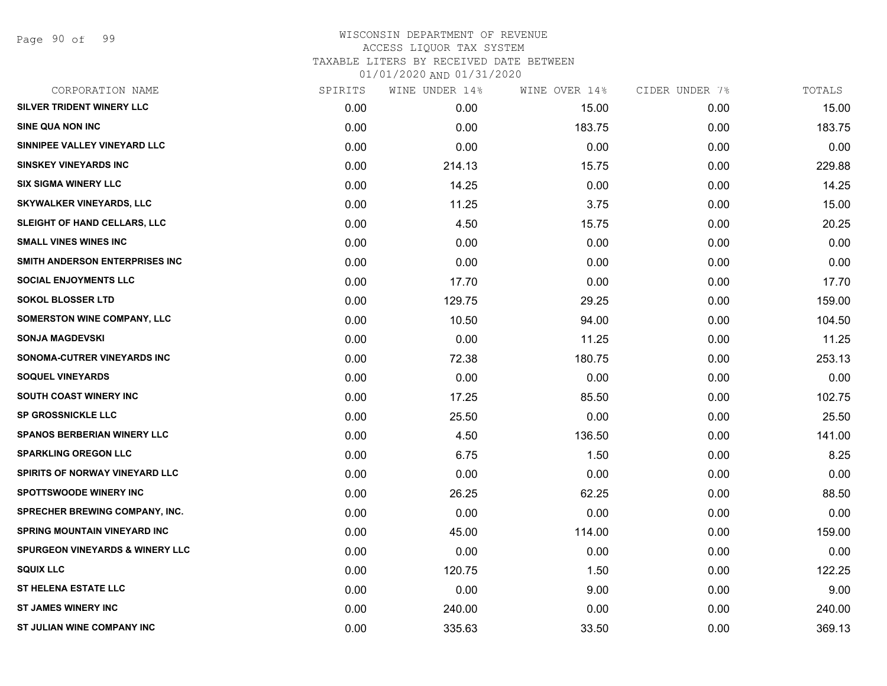| CORPORATION NAME                           | SPIRITS | WINE UNDER 14% | WINE OVER 14% | CIDER UNDER 7% | TOTALS |
|--------------------------------------------|---------|----------------|---------------|----------------|--------|
| <b>SILVER TRIDENT WINERY LLC</b>           | 0.00    | 0.00           | 15.00         | 0.00           | 15.00  |
| SINE QUA NON INC                           | 0.00    | 0.00           | 183.75        | 0.00           | 183.75 |
| SINNIPEE VALLEY VINEYARD LLC               | 0.00    | 0.00           | 0.00          | 0.00           | 0.00   |
| <b>SINSKEY VINEYARDS INC</b>               | 0.00    | 214.13         | 15.75         | 0.00           | 229.88 |
| <b>SIX SIGMA WINERY LLC</b>                | 0.00    | 14.25          | 0.00          | 0.00           | 14.25  |
| <b>SKYWALKER VINEYARDS, LLC</b>            | 0.00    | 11.25          | 3.75          | 0.00           | 15.00  |
| SLEIGHT OF HAND CELLARS, LLC               | 0.00    | 4.50           | 15.75         | 0.00           | 20.25  |
| <b>SMALL VINES WINES INC</b>               | 0.00    | 0.00           | 0.00          | 0.00           | 0.00   |
| SMITH ANDERSON ENTERPRISES INC             | 0.00    | 0.00           | 0.00          | 0.00           | 0.00   |
| <b>SOCIAL ENJOYMENTS LLC</b>               | 0.00    | 17.70          | 0.00          | 0.00           | 17.70  |
| <b>SOKOL BLOSSER LTD</b>                   | 0.00    | 129.75         | 29.25         | 0.00           | 159.00 |
| SOMERSTON WINE COMPANY, LLC                | 0.00    | 10.50          | 94.00         | 0.00           | 104.50 |
| <b>SONJA MAGDEVSKI</b>                     | 0.00    | 0.00           | 11.25         | 0.00           | 11.25  |
| SONOMA-CUTRER VINEYARDS INC                | 0.00    | 72.38          | 180.75        | 0.00           | 253.13 |
| <b>SOQUEL VINEYARDS</b>                    | 0.00    | 0.00           | 0.00          | 0.00           | 0.00   |
| SOUTH COAST WINERY INC                     | 0.00    | 17.25          | 85.50         | 0.00           | 102.75 |
| <b>SP GROSSNICKLE LLC</b>                  | 0.00    | 25.50          | 0.00          | 0.00           | 25.50  |
| SPANOS BERBERIAN WINERY LLC                | 0.00    | 4.50           | 136.50        | 0.00           | 141.00 |
| <b>SPARKLING OREGON LLC</b>                | 0.00    | 6.75           | 1.50          | 0.00           | 8.25   |
| SPIRITS OF NORWAY VINEYARD LLC             | 0.00    | 0.00           | 0.00          | 0.00           | 0.00   |
| <b>SPOTTSWOODE WINERY INC</b>              | 0.00    | 26.25          | 62.25         | 0.00           | 88.50  |
| <b>SPRECHER BREWING COMPANY, INC.</b>      | 0.00    | 0.00           | 0.00          | 0.00           | 0.00   |
| <b>SPRING MOUNTAIN VINEYARD INC</b>        | 0.00    | 45.00          | 114.00        | 0.00           | 159.00 |
| <b>SPURGEON VINEYARDS &amp; WINERY LLC</b> | 0.00    | 0.00           | 0.00          | 0.00           | 0.00   |
| <b>SQUIX LLC</b>                           | 0.00    | 120.75         | 1.50          | 0.00           | 122.25 |
| <b>ST HELENA ESTATE LLC</b>                | 0.00    | 0.00           | 9.00          | 0.00           | 9.00   |
| <b>ST JAMES WINERY INC</b>                 | 0.00    | 240.00         | 0.00          | 0.00           | 240.00 |
| ST JULIAN WINE COMPANY INC                 | 0.00    | 335.63         | 33.50         | 0.00           | 369.13 |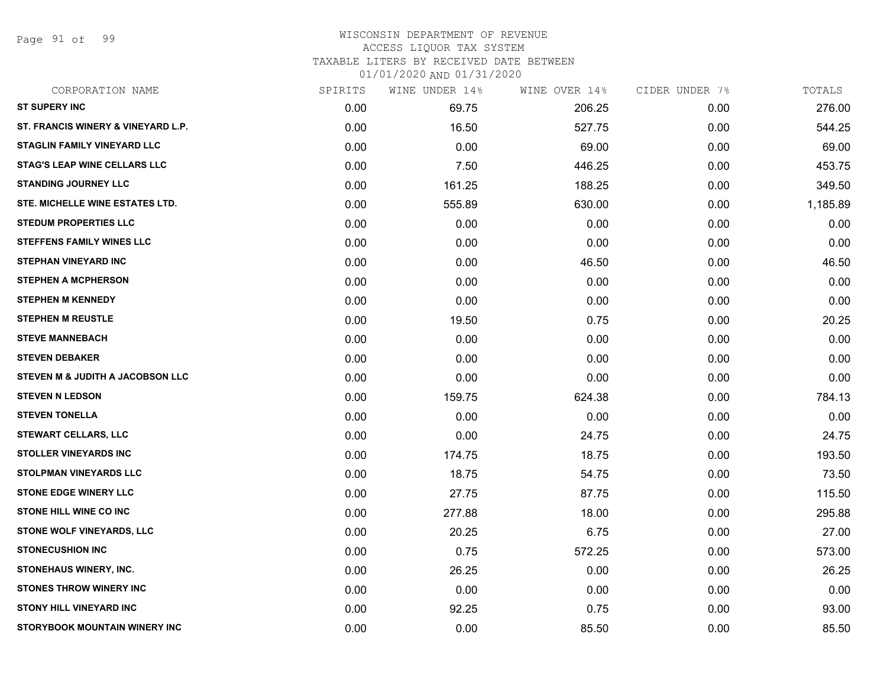Page 91 of 99

### WISCONSIN DEPARTMENT OF REVENUE ACCESS LIQUOR TAX SYSTEM TAXABLE LITERS BY RECEIVED DATE BETWEEN

| CORPORATION NAME                    | SPIRITS | WINE UNDER 14% | WINE OVER 14% | CIDER UNDER 7% | TOTALS   |
|-------------------------------------|---------|----------------|---------------|----------------|----------|
| <b>ST SUPERY INC</b>                | 0.00    | 69.75          | 206.25        | 0.00           | 276.00   |
| ST. FRANCIS WINERY & VINEYARD L.P.  | 0.00    | 16.50          | 527.75        | 0.00           | 544.25   |
| <b>STAGLIN FAMILY VINEYARD LLC</b>  | 0.00    | 0.00           | 69.00         | 0.00           | 69.00    |
| <b>STAG'S LEAP WINE CELLARS LLC</b> | 0.00    | 7.50           | 446.25        | 0.00           | 453.75   |
| <b>STANDING JOURNEY LLC</b>         | 0.00    | 161.25         | 188.25        | 0.00           | 349.50   |
| STE. MICHELLE WINE ESTATES LTD.     | 0.00    | 555.89         | 630.00        | 0.00           | 1,185.89 |
| <b>STEDUM PROPERTIES LLC</b>        | 0.00    | 0.00           | 0.00          | 0.00           | 0.00     |
| <b>STEFFENS FAMILY WINES LLC</b>    | 0.00    | 0.00           | 0.00          | 0.00           | 0.00     |
| <b>STEPHAN VINEYARD INC</b>         | 0.00    | 0.00           | 46.50         | 0.00           | 46.50    |
| <b>STEPHEN A MCPHERSON</b>          | 0.00    | 0.00           | 0.00          | 0.00           | 0.00     |
| <b>STEPHEN M KENNEDY</b>            | 0.00    | 0.00           | 0.00          | 0.00           | 0.00     |
| <b>STEPHEN M REUSTLE</b>            | 0.00    | 19.50          | 0.75          | 0.00           | 20.25    |
| <b>STEVE MANNEBACH</b>              | 0.00    | 0.00           | 0.00          | 0.00           | 0.00     |
| <b>STEVEN DEBAKER</b>               | 0.00    | 0.00           | 0.00          | 0.00           | 0.00     |
| STEVEN M & JUDITH A JACOBSON LLC    | 0.00    | 0.00           | 0.00          | 0.00           | 0.00     |
| <b>STEVEN N LEDSON</b>              | 0.00    | 159.75         | 624.38        | 0.00           | 784.13   |
| <b>STEVEN TONELLA</b>               | 0.00    | 0.00           | 0.00          | 0.00           | 0.00     |
| <b>STEWART CELLARS, LLC</b>         | 0.00    | 0.00           | 24.75         | 0.00           | 24.75    |
| <b>STOLLER VINEYARDS INC</b>        | 0.00    | 174.75         | 18.75         | 0.00           | 193.50   |
| <b>STOLPMAN VINEYARDS LLC</b>       | 0.00    | 18.75          | 54.75         | 0.00           | 73.50    |
| <b>STONE EDGE WINERY LLC</b>        | 0.00    | 27.75          | 87.75         | 0.00           | 115.50   |
| <b>STONE HILL WINE CO INC</b>       | 0.00    | 277.88         | 18.00         | 0.00           | 295.88   |
| STONE WOLF VINEYARDS, LLC           | 0.00    | 20.25          | 6.75          | 0.00           | 27.00    |
| <b>STONECUSHION INC</b>             | 0.00    | 0.75           | 572.25        | 0.00           | 573.00   |
| STONEHAUS WINERY, INC.              | 0.00    | 26.25          | 0.00          | 0.00           | 26.25    |
| <b>STONES THROW WINERY INC</b>      | 0.00    | 0.00           | 0.00          | 0.00           | 0.00     |
| <b>STONY HILL VINEYARD INC</b>      | 0.00    | 92.25          | 0.75          | 0.00           | 93.00    |
| STORYBOOK MOUNTAIN WINERY INC       | 0.00    | 0.00           | 85.50         | 0.00           | 85.50    |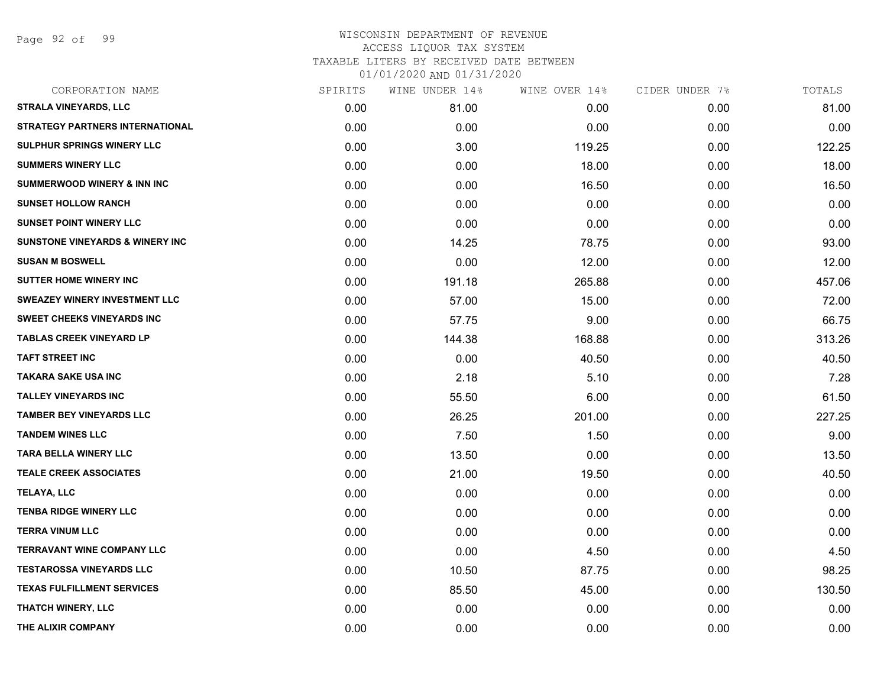Page 92 of 99

| CORPORATION NAME                           | SPIRITS | WINE UNDER 14% | WINE OVER 14% | CIDER UNDER 7% | TOTALS |
|--------------------------------------------|---------|----------------|---------------|----------------|--------|
| <b>STRALA VINEYARDS, LLC</b>               | 0.00    | 81.00          | 0.00          | 0.00           | 81.00  |
| <b>STRATEGY PARTNERS INTERNATIONAL</b>     | 0.00    | 0.00           | 0.00          | 0.00           | 0.00   |
| SULPHUR SPRINGS WINERY LLC                 | 0.00    | 3.00           | 119.25        | 0.00           | 122.25 |
| <b>SUMMERS WINERY LLC</b>                  | 0.00    | 0.00           | 18.00         | 0.00           | 18.00  |
| <b>SUMMERWOOD WINERY &amp; INN INC</b>     | 0.00    | 0.00           | 16.50         | 0.00           | 16.50  |
| <b>SUNSET HOLLOW RANCH</b>                 | 0.00    | 0.00           | 0.00          | 0.00           | 0.00   |
| <b>SUNSET POINT WINERY LLC</b>             | 0.00    | 0.00           | 0.00          | 0.00           | 0.00   |
| <b>SUNSTONE VINEYARDS &amp; WINERY INC</b> | 0.00    | 14.25          | 78.75         | 0.00           | 93.00  |
| <b>SUSAN M BOSWELL</b>                     | 0.00    | 0.00           | 12.00         | 0.00           | 12.00  |
| <b>SUTTER HOME WINERY INC</b>              | 0.00    | 191.18         | 265.88        | 0.00           | 457.06 |
| <b>SWEAZEY WINERY INVESTMENT LLC</b>       | 0.00    | 57.00          | 15.00         | 0.00           | 72.00  |
| <b>SWEET CHEEKS VINEYARDS INC</b>          | 0.00    | 57.75          | 9.00          | 0.00           | 66.75  |
| <b>TABLAS CREEK VINEYARD LP</b>            | 0.00    | 144.38         | 168.88        | 0.00           | 313.26 |
| <b>TAFT STREET INC</b>                     | 0.00    | 0.00           | 40.50         | 0.00           | 40.50  |
| <b>TAKARA SAKE USA INC</b>                 | 0.00    | 2.18           | 5.10          | 0.00           | 7.28   |
| <b>TALLEY VINEYARDS INC</b>                | 0.00    | 55.50          | 6.00          | 0.00           | 61.50  |
| <b>TAMBER BEY VINEYARDS LLC</b>            | 0.00    | 26.25          | 201.00        | 0.00           | 227.25 |
| <b>TANDEM WINES LLC</b>                    | 0.00    | 7.50           | 1.50          | 0.00           | 9.00   |
| <b>TARA BELLA WINERY LLC</b>               | 0.00    | 13.50          | 0.00          | 0.00           | 13.50  |
| <b>TEALE CREEK ASSOCIATES</b>              | 0.00    | 21.00          | 19.50         | 0.00           | 40.50  |
| TELAYA, LLC                                | 0.00    | 0.00           | 0.00          | 0.00           | 0.00   |
| <b>TENBA RIDGE WINERY LLC</b>              | 0.00    | 0.00           | 0.00          | 0.00           | 0.00   |
| <b>TERRA VINUM LLC</b>                     | 0.00    | 0.00           | 0.00          | 0.00           | 0.00   |
| <b>TERRAVANT WINE COMPANY LLC</b>          | 0.00    | 0.00           | 4.50          | 0.00           | 4.50   |
| <b>TESTAROSSA VINEYARDS LLC</b>            | 0.00    | 10.50          | 87.75         | 0.00           | 98.25  |
| <b>TEXAS FULFILLMENT SERVICES</b>          | 0.00    | 85.50          | 45.00         | 0.00           | 130.50 |
| <b>THATCH WINERY, LLC</b>                  | 0.00    | 0.00           | 0.00          | 0.00           | 0.00   |
| THE ALIXIR COMPANY                         | 0.00    | 0.00           | 0.00          | 0.00           | 0.00   |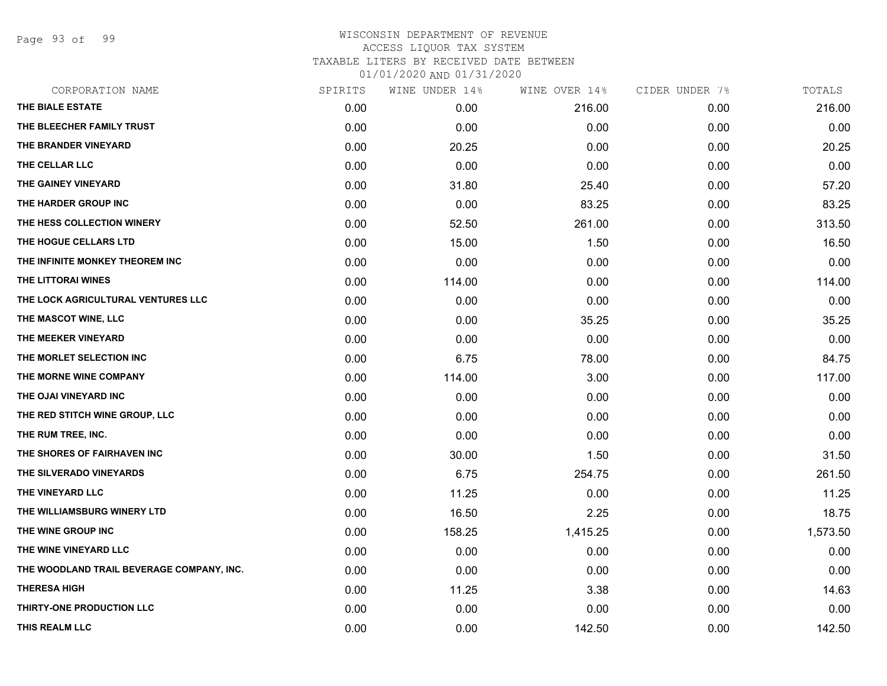Page 93 of 99

| CORPORATION NAME                          | SPIRITS | WINE UNDER 14% | WINE OVER 14% | CIDER UNDER 7% | TOTALS   |
|-------------------------------------------|---------|----------------|---------------|----------------|----------|
| THE BIALE ESTATE                          | 0.00    | 0.00           | 216.00        | 0.00           | 216.00   |
| THE BLEECHER FAMILY TRUST                 | 0.00    | 0.00           | 0.00          | 0.00           | 0.00     |
| THE BRANDER VINEYARD                      | 0.00    | 20.25          | 0.00          | 0.00           | 20.25    |
| THE CELLAR LLC                            | 0.00    | 0.00           | 0.00          | 0.00           | 0.00     |
| THE GAINEY VINEYARD                       | 0.00    | 31.80          | 25.40         | 0.00           | 57.20    |
| THE HARDER GROUP INC                      | 0.00    | 0.00           | 83.25         | 0.00           | 83.25    |
| THE HESS COLLECTION WINERY                | 0.00    | 52.50          | 261.00        | 0.00           | 313.50   |
| THE HOGUE CELLARS LTD                     | 0.00    | 15.00          | 1.50          | 0.00           | 16.50    |
| THE INFINITE MONKEY THEOREM INC           | 0.00    | 0.00           | 0.00          | 0.00           | 0.00     |
| THE LITTORAI WINES                        | 0.00    | 114.00         | 0.00          | 0.00           | 114.00   |
| THE LOCK AGRICULTURAL VENTURES LLC        | 0.00    | 0.00           | 0.00          | 0.00           | 0.00     |
| THE MASCOT WINE, LLC                      | 0.00    | 0.00           | 35.25         | 0.00           | 35.25    |
| THE MEEKER VINEYARD                       | 0.00    | 0.00           | 0.00          | 0.00           | 0.00     |
| THE MORLET SELECTION INC                  | 0.00    | 6.75           | 78.00         | 0.00           | 84.75    |
| THE MORNE WINE COMPANY                    | 0.00    | 114.00         | 3.00          | 0.00           | 117.00   |
| THE OJAI VINEYARD INC                     | 0.00    | 0.00           | 0.00          | 0.00           | 0.00     |
| THE RED STITCH WINE GROUP, LLC            | 0.00    | 0.00           | 0.00          | 0.00           | 0.00     |
| THE RUM TREE, INC.                        | 0.00    | 0.00           | 0.00          | 0.00           | 0.00     |
| THE SHORES OF FAIRHAVEN INC               | 0.00    | 30.00          | 1.50          | 0.00           | 31.50    |
| THE SILVERADO VINEYARDS                   | 0.00    | 6.75           | 254.75        | 0.00           | 261.50   |
| THE VINEYARD LLC                          | 0.00    | 11.25          | 0.00          | 0.00           | 11.25    |
| THE WILLIAMSBURG WINERY LTD               | 0.00    | 16.50          | 2.25          | 0.00           | 18.75    |
| THE WINE GROUP INC                        | 0.00    | 158.25         | 1,415.25      | 0.00           | 1,573.50 |
| THE WINE VINEYARD LLC                     | 0.00    | 0.00           | 0.00          | 0.00           | 0.00     |
| THE WOODLAND TRAIL BEVERAGE COMPANY, INC. | 0.00    | 0.00           | 0.00          | 0.00           | 0.00     |
| <b>THERESA HIGH</b>                       | 0.00    | 11.25          | 3.38          | 0.00           | 14.63    |
| THIRTY-ONE PRODUCTION LLC                 | 0.00    | 0.00           | 0.00          | 0.00           | 0.00     |
| THIS REALM LLC                            | 0.00    | 0.00           | 142.50        | 0.00           | 142.50   |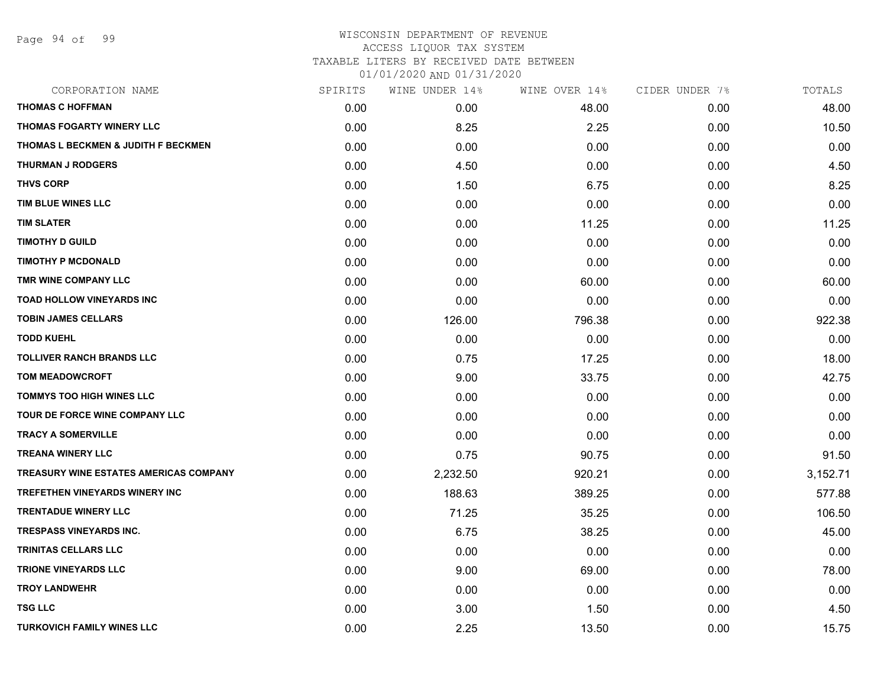Page 94 of 99

## WISCONSIN DEPARTMENT OF REVENUE ACCESS LIQUOR TAX SYSTEM TAXABLE LITERS BY RECEIVED DATE BETWEEN

| CORPORATION NAME                              | SPIRITS | WINE UNDER 14% | WINE OVER 14% | CIDER UNDER 7% | TOTALS   |
|-----------------------------------------------|---------|----------------|---------------|----------------|----------|
| <b>THOMAS C HOFFMAN</b>                       | 0.00    | 0.00           | 48.00         | 0.00           | 48.00    |
| <b>THOMAS FOGARTY WINERY LLC</b>              | 0.00    | 8.25           | 2.25          | 0.00           | 10.50    |
| THOMAS L BECKMEN & JUDITH F BECKMEN           | 0.00    | 0.00           | 0.00          | 0.00           | 0.00     |
| <b>THURMAN J RODGERS</b>                      | 0.00    | 4.50           | 0.00          | 0.00           | 4.50     |
| <b>THVS CORP</b>                              | 0.00    | 1.50           | 6.75          | 0.00           | 8.25     |
| TIM BLUE WINES LLC                            | 0.00    | 0.00           | 0.00          | 0.00           | 0.00     |
| <b>TIM SLATER</b>                             | 0.00    | 0.00           | 11.25         | 0.00           | 11.25    |
| <b>TIMOTHY D GUILD</b>                        | 0.00    | 0.00           | 0.00          | 0.00           | 0.00     |
| <b>TIMOTHY P MCDONALD</b>                     | 0.00    | 0.00           | 0.00          | 0.00           | 0.00     |
| TMR WINE COMPANY LLC                          | 0.00    | 0.00           | 60.00         | 0.00           | 60.00    |
| TOAD HOLLOW VINEYARDS INC                     | 0.00    | 0.00           | 0.00          | 0.00           | 0.00     |
| <b>TOBIN JAMES CELLARS</b>                    | 0.00    | 126.00         | 796.38        | 0.00           | 922.38   |
| <b>TODD KUEHL</b>                             | 0.00    | 0.00           | 0.00          | 0.00           | 0.00     |
| <b>TOLLIVER RANCH BRANDS LLC</b>              | 0.00    | 0.75           | 17.25         | 0.00           | 18.00    |
| <b>TOM MEADOWCROFT</b>                        | 0.00    | 9.00           | 33.75         | 0.00           | 42.75    |
| TOMMYS TOO HIGH WINES LLC                     | 0.00    | 0.00           | 0.00          | 0.00           | 0.00     |
| TOUR DE FORCE WINE COMPANY LLC                | 0.00    | 0.00           | 0.00          | 0.00           | 0.00     |
| <b>TRACY A SOMERVILLE</b>                     | 0.00    | 0.00           | 0.00          | 0.00           | 0.00     |
| <b>TREANA WINERY LLC</b>                      | 0.00    | 0.75           | 90.75         | 0.00           | 91.50    |
| <b>TREASURY WINE ESTATES AMERICAS COMPANY</b> | 0.00    | 2,232.50       | 920.21        | 0.00           | 3,152.71 |
| <b>TREFETHEN VINEYARDS WINERY INC</b>         | 0.00    | 188.63         | 389.25        | 0.00           | 577.88   |
| <b>TRENTADUE WINERY LLC</b>                   | 0.00    | 71.25          | 35.25         | 0.00           | 106.50   |
| <b>TRESPASS VINEYARDS INC.</b>                | 0.00    | 6.75           | 38.25         | 0.00           | 45.00    |
| TRINITAS CELLARS LLC                          | 0.00    | 0.00           | 0.00          | 0.00           | 0.00     |
| <b>TRIONE VINEYARDS LLC</b>                   | 0.00    | 9.00           | 69.00         | 0.00           | 78.00    |
| <b>TROY LANDWEHR</b>                          | 0.00    | 0.00           | 0.00          | 0.00           | 0.00     |
| <b>TSG LLC</b>                                | 0.00    | 3.00           | 1.50          | 0.00           | 4.50     |
| <b>TURKOVICH FAMILY WINES LLC</b>             | 0.00    | 2.25           | 13.50         | 0.00           | 15.75    |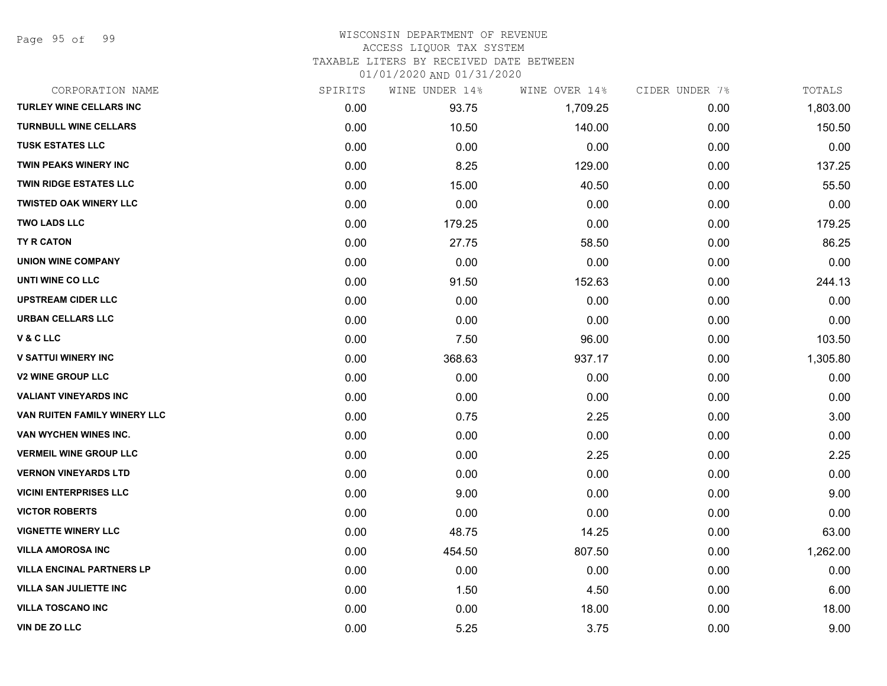Page 95 of 99

### WISCONSIN DEPARTMENT OF REVENUE ACCESS LIQUOR TAX SYSTEM TAXABLE LITERS BY RECEIVED DATE BETWEEN

| CORPORATION NAME                 | SPIRITS | WINE UNDER 14% | WINE OVER 14% | CIDER UNDER 7% | TOTALS   |
|----------------------------------|---------|----------------|---------------|----------------|----------|
| TURLEY WINE CELLARS INC          | 0.00    | 93.75          | 1,709.25      | 0.00           | 1,803.00 |
| <b>TURNBULL WINE CELLARS</b>     | 0.00    | 10.50          | 140.00        | 0.00           | 150.50   |
| <b>TUSK ESTATES LLC</b>          | 0.00    | 0.00           | 0.00          | 0.00           | 0.00     |
| <b>TWIN PEAKS WINERY INC</b>     | 0.00    | 8.25           | 129.00        | 0.00           | 137.25   |
| <b>TWIN RIDGE ESTATES LLC</b>    | 0.00    | 15.00          | 40.50         | 0.00           | 55.50    |
| <b>TWISTED OAK WINERY LLC</b>    | 0.00    | 0.00           | 0.00          | 0.00           | 0.00     |
| <b>TWO LADS LLC</b>              | 0.00    | 179.25         | 0.00          | 0.00           | 179.25   |
| <b>TY R CATON</b>                | 0.00    | 27.75          | 58.50         | 0.00           | 86.25    |
| <b>UNION WINE COMPANY</b>        | 0.00    | 0.00           | 0.00          | 0.00           | 0.00     |
| UNTI WINE CO LLC                 | 0.00    | 91.50          | 152.63        | 0.00           | 244.13   |
| <b>UPSTREAM CIDER LLC</b>        | 0.00    | 0.00           | 0.00          | 0.00           | 0.00     |
| URBAN CELLARS LLC                | 0.00    | 0.00           | 0.00          | 0.00           | 0.00     |
| V & C LLC                        | 0.00    | 7.50           | 96.00         | 0.00           | 103.50   |
| <b>V SATTUI WINERY INC</b>       | 0.00    | 368.63         | 937.17        | 0.00           | 1,305.80 |
| <b>V2 WINE GROUP LLC</b>         | 0.00    | 0.00           | 0.00          | 0.00           | 0.00     |
| <b>VALIANT VINEYARDS INC</b>     | 0.00    | 0.00           | 0.00          | 0.00           | 0.00     |
| VAN RUITEN FAMILY WINERY LLC     | 0.00    | 0.75           | 2.25          | 0.00           | 3.00     |
| VAN WYCHEN WINES INC.            | 0.00    | 0.00           | 0.00          | 0.00           | 0.00     |
| <b>VERMEIL WINE GROUP LLC</b>    | 0.00    | 0.00           | 2.25          | 0.00           | 2.25     |
| <b>VERNON VINEYARDS LTD</b>      | 0.00    | 0.00           | 0.00          | 0.00           | 0.00     |
| <b>VICINI ENTERPRISES LLC</b>    | 0.00    | 9.00           | 0.00          | 0.00           | 9.00     |
| <b>VICTOR ROBERTS</b>            | 0.00    | 0.00           | 0.00          | 0.00           | 0.00     |
| <b>VIGNETTE WINERY LLC</b>       | 0.00    | 48.75          | 14.25         | 0.00           | 63.00    |
| <b>VILLA AMOROSA INC</b>         | 0.00    | 454.50         | 807.50        | 0.00           | 1,262.00 |
| <b>VILLA ENCINAL PARTNERS LP</b> | 0.00    | 0.00           | 0.00          | 0.00           | 0.00     |
| <b>VILLA SAN JULIETTE INC</b>    | 0.00    | 1.50           | 4.50          | 0.00           | 6.00     |
| <b>VILLA TOSCANO INC</b>         | 0.00    | 0.00           | 18.00         | 0.00           | 18.00    |
| VIN DE ZO LLC                    | 0.00    | 5.25           | 3.75          | 0.00           | 9.00     |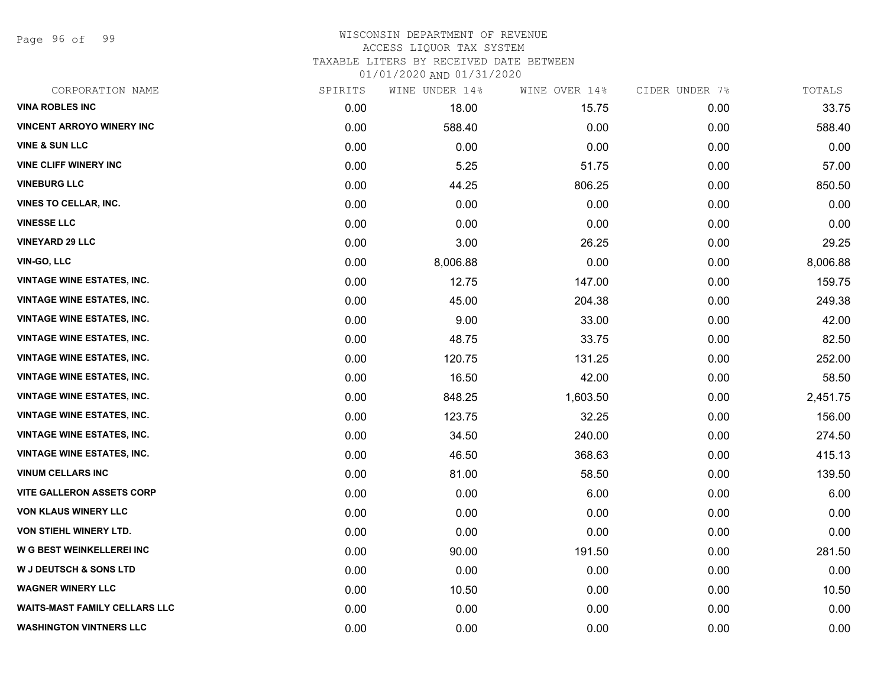Page 96 of 99

### WISCONSIN DEPARTMENT OF REVENUE ACCESS LIQUOR TAX SYSTEM

TAXABLE LITERS BY RECEIVED DATE BETWEEN

| CORPORATION NAME                     | SPIRITS | WINE UNDER 14% | WINE OVER 14% | CIDER UNDER 7% | TOTALS   |
|--------------------------------------|---------|----------------|---------------|----------------|----------|
| <b>VINA ROBLES INC</b>               | 0.00    | 18.00          | 15.75         | 0.00           | 33.75    |
| <b>VINCENT ARROYO WINERY INC</b>     | 0.00    | 588.40         | 0.00          | 0.00           | 588.40   |
| <b>VINE &amp; SUN LLC</b>            | 0.00    | 0.00           | 0.00          | 0.00           | 0.00     |
| <b>VINE CLIFF WINERY INC</b>         | 0.00    | 5.25           | 51.75         | 0.00           | 57.00    |
| <b>VINEBURG LLC</b>                  | 0.00    | 44.25          | 806.25        | 0.00           | 850.50   |
| <b>VINES TO CELLAR, INC.</b>         | 0.00    | 0.00           | 0.00          | 0.00           | 0.00     |
| <b>VINESSE LLC</b>                   | 0.00    | 0.00           | 0.00          | 0.00           | 0.00     |
| <b>VINEYARD 29 LLC</b>               | 0.00    | 3.00           | 26.25         | 0.00           | 29.25    |
| <b>VIN-GO, LLC</b>                   | 0.00    | 8,006.88       | 0.00          | 0.00           | 8,006.88 |
| <b>VINTAGE WINE ESTATES, INC.</b>    | 0.00    | 12.75          | 147.00        | 0.00           | 159.75   |
| <b>VINTAGE WINE ESTATES, INC.</b>    | 0.00    | 45.00          | 204.38        | 0.00           | 249.38   |
| <b>VINTAGE WINE ESTATES, INC.</b>    | 0.00    | 9.00           | 33.00         | 0.00           | 42.00    |
| <b>VINTAGE WINE ESTATES, INC.</b>    | 0.00    | 48.75          | 33.75         | 0.00           | 82.50    |
| <b>VINTAGE WINE ESTATES, INC.</b>    | 0.00    | 120.75         | 131.25        | 0.00           | 252.00   |
| <b>VINTAGE WINE ESTATES, INC.</b>    | 0.00    | 16.50          | 42.00         | 0.00           | 58.50    |
| <b>VINTAGE WINE ESTATES, INC.</b>    | 0.00    | 848.25         | 1,603.50      | 0.00           | 2,451.75 |
| <b>VINTAGE WINE ESTATES, INC.</b>    | 0.00    | 123.75         | 32.25         | 0.00           | 156.00   |
| <b>VINTAGE WINE ESTATES, INC.</b>    | 0.00    | 34.50          | 240.00        | 0.00           | 274.50   |
| <b>VINTAGE WINE ESTATES, INC.</b>    | 0.00    | 46.50          | 368.63        | 0.00           | 415.13   |
| <b>VINUM CELLARS INC</b>             | 0.00    | 81.00          | 58.50         | 0.00           | 139.50   |
| <b>VITE GALLERON ASSETS CORP</b>     | 0.00    | 0.00           | 6.00          | 0.00           | 6.00     |
| <b>VON KLAUS WINERY LLC</b>          | 0.00    | 0.00           | 0.00          | 0.00           | 0.00     |
| VON STIEHL WINERY LTD.               | 0.00    | 0.00           | 0.00          | 0.00           | 0.00     |
| W G BEST WEINKELLEREI INC            | 0.00    | 90.00          | 191.50        | 0.00           | 281.50   |
| <b>W J DEUTSCH &amp; SONS LTD</b>    | 0.00    | 0.00           | 0.00          | 0.00           | 0.00     |
| <b>WAGNER WINERY LLC</b>             | 0.00    | 10.50          | 0.00          | 0.00           | 10.50    |
| <b>WAITS-MAST FAMILY CELLARS LLC</b> | 0.00    | 0.00           | 0.00          | 0.00           | 0.00     |
| <b>WASHINGTON VINTNERS LLC</b>       | 0.00    | 0.00           | 0.00          | 0.00           | 0.00     |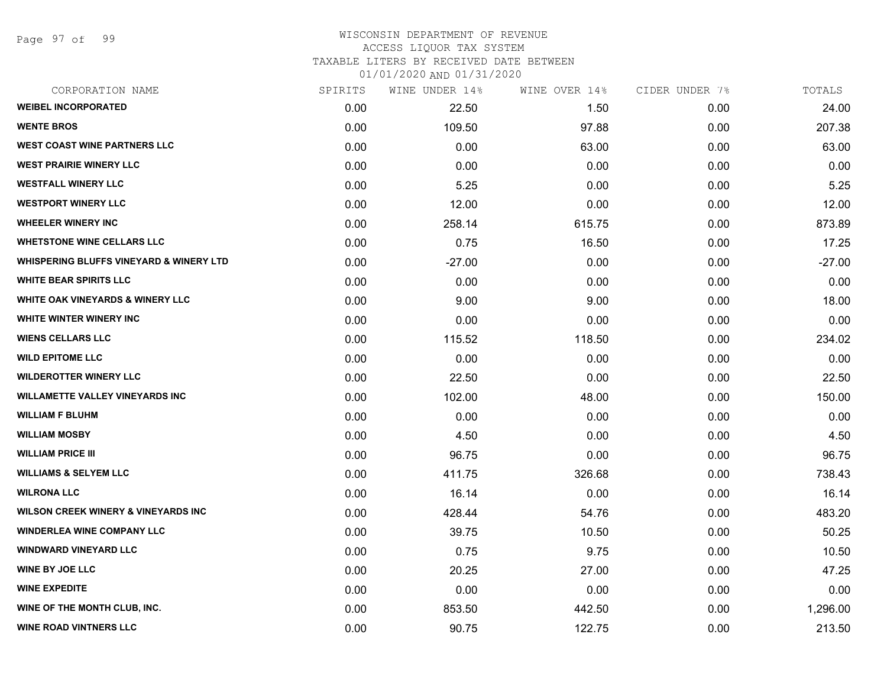Page 97 of 99

### WISCONSIN DEPARTMENT OF REVENUE ACCESS LIQUOR TAX SYSTEM TAXABLE LITERS BY RECEIVED DATE BETWEEN

| CORPORATION NAME                                   | SPIRITS | WINE UNDER 14% | WINE OVER 14% | CIDER UNDER 7% | TOTALS   |
|----------------------------------------------------|---------|----------------|---------------|----------------|----------|
| <b>WEIBEL INCORPORATED</b>                         | 0.00    | 22.50          | 1.50          | 0.00           | 24.00    |
| <b>WENTE BROS</b>                                  | 0.00    | 109.50         | 97.88         | 0.00           | 207.38   |
| <b>WEST COAST WINE PARTNERS LLC</b>                | 0.00    | 0.00           | 63.00         | 0.00           | 63.00    |
| <b>WEST PRAIRIE WINERY LLC</b>                     | 0.00    | 0.00           | 0.00          | 0.00           | 0.00     |
| <b>WESTFALL WINERY LLC</b>                         | 0.00    | 5.25           | 0.00          | 0.00           | 5.25     |
| <b>WESTPORT WINERY LLC</b>                         | 0.00    | 12.00          | 0.00          | 0.00           | 12.00    |
| <b>WHEELER WINERY INC</b>                          | 0.00    | 258.14         | 615.75        | 0.00           | 873.89   |
| <b>WHETSTONE WINE CELLARS LLC</b>                  | 0.00    | 0.75           | 16.50         | 0.00           | 17.25    |
| <b>WHISPERING BLUFFS VINEYARD &amp; WINERY LTD</b> | 0.00    | $-27.00$       | 0.00          | 0.00           | $-27.00$ |
| <b>WHITE BEAR SPIRITS LLC</b>                      | 0.00    | 0.00           | 0.00          | 0.00           | 0.00     |
| <b>WHITE OAK VINEYARDS &amp; WINERY LLC</b>        | 0.00    | 9.00           | 9.00          | 0.00           | 18.00    |
| <b>WHITE WINTER WINERY INC</b>                     | 0.00    | 0.00           | 0.00          | 0.00           | 0.00     |
| <b>WIENS CELLARS LLC</b>                           | 0.00    | 115.52         | 118.50        | 0.00           | 234.02   |
| <b>WILD EPITOME LLC</b>                            | 0.00    | 0.00           | 0.00          | 0.00           | 0.00     |
| <b>WILDEROTTER WINERY LLC</b>                      | 0.00    | 22.50          | 0.00          | 0.00           | 22.50    |
| <b>WILLAMETTE VALLEY VINEYARDS INC</b>             | 0.00    | 102.00         | 48.00         | 0.00           | 150.00   |
| <b>WILLIAM F BLUHM</b>                             | 0.00    | 0.00           | 0.00          | 0.00           | 0.00     |
| <b>WILLIAM MOSBY</b>                               | 0.00    | 4.50           | 0.00          | 0.00           | 4.50     |
| <b>WILLIAM PRICE III</b>                           | 0.00    | 96.75          | 0.00          | 0.00           | 96.75    |
| <b>WILLIAMS &amp; SELYEM LLC</b>                   | 0.00    | 411.75         | 326.68        | 0.00           | 738.43   |
| <b>WILRONA LLC</b>                                 | 0.00    | 16.14          | 0.00          | 0.00           | 16.14    |
| <b>WILSON CREEK WINERY &amp; VINEYARDS INC</b>     | 0.00    | 428.44         | 54.76         | 0.00           | 483.20   |
| <b>WINDERLEA WINE COMPANY LLC</b>                  | 0.00    | 39.75          | 10.50         | 0.00           | 50.25    |
| <b>WINDWARD VINEYARD LLC</b>                       | 0.00    | 0.75           | 9.75          | 0.00           | 10.50    |
| <b>WINE BY JOE LLC</b>                             | 0.00    | 20.25          | 27.00         | 0.00           | 47.25    |
| <b>WINE EXPEDITE</b>                               | 0.00    | 0.00           | 0.00          | 0.00           | 0.00     |
| WINE OF THE MONTH CLUB, INC.                       | 0.00    | 853.50         | 442.50        | 0.00           | 1,296.00 |
| <b>WINE ROAD VINTNERS LLC</b>                      | 0.00    | 90.75          | 122.75        | 0.00           | 213.50   |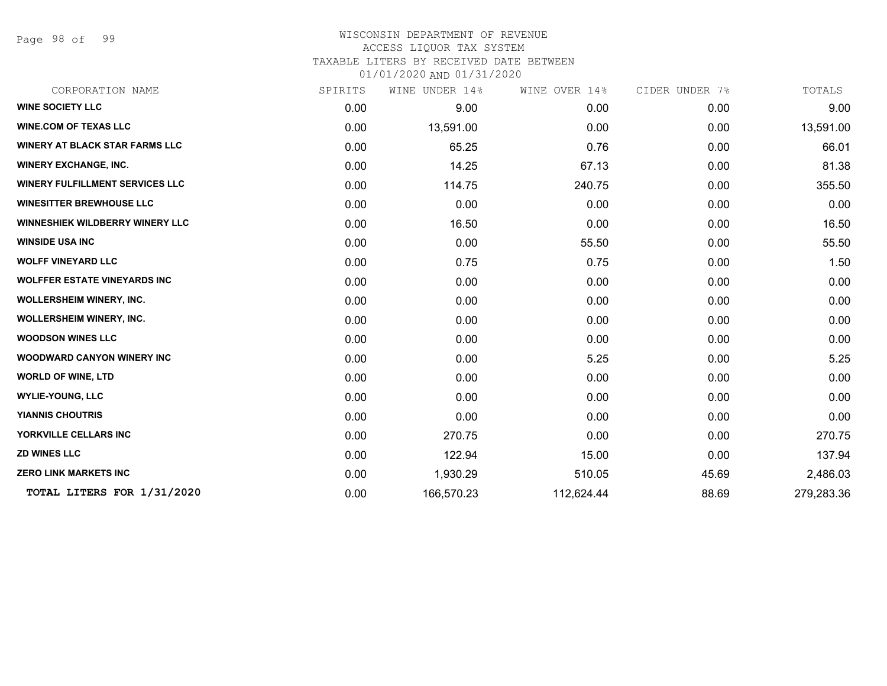Page 98 of 99

### WISCONSIN DEPARTMENT OF REVENUE ACCESS LIQUOR TAX SYSTEM TAXABLE LITERS BY RECEIVED DATE BETWEEN

| CORPORATION NAME                       | SPIRITS | WINE UNDER 14% | WINE OVER 14% | CIDER UNDER 7% | TOTALS     |
|----------------------------------------|---------|----------------|---------------|----------------|------------|
| <b>WINE SOCIETY LLC</b>                | 0.00    | 9.00           | 0.00          | 0.00           | 9.00       |
| <b>WINE.COM OF TEXAS LLC</b>           | 0.00    | 13,591.00      | 0.00          | 0.00           | 13,591.00  |
| <b>WINERY AT BLACK STAR FARMS LLC</b>  | 0.00    | 65.25          | 0.76          | 0.00           | 66.01      |
| <b>WINERY EXCHANGE, INC.</b>           | 0.00    | 14.25          | 67.13         | 0.00           | 81.38      |
| <b>WINERY FULFILLMENT SERVICES LLC</b> | 0.00    | 114.75         | 240.75        | 0.00           | 355.50     |
| <b>WINESITTER BREWHOUSE LLC</b>        | 0.00    | 0.00           | 0.00          | 0.00           | 0.00       |
| <b>WINNESHIEK WILDBERRY WINERY LLC</b> | 0.00    | 16.50          | 0.00          | 0.00           | 16.50      |
| <b>WINSIDE USA INC</b>                 | 0.00    | 0.00           | 55.50         | 0.00           | 55.50      |
| <b>WOLFF VINEYARD LLC</b>              | 0.00    | 0.75           | 0.75          | 0.00           | 1.50       |
| <b>WOLFFER ESTATE VINEYARDS INC</b>    | 0.00    | 0.00           | 0.00          | 0.00           | 0.00       |
| <b>WOLLERSHEIM WINERY, INC.</b>        | 0.00    | 0.00           | 0.00          | 0.00           | 0.00       |
| <b>WOLLERSHEIM WINERY, INC.</b>        | 0.00    | 0.00           | 0.00          | 0.00           | 0.00       |
| <b>WOODSON WINES LLC</b>               | 0.00    | 0.00           | 0.00          | 0.00           | 0.00       |
| <b>WOODWARD CANYON WINERY INC</b>      | 0.00    | 0.00           | 5.25          | 0.00           | 5.25       |
| <b>WORLD OF WINE, LTD</b>              | 0.00    | 0.00           | 0.00          | 0.00           | 0.00       |
| <b>WYLIE-YOUNG, LLC</b>                | 0.00    | 0.00           | 0.00          | 0.00           | 0.00       |
| <b>YIANNIS CHOUTRIS</b>                | 0.00    | 0.00           | 0.00          | 0.00           | 0.00       |
| YORKVILLE CELLARS INC                  | 0.00    | 270.75         | 0.00          | 0.00           | 270.75     |
| <b>ZD WINES LLC</b>                    | 0.00    | 122.94         | 15.00         | 0.00           | 137.94     |
| <b>ZERO LINK MARKETS INC</b>           | 0.00    | 1,930.29       | 510.05        | 45.69          | 2,486.03   |
| TOTAL LITERS FOR 1/31/2020             | 0.00    | 166,570.23     | 112,624.44    | 88.69          | 279,283.36 |